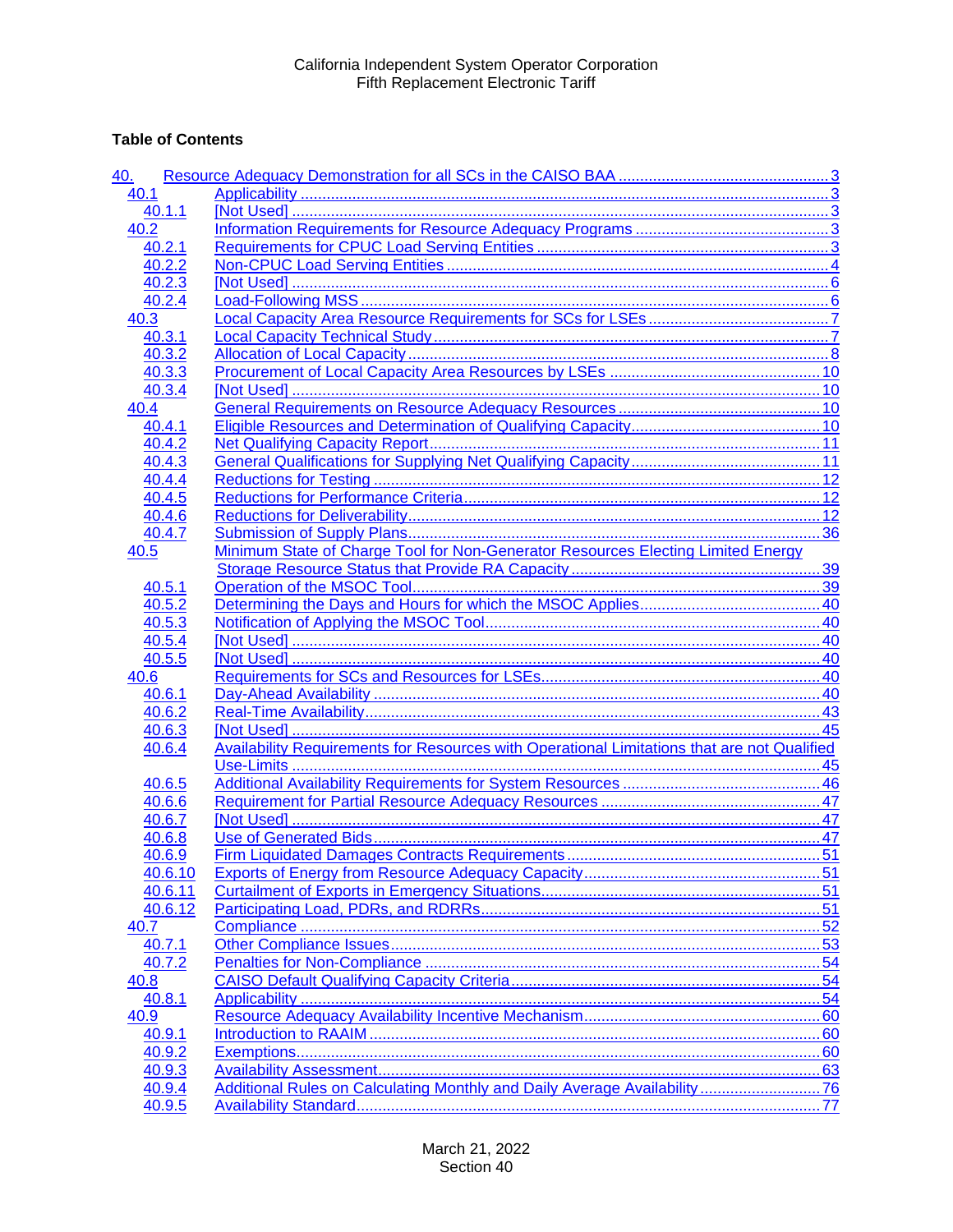## **Table of Contents**

| 40.     |                                                                                                    |  |
|---------|----------------------------------------------------------------------------------------------------|--|
| 40.1    |                                                                                                    |  |
| 40.1.1  |                                                                                                    |  |
| 40.2    |                                                                                                    |  |
| 40.2.1  |                                                                                                    |  |
| 40.2.2  |                                                                                                    |  |
| 40.2.3  |                                                                                                    |  |
| 40.2.4  |                                                                                                    |  |
| 40.3    |                                                                                                    |  |
| 40.3.1  |                                                                                                    |  |
| 40.3.2  |                                                                                                    |  |
| 40.3.3  |                                                                                                    |  |
| 40.3.4  |                                                                                                    |  |
| 40.4    |                                                                                                    |  |
| 40.4.1  |                                                                                                    |  |
| 40.4.2  |                                                                                                    |  |
| 40.4.3  |                                                                                                    |  |
| 40.4.4  |                                                                                                    |  |
| 40.4.5  |                                                                                                    |  |
| 40.4.6  |                                                                                                    |  |
| 40.4.7  |                                                                                                    |  |
| 40.5    | Minimum State of Charge Tool for Non-Generator Resources Electing Limited Energy                   |  |
|         |                                                                                                    |  |
| 40.5.1  |                                                                                                    |  |
| 40.5.2  |                                                                                                    |  |
| 40.5.3  |                                                                                                    |  |
| 40.5.4  |                                                                                                    |  |
| 40.5.5  |                                                                                                    |  |
| 40.6    |                                                                                                    |  |
| 40.6.1  |                                                                                                    |  |
| 40.6.2  |                                                                                                    |  |
| 40.6.3  |                                                                                                    |  |
| 40.6.4  | <b>Availability Requirements for Resources with Operational Limitations that are not Qualified</b> |  |
|         |                                                                                                    |  |
| 40.6.5  |                                                                                                    |  |
| 40.6.6  |                                                                                                    |  |
| 40.6.7  |                                                                                                    |  |
| 40.6.8  |                                                                                                    |  |
| 40.6.9  |                                                                                                    |  |
| 40.6.10 |                                                                                                    |  |
| 40.6.11 |                                                                                                    |  |
| 40.6.12 |                                                                                                    |  |
| 40.7    |                                                                                                    |  |
| 40.7.1  |                                                                                                    |  |
| 40.7.2  |                                                                                                    |  |
| 40.8    |                                                                                                    |  |
| 40.8.1  |                                                                                                    |  |
| 40.9    |                                                                                                    |  |
| 40.9.1  |                                                                                                    |  |
| 40.9.2  |                                                                                                    |  |
| 40.9.3  |                                                                                                    |  |
| 40.9.4  | Additional Rules on Calculating Monthly and Daily Average Availability76                           |  |
| 40.9.5  |                                                                                                    |  |
|         |                                                                                                    |  |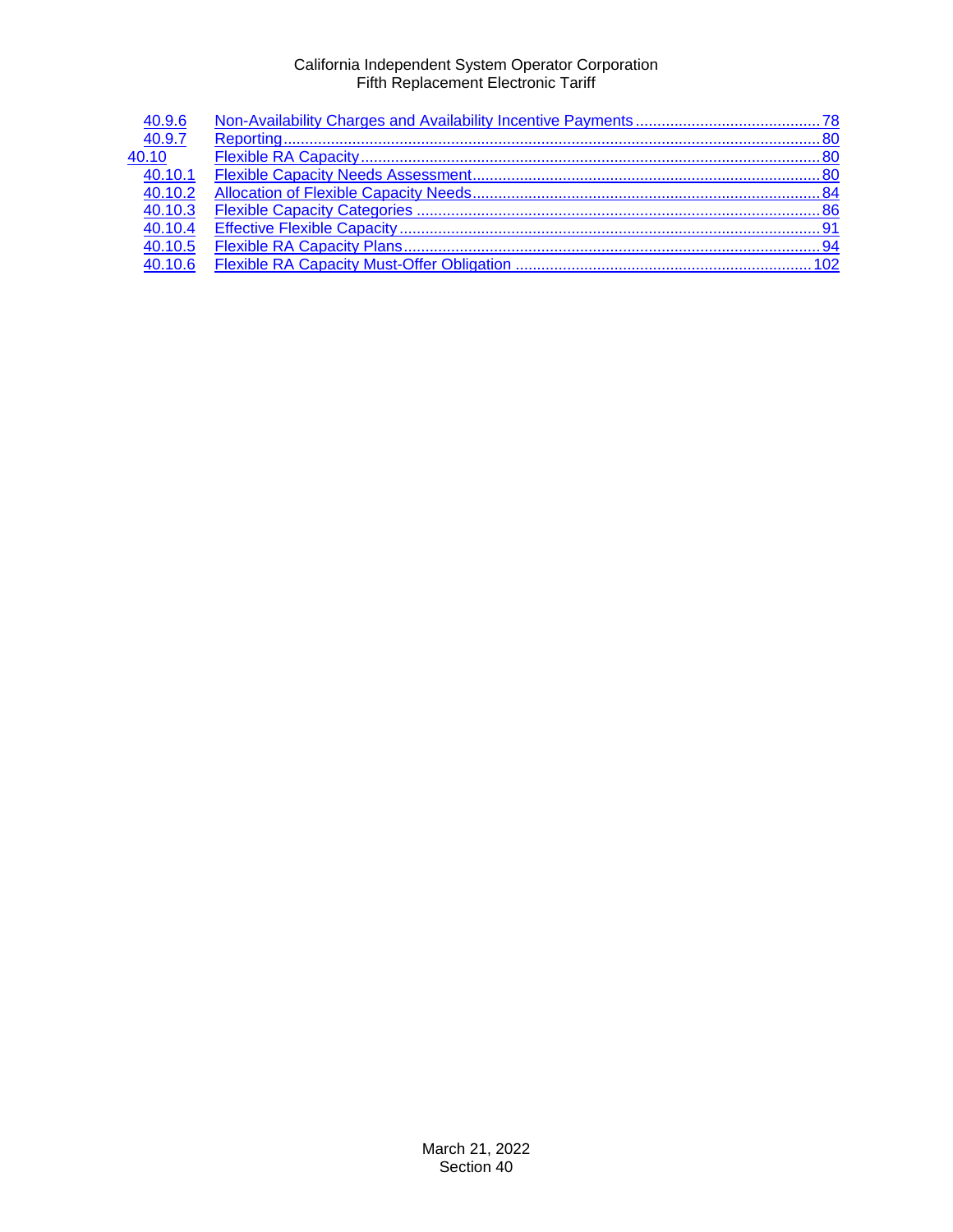| 40.9.6  |  |
|---------|--|
| 40.9.7  |  |
| 40.10   |  |
| 40.10.1 |  |
| 40.10.2 |  |
| 40.10.3 |  |
| 40.10.4 |  |
| 40.10.5 |  |
| 40.10.6 |  |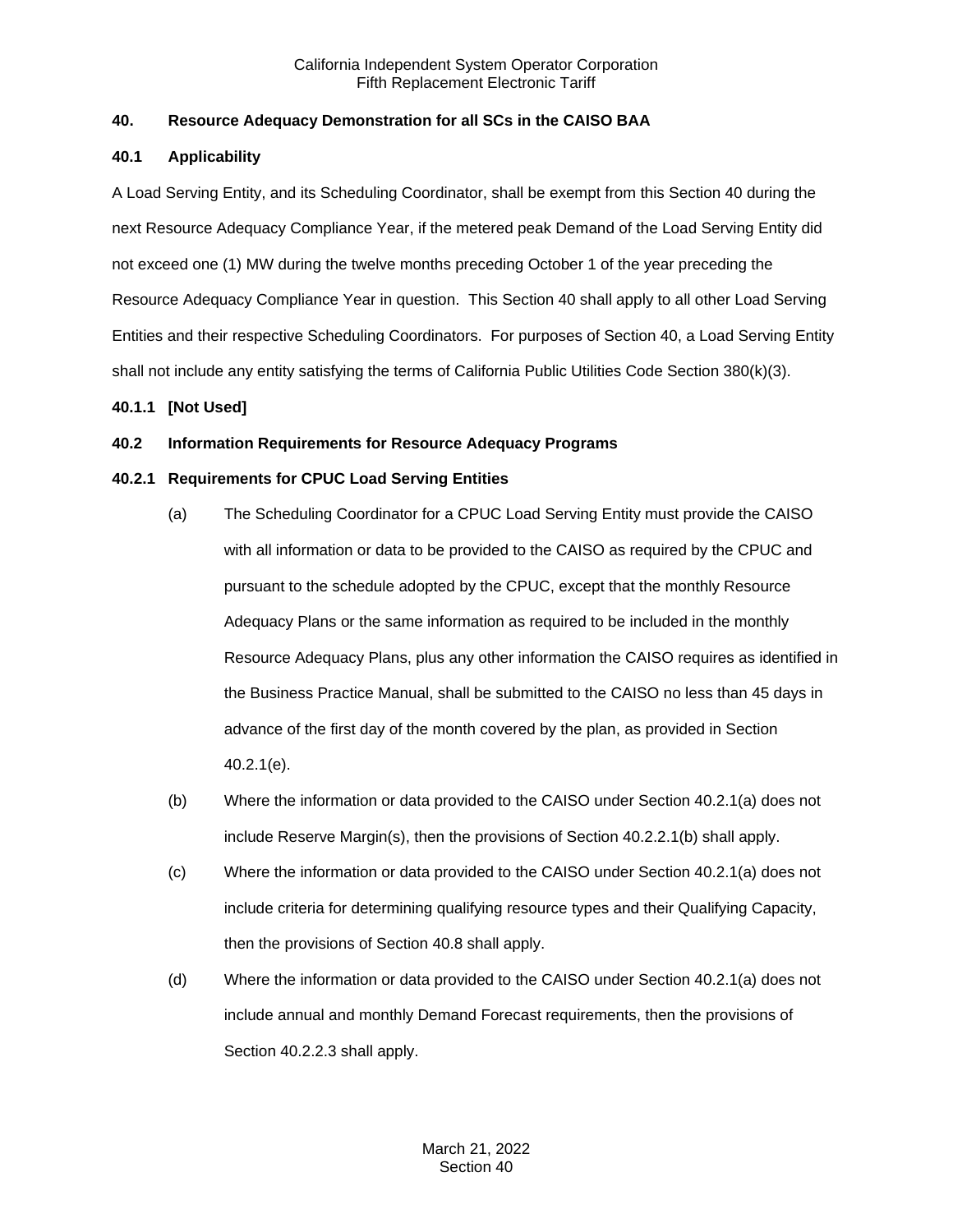## <span id="page-2-0"></span>**40. Resource Adequacy Demonstration for all SCs in the CAISO BAA**

## <span id="page-2-1"></span>**40.1 Applicability**

A Load Serving Entity, and its Scheduling Coordinator, shall be exempt from this Section 40 during the next Resource Adequacy Compliance Year, if the metered peak Demand of the Load Serving Entity did not exceed one (1) MW during the twelve months preceding October 1 of the year preceding the Resource Adequacy Compliance Year in question. This Section 40 shall apply to all other Load Serving Entities and their respective Scheduling Coordinators. For purposes of Section 40, a Load Serving Entity shall not include any entity satisfying the terms of California Public Utilities Code Section 380(k)(3).

## <span id="page-2-2"></span>**40.1.1 [Not Used]**

## <span id="page-2-3"></span>**40.2 Information Requirements for Resource Adequacy Programs**

## <span id="page-2-4"></span>**40.2.1 Requirements for CPUC Load Serving Entities**

- (a) The Scheduling Coordinator for a CPUC Load Serving Entity must provide the CAISO with all information or data to be provided to the CAISO as required by the CPUC and pursuant to the schedule adopted by the CPUC, except that the monthly Resource Adequacy Plans or the same information as required to be included in the monthly Resource Adequacy Plans, plus any other information the CAISO requires as identified in the Business Practice Manual, shall be submitted to the CAISO no less than 45 days in advance of the first day of the month covered by the plan, as provided in Section 40.2.1(e).
- (b) Where the information or data provided to the CAISO under Section 40.2.1(a) does not include Reserve Margin(s), then the provisions of Section 40.2.2.1(b) shall apply.
- (c) Where the information or data provided to the CAISO under Section 40.2.1(a) does not include criteria for determining qualifying resource types and their Qualifying Capacity, then the provisions of Section 40.8 shall apply.
- (d) Where the information or data provided to the CAISO under Section 40.2.1(a) does not include annual and monthly Demand Forecast requirements, then the provisions of Section 40.2.2.3 shall apply.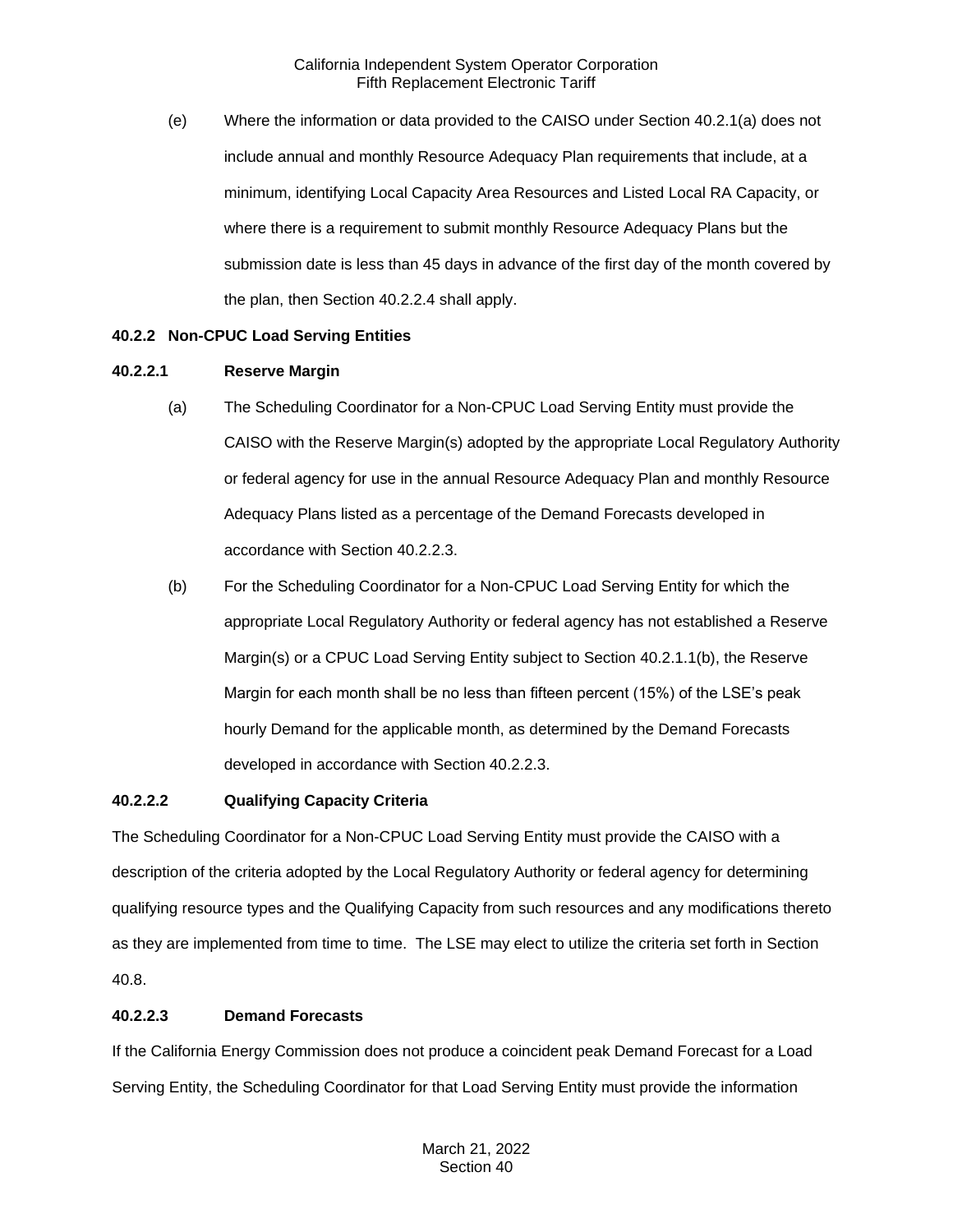(e) Where the information or data provided to the CAISO under Section 40.2.1(a) does not include annual and monthly Resource Adequacy Plan requirements that include, at a minimum, identifying Local Capacity Area Resources and Listed Local RA Capacity, or where there is a requirement to submit monthly Resource Adequacy Plans but the submission date is less than 45 days in advance of the first day of the month covered by the plan, then Section 40.2.2.4 shall apply.

## <span id="page-3-0"></span>**40.2.2 Non-CPUC Load Serving Entities**

### **40.2.2.1 Reserve Margin**

- (a) The Scheduling Coordinator for a Non-CPUC Load Serving Entity must provide the CAISO with the Reserve Margin(s) adopted by the appropriate Local Regulatory Authority or federal agency for use in the annual Resource Adequacy Plan and monthly Resource Adequacy Plans listed as a percentage of the Demand Forecasts developed in accordance with Section 40.2.2.3.
- (b) For the Scheduling Coordinator for a Non-CPUC Load Serving Entity for which the appropriate Local Regulatory Authority or federal agency has not established a Reserve Margin(s) or a CPUC Load Serving Entity subject to Section 40.2.1.1(b), the Reserve Margin for each month shall be no less than fifteen percent (15%) of the LSE's peak hourly Demand for the applicable month, as determined by the Demand Forecasts developed in accordance with Section 40.2.2.3.

#### **40.2.2.2 Qualifying Capacity Criteria**

The Scheduling Coordinator for a Non-CPUC Load Serving Entity must provide the CAISO with a description of the criteria adopted by the Local Regulatory Authority or federal agency for determining qualifying resource types and the Qualifying Capacity from such resources and any modifications thereto as they are implemented from time to time. The LSE may elect to utilize the criteria set forth in Section 40.8.

## **40.2.2.3 Demand Forecasts**

If the California Energy Commission does not produce a coincident peak Demand Forecast for a Load Serving Entity, the Scheduling Coordinator for that Load Serving Entity must provide the information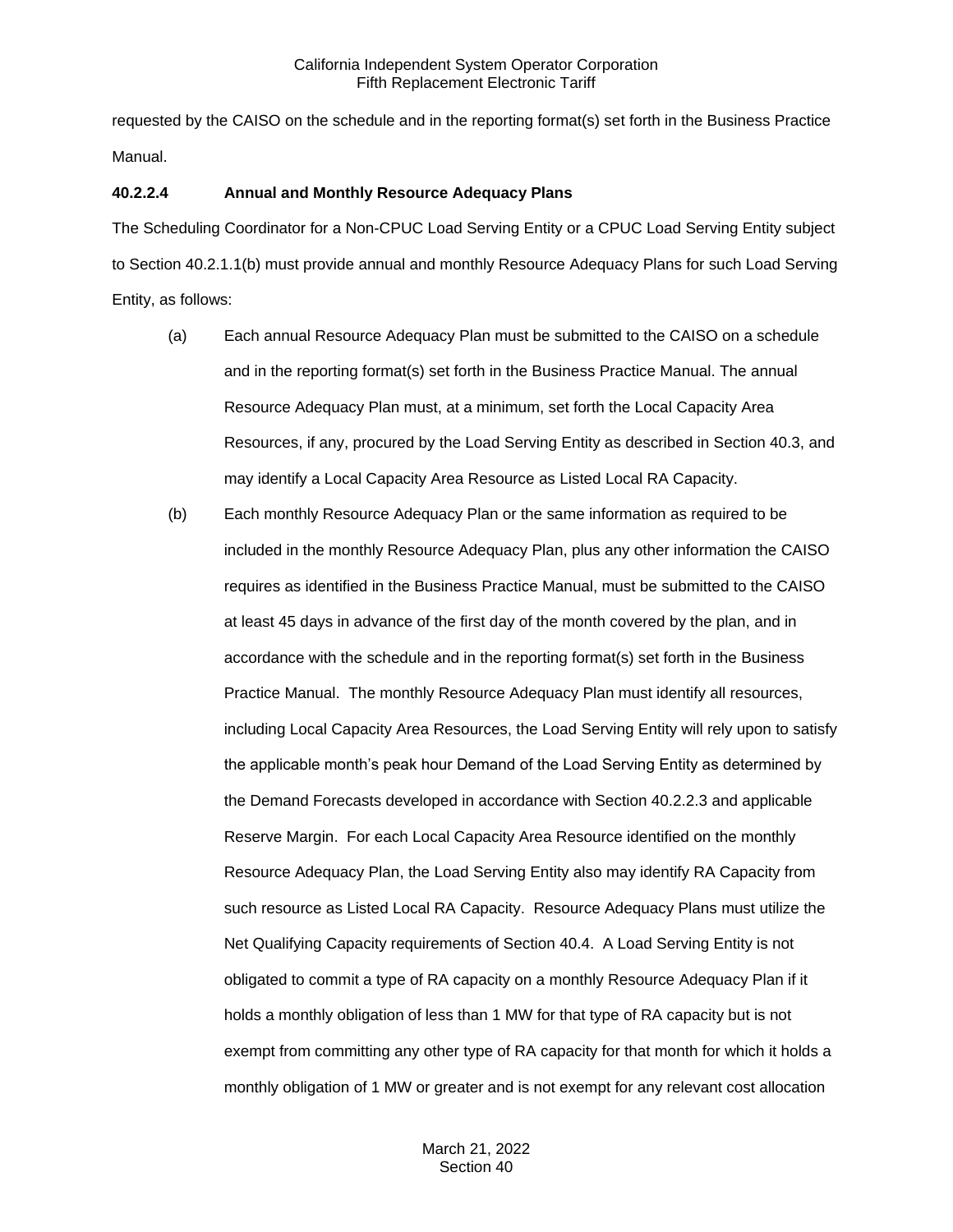requested by the CAISO on the schedule and in the reporting format(s) set forth in the Business Practice Manual.

## **40.2.2.4 Annual and Monthly Resource Adequacy Plans**

The Scheduling Coordinator for a Non-CPUC Load Serving Entity or a CPUC Load Serving Entity subject to Section 40.2.1.1(b) must provide annual and monthly Resource Adequacy Plans for such Load Serving Entity, as follows:

- (a) Each annual Resource Adequacy Plan must be submitted to the CAISO on a schedule and in the reporting format(s) set forth in the Business Practice Manual. The annual Resource Adequacy Plan must, at a minimum, set forth the Local Capacity Area Resources, if any, procured by the Load Serving Entity as described in Section 40.3, and may identify a Local Capacity Area Resource as Listed Local RA Capacity.
- (b) Each monthly Resource Adequacy Plan or the same information as required to be included in the monthly Resource Adequacy Plan, plus any other information the CAISO requires as identified in the Business Practice Manual, must be submitted to the CAISO at least 45 days in advance of the first day of the month covered by the plan, and in accordance with the schedule and in the reporting format(s) set forth in the Business Practice Manual. The monthly Resource Adequacy Plan must identify all resources, including Local Capacity Area Resources, the Load Serving Entity will rely upon to satisfy the applicable month's peak hour Demand of the Load Serving Entity as determined by the Demand Forecasts developed in accordance with Section 40.2.2.3 and applicable Reserve Margin. For each Local Capacity Area Resource identified on the monthly Resource Adequacy Plan, the Load Serving Entity also may identify RA Capacity from such resource as Listed Local RA Capacity. Resource Adequacy Plans must utilize the Net Qualifying Capacity requirements of Section 40.4. A Load Serving Entity is not obligated to commit a type of RA capacity on a monthly Resource Adequacy Plan if it holds a monthly obligation of less than 1 MW for that type of RA capacity but is not exempt from committing any other type of RA capacity for that month for which it holds a monthly obligation of 1 MW or greater and is not exempt for any relevant cost allocation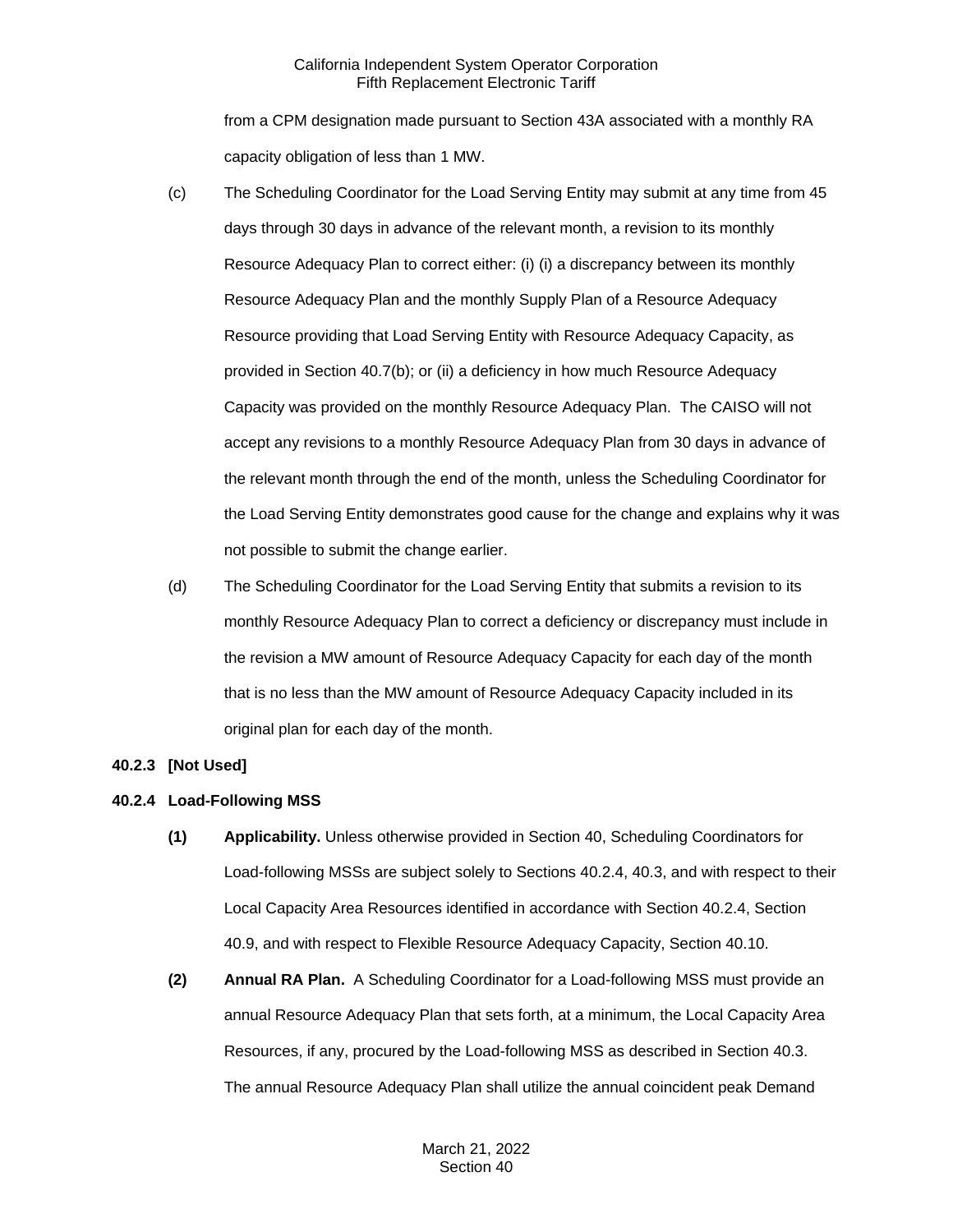from a CPM designation made pursuant to Section 43A associated with a monthly RA capacity obligation of less than 1 MW.

- (c) The Scheduling Coordinator for the Load Serving Entity may submit at any time from 45 days through 30 days in advance of the relevant month, a revision to its monthly Resource Adequacy Plan to correct either: (i) (i) a discrepancy between its monthly Resource Adequacy Plan and the monthly Supply Plan of a Resource Adequacy Resource providing that Load Serving Entity with Resource Adequacy Capacity, as provided in Section 40.7(b); or (ii) a deficiency in how much Resource Adequacy Capacity was provided on the monthly Resource Adequacy Plan. The CAISO will not accept any revisions to a monthly Resource Adequacy Plan from 30 days in advance of the relevant month through the end of the month, unless the Scheduling Coordinator for the Load Serving Entity demonstrates good cause for the change and explains why it was not possible to submit the change earlier.
- (d) The Scheduling Coordinator for the Load Serving Entity that submits a revision to its monthly Resource Adequacy Plan to correct a deficiency or discrepancy must include in the revision a MW amount of Resource Adequacy Capacity for each day of the month that is no less than the MW amount of Resource Adequacy Capacity included in its original plan for each day of the month.

## <span id="page-5-0"></span>**40.2.3 [Not Used]**

## <span id="page-5-1"></span>**40.2.4 Load-Following MSS**

- **(1) Applicability.** Unless otherwise provided in Section 40, Scheduling Coordinators for Load-following MSSs are subject solely to Sections 40.2.4, 40.3, and with respect to their Local Capacity Area Resources identified in accordance with Section 40.2.4, Section 40.9, and with respect to Flexible Resource Adequacy Capacity, Section 40.10.
- **(2) Annual RA Plan.** A Scheduling Coordinator for a Load-following MSS must provide an annual Resource Adequacy Plan that sets forth, at a minimum, the Local Capacity Area Resources, if any, procured by the Load-following MSS as described in Section 40.3. The annual Resource Adequacy Plan shall utilize the annual coincident peak Demand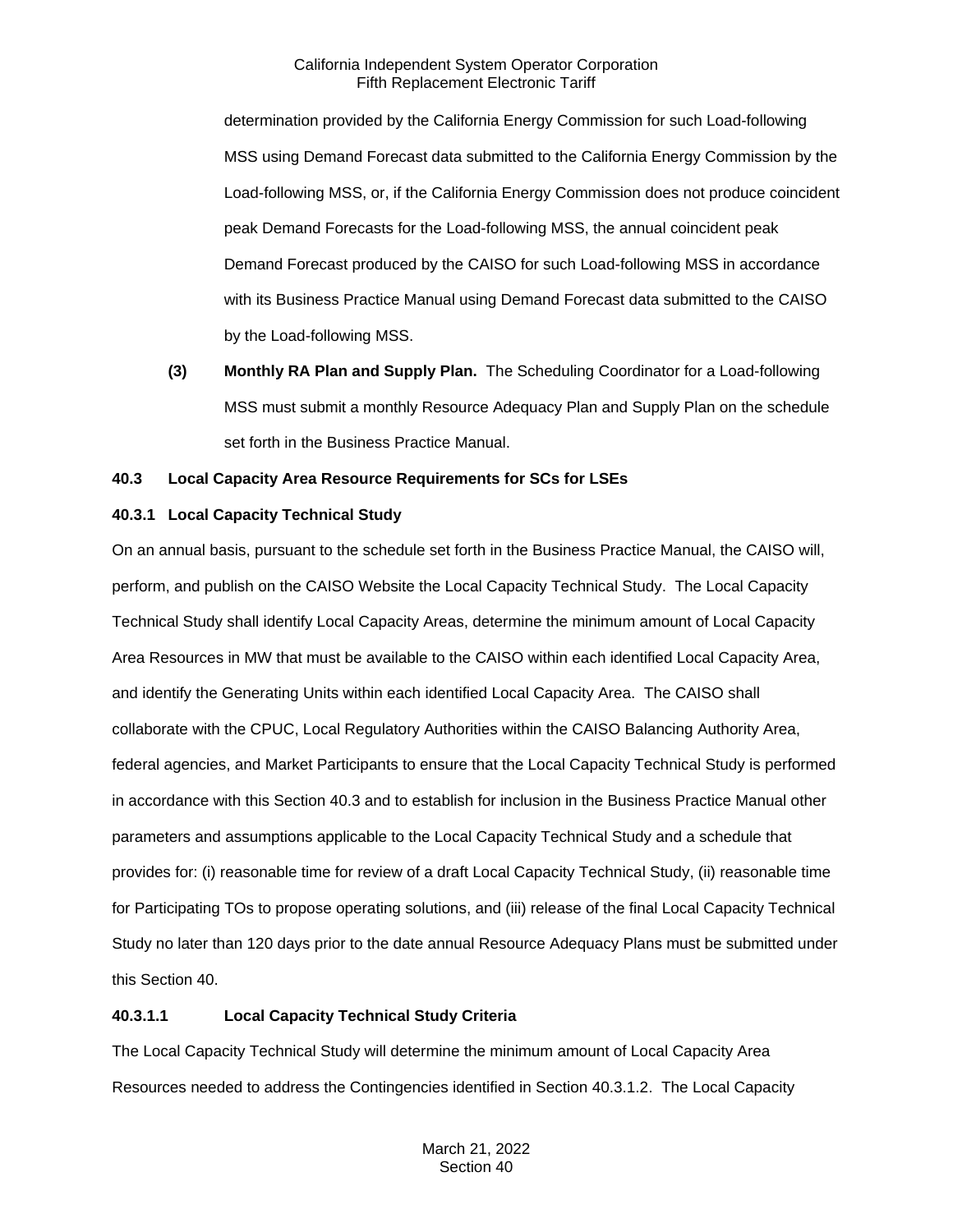determination provided by the California Energy Commission for such Load-following MSS using Demand Forecast data submitted to the California Energy Commission by the Load-following MSS, or, if the California Energy Commission does not produce coincident peak Demand Forecasts for the Load-following MSS, the annual coincident peak Demand Forecast produced by the CAISO for such Load-following MSS in accordance with its Business Practice Manual using Demand Forecast data submitted to the CAISO by the Load-following MSS.

**(3) Monthly RA Plan and Supply Plan.** The Scheduling Coordinator for a Load-following MSS must submit a monthly Resource Adequacy Plan and Supply Plan on the schedule set forth in the Business Practice Manual.

## <span id="page-6-0"></span>**40.3 Local Capacity Area Resource Requirements for SCs for LSEs**

## <span id="page-6-1"></span>**40.3.1 Local Capacity Technical Study**

On an annual basis, pursuant to the schedule set forth in the Business Practice Manual, the CAISO will, perform, and publish on the CAISO Website the Local Capacity Technical Study. The Local Capacity Technical Study shall identify Local Capacity Areas, determine the minimum amount of Local Capacity Area Resources in MW that must be available to the CAISO within each identified Local Capacity Area, and identify the Generating Units within each identified Local Capacity Area. The CAISO shall collaborate with the CPUC, Local Regulatory Authorities within the CAISO Balancing Authority Area, federal agencies, and Market Participants to ensure that the Local Capacity Technical Study is performed in accordance with this Section 40.3 and to establish for inclusion in the Business Practice Manual other parameters and assumptions applicable to the Local Capacity Technical Study and a schedule that provides for: (i) reasonable time for review of a draft Local Capacity Technical Study, (ii) reasonable time for Participating TOs to propose operating solutions, and (iii) release of the final Local Capacity Technical Study no later than 120 days prior to the date annual Resource Adequacy Plans must be submitted under this Section 40.

## **40.3.1.1 Local Capacity Technical Study Criteria**

The Local Capacity Technical Study will determine the minimum amount of Local Capacity Area Resources needed to address the Contingencies identified in Section 40.3.1.2. The Local Capacity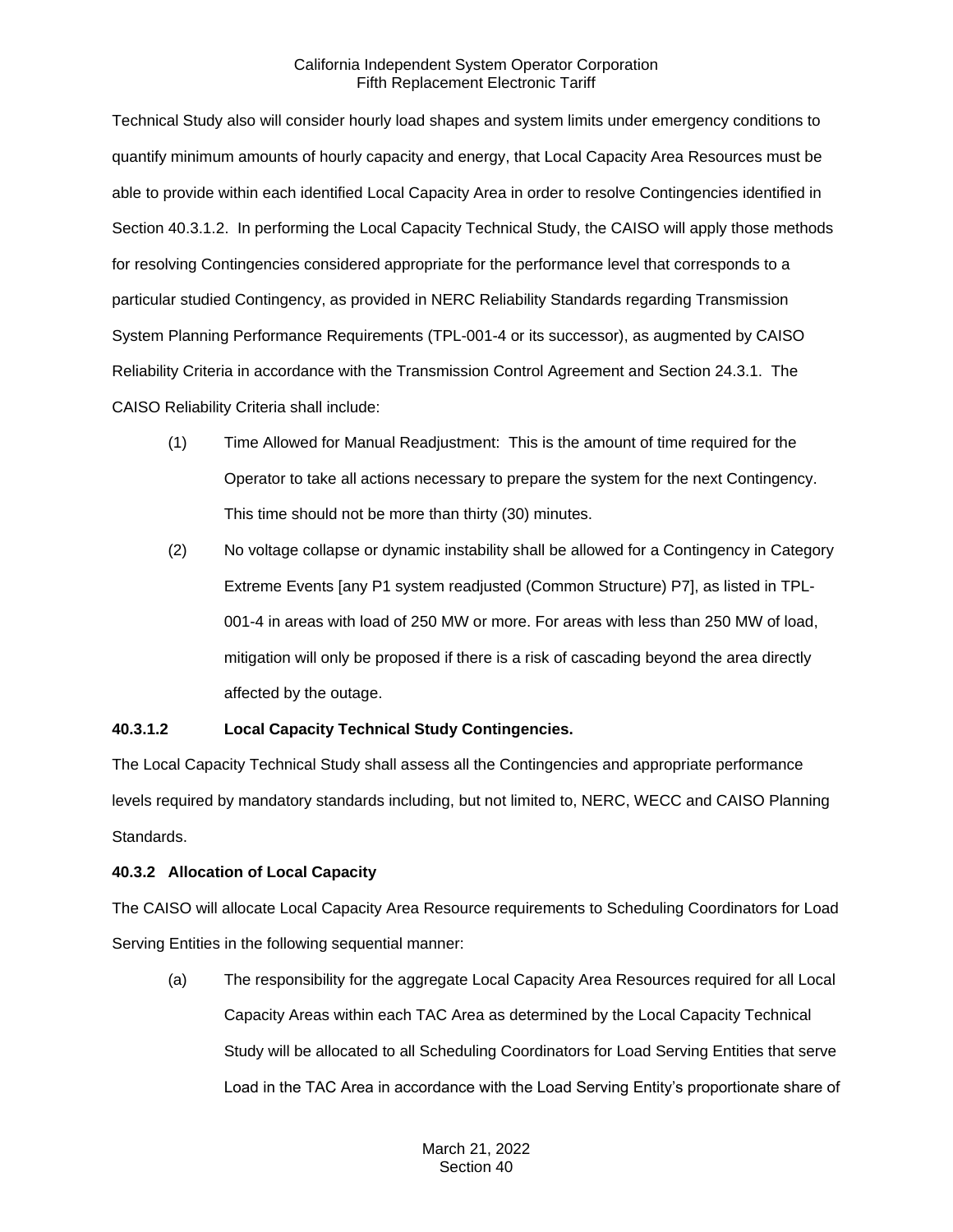Technical Study also will consider hourly load shapes and system limits under emergency conditions to quantify minimum amounts of hourly capacity and energy, that Local Capacity Area Resources must be able to provide within each identified Local Capacity Area in order to resolve Contingencies identified in Section 40.3.1.2. In performing the Local Capacity Technical Study, the CAISO will apply those methods for resolving Contingencies considered appropriate for the performance level that corresponds to a particular studied Contingency, as provided in NERC Reliability Standards regarding Transmission System Planning Performance Requirements (TPL-001-4 or its successor), as augmented by CAISO Reliability Criteria in accordance with the Transmission Control Agreement and Section 24.3.1. The CAISO Reliability Criteria shall include:

- (1) Time Allowed for Manual Readjustment: This is the amount of time required for the Operator to take all actions necessary to prepare the system for the next Contingency. This time should not be more than thirty (30) minutes.
- (2) No voltage collapse or dynamic instability shall be allowed for a Contingency in Category Extreme Events [any P1 system readjusted (Common Structure) P7], as listed in TPL-001-4 in areas with load of 250 MW or more. For areas with less than 250 MW of load, mitigation will only be proposed if there is a risk of cascading beyond the area directly affected by the outage.

## **40.3.1.2 Local Capacity Technical Study Contingencies.**

The Local Capacity Technical Study shall assess all the Contingencies and appropriate performance levels required by mandatory standards including, but not limited to, NERC, WECC and CAISO Planning Standards.

## <span id="page-7-0"></span>**40.3.2 Allocation of Local Capacity**

The CAISO will allocate Local Capacity Area Resource requirements to Scheduling Coordinators for Load Serving Entities in the following sequential manner:

(a) The responsibility for the aggregate Local Capacity Area Resources required for all Local Capacity Areas within each TAC Area as determined by the Local Capacity Technical Study will be allocated to all Scheduling Coordinators for Load Serving Entities that serve Load in the TAC Area in accordance with the Load Serving Entity's proportionate share of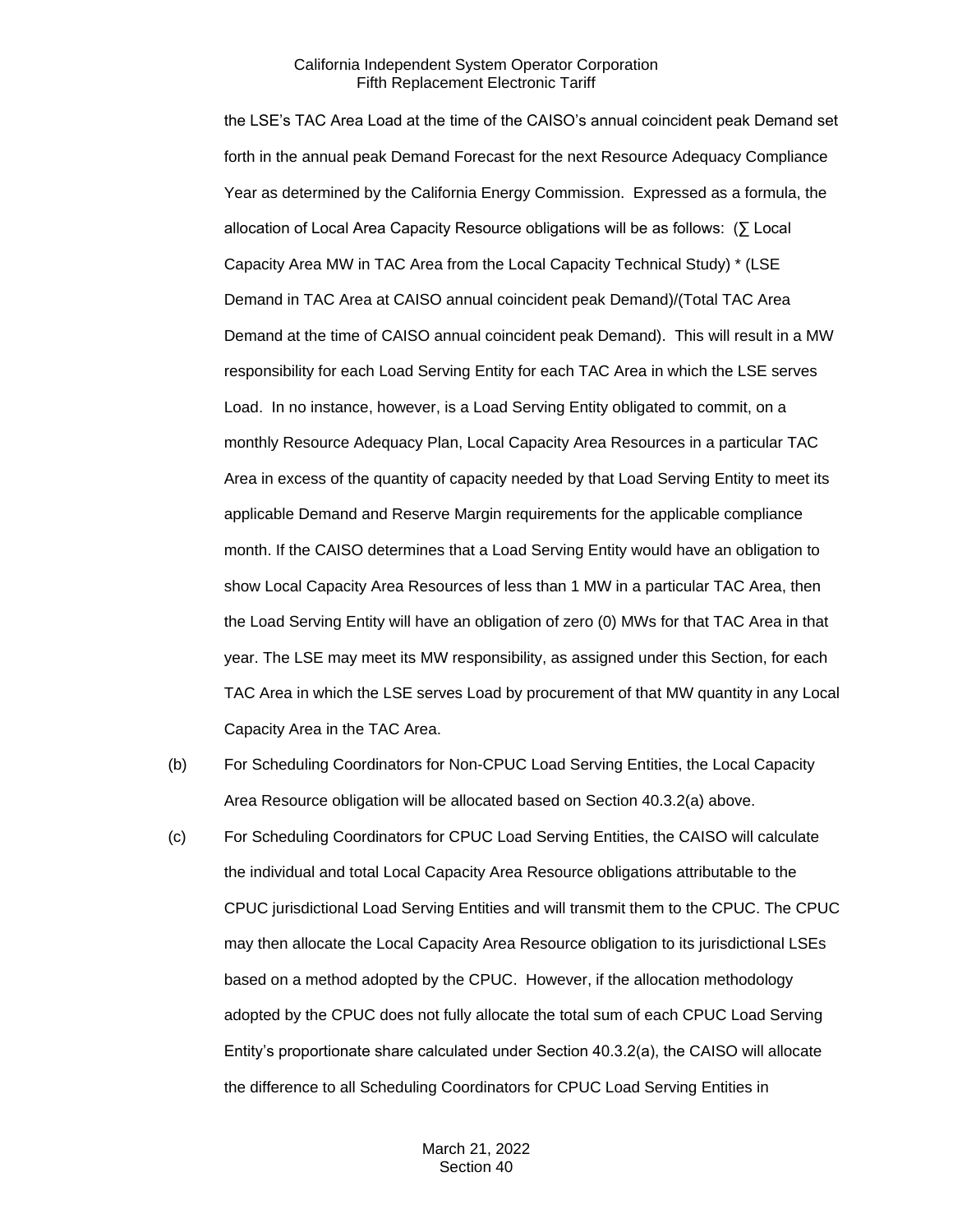the LSE's TAC Area Load at the time of the CAISO's annual coincident peak Demand set forth in the annual peak Demand Forecast for the next Resource Adequacy Compliance Year as determined by the California Energy Commission. Expressed as a formula, the allocation of Local Area Capacity Resource obligations will be as follows: (∑ Local Capacity Area MW in TAC Area from the Local Capacity Technical Study) \* (LSE Demand in TAC Area at CAISO annual coincident peak Demand)/(Total TAC Area Demand at the time of CAISO annual coincident peak Demand). This will result in a MW responsibility for each Load Serving Entity for each TAC Area in which the LSE serves Load. In no instance, however, is a Load Serving Entity obligated to commit, on a monthly Resource Adequacy Plan, Local Capacity Area Resources in a particular TAC Area in excess of the quantity of capacity needed by that Load Serving Entity to meet its applicable Demand and Reserve Margin requirements for the applicable compliance month. If the CAISO determines that a Load Serving Entity would have an obligation to show Local Capacity Area Resources of less than 1 MW in a particular TAC Area, then the Load Serving Entity will have an obligation of zero (0) MWs for that TAC Area in that year. The LSE may meet its MW responsibility, as assigned under this Section, for each TAC Area in which the LSE serves Load by procurement of that MW quantity in any Local Capacity Area in the TAC Area.

- (b) For Scheduling Coordinators for Non-CPUC Load Serving Entities, the Local Capacity Area Resource obligation will be allocated based on Section 40.3.2(a) above.
- (c) For Scheduling Coordinators for CPUC Load Serving Entities, the CAISO will calculate the individual and total Local Capacity Area Resource obligations attributable to the CPUC jurisdictional Load Serving Entities and will transmit them to the CPUC. The CPUC may then allocate the Local Capacity Area Resource obligation to its jurisdictional LSEs based on a method adopted by the CPUC. However, if the allocation methodology adopted by the CPUC does not fully allocate the total sum of each CPUC Load Serving Entity's proportionate share calculated under Section 40.3.2(a), the CAISO will allocate the difference to all Scheduling Coordinators for CPUC Load Serving Entities in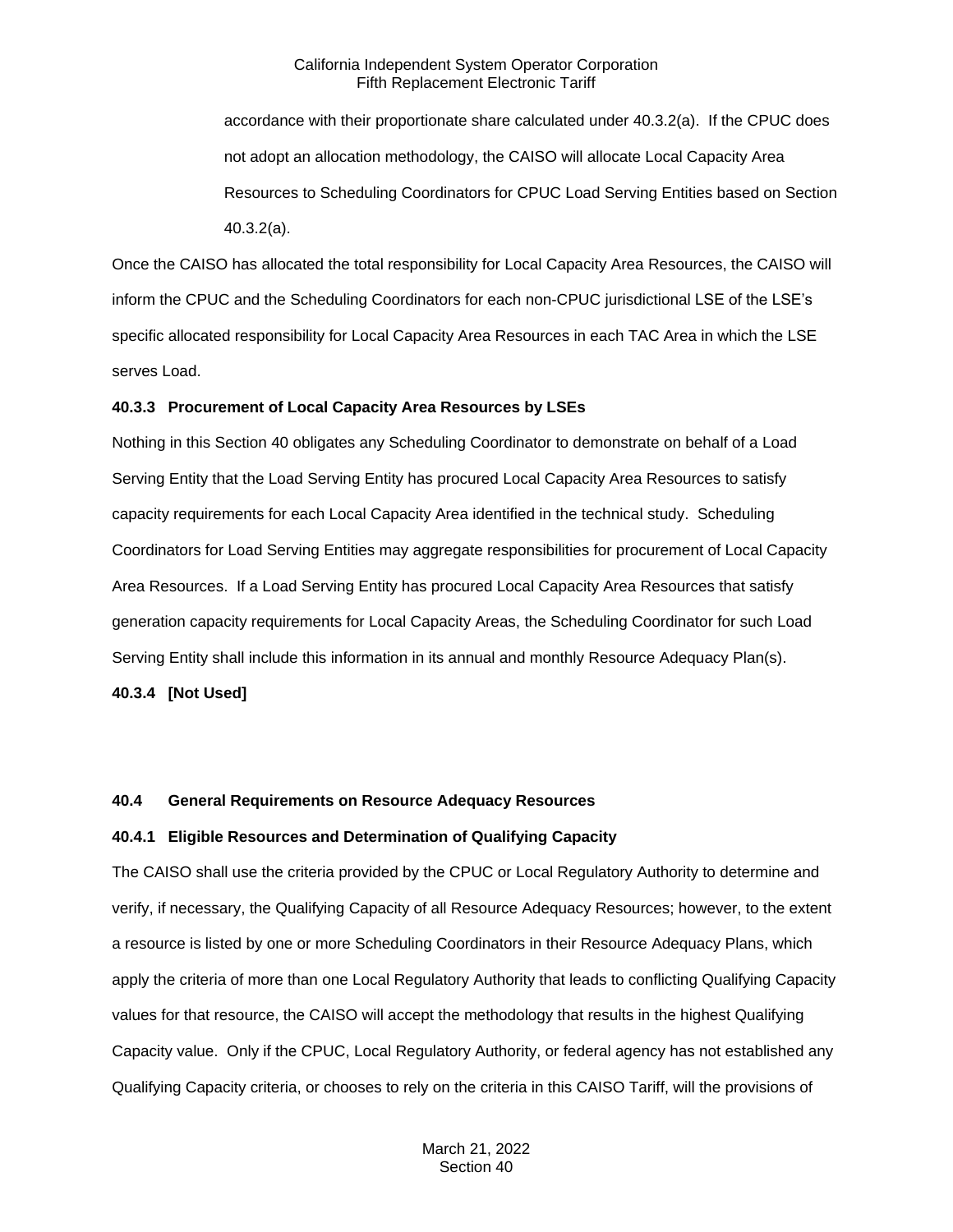accordance with their proportionate share calculated under 40.3.2(a). If the CPUC does not adopt an allocation methodology, the CAISO will allocate Local Capacity Area Resources to Scheduling Coordinators for CPUC Load Serving Entities based on Section 40.3.2(a).

Once the CAISO has allocated the total responsibility for Local Capacity Area Resources, the CAISO will inform the CPUC and the Scheduling Coordinators for each non-CPUC jurisdictional LSE of the LSE's specific allocated responsibility for Local Capacity Area Resources in each TAC Area in which the LSE serves Load.

#### <span id="page-9-0"></span>**40.3.3 Procurement of Local Capacity Area Resources by LSEs**

Nothing in this Section 40 obligates any Scheduling Coordinator to demonstrate on behalf of a Load Serving Entity that the Load Serving Entity has procured Local Capacity Area Resources to satisfy capacity requirements for each Local Capacity Area identified in the technical study. Scheduling Coordinators for Load Serving Entities may aggregate responsibilities for procurement of Local Capacity Area Resources. If a Load Serving Entity has procured Local Capacity Area Resources that satisfy generation capacity requirements for Local Capacity Areas, the Scheduling Coordinator for such Load Serving Entity shall include this information in its annual and monthly Resource Adequacy Plan(s).

<span id="page-9-1"></span>**40.3.4 [Not Used]**

## <span id="page-9-2"></span>**40.4 General Requirements on Resource Adequacy Resources**

#### <span id="page-9-3"></span>**40.4.1 Eligible Resources and Determination of Qualifying Capacity**

The CAISO shall use the criteria provided by the CPUC or Local Regulatory Authority to determine and verify, if necessary, the Qualifying Capacity of all Resource Adequacy Resources; however, to the extent a resource is listed by one or more Scheduling Coordinators in their Resource Adequacy Plans, which apply the criteria of more than one Local Regulatory Authority that leads to conflicting Qualifying Capacity values for that resource, the CAISO will accept the methodology that results in the highest Qualifying Capacity value. Only if the CPUC, Local Regulatory Authority, or federal agency has not established any Qualifying Capacity criteria, or chooses to rely on the criteria in this CAISO Tariff, will the provisions of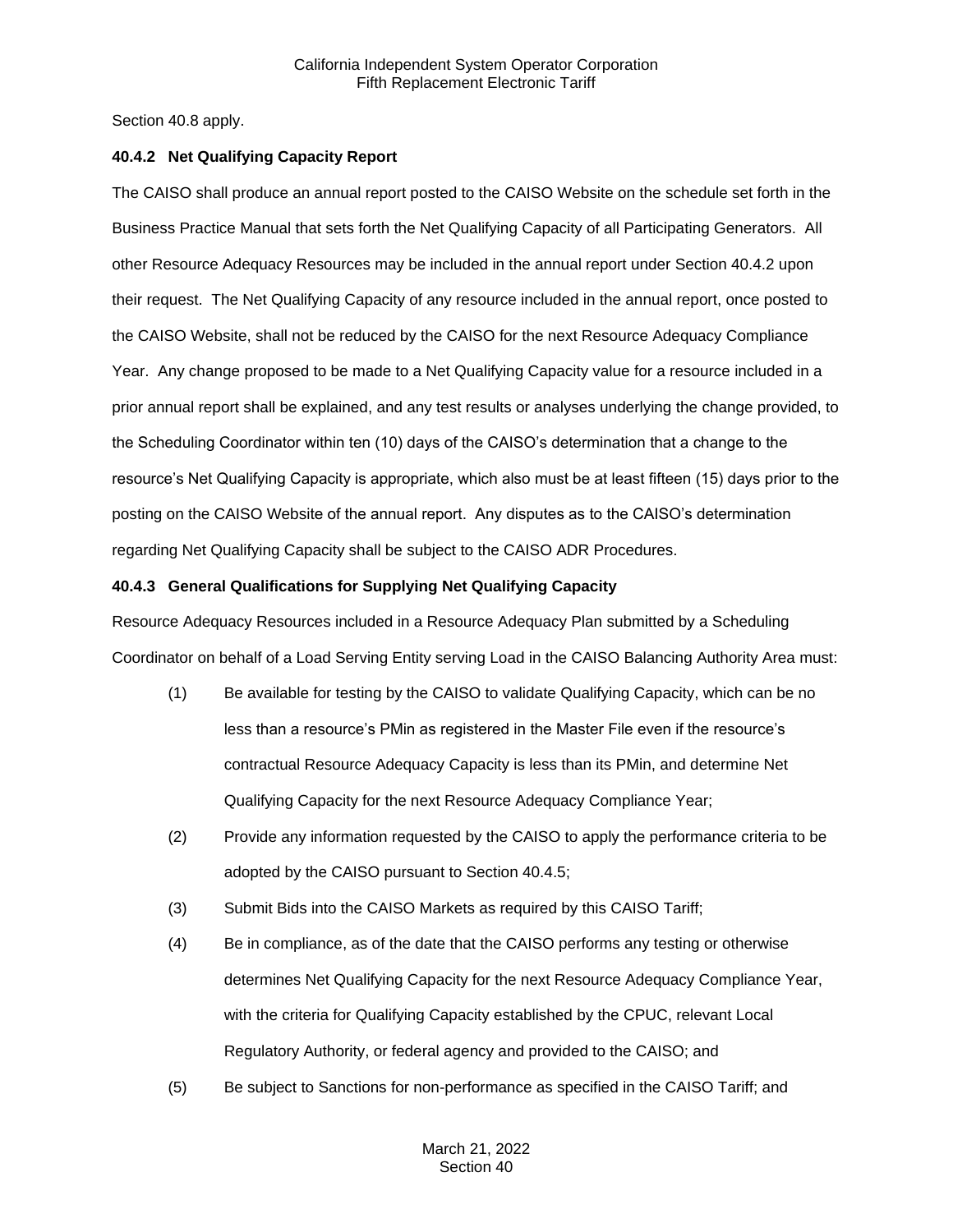Section 40.8 apply.

#### <span id="page-10-0"></span>**40.4.2 Net Qualifying Capacity Report**

The CAISO shall produce an annual report posted to the CAISO Website on the schedule set forth in the Business Practice Manual that sets forth the Net Qualifying Capacity of all Participating Generators. All other Resource Adequacy Resources may be included in the annual report under Section 40.4.2 upon their request. The Net Qualifying Capacity of any resource included in the annual report, once posted to the CAISO Website, shall not be reduced by the CAISO for the next Resource Adequacy Compliance Year. Any change proposed to be made to a Net Qualifying Capacity value for a resource included in a prior annual report shall be explained, and any test results or analyses underlying the change provided, to the Scheduling Coordinator within ten (10) days of the CAISO's determination that a change to the resource's Net Qualifying Capacity is appropriate, which also must be at least fifteen (15) days prior to the posting on the CAISO Website of the annual report. Any disputes as to the CAISO's determination regarding Net Qualifying Capacity shall be subject to the CAISO ADR Procedures.

### <span id="page-10-1"></span>**40.4.3 General Qualifications for Supplying Net Qualifying Capacity**

Resource Adequacy Resources included in a Resource Adequacy Plan submitted by a Scheduling Coordinator on behalf of a Load Serving Entity serving Load in the CAISO Balancing Authority Area must:

- (1) Be available for testing by the CAISO to validate Qualifying Capacity, which can be no less than a resource's PMin as registered in the Master File even if the resource's contractual Resource Adequacy Capacity is less than its PMin, and determine Net Qualifying Capacity for the next Resource Adequacy Compliance Year;
- (2) Provide any information requested by the CAISO to apply the performance criteria to be adopted by the CAISO pursuant to Section 40.4.5;
- (3) Submit Bids into the CAISO Markets as required by this CAISO Tariff;
- (4) Be in compliance, as of the date that the CAISO performs any testing or otherwise determines Net Qualifying Capacity for the next Resource Adequacy Compliance Year, with the criteria for Qualifying Capacity established by the CPUC, relevant Local Regulatory Authority, or federal agency and provided to the CAISO; and
- (5) Be subject to Sanctions for non-performance as specified in the CAISO Tariff; and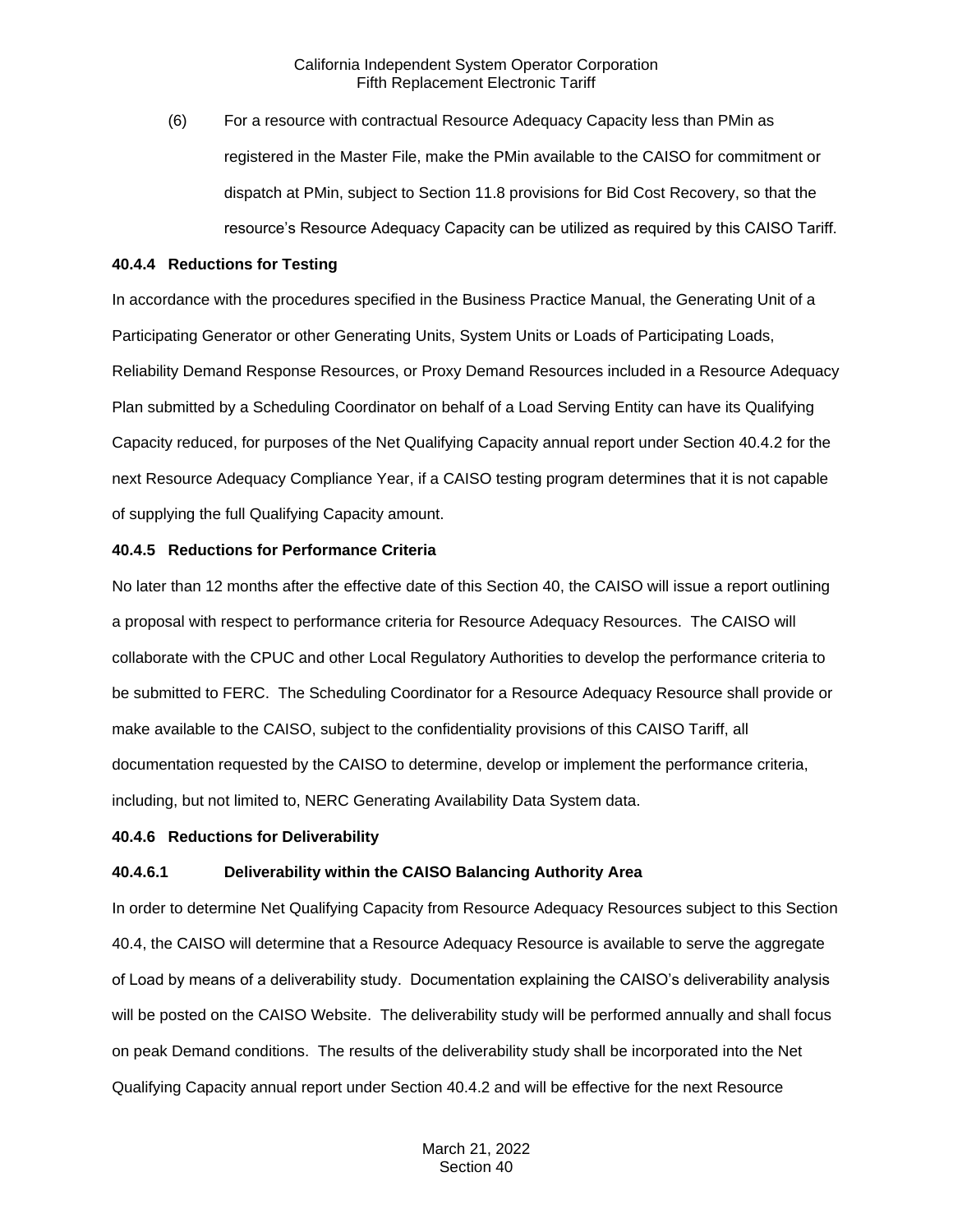(6) For a resource with contractual Resource Adequacy Capacity less than PMin as registered in the Master File, make the PMin available to the CAISO for commitment or dispatch at PMin, subject to Section 11.8 provisions for Bid Cost Recovery, so that the resource's Resource Adequacy Capacity can be utilized as required by this CAISO Tariff.

#### <span id="page-11-0"></span>**40.4.4 Reductions for Testing**

In accordance with the procedures specified in the Business Practice Manual, the Generating Unit of a Participating Generator or other Generating Units, System Units or Loads of Participating Loads, Reliability Demand Response Resources, or Proxy Demand Resources included in a Resource Adequacy Plan submitted by a Scheduling Coordinator on behalf of a Load Serving Entity can have its Qualifying Capacity reduced, for purposes of the Net Qualifying Capacity annual report under Section 40.4.2 for the next Resource Adequacy Compliance Year, if a CAISO testing program determines that it is not capable of supplying the full Qualifying Capacity amount.

#### <span id="page-11-1"></span>**40.4.5 Reductions for Performance Criteria**

No later than 12 months after the effective date of this Section 40, the CAISO will issue a report outlining a proposal with respect to performance criteria for Resource Adequacy Resources. The CAISO will collaborate with the CPUC and other Local Regulatory Authorities to develop the performance criteria to be submitted to FERC. The Scheduling Coordinator for a Resource Adequacy Resource shall provide or make available to the CAISO, subject to the confidentiality provisions of this CAISO Tariff, all documentation requested by the CAISO to determine, develop or implement the performance criteria, including, but not limited to, NERC Generating Availability Data System data.

#### <span id="page-11-2"></span>**40.4.6 Reductions for Deliverability**

#### **40.4.6.1 Deliverability within the CAISO Balancing Authority Area**

In order to determine Net Qualifying Capacity from Resource Adequacy Resources subject to this Section 40.4, the CAISO will determine that a Resource Adequacy Resource is available to serve the aggregate of Load by means of a deliverability study. Documentation explaining the CAISO's deliverability analysis will be posted on the CAISO Website. The deliverability study will be performed annually and shall focus on peak Demand conditions. The results of the deliverability study shall be incorporated into the Net Qualifying Capacity annual report under Section 40.4.2 and will be effective for the next Resource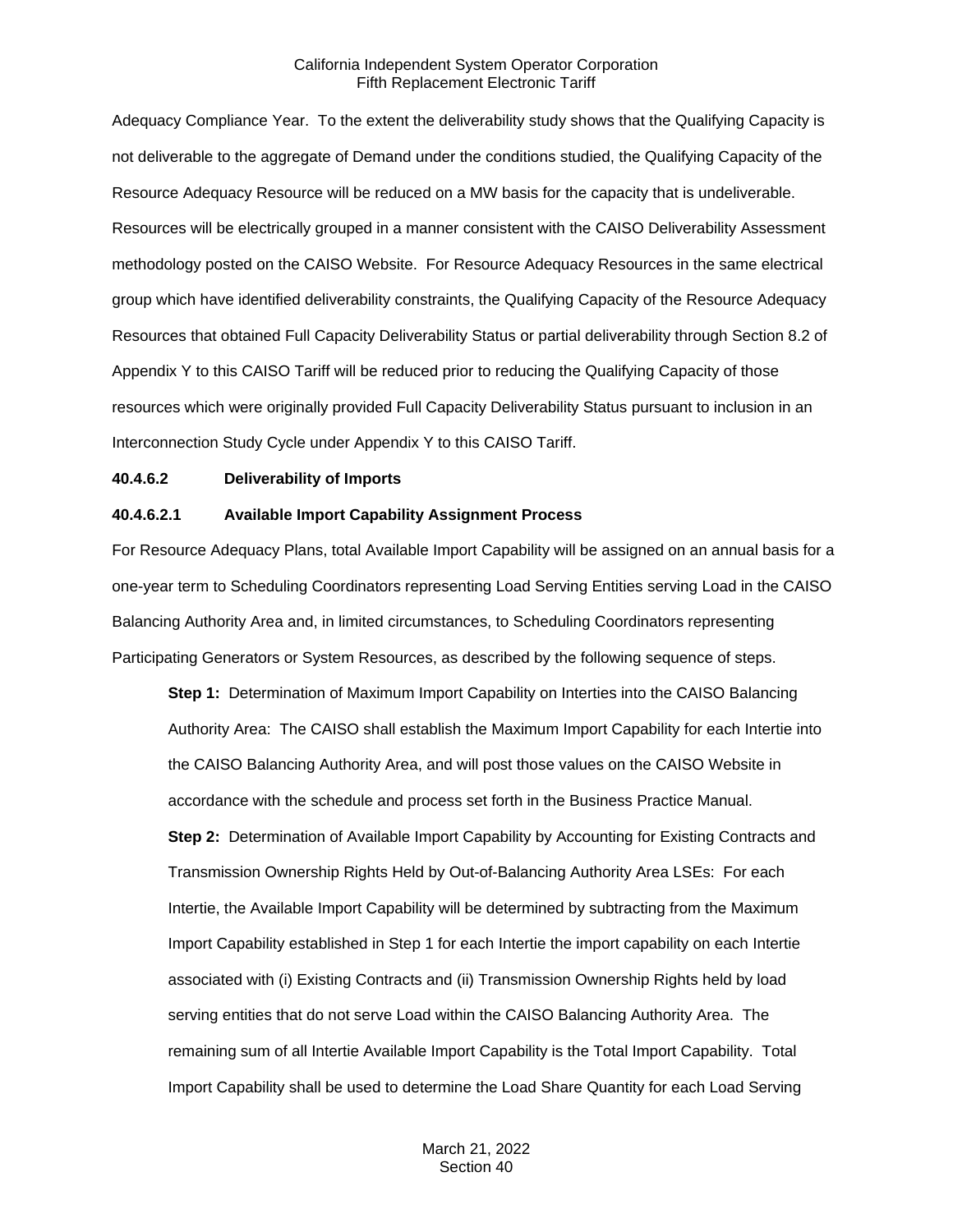Adequacy Compliance Year. To the extent the deliverability study shows that the Qualifying Capacity is not deliverable to the aggregate of Demand under the conditions studied, the Qualifying Capacity of the Resource Adequacy Resource will be reduced on a MW basis for the capacity that is undeliverable. Resources will be electrically grouped in a manner consistent with the CAISO Deliverability Assessment methodology posted on the CAISO Website. For Resource Adequacy Resources in the same electrical group which have identified deliverability constraints, the Qualifying Capacity of the Resource Adequacy Resources that obtained Full Capacity Deliverability Status or partial deliverability through Section 8.2 of Appendix Y to this CAISO Tariff will be reduced prior to reducing the Qualifying Capacity of those resources which were originally provided Full Capacity Deliverability Status pursuant to inclusion in an Interconnection Study Cycle under Appendix Y to this CAISO Tariff.

#### **40.4.6.2 Deliverability of Imports**

#### **40.4.6.2.1 Available Import Capability Assignment Process**

For Resource Adequacy Plans, total Available Import Capability will be assigned on an annual basis for a one-year term to Scheduling Coordinators representing Load Serving Entities serving Load in the CAISO Balancing Authority Area and, in limited circumstances, to Scheduling Coordinators representing Participating Generators or System Resources, as described by the following sequence of steps.

**Step 1:** Determination of Maximum Import Capability on Interties into the CAISO Balancing Authority Area: The CAISO shall establish the Maximum Import Capability for each Intertie into the CAISO Balancing Authority Area, and will post those values on the CAISO Website in accordance with the schedule and process set forth in the Business Practice Manual. **Step 2:** Determination of Available Import Capability by Accounting for Existing Contracts and Transmission Ownership Rights Held by Out-of-Balancing Authority Area LSEs: For each Intertie, the Available Import Capability will be determined by subtracting from the Maximum Import Capability established in Step 1 for each Intertie the import capability on each Intertie associated with (i) Existing Contracts and (ii) Transmission Ownership Rights held by load serving entities that do not serve Load within the CAISO Balancing Authority Area. The remaining sum of all Intertie Available Import Capability is the Total Import Capability. Total Import Capability shall be used to determine the Load Share Quantity for each Load Serving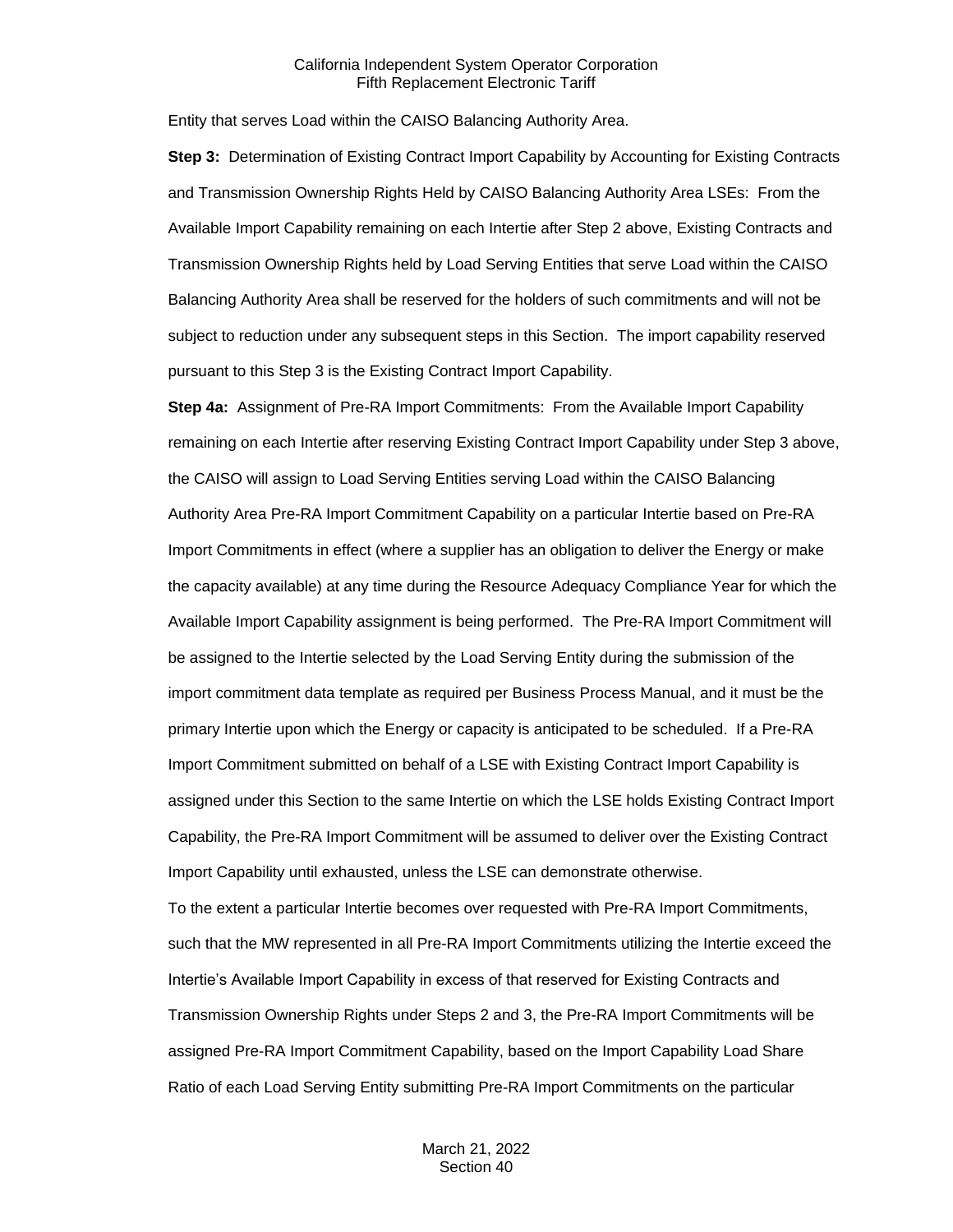Entity that serves Load within the CAISO Balancing Authority Area.

**Step 3:** Determination of Existing Contract Import Capability by Accounting for Existing Contracts and Transmission Ownership Rights Held by CAISO Balancing Authority Area LSEs: From the Available Import Capability remaining on each Intertie after Step 2 above, Existing Contracts and Transmission Ownership Rights held by Load Serving Entities that serve Load within the CAISO Balancing Authority Area shall be reserved for the holders of such commitments and will not be subject to reduction under any subsequent steps in this Section. The import capability reserved pursuant to this Step 3 is the Existing Contract Import Capability.

**Step 4a:** Assignment of Pre-RA Import Commitments: From the Available Import Capability remaining on each Intertie after reserving Existing Contract Import Capability under Step 3 above, the CAISO will assign to Load Serving Entities serving Load within the CAISO Balancing Authority Area Pre-RA Import Commitment Capability on a particular Intertie based on Pre-RA Import Commitments in effect (where a supplier has an obligation to deliver the Energy or make the capacity available) at any time during the Resource Adequacy Compliance Year for which the Available Import Capability assignment is being performed. The Pre-RA Import Commitment will be assigned to the Intertie selected by the Load Serving Entity during the submission of the import commitment data template as required per Business Process Manual, and it must be the primary Intertie upon which the Energy or capacity is anticipated to be scheduled. If a Pre-RA Import Commitment submitted on behalf of a LSE with Existing Contract Import Capability is assigned under this Section to the same Intertie on which the LSE holds Existing Contract Import Capability, the Pre-RA Import Commitment will be assumed to deliver over the Existing Contract Import Capability until exhausted, unless the LSE can demonstrate otherwise.

To the extent a particular Intertie becomes over requested with Pre-RA Import Commitments, such that the MW represented in all Pre-RA Import Commitments utilizing the Intertie exceed the Intertie's Available Import Capability in excess of that reserved for Existing Contracts and Transmission Ownership Rights under Steps 2 and 3, the Pre-RA Import Commitments will be assigned Pre-RA Import Commitment Capability, based on the Import Capability Load Share Ratio of each Load Serving Entity submitting Pre-RA Import Commitments on the particular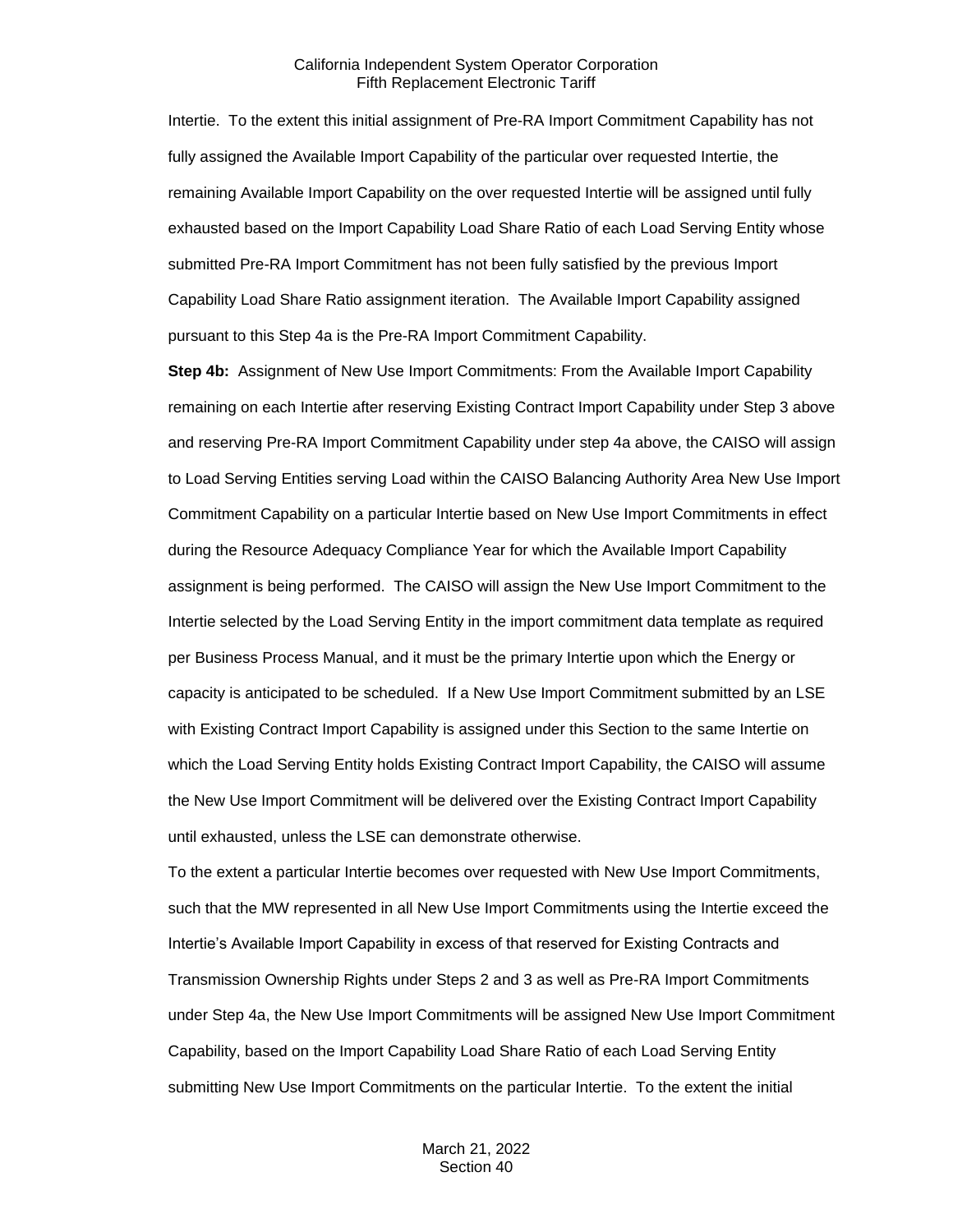Intertie. To the extent this initial assignment of Pre-RA Import Commitment Capability has not fully assigned the Available Import Capability of the particular over requested Intertie, the remaining Available Import Capability on the over requested Intertie will be assigned until fully exhausted based on the Import Capability Load Share Ratio of each Load Serving Entity whose submitted Pre-RA Import Commitment has not been fully satisfied by the previous Import Capability Load Share Ratio assignment iteration. The Available Import Capability assigned pursuant to this Step 4a is the Pre-RA Import Commitment Capability.

**Step 4b:** Assignment of New Use Import Commitments: From the Available Import Capability remaining on each Intertie after reserving Existing Contract Import Capability under Step 3 above and reserving Pre-RA Import Commitment Capability under step 4a above, the CAISO will assign to Load Serving Entities serving Load within the CAISO Balancing Authority Area New Use Import Commitment Capability on a particular Intertie based on New Use Import Commitments in effect during the Resource Adequacy Compliance Year for which the Available Import Capability assignment is being performed. The CAISO will assign the New Use Import Commitment to the Intertie selected by the Load Serving Entity in the import commitment data template as required per Business Process Manual, and it must be the primary Intertie upon which the Energy or capacity is anticipated to be scheduled. If a New Use Import Commitment submitted by an LSE with Existing Contract Import Capability is assigned under this Section to the same Intertie on which the Load Serving Entity holds Existing Contract Import Capability, the CAISO will assume the New Use Import Commitment will be delivered over the Existing Contract Import Capability until exhausted, unless the LSE can demonstrate otherwise.

To the extent a particular Intertie becomes over requested with New Use Import Commitments, such that the MW represented in all New Use Import Commitments using the Intertie exceed the Intertie's Available Import Capability in excess of that reserved for Existing Contracts and Transmission Ownership Rights under Steps 2 and 3 as well as Pre-RA Import Commitments under Step 4a, the New Use Import Commitments will be assigned New Use Import Commitment Capability, based on the Import Capability Load Share Ratio of each Load Serving Entity submitting New Use Import Commitments on the particular Intertie. To the extent the initial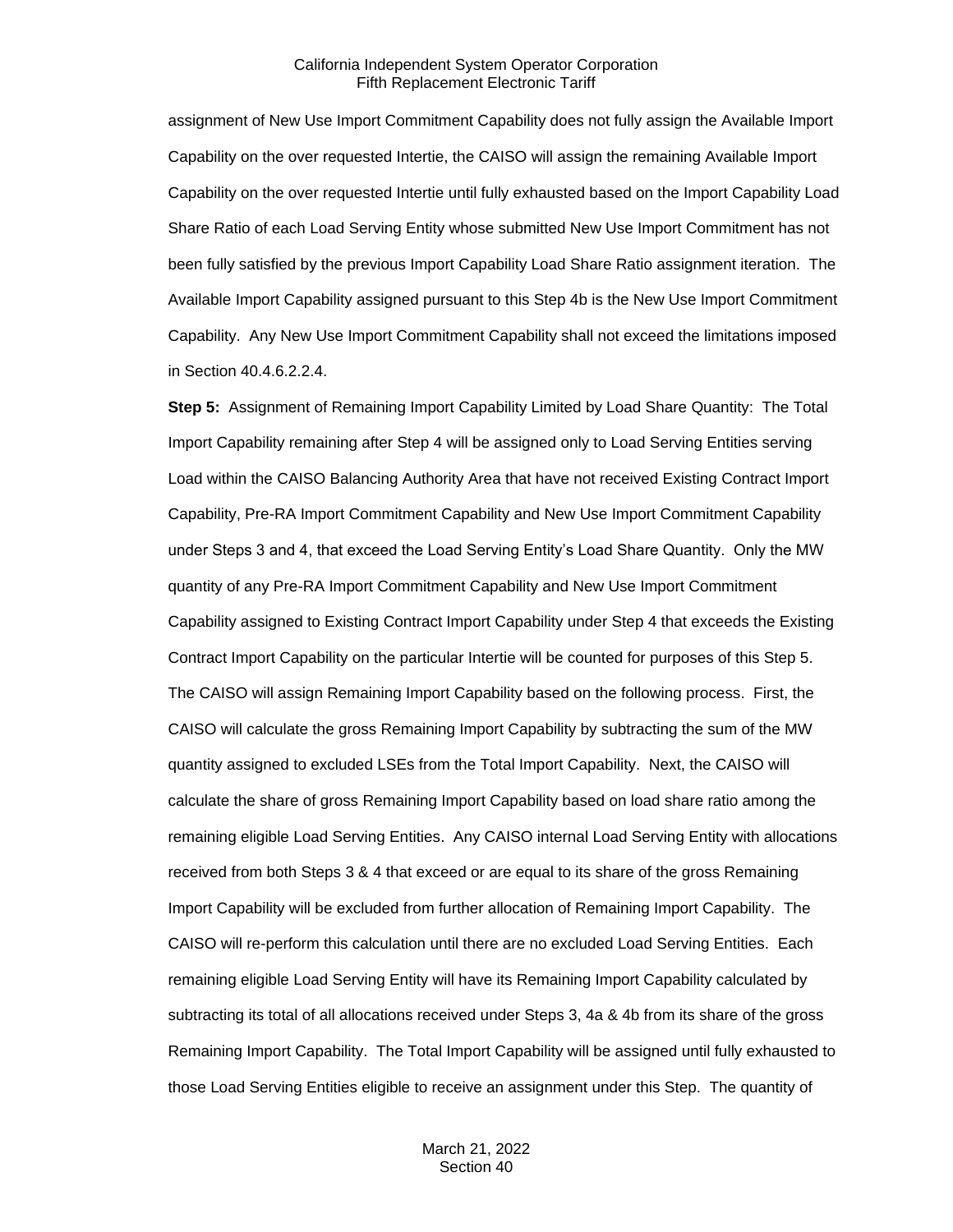assignment of New Use Import Commitment Capability does not fully assign the Available Import Capability on the over requested Intertie, the CAISO will assign the remaining Available Import Capability on the over requested Intertie until fully exhausted based on the Import Capability Load Share Ratio of each Load Serving Entity whose submitted New Use Import Commitment has not been fully satisfied by the previous Import Capability Load Share Ratio assignment iteration. The Available Import Capability assigned pursuant to this Step 4b is the New Use Import Commitment Capability. Any New Use Import Commitment Capability shall not exceed the limitations imposed in Section 40.4.6.2.2.4.

**Step 5:** Assignment of Remaining Import Capability Limited by Load Share Quantity: The Total Import Capability remaining after Step 4 will be assigned only to Load Serving Entities serving Load within the CAISO Balancing Authority Area that have not received Existing Contract Import Capability, Pre-RA Import Commitment Capability and New Use Import Commitment Capability under Steps 3 and 4, that exceed the Load Serving Entity's Load Share Quantity. Only the MW quantity of any Pre-RA Import Commitment Capability and New Use Import Commitment Capability assigned to Existing Contract Import Capability under Step 4 that exceeds the Existing Contract Import Capability on the particular Intertie will be counted for purposes of this Step 5. The CAISO will assign Remaining Import Capability based on the following process. First, the CAISO will calculate the gross Remaining Import Capability by subtracting the sum of the MW quantity assigned to excluded LSEs from the Total Import Capability. Next, the CAISO will calculate the share of gross Remaining Import Capability based on load share ratio among the remaining eligible Load Serving Entities. Any CAISO internal Load Serving Entity with allocations received from both Steps 3 & 4 that exceed or are equal to its share of the gross Remaining Import Capability will be excluded from further allocation of Remaining Import Capability. The CAISO will re-perform this calculation until there are no excluded Load Serving Entities. Each remaining eligible Load Serving Entity will have its Remaining Import Capability calculated by subtracting its total of all allocations received under Steps 3, 4a & 4b from its share of the gross Remaining Import Capability. The Total Import Capability will be assigned until fully exhausted to those Load Serving Entities eligible to receive an assignment under this Step. The quantity of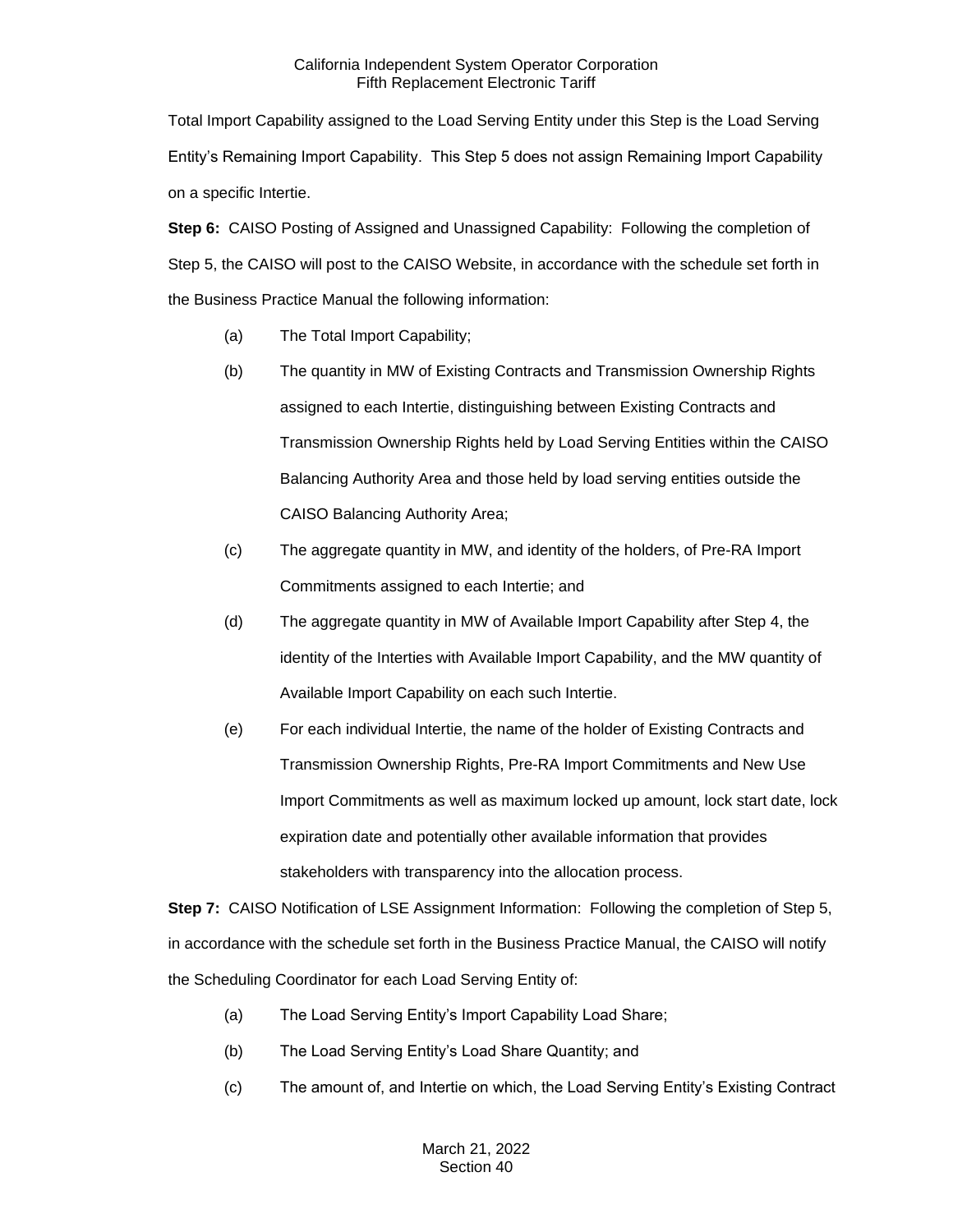Total Import Capability assigned to the Load Serving Entity under this Step is the Load Serving Entity's Remaining Import Capability. This Step 5 does not assign Remaining Import Capability on a specific Intertie.

**Step 6:** CAISO Posting of Assigned and Unassigned Capability: Following the completion of Step 5, the CAISO will post to the CAISO Website, in accordance with the schedule set forth in the Business Practice Manual the following information:

- (a) The Total Import Capability;
- (b) The quantity in MW of Existing Contracts and Transmission Ownership Rights assigned to each Intertie, distinguishing between Existing Contracts and Transmission Ownership Rights held by Load Serving Entities within the CAISO Balancing Authority Area and those held by load serving entities outside the CAISO Balancing Authority Area;
- (c) The aggregate quantity in MW, and identity of the holders, of Pre-RA Import Commitments assigned to each Intertie; and
- (d) The aggregate quantity in MW of Available Import Capability after Step 4, the identity of the Interties with Available Import Capability, and the MW quantity of Available Import Capability on each such Intertie.
- (e) For each individual Intertie, the name of the holder of Existing Contracts and Transmission Ownership Rights, Pre-RA Import Commitments and New Use Import Commitments as well as maximum locked up amount, lock start date, lock expiration date and potentially other available information that provides stakeholders with transparency into the allocation process.

**Step 7:** CAISO Notification of LSE Assignment Information: Following the completion of Step 5, in accordance with the schedule set forth in the Business Practice Manual, the CAISO will notify the Scheduling Coordinator for each Load Serving Entity of:

- (a) The Load Serving Entity's Import Capability Load Share;
- (b) The Load Serving Entity's Load Share Quantity; and
- (c) The amount of, and Intertie on which, the Load Serving Entity's Existing Contract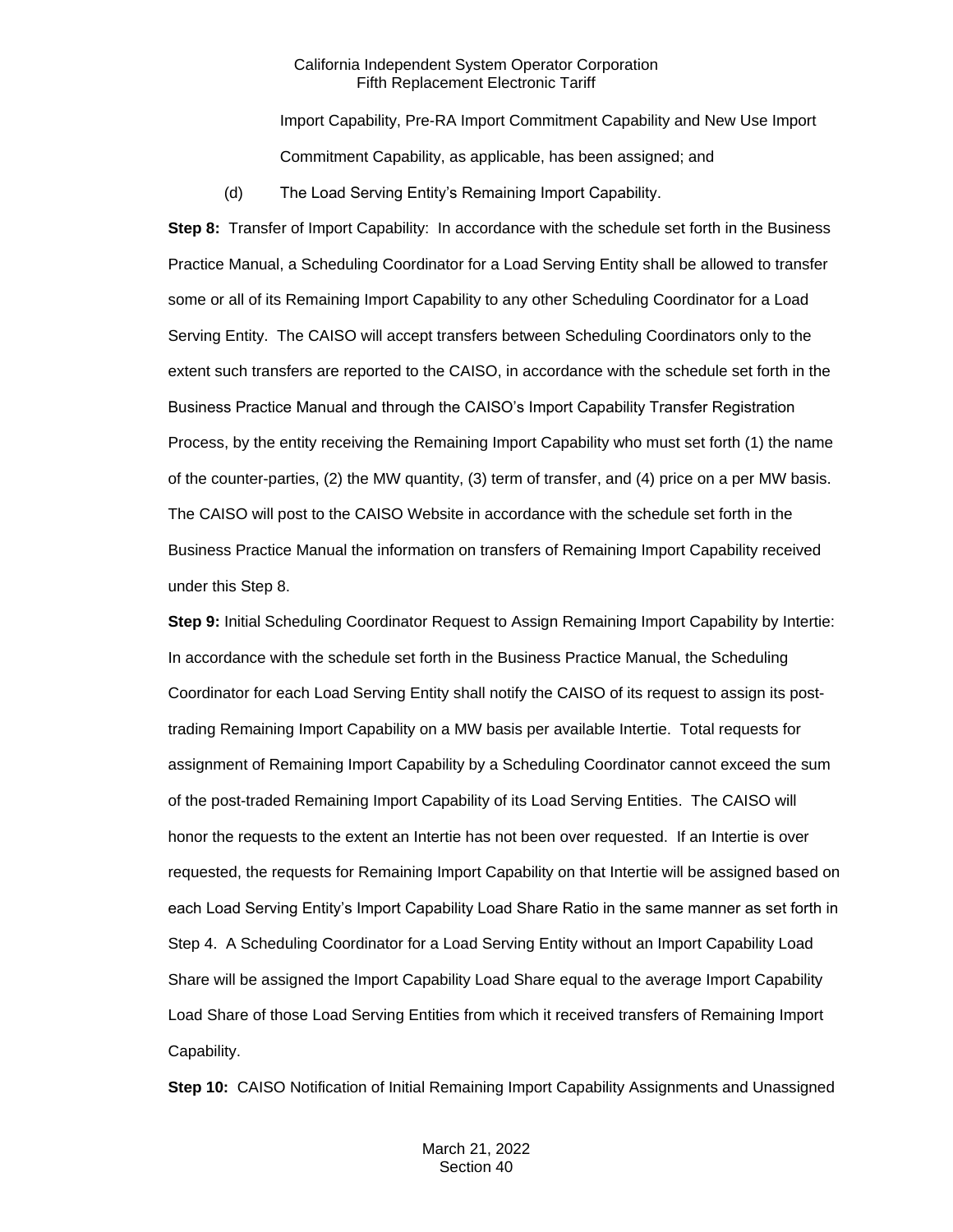Import Capability, Pre-RA Import Commitment Capability and New Use Import Commitment Capability, as applicable, has been assigned; and

(d) The Load Serving Entity's Remaining Import Capability.

**Step 8:** Transfer of Import Capability: In accordance with the schedule set forth in the Business Practice Manual, a Scheduling Coordinator for a Load Serving Entity shall be allowed to transfer some or all of its Remaining Import Capability to any other Scheduling Coordinator for a Load Serving Entity. The CAISO will accept transfers between Scheduling Coordinators only to the extent such transfers are reported to the CAISO, in accordance with the schedule set forth in the Business Practice Manual and through the CAISO's Import Capability Transfer Registration Process, by the entity receiving the Remaining Import Capability who must set forth (1) the name of the counter-parties, (2) the MW quantity, (3) term of transfer, and (4) price on a per MW basis. The CAISO will post to the CAISO Website in accordance with the schedule set forth in the Business Practice Manual the information on transfers of Remaining Import Capability received under this Step 8.

**Step 9:** Initial Scheduling Coordinator Request to Assign Remaining Import Capability by Intertie: In accordance with the schedule set forth in the Business Practice Manual, the Scheduling Coordinator for each Load Serving Entity shall notify the CAISO of its request to assign its posttrading Remaining Import Capability on a MW basis per available Intertie. Total requests for assignment of Remaining Import Capability by a Scheduling Coordinator cannot exceed the sum of the post-traded Remaining Import Capability of its Load Serving Entities. The CAISO will honor the requests to the extent an Intertie has not been over requested. If an Intertie is over requested, the requests for Remaining Import Capability on that Intertie will be assigned based on each Load Serving Entity's Import Capability Load Share Ratio in the same manner as set forth in Step 4. A Scheduling Coordinator for a Load Serving Entity without an Import Capability Load Share will be assigned the Import Capability Load Share equal to the average Import Capability Load Share of those Load Serving Entities from which it received transfers of Remaining Import Capability.

**Step 10:** CAISO Notification of Initial Remaining Import Capability Assignments and Unassigned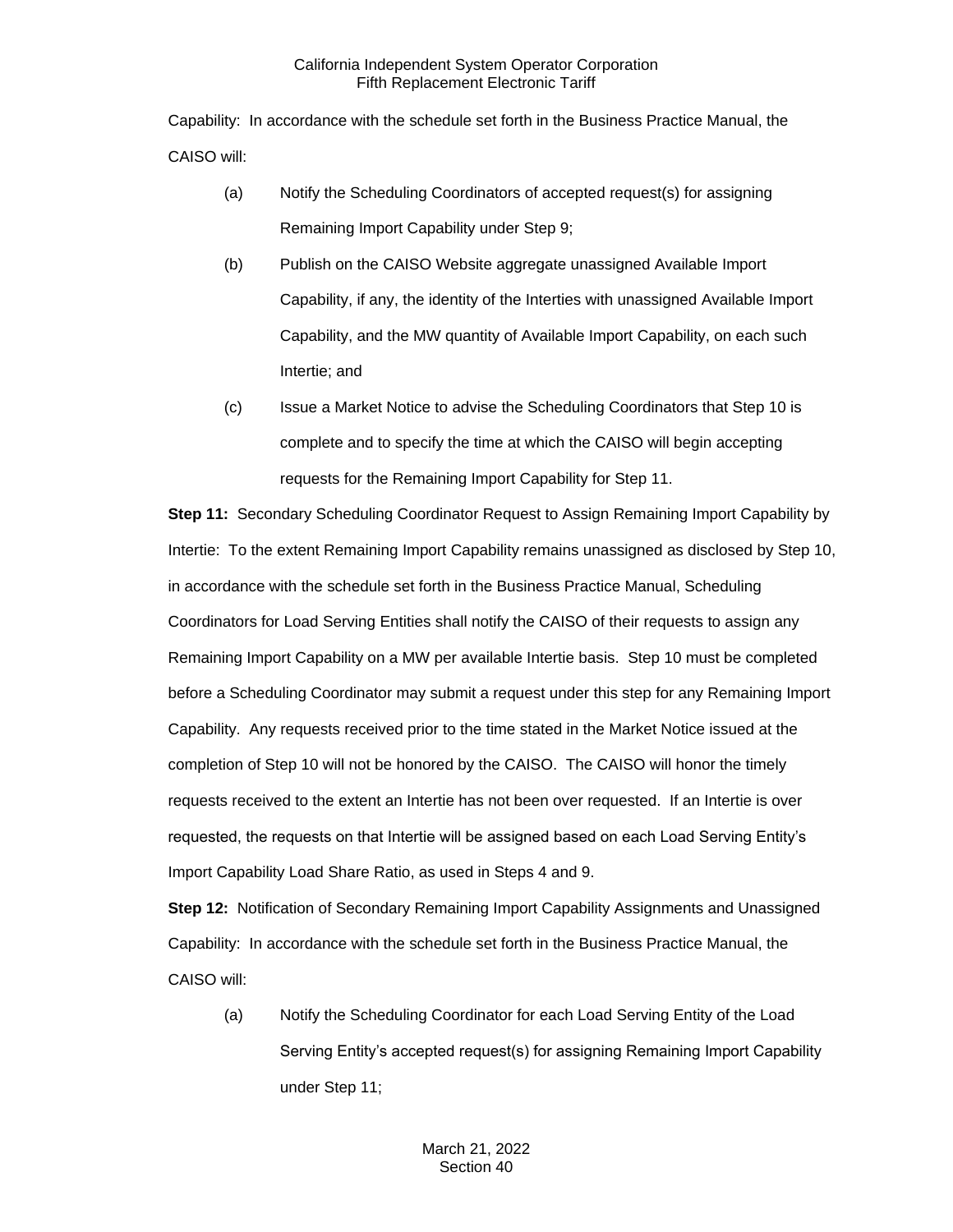Capability: In accordance with the schedule set forth in the Business Practice Manual, the CAISO will:

- (a) Notify the Scheduling Coordinators of accepted request(s) for assigning Remaining Import Capability under Step 9;
- (b) Publish on the CAISO Website aggregate unassigned Available Import Capability, if any, the identity of the Interties with unassigned Available Import Capability, and the MW quantity of Available Import Capability, on each such Intertie; and
- (c) Issue a Market Notice to advise the Scheduling Coordinators that Step 10 is complete and to specify the time at which the CAISO will begin accepting requests for the Remaining Import Capability for Step 11.

**Step 11:** Secondary Scheduling Coordinator Request to Assign Remaining Import Capability by Intertie: To the extent Remaining Import Capability remains unassigned as disclosed by Step 10, in accordance with the schedule set forth in the Business Practice Manual, Scheduling Coordinators for Load Serving Entities shall notify the CAISO of their requests to assign any Remaining Import Capability on a MW per available Intertie basis. Step 10 must be completed before a Scheduling Coordinator may submit a request under this step for any Remaining Import Capability. Any requests received prior to the time stated in the Market Notice issued at the completion of Step 10 will not be honored by the CAISO. The CAISO will honor the timely requests received to the extent an Intertie has not been over requested. If an Intertie is over requested, the requests on that Intertie will be assigned based on each Load Serving Entity's Import Capability Load Share Ratio, as used in Steps 4 and 9.

**Step 12:** Notification of Secondary Remaining Import Capability Assignments and Unassigned Capability: In accordance with the schedule set forth in the Business Practice Manual, the CAISO will:

(a) Notify the Scheduling Coordinator for each Load Serving Entity of the Load Serving Entity's accepted request(s) for assigning Remaining Import Capability under Step 11;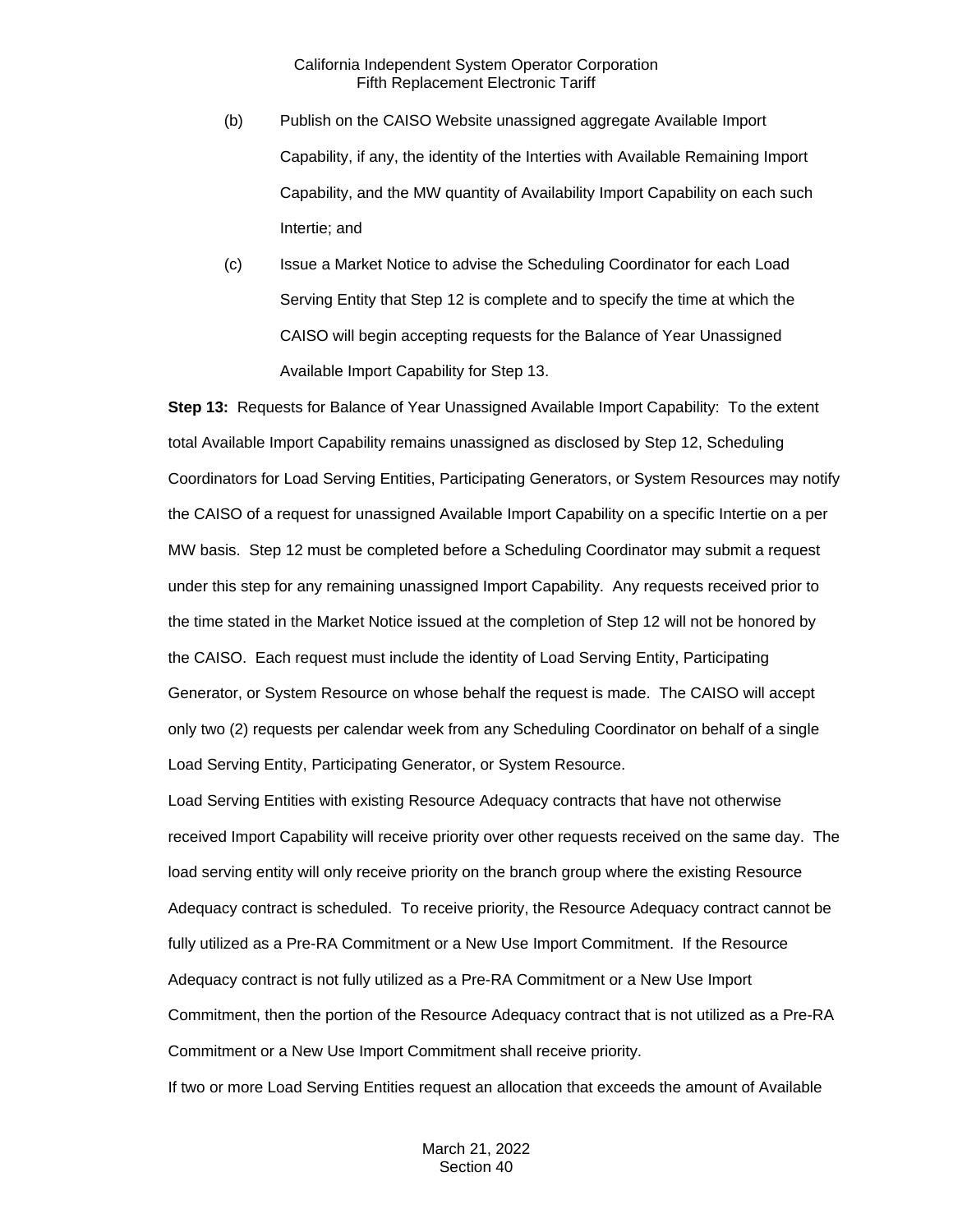- (b) Publish on the CAISO Website unassigned aggregate Available Import Capability, if any, the identity of the Interties with Available Remaining Import Capability, and the MW quantity of Availability Import Capability on each such Intertie; and
- (c) Issue a Market Notice to advise the Scheduling Coordinator for each Load Serving Entity that Step 12 is complete and to specify the time at which the CAISO will begin accepting requests for the Balance of Year Unassigned Available Import Capability for Step 13.

**Step 13:** Requests for Balance of Year Unassigned Available Import Capability: To the extent total Available Import Capability remains unassigned as disclosed by Step 12, Scheduling Coordinators for Load Serving Entities, Participating Generators, or System Resources may notify the CAISO of a request for unassigned Available Import Capability on a specific Intertie on a per MW basis. Step 12 must be completed before a Scheduling Coordinator may submit a request under this step for any remaining unassigned Import Capability. Any requests received prior to the time stated in the Market Notice issued at the completion of Step 12 will not be honored by the CAISO. Each request must include the identity of Load Serving Entity, Participating Generator, or System Resource on whose behalf the request is made. The CAISO will accept only two (2) requests per calendar week from any Scheduling Coordinator on behalf of a single Load Serving Entity, Participating Generator, or System Resource.

Load Serving Entities with existing Resource Adequacy contracts that have not otherwise received Import Capability will receive priority over other requests received on the same day. The load serving entity will only receive priority on the branch group where the existing Resource Adequacy contract is scheduled. To receive priority, the Resource Adequacy contract cannot be fully utilized as a Pre-RA Commitment or a New Use Import Commitment. If the Resource Adequacy contract is not fully utilized as a Pre-RA Commitment or a New Use Import Commitment, then the portion of the Resource Adequacy contract that is not utilized as a Pre-RA Commitment or a New Use Import Commitment shall receive priority. If two or more Load Serving Entities request an allocation that exceeds the amount of Available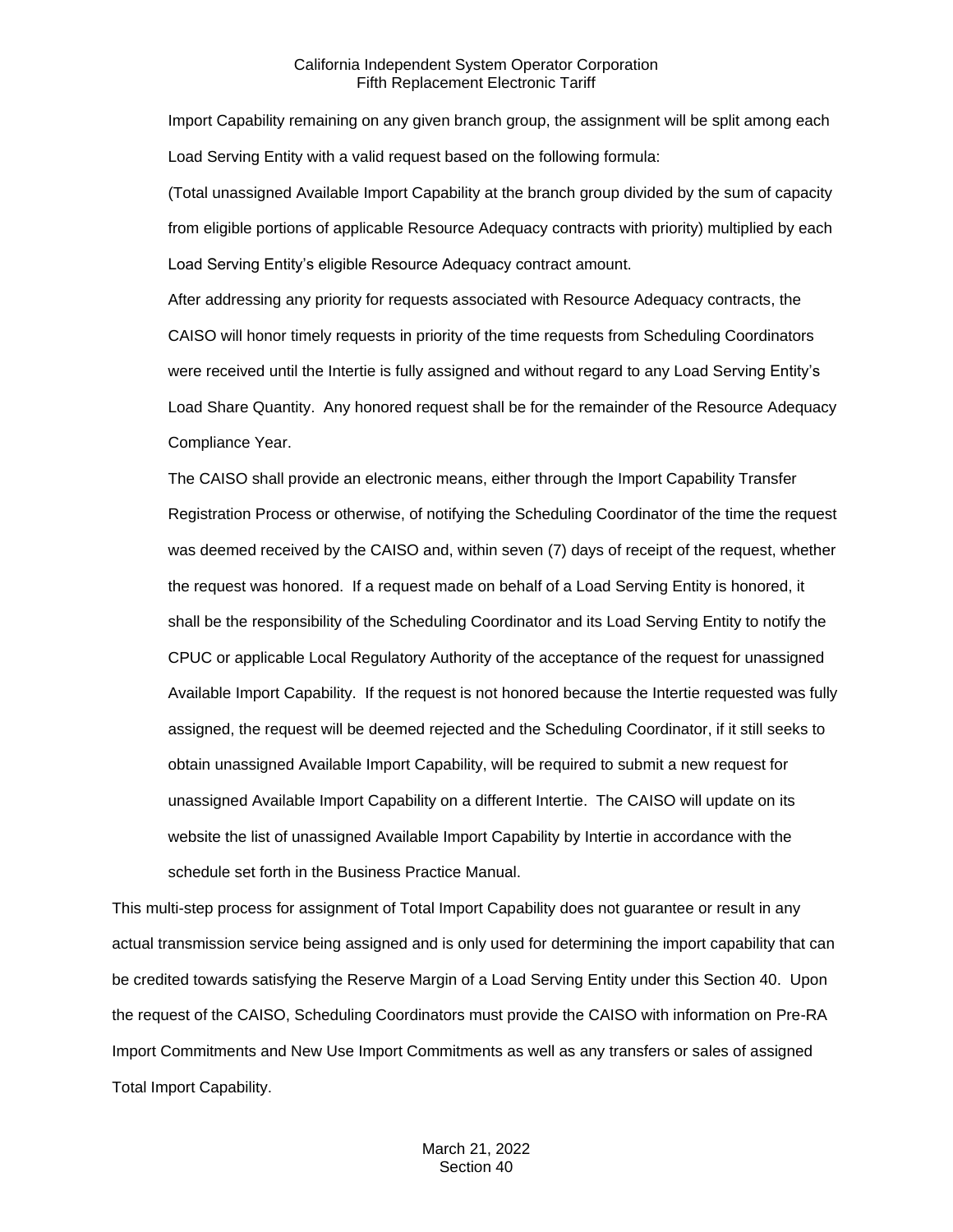Import Capability remaining on any given branch group, the assignment will be split among each Load Serving Entity with a valid request based on the following formula:

(Total unassigned Available Import Capability at the branch group divided by the sum of capacity from eligible portions of applicable Resource Adequacy contracts with priority) multiplied by each Load Serving Entity's eligible Resource Adequacy contract amount.

After addressing any priority for requests associated with Resource Adequacy contracts, the CAISO will honor timely requests in priority of the time requests from Scheduling Coordinators were received until the Intertie is fully assigned and without regard to any Load Serving Entity's Load Share Quantity. Any honored request shall be for the remainder of the Resource Adequacy Compliance Year.

The CAISO shall provide an electronic means, either through the Import Capability Transfer Registration Process or otherwise, of notifying the Scheduling Coordinator of the time the request was deemed received by the CAISO and, within seven (7) days of receipt of the request, whether the request was honored. If a request made on behalf of a Load Serving Entity is honored, it shall be the responsibility of the Scheduling Coordinator and its Load Serving Entity to notify the CPUC or applicable Local Regulatory Authority of the acceptance of the request for unassigned Available Import Capability. If the request is not honored because the Intertie requested was fully assigned, the request will be deemed rejected and the Scheduling Coordinator, if it still seeks to obtain unassigned Available Import Capability, will be required to submit a new request for unassigned Available Import Capability on a different Intertie. The CAISO will update on its website the list of unassigned Available Import Capability by Intertie in accordance with the schedule set forth in the Business Practice Manual.

This multi-step process for assignment of Total Import Capability does not guarantee or result in any actual transmission service being assigned and is only used for determining the import capability that can be credited towards satisfying the Reserve Margin of a Load Serving Entity under this Section 40. Upon the request of the CAISO, Scheduling Coordinators must provide the CAISO with information on Pre-RA Import Commitments and New Use Import Commitments as well as any transfers or sales of assigned Total Import Capability.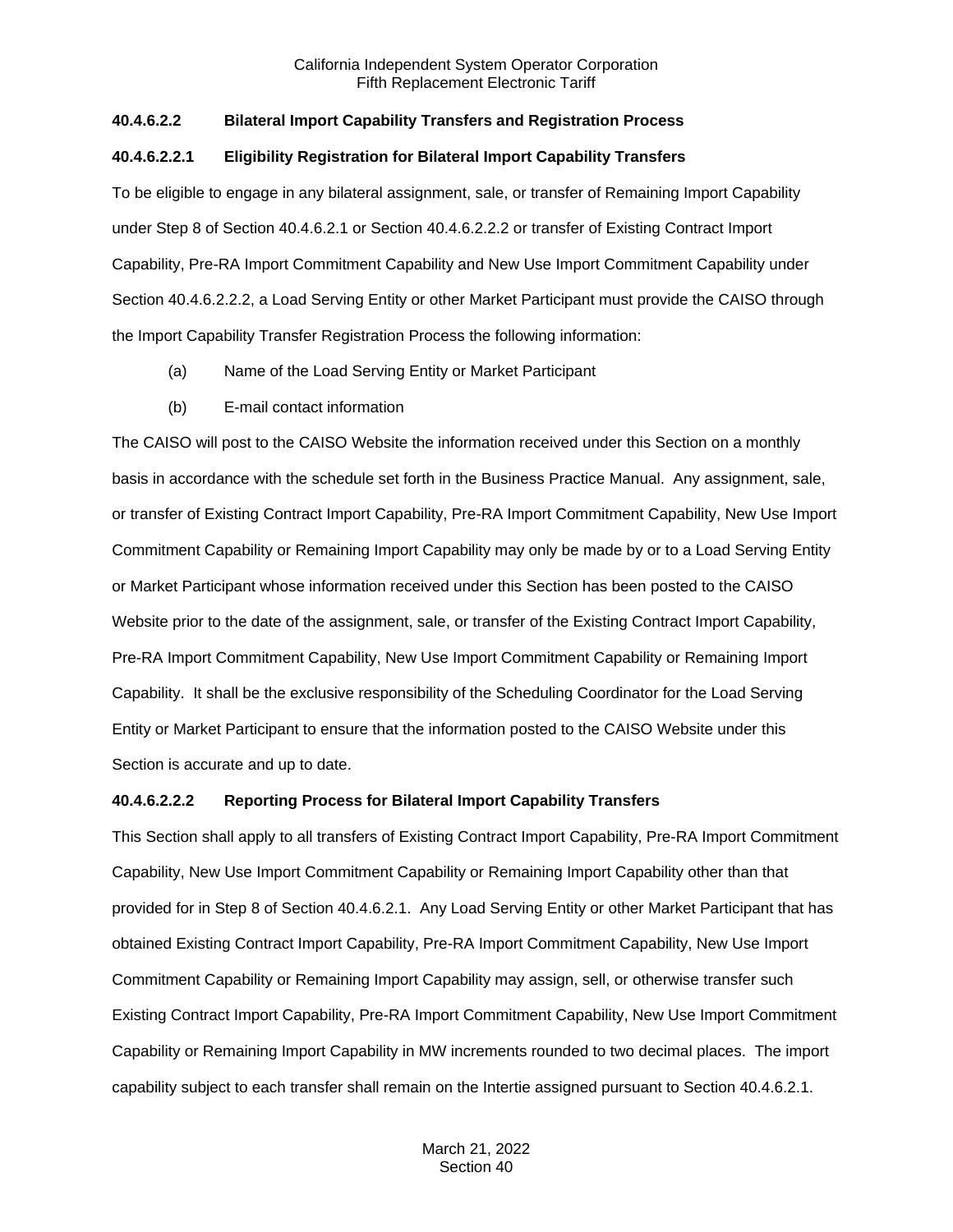## **40.4.6.2.2 Bilateral Import Capability Transfers and Registration Process**

## **40.4.6.2.2.1 Eligibility Registration for Bilateral Import Capability Transfers**

To be eligible to engage in any bilateral assignment, sale, or transfer of Remaining Import Capability under Step 8 of Section 40.4.6.2.1 or Section 40.4.6.2.2.2 or transfer of Existing Contract Import Capability, Pre-RA Import Commitment Capability and New Use Import Commitment Capability under Section 40.4.6.2.2.2, a Load Serving Entity or other Market Participant must provide the CAISO through the Import Capability Transfer Registration Process the following information:

- (a) Name of the Load Serving Entity or Market Participant
- (b) E-mail contact information

The CAISO will post to the CAISO Website the information received under this Section on a monthly basis in accordance with the schedule set forth in the Business Practice Manual. Any assignment, sale, or transfer of Existing Contract Import Capability, Pre-RA Import Commitment Capability, New Use Import Commitment Capability or Remaining Import Capability may only be made by or to a Load Serving Entity or Market Participant whose information received under this Section has been posted to the CAISO Website prior to the date of the assignment, sale, or transfer of the Existing Contract Import Capability, Pre-RA Import Commitment Capability, New Use Import Commitment Capability or Remaining Import Capability. It shall be the exclusive responsibility of the Scheduling Coordinator for the Load Serving Entity or Market Participant to ensure that the information posted to the CAISO Website under this Section is accurate and up to date.

## **40.4.6.2.2.2 Reporting Process for Bilateral Import Capability Transfers**

This Section shall apply to all transfers of Existing Contract Import Capability, Pre-RA Import Commitment Capability, New Use Import Commitment Capability or Remaining Import Capability other than that provided for in Step 8 of Section 40.4.6.2.1. Any Load Serving Entity or other Market Participant that has obtained Existing Contract Import Capability, Pre-RA Import Commitment Capability, New Use Import Commitment Capability or Remaining Import Capability may assign, sell, or otherwise transfer such Existing Contract Import Capability, Pre-RA Import Commitment Capability, New Use Import Commitment Capability or Remaining Import Capability in MW increments rounded to two decimal places. The import capability subject to each transfer shall remain on the Intertie assigned pursuant to Section 40.4.6.2.1.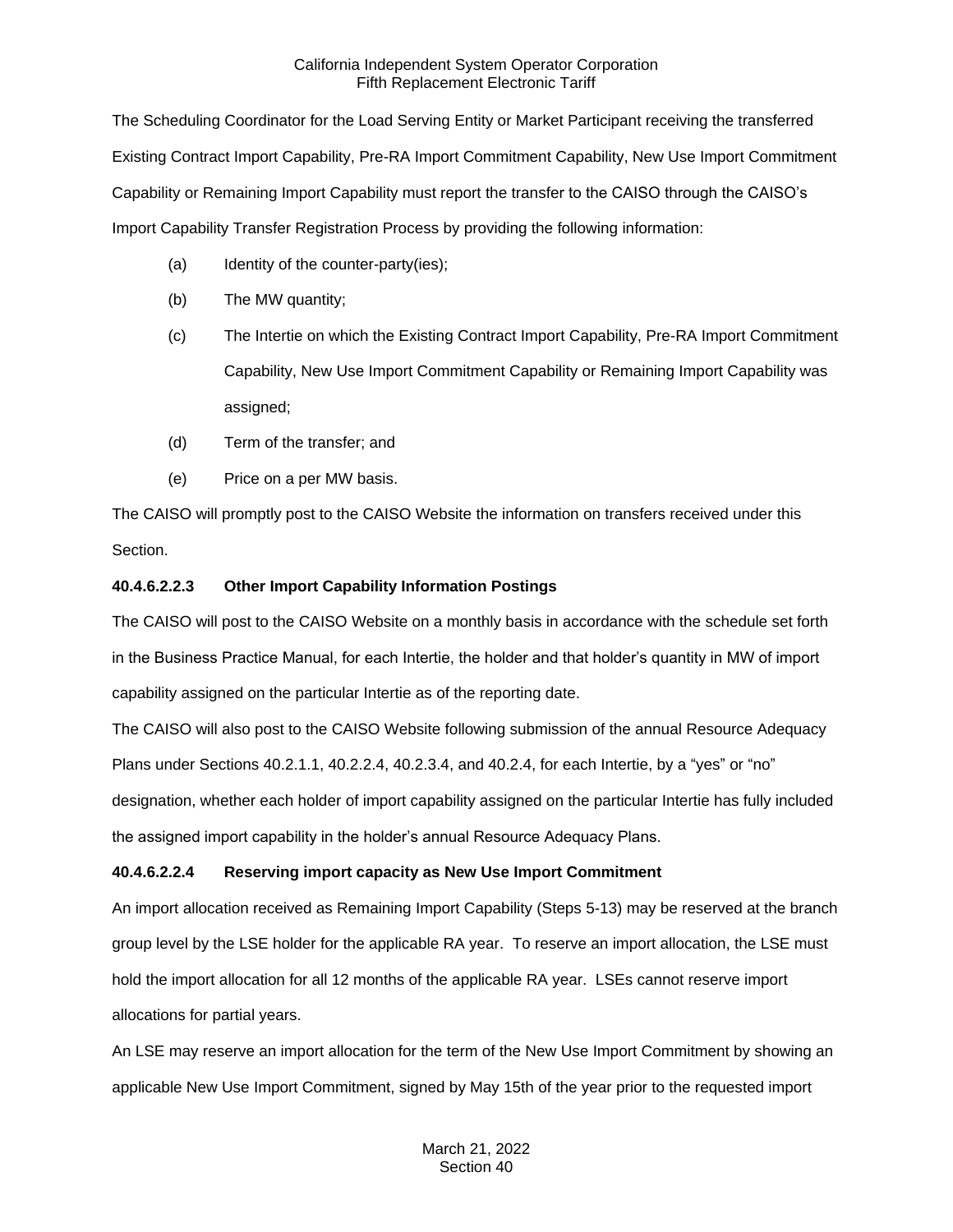The Scheduling Coordinator for the Load Serving Entity or Market Participant receiving the transferred Existing Contract Import Capability, Pre-RA Import Commitment Capability, New Use Import Commitment Capability or Remaining Import Capability must report the transfer to the CAISO through the CAISO's Import Capability Transfer Registration Process by providing the following information:

- (a) Identity of the counter-party(ies);
- (b) The MW quantity;
- (c) The Intertie on which the Existing Contract Import Capability, Pre-RA Import Commitment Capability, New Use Import Commitment Capability or Remaining Import Capability was assigned;
- (d) Term of the transfer; and
- (e) Price on a per MW basis.

The CAISO will promptly post to the CAISO Website the information on transfers received under this Section.

## **40.4.6.2.2.3 Other Import Capability Information Postings**

The CAISO will post to the CAISO Website on a monthly basis in accordance with the schedule set forth in the Business Practice Manual, for each Intertie, the holder and that holder's quantity in MW of import capability assigned on the particular Intertie as of the reporting date.

The CAISO will also post to the CAISO Website following submission of the annual Resource Adequacy Plans under Sections 40.2.1.1, 40.2.2.4, 40.2.3.4, and 40.2.4, for each Intertie, by a "yes" or "no" designation, whether each holder of import capability assigned on the particular Intertie has fully included the assigned import capability in the holder's annual Resource Adequacy Plans.

## **40.4.6.2.2.4 Reserving import capacity as New Use Import Commitment**

An import allocation received as Remaining Import Capability (Steps 5-13) may be reserved at the branch group level by the LSE holder for the applicable RA year. To reserve an import allocation, the LSE must hold the import allocation for all 12 months of the applicable RA year. LSEs cannot reserve import allocations for partial years.

An LSE may reserve an import allocation for the term of the New Use Import Commitment by showing an applicable New Use Import Commitment, signed by May 15th of the year prior to the requested import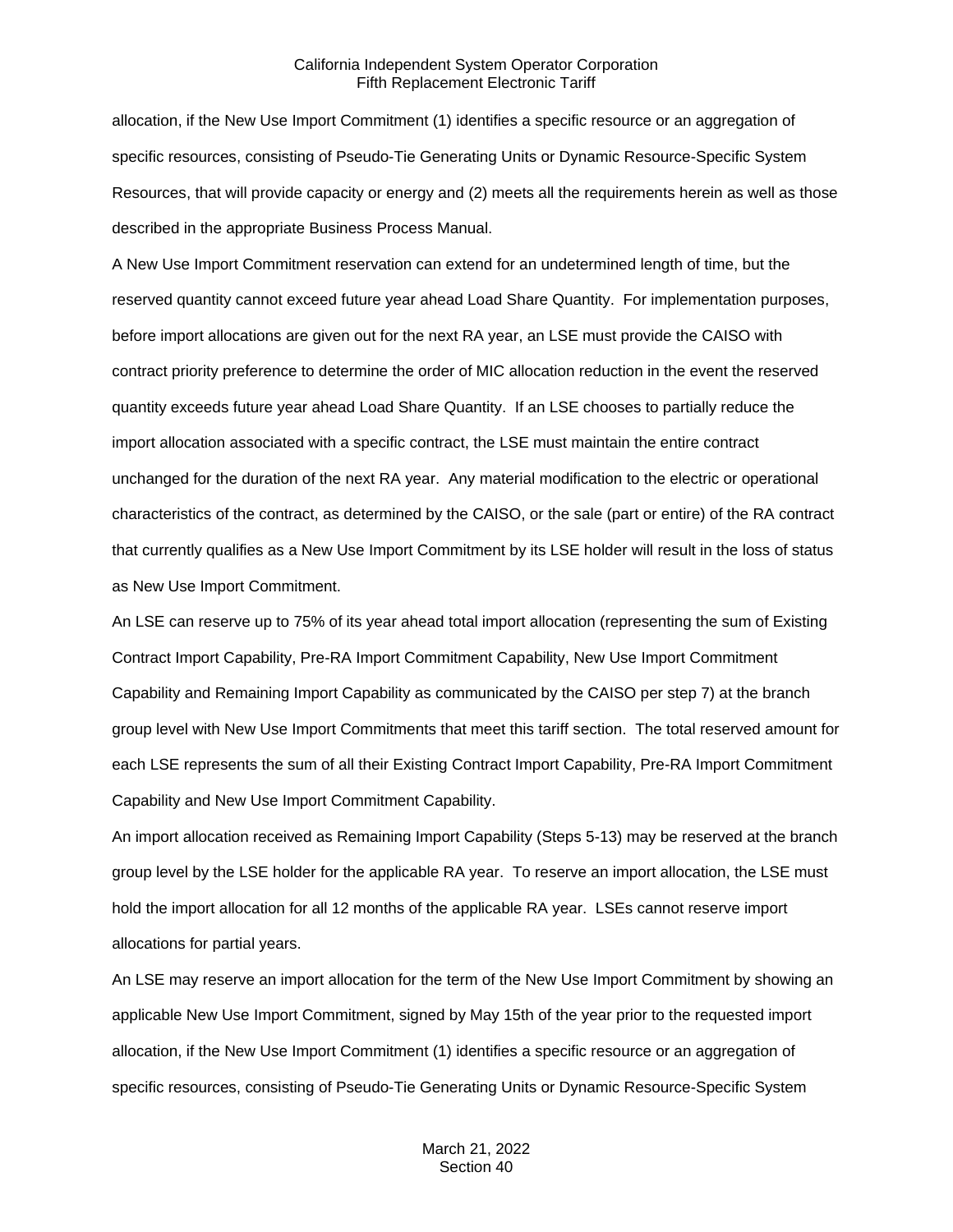allocation, if the New Use Import Commitment (1) identifies a specific resource or an aggregation of specific resources, consisting of Pseudo-Tie Generating Units or Dynamic Resource-Specific System Resources, that will provide capacity or energy and (2) meets all the requirements herein as well as those described in the appropriate Business Process Manual.

A New Use Import Commitment reservation can extend for an undetermined length of time, but the reserved quantity cannot exceed future year ahead Load Share Quantity. For implementation purposes, before import allocations are given out for the next RA year, an LSE must provide the CAISO with contract priority preference to determine the order of MIC allocation reduction in the event the reserved quantity exceeds future year ahead Load Share Quantity. If an LSE chooses to partially reduce the import allocation associated with a specific contract, the LSE must maintain the entire contract unchanged for the duration of the next RA year. Any material modification to the electric or operational characteristics of the contract, as determined by the CAISO, or the sale (part or entire) of the RA contract that currently qualifies as a New Use Import Commitment by its LSE holder will result in the loss of status as New Use Import Commitment.

An LSE can reserve up to 75% of its year ahead total import allocation (representing the sum of Existing Contract Import Capability, Pre-RA Import Commitment Capability, New Use Import Commitment Capability and Remaining Import Capability as communicated by the CAISO per step 7) at the branch group level with New Use Import Commitments that meet this tariff section. The total reserved amount for each LSE represents the sum of all their Existing Contract Import Capability, Pre-RA Import Commitment Capability and New Use Import Commitment Capability.

An import allocation received as Remaining Import Capability (Steps 5-13) may be reserved at the branch group level by the LSE holder for the applicable RA year. To reserve an import allocation, the LSE must hold the import allocation for all 12 months of the applicable RA year. LSEs cannot reserve import allocations for partial years.

An LSE may reserve an import allocation for the term of the New Use Import Commitment by showing an applicable New Use Import Commitment, signed by May 15th of the year prior to the requested import allocation, if the New Use Import Commitment (1) identifies a specific resource or an aggregation of specific resources, consisting of Pseudo-Tie Generating Units or Dynamic Resource-Specific System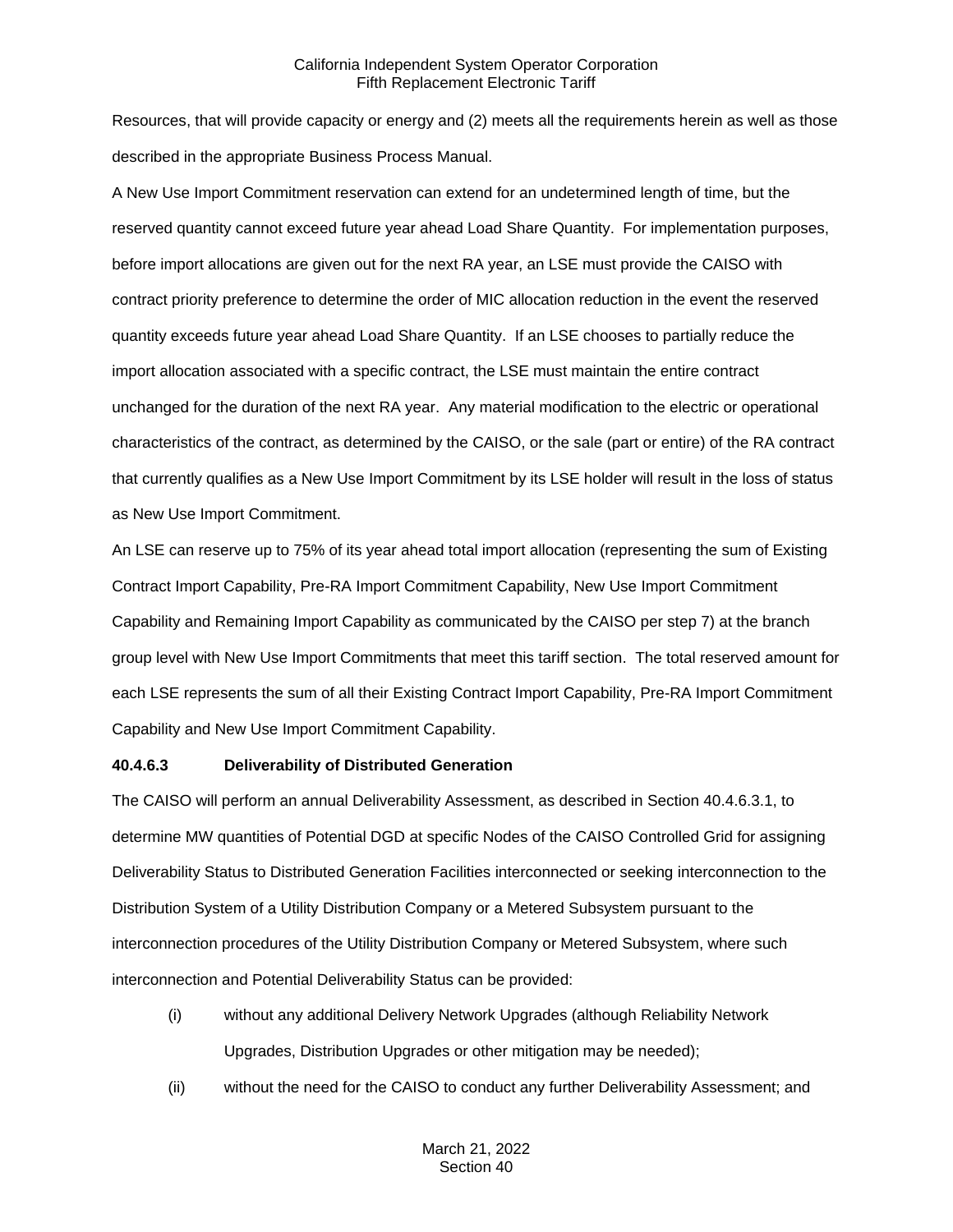Resources, that will provide capacity or energy and (2) meets all the requirements herein as well as those described in the appropriate Business Process Manual.

A New Use Import Commitment reservation can extend for an undetermined length of time, but the reserved quantity cannot exceed future year ahead Load Share Quantity. For implementation purposes, before import allocations are given out for the next RA year, an LSE must provide the CAISO with contract priority preference to determine the order of MIC allocation reduction in the event the reserved quantity exceeds future year ahead Load Share Quantity. If an LSE chooses to partially reduce the import allocation associated with a specific contract, the LSE must maintain the entire contract unchanged for the duration of the next RA year. Any material modification to the electric or operational characteristics of the contract, as determined by the CAISO, or the sale (part or entire) of the RA contract that currently qualifies as a New Use Import Commitment by its LSE holder will result in the loss of status as New Use Import Commitment.

An LSE can reserve up to 75% of its year ahead total import allocation (representing the sum of Existing Contract Import Capability, Pre-RA Import Commitment Capability, New Use Import Commitment Capability and Remaining Import Capability as communicated by the CAISO per step 7) at the branch group level with New Use Import Commitments that meet this tariff section. The total reserved amount for each LSE represents the sum of all their Existing Contract Import Capability, Pre-RA Import Commitment Capability and New Use Import Commitment Capability.

## **40.4.6.3 Deliverability of Distributed Generation**

The CAISO will perform an annual Deliverability Assessment, as described in Section 40.4.6.3.1, to determine MW quantities of Potential DGD at specific Nodes of the CAISO Controlled Grid for assigning Deliverability Status to Distributed Generation Facilities interconnected or seeking interconnection to the Distribution System of a Utility Distribution Company or a Metered Subsystem pursuant to the interconnection procedures of the Utility Distribution Company or Metered Subsystem, where such interconnection and Potential Deliverability Status can be provided:

- (i) without any additional Delivery Network Upgrades (although Reliability Network Upgrades, Distribution Upgrades or other mitigation may be needed);
- (ii) without the need for the CAISO to conduct any further Deliverability Assessment; and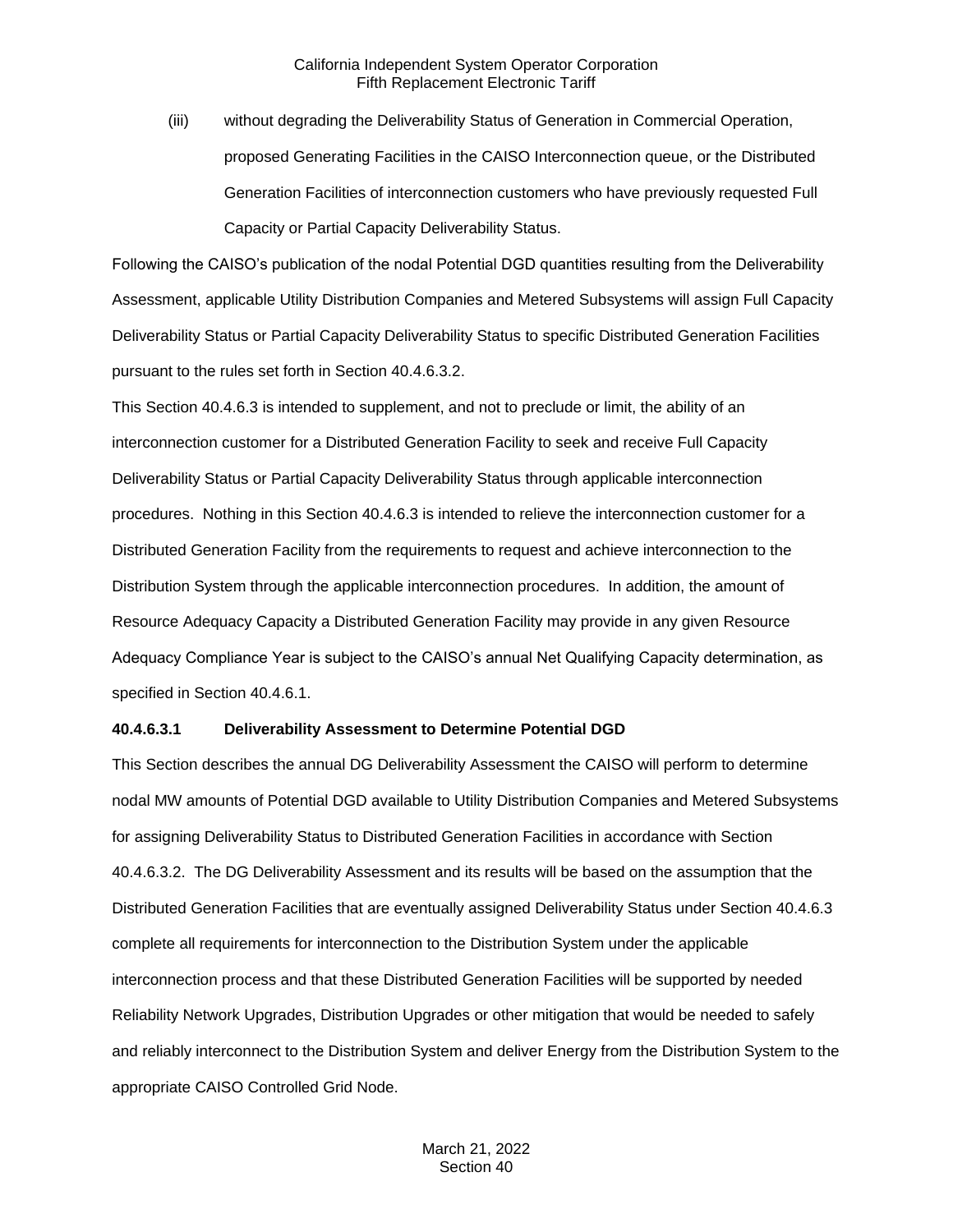(iii) without degrading the Deliverability Status of Generation in Commercial Operation, proposed Generating Facilities in the CAISO Interconnection queue, or the Distributed Generation Facilities of interconnection customers who have previously requested Full Capacity or Partial Capacity Deliverability Status.

Following the CAISO's publication of the nodal Potential DGD quantities resulting from the Deliverability Assessment, applicable Utility Distribution Companies and Metered Subsystems will assign Full Capacity Deliverability Status or Partial Capacity Deliverability Status to specific Distributed Generation Facilities pursuant to the rules set forth in Section 40.4.6.3.2.

This Section 40.4.6.3 is intended to supplement, and not to preclude or limit, the ability of an interconnection customer for a Distributed Generation Facility to seek and receive Full Capacity Deliverability Status or Partial Capacity Deliverability Status through applicable interconnection procedures. Nothing in this Section 40.4.6.3 is intended to relieve the interconnection customer for a Distributed Generation Facility from the requirements to request and achieve interconnection to the Distribution System through the applicable interconnection procedures. In addition, the amount of Resource Adequacy Capacity a Distributed Generation Facility may provide in any given Resource Adequacy Compliance Year is subject to the CAISO's annual Net Qualifying Capacity determination, as specified in Section 40.4.6.1.

#### **40.4.6.3.1 Deliverability Assessment to Determine Potential DGD**

This Section describes the annual DG Deliverability Assessment the CAISO will perform to determine nodal MW amounts of Potential DGD available to Utility Distribution Companies and Metered Subsystems for assigning Deliverability Status to Distributed Generation Facilities in accordance with Section 40.4.6.3.2. The DG Deliverability Assessment and its results will be based on the assumption that the Distributed Generation Facilities that are eventually assigned Deliverability Status under Section 40.4.6.3 complete all requirements for interconnection to the Distribution System under the applicable interconnection process and that these Distributed Generation Facilities will be supported by needed Reliability Network Upgrades, Distribution Upgrades or other mitigation that would be needed to safely and reliably interconnect to the Distribution System and deliver Energy from the Distribution System to the appropriate CAISO Controlled Grid Node.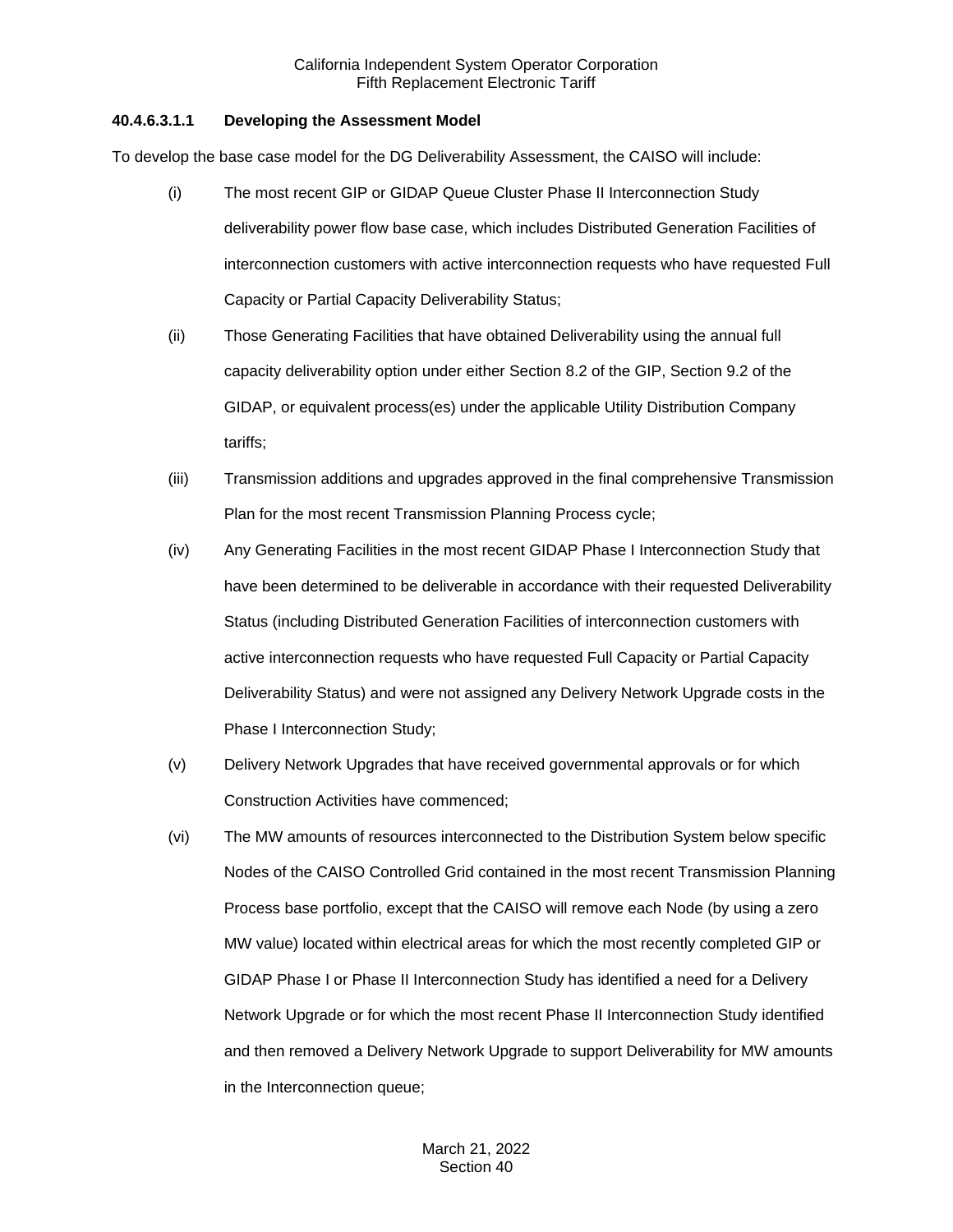## **40.4.6.3.1.1 Developing the Assessment Model**

To develop the base case model for the DG Deliverability Assessment, the CAISO will include:

- (i) The most recent GIP or GIDAP Queue Cluster Phase II Interconnection Study deliverability power flow base case, which includes Distributed Generation Facilities of interconnection customers with active interconnection requests who have requested Full Capacity or Partial Capacity Deliverability Status;
- (ii) Those Generating Facilities that have obtained Deliverability using the annual full capacity deliverability option under either Section 8.2 of the GIP, Section 9.2 of the GIDAP, or equivalent process(es) under the applicable Utility Distribution Company tariffs;
- (iii) Transmission additions and upgrades approved in the final comprehensive Transmission Plan for the most recent Transmission Planning Process cycle;
- (iv) Any Generating Facilities in the most recent GIDAP Phase I Interconnection Study that have been determined to be deliverable in accordance with their requested Deliverability Status (including Distributed Generation Facilities of interconnection customers with active interconnection requests who have requested Full Capacity or Partial Capacity Deliverability Status) and were not assigned any Delivery Network Upgrade costs in the Phase I Interconnection Study;
- (v) Delivery Network Upgrades that have received governmental approvals or for which Construction Activities have commenced;
- (vi) The MW amounts of resources interconnected to the Distribution System below specific Nodes of the CAISO Controlled Grid contained in the most recent Transmission Planning Process base portfolio, except that the CAISO will remove each Node (by using a zero MW value) located within electrical areas for which the most recently completed GIP or GIDAP Phase I or Phase II Interconnection Study has identified a need for a Delivery Network Upgrade or for which the most recent Phase II Interconnection Study identified and then removed a Delivery Network Upgrade to support Deliverability for MW amounts in the Interconnection queue;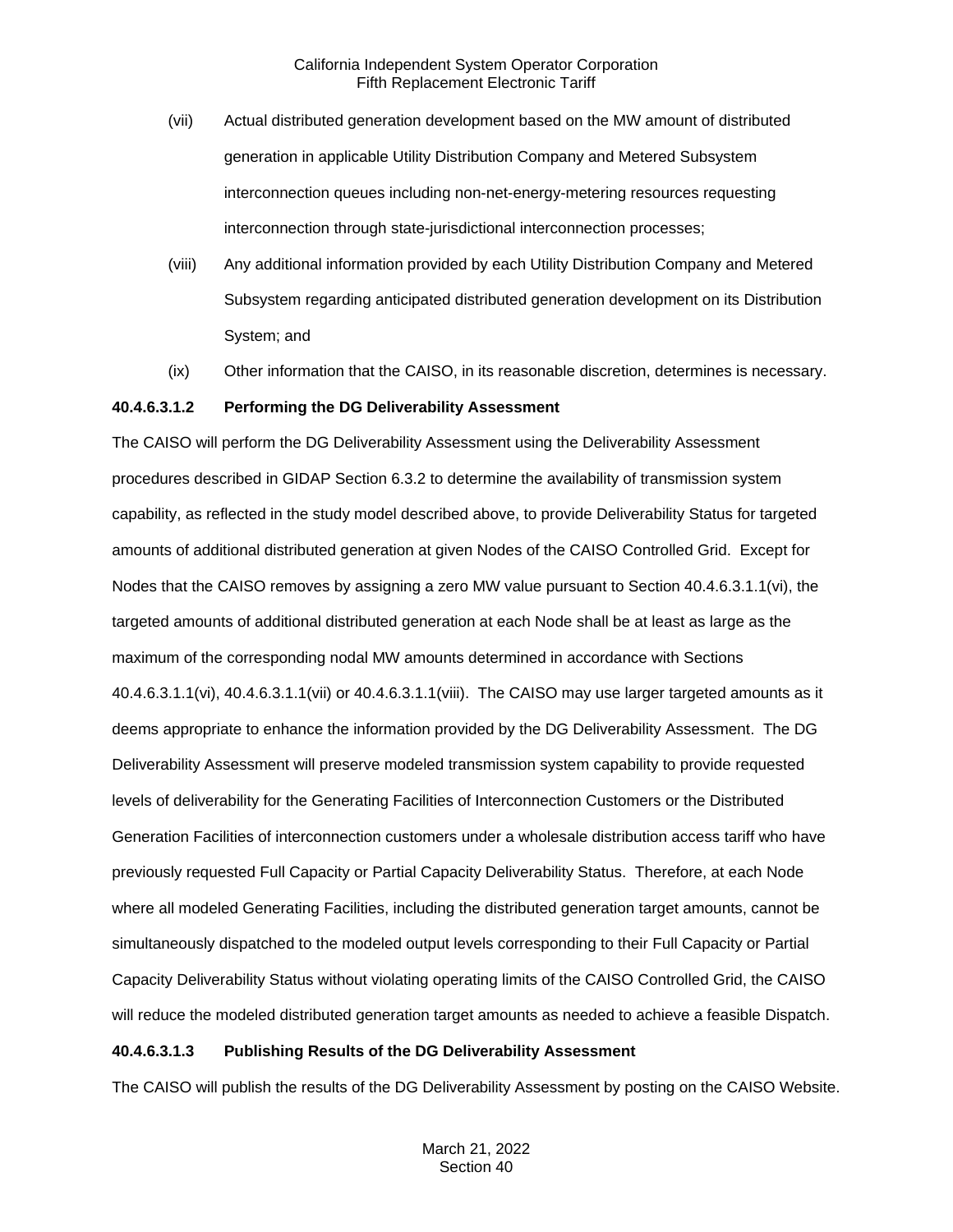- (vii) Actual distributed generation development based on the MW amount of distributed generation in applicable Utility Distribution Company and Metered Subsystem interconnection queues including non-net-energy-metering resources requesting interconnection through state-jurisdictional interconnection processes;
- (viii) Any additional information provided by each Utility Distribution Company and Metered Subsystem regarding anticipated distributed generation development on its Distribution System; and
- (ix) Other information that the CAISO, in its reasonable discretion, determines is necessary.

### **40.4.6.3.1.2 Performing the DG Deliverability Assessment**

The CAISO will perform the DG Deliverability Assessment using the Deliverability Assessment procedures described in GIDAP Section 6.3.2 to determine the availability of transmission system capability, as reflected in the study model described above, to provide Deliverability Status for targeted amounts of additional distributed generation at given Nodes of the CAISO Controlled Grid. Except for Nodes that the CAISO removes by assigning a zero MW value pursuant to Section 40.4.6.3.1.1(vi), the targeted amounts of additional distributed generation at each Node shall be at least as large as the maximum of the corresponding nodal MW amounts determined in accordance with Sections 40.4.6.3.1.1(vi), 40.4.6.3.1.1(vii) or 40.4.6.3.1.1(viii). The CAISO may use larger targeted amounts as it deems appropriate to enhance the information provided by the DG Deliverability Assessment. The DG Deliverability Assessment will preserve modeled transmission system capability to provide requested levels of deliverability for the Generating Facilities of Interconnection Customers or the Distributed Generation Facilities of interconnection customers under a wholesale distribution access tariff who have previously requested Full Capacity or Partial Capacity Deliverability Status. Therefore, at each Node where all modeled Generating Facilities, including the distributed generation target amounts, cannot be simultaneously dispatched to the modeled output levels corresponding to their Full Capacity or Partial Capacity Deliverability Status without violating operating limits of the CAISO Controlled Grid, the CAISO will reduce the modeled distributed generation target amounts as needed to achieve a feasible Dispatch.

#### **40.4.6.3.1.3 Publishing Results of the DG Deliverability Assessment**

The CAISO will publish the results of the DG Deliverability Assessment by posting on the CAISO Website.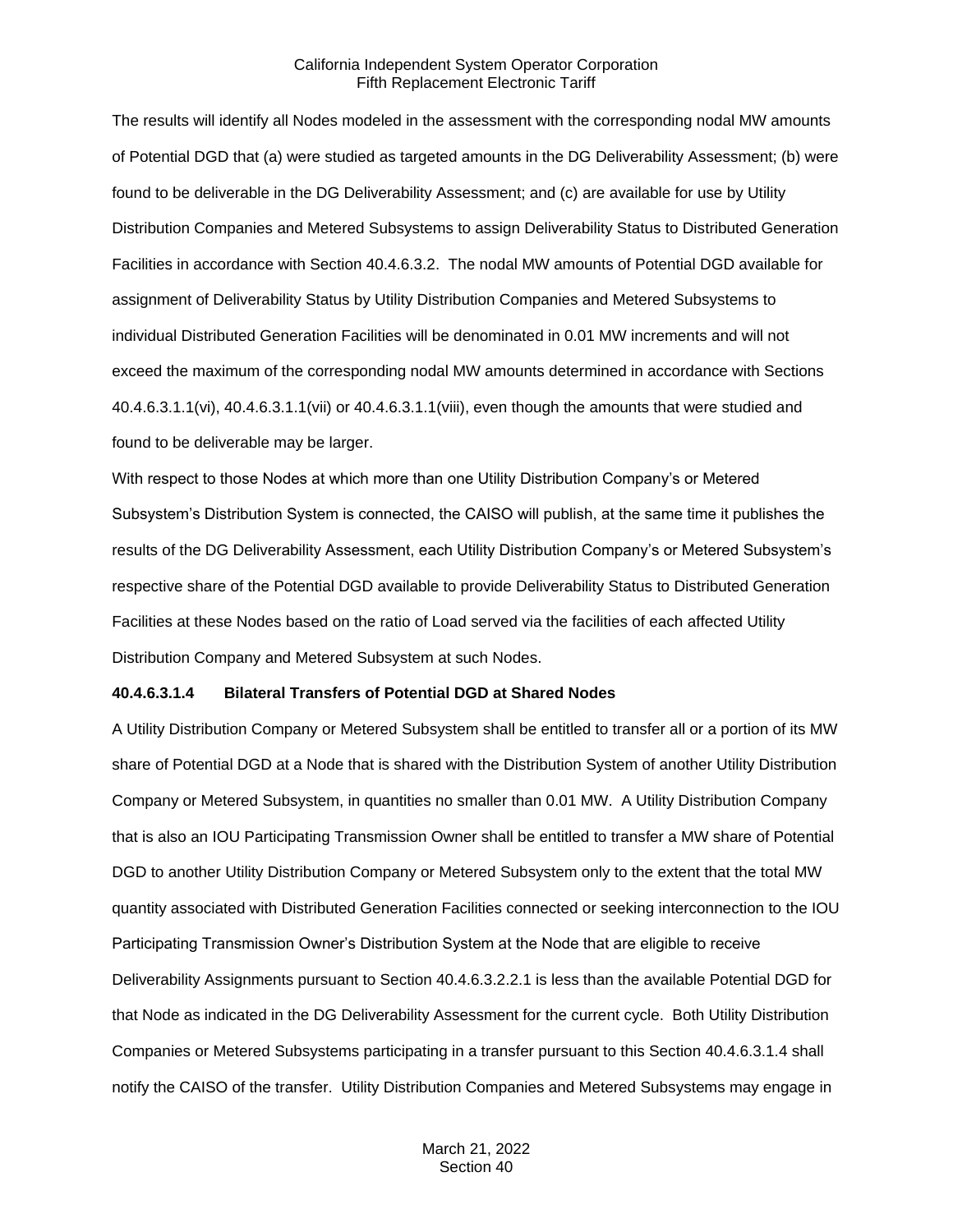The results will identify all Nodes modeled in the assessment with the corresponding nodal MW amounts of Potential DGD that (a) were studied as targeted amounts in the DG Deliverability Assessment; (b) were found to be deliverable in the DG Deliverability Assessment; and (c) are available for use by Utility Distribution Companies and Metered Subsystems to assign Deliverability Status to Distributed Generation Facilities in accordance with Section 40.4.6.3.2. The nodal MW amounts of Potential DGD available for assignment of Deliverability Status by Utility Distribution Companies and Metered Subsystems to individual Distributed Generation Facilities will be denominated in 0.01 MW increments and will not exceed the maximum of the corresponding nodal MW amounts determined in accordance with Sections 40.4.6.3.1.1(vi), 40.4.6.3.1.1(vii) or 40.4.6.3.1.1(viii), even though the amounts that were studied and found to be deliverable may be larger.

With respect to those Nodes at which more than one Utility Distribution Company's or Metered Subsystem's Distribution System is connected, the CAISO will publish, at the same time it publishes the results of the DG Deliverability Assessment, each Utility Distribution Company's or Metered Subsystem's respective share of the Potential DGD available to provide Deliverability Status to Distributed Generation Facilities at these Nodes based on the ratio of Load served via the facilities of each affected Utility Distribution Company and Metered Subsystem at such Nodes.

#### **40.4.6.3.1.4 Bilateral Transfers of Potential DGD at Shared Nodes**

A Utility Distribution Company or Metered Subsystem shall be entitled to transfer all or a portion of its MW share of Potential DGD at a Node that is shared with the Distribution System of another Utility Distribution Company or Metered Subsystem, in quantities no smaller than 0.01 MW. A Utility Distribution Company that is also an IOU Participating Transmission Owner shall be entitled to transfer a MW share of Potential DGD to another Utility Distribution Company or Metered Subsystem only to the extent that the total MW quantity associated with Distributed Generation Facilities connected or seeking interconnection to the IOU Participating Transmission Owner's Distribution System at the Node that are eligible to receive Deliverability Assignments pursuant to Section 40.4.6.3.2.2.1 is less than the available Potential DGD for that Node as indicated in the DG Deliverability Assessment for the current cycle. Both Utility Distribution Companies or Metered Subsystems participating in a transfer pursuant to this Section 40.4.6.3.1.4 shall notify the CAISO of the transfer. Utility Distribution Companies and Metered Subsystems may engage in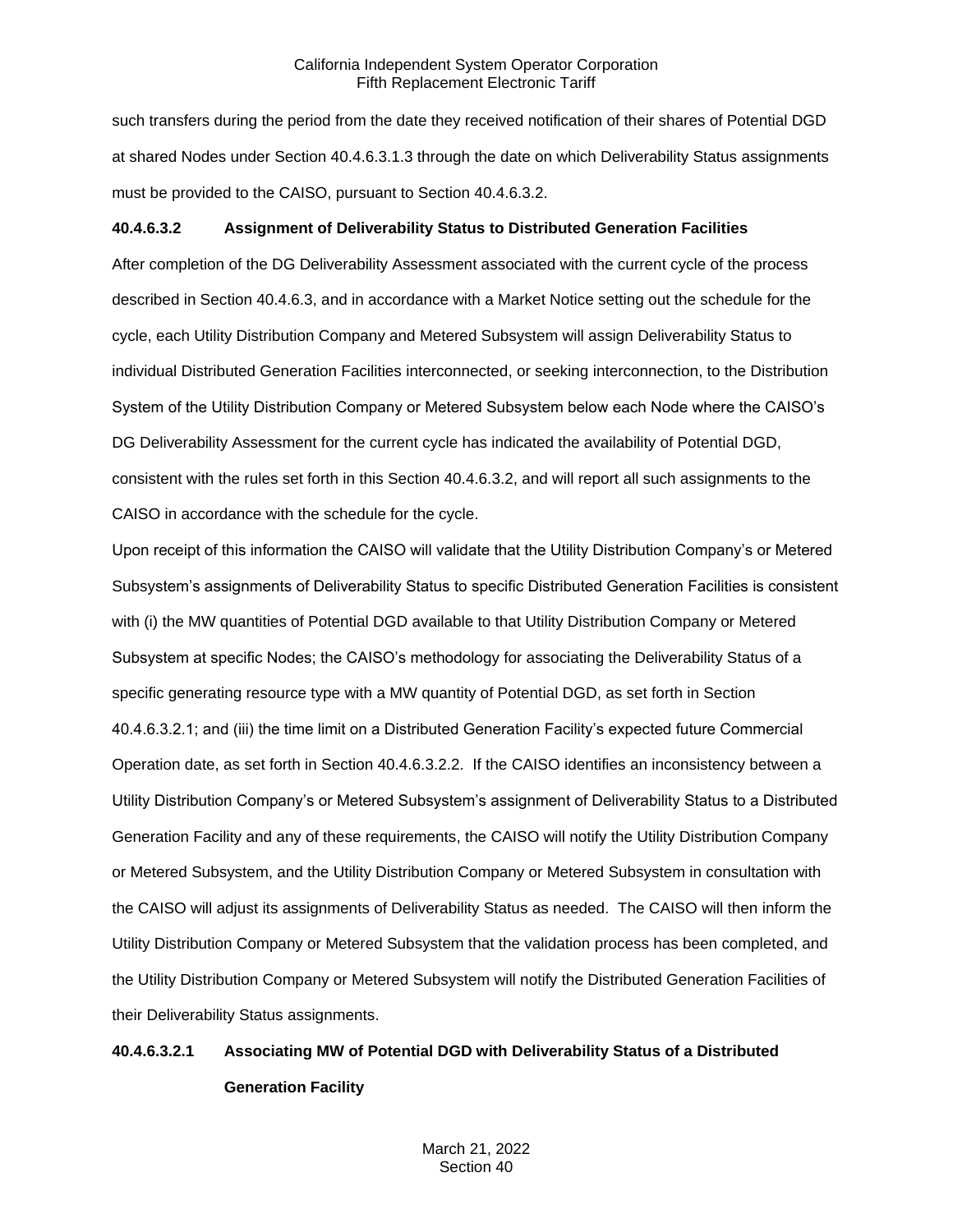such transfers during the period from the date they received notification of their shares of Potential DGD at shared Nodes under Section 40.4.6.3.1.3 through the date on which Deliverability Status assignments must be provided to the CAISO, pursuant to Section 40.4.6.3.2.

## **40.4.6.3.2 Assignment of Deliverability Status to Distributed Generation Facilities**

After completion of the DG Deliverability Assessment associated with the current cycle of the process described in Section 40.4.6.3, and in accordance with a Market Notice setting out the schedule for the cycle, each Utility Distribution Company and Metered Subsystem will assign Deliverability Status to individual Distributed Generation Facilities interconnected, or seeking interconnection, to the Distribution System of the Utility Distribution Company or Metered Subsystem below each Node where the CAISO's DG Deliverability Assessment for the current cycle has indicated the availability of Potential DGD, consistent with the rules set forth in this Section 40.4.6.3.2, and will report all such assignments to the CAISO in accordance with the schedule for the cycle.

Upon receipt of this information the CAISO will validate that the Utility Distribution Company's or Metered Subsystem's assignments of Deliverability Status to specific Distributed Generation Facilities is consistent with (i) the MW quantities of Potential DGD available to that Utility Distribution Company or Metered Subsystem at specific Nodes; the CAISO's methodology for associating the Deliverability Status of a specific generating resource type with a MW quantity of Potential DGD, as set forth in Section 40.4.6.3.2.1; and (iii) the time limit on a Distributed Generation Facility's expected future Commercial Operation date, as set forth in Section 40.4.6.3.2.2. If the CAISO identifies an inconsistency between a Utility Distribution Company's or Metered Subsystem's assignment of Deliverability Status to a Distributed Generation Facility and any of these requirements, the CAISO will notify the Utility Distribution Company or Metered Subsystem, and the Utility Distribution Company or Metered Subsystem in consultation with the CAISO will adjust its assignments of Deliverability Status as needed. The CAISO will then inform the Utility Distribution Company or Metered Subsystem that the validation process has been completed, and the Utility Distribution Company or Metered Subsystem will notify the Distributed Generation Facilities of their Deliverability Status assignments.

# **40.4.6.3.2.1 Associating MW of Potential DGD with Deliverability Status of a Distributed Generation Facility**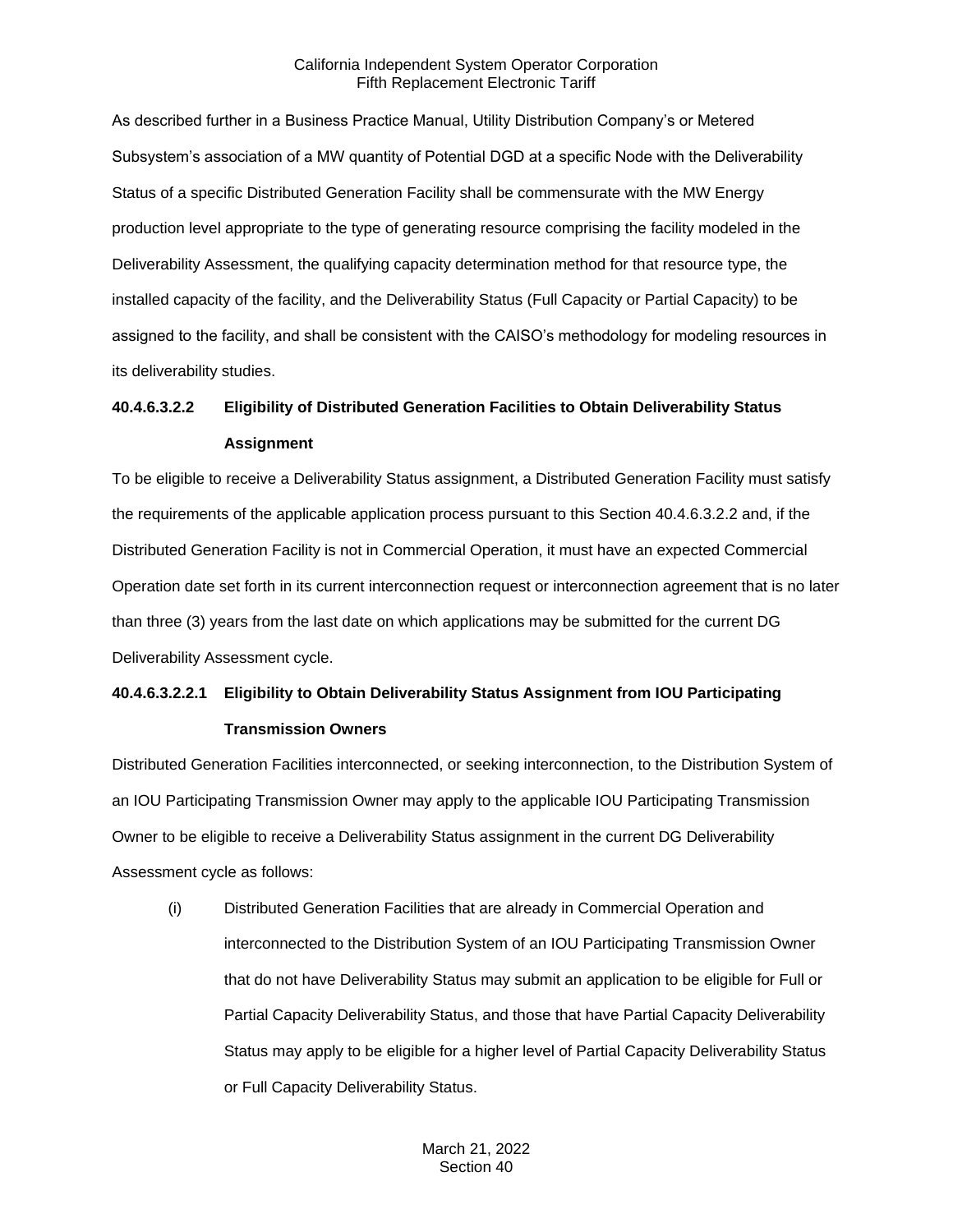As described further in a Business Practice Manual, Utility Distribution Company's or Metered Subsystem's association of a MW quantity of Potential DGD at a specific Node with the Deliverability Status of a specific Distributed Generation Facility shall be commensurate with the MW Energy production level appropriate to the type of generating resource comprising the facility modeled in the Deliverability Assessment, the qualifying capacity determination method for that resource type, the installed capacity of the facility, and the Deliverability Status (Full Capacity or Partial Capacity) to be assigned to the facility, and shall be consistent with the CAISO's methodology for modeling resources in its deliverability studies.

## **40.4.6.3.2.2 Eligibility of Distributed Generation Facilities to Obtain Deliverability Status Assignment**

To be eligible to receive a Deliverability Status assignment, a Distributed Generation Facility must satisfy the requirements of the applicable application process pursuant to this Section 40.4.6.3.2.2 and, if the Distributed Generation Facility is not in Commercial Operation, it must have an expected Commercial Operation date set forth in its current interconnection request or interconnection agreement that is no later than three (3) years from the last date on which applications may be submitted for the current DG Deliverability Assessment cycle.

# **40.4.6.3.2.2.1 Eligibility to Obtain Deliverability Status Assignment from IOU Participating Transmission Owners**

Distributed Generation Facilities interconnected, or seeking interconnection, to the Distribution System of an IOU Participating Transmission Owner may apply to the applicable IOU Participating Transmission Owner to be eligible to receive a Deliverability Status assignment in the current DG Deliverability Assessment cycle as follows:

(i) Distributed Generation Facilities that are already in Commercial Operation and interconnected to the Distribution System of an IOU Participating Transmission Owner that do not have Deliverability Status may submit an application to be eligible for Full or Partial Capacity Deliverability Status, and those that have Partial Capacity Deliverability Status may apply to be eligible for a higher level of Partial Capacity Deliverability Status or Full Capacity Deliverability Status.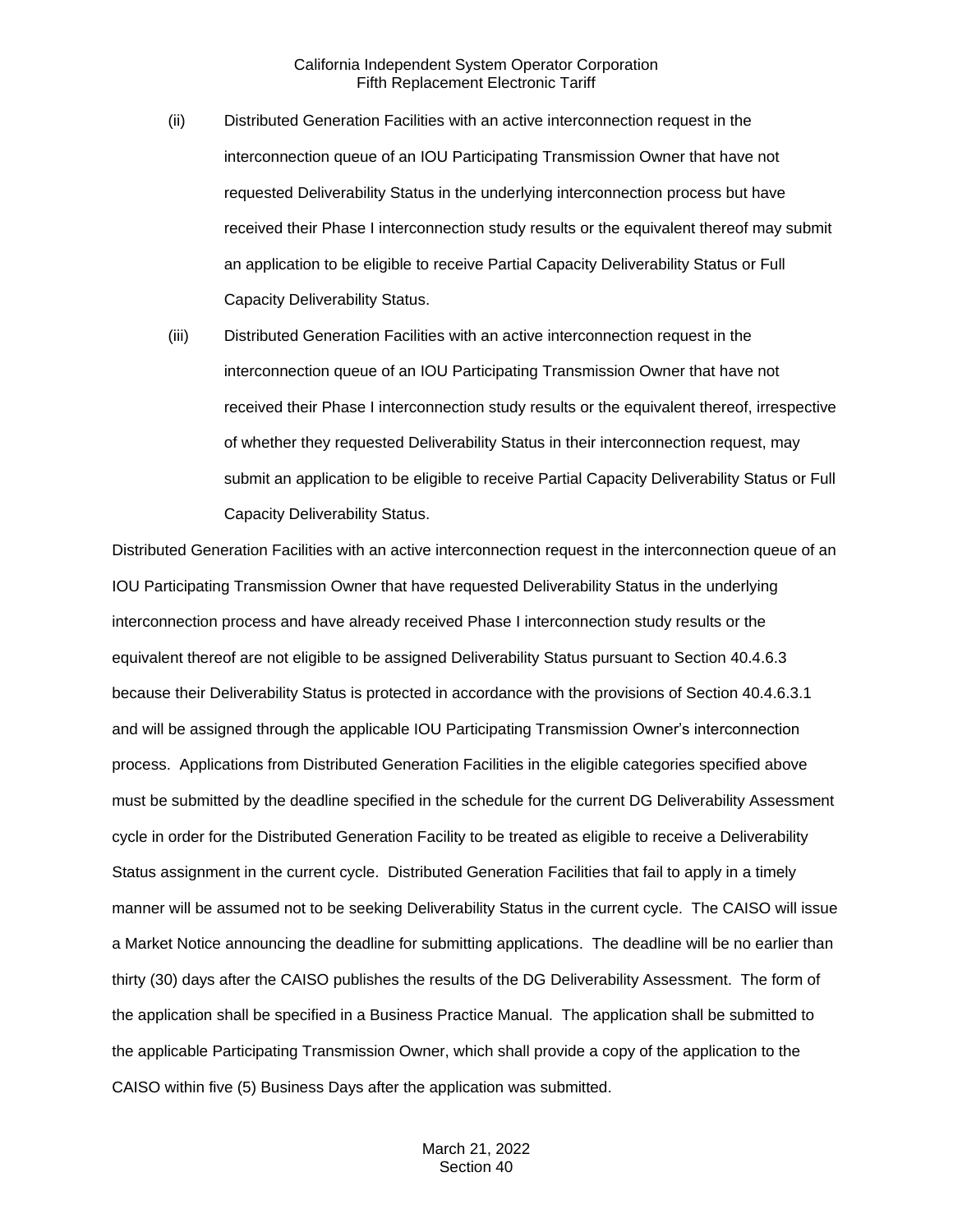- (ii) Distributed Generation Facilities with an active interconnection request in the interconnection queue of an IOU Participating Transmission Owner that have not requested Deliverability Status in the underlying interconnection process but have received their Phase I interconnection study results or the equivalent thereof may submit an application to be eligible to receive Partial Capacity Deliverability Status or Full Capacity Deliverability Status.
- (iii) Distributed Generation Facilities with an active interconnection request in the interconnection queue of an IOU Participating Transmission Owner that have not received their Phase I interconnection study results or the equivalent thereof, irrespective of whether they requested Deliverability Status in their interconnection request, may submit an application to be eligible to receive Partial Capacity Deliverability Status or Full Capacity Deliverability Status.

Distributed Generation Facilities with an active interconnection request in the interconnection queue of an IOU Participating Transmission Owner that have requested Deliverability Status in the underlying interconnection process and have already received Phase I interconnection study results or the equivalent thereof are not eligible to be assigned Deliverability Status pursuant to Section 40.4.6.3 because their Deliverability Status is protected in accordance with the provisions of Section 40.4.6.3.1 and will be assigned through the applicable IOU Participating Transmission Owner's interconnection process. Applications from Distributed Generation Facilities in the eligible categories specified above must be submitted by the deadline specified in the schedule for the current DG Deliverability Assessment cycle in order for the Distributed Generation Facility to be treated as eligible to receive a Deliverability Status assignment in the current cycle. Distributed Generation Facilities that fail to apply in a timely manner will be assumed not to be seeking Deliverability Status in the current cycle. The CAISO will issue a Market Notice announcing the deadline for submitting applications. The deadline will be no earlier than thirty (30) days after the CAISO publishes the results of the DG Deliverability Assessment. The form of the application shall be specified in a Business Practice Manual. The application shall be submitted to the applicable Participating Transmission Owner, which shall provide a copy of the application to the CAISO within five (5) Business Days after the application was submitted.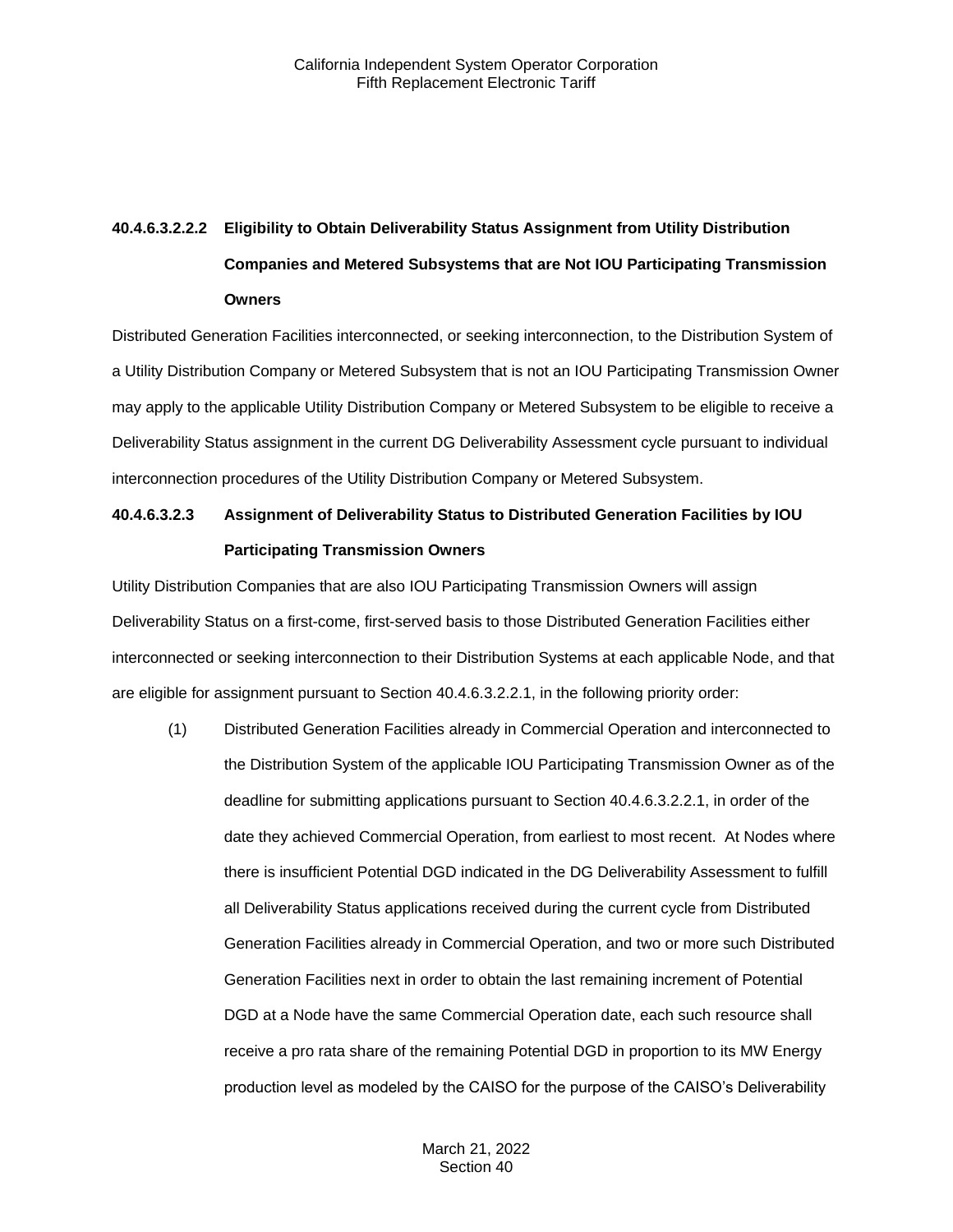# **40.4.6.3.2.2.2 Eligibility to Obtain Deliverability Status Assignment from Utility Distribution Companies and Metered Subsystems that are Not IOU Participating Transmission Owners**

Distributed Generation Facilities interconnected, or seeking interconnection, to the Distribution System of a Utility Distribution Company or Metered Subsystem that is not an IOU Participating Transmission Owner may apply to the applicable Utility Distribution Company or Metered Subsystem to be eligible to receive a Deliverability Status assignment in the current DG Deliverability Assessment cycle pursuant to individual interconnection procedures of the Utility Distribution Company or Metered Subsystem.

## **40.4.6.3.2.3 Assignment of Deliverability Status to Distributed Generation Facilities by IOU Participating Transmission Owners**

Utility Distribution Companies that are also IOU Participating Transmission Owners will assign Deliverability Status on a first-come, first-served basis to those Distributed Generation Facilities either interconnected or seeking interconnection to their Distribution Systems at each applicable Node, and that are eligible for assignment pursuant to Section 40.4.6.3.2.2.1, in the following priority order:

(1) Distributed Generation Facilities already in Commercial Operation and interconnected to the Distribution System of the applicable IOU Participating Transmission Owner as of the deadline for submitting applications pursuant to Section 40.4.6.3.2.2.1, in order of the date they achieved Commercial Operation, from earliest to most recent. At Nodes where there is insufficient Potential DGD indicated in the DG Deliverability Assessment to fulfill all Deliverability Status applications received during the current cycle from Distributed Generation Facilities already in Commercial Operation, and two or more such Distributed Generation Facilities next in order to obtain the last remaining increment of Potential DGD at a Node have the same Commercial Operation date, each such resource shall receive a pro rata share of the remaining Potential DGD in proportion to its MW Energy production level as modeled by the CAISO for the purpose of the CAISO's Deliverability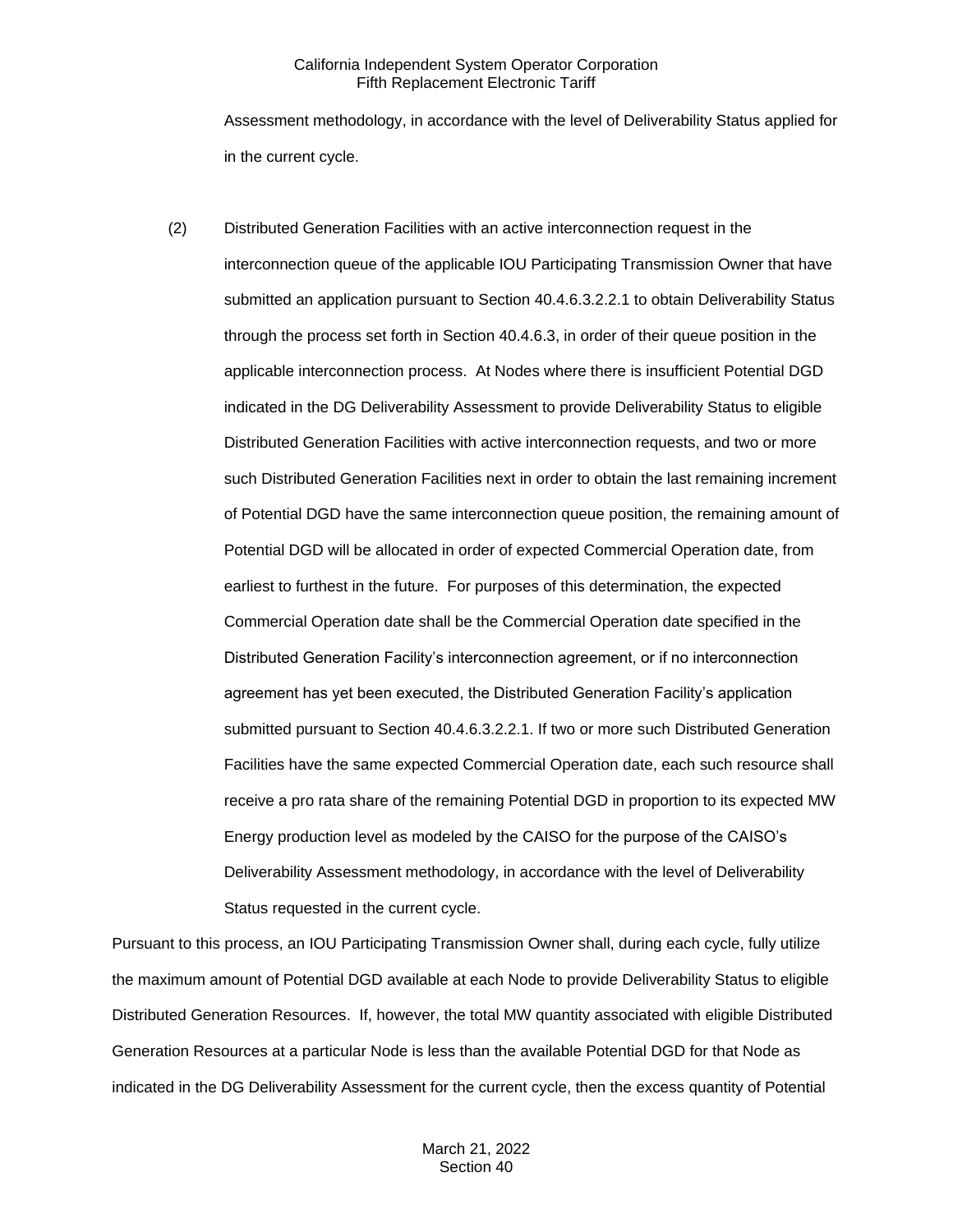Assessment methodology, in accordance with the level of Deliverability Status applied for in the current cycle.

(2) Distributed Generation Facilities with an active interconnection request in the interconnection queue of the applicable IOU Participating Transmission Owner that have submitted an application pursuant to Section 40.4.6.3.2.2.1 to obtain Deliverability Status through the process set forth in Section 40.4.6.3, in order of their queue position in the applicable interconnection process. At Nodes where there is insufficient Potential DGD indicated in the DG Deliverability Assessment to provide Deliverability Status to eligible Distributed Generation Facilities with active interconnection requests, and two or more such Distributed Generation Facilities next in order to obtain the last remaining increment of Potential DGD have the same interconnection queue position, the remaining amount of Potential DGD will be allocated in order of expected Commercial Operation date, from earliest to furthest in the future. For purposes of this determination, the expected Commercial Operation date shall be the Commercial Operation date specified in the Distributed Generation Facility's interconnection agreement, or if no interconnection agreement has yet been executed, the Distributed Generation Facility's application submitted pursuant to Section 40.4.6.3.2.2.1. If two or more such Distributed Generation Facilities have the same expected Commercial Operation date, each such resource shall receive a pro rata share of the remaining Potential DGD in proportion to its expected MW Energy production level as modeled by the CAISO for the purpose of the CAISO's Deliverability Assessment methodology, in accordance with the level of Deliverability Status requested in the current cycle.

Pursuant to this process, an IOU Participating Transmission Owner shall, during each cycle, fully utilize the maximum amount of Potential DGD available at each Node to provide Deliverability Status to eligible Distributed Generation Resources. If, however, the total MW quantity associated with eligible Distributed Generation Resources at a particular Node is less than the available Potential DGD for that Node as indicated in the DG Deliverability Assessment for the current cycle, then the excess quantity of Potential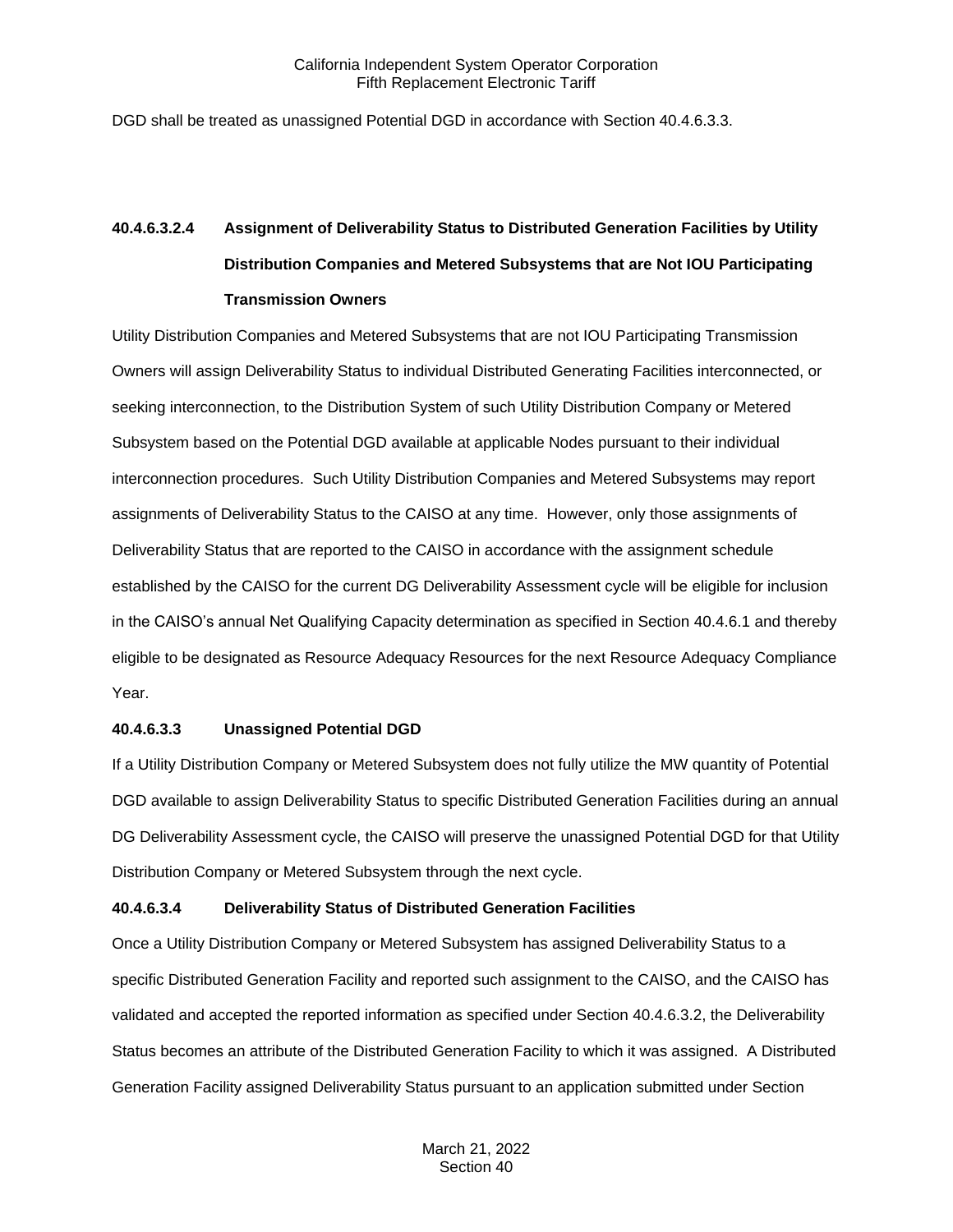DGD shall be treated as unassigned Potential DGD in accordance with Section 40.4.6.3.3.

# **40.4.6.3.2.4 Assignment of Deliverability Status to Distributed Generation Facilities by Utility Distribution Companies and Metered Subsystems that are Not IOU Participating Transmission Owners**

Utility Distribution Companies and Metered Subsystems that are not IOU Participating Transmission Owners will assign Deliverability Status to individual Distributed Generating Facilities interconnected, or seeking interconnection, to the Distribution System of such Utility Distribution Company or Metered Subsystem based on the Potential DGD available at applicable Nodes pursuant to their individual interconnection procedures. Such Utility Distribution Companies and Metered Subsystems may report assignments of Deliverability Status to the CAISO at any time. However, only those assignments of Deliverability Status that are reported to the CAISO in accordance with the assignment schedule established by the CAISO for the current DG Deliverability Assessment cycle will be eligible for inclusion in the CAISO's annual Net Qualifying Capacity determination as specified in Section 40.4.6.1 and thereby eligible to be designated as Resource Adequacy Resources for the next Resource Adequacy Compliance Year.

## **40.4.6.3.3 Unassigned Potential DGD**

If a Utility Distribution Company or Metered Subsystem does not fully utilize the MW quantity of Potential DGD available to assign Deliverability Status to specific Distributed Generation Facilities during an annual DG Deliverability Assessment cycle, the CAISO will preserve the unassigned Potential DGD for that Utility Distribution Company or Metered Subsystem through the next cycle.

## **40.4.6.3.4 Deliverability Status of Distributed Generation Facilities**

Once a Utility Distribution Company or Metered Subsystem has assigned Deliverability Status to a specific Distributed Generation Facility and reported such assignment to the CAISO, and the CAISO has validated and accepted the reported information as specified under Section 40.4.6.3.2, the Deliverability Status becomes an attribute of the Distributed Generation Facility to which it was assigned. A Distributed Generation Facility assigned Deliverability Status pursuant to an application submitted under Section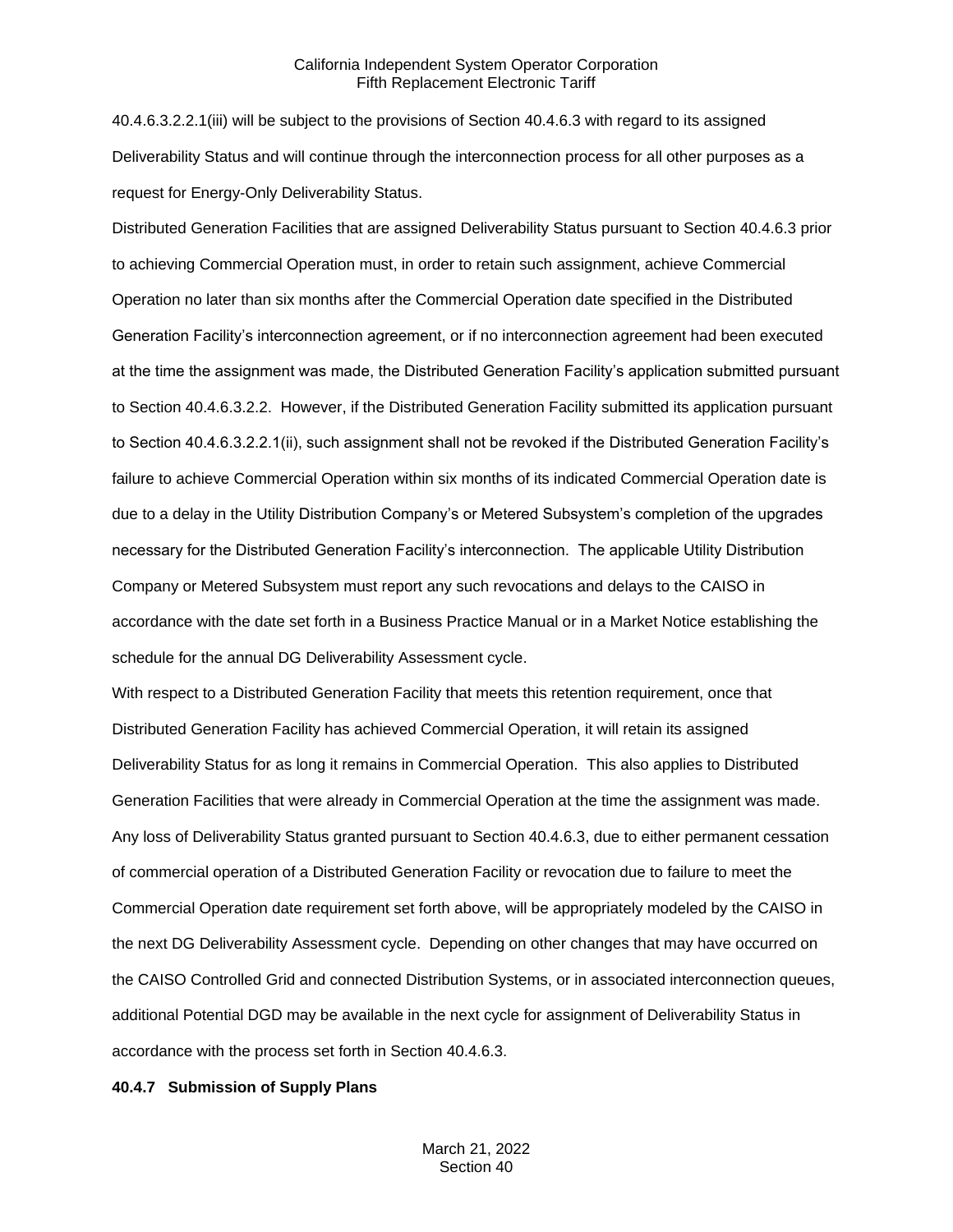40.4.6.3.2.2.1(iii) will be subject to the provisions of Section 40.4.6.3 with regard to its assigned Deliverability Status and will continue through the interconnection process for all other purposes as a request for Energy-Only Deliverability Status.

Distributed Generation Facilities that are assigned Deliverability Status pursuant to Section 40.4.6.3 prior to achieving Commercial Operation must, in order to retain such assignment, achieve Commercial Operation no later than six months after the Commercial Operation date specified in the Distributed Generation Facility's interconnection agreement, or if no interconnection agreement had been executed at the time the assignment was made, the Distributed Generation Facility's application submitted pursuant to Section 40.4.6.3.2.2. However, if the Distributed Generation Facility submitted its application pursuant to Section 40.4.6.3.2.2.1(ii), such assignment shall not be revoked if the Distributed Generation Facility's failure to achieve Commercial Operation within six months of its indicated Commercial Operation date is due to a delay in the Utility Distribution Company's or Metered Subsystem's completion of the upgrades necessary for the Distributed Generation Facility's interconnection. The applicable Utility Distribution Company or Metered Subsystem must report any such revocations and delays to the CAISO in accordance with the date set forth in a Business Practice Manual or in a Market Notice establishing the schedule for the annual DG Deliverability Assessment cycle.

With respect to a Distributed Generation Facility that meets this retention requirement, once that Distributed Generation Facility has achieved Commercial Operation, it will retain its assigned Deliverability Status for as long it remains in Commercial Operation. This also applies to Distributed Generation Facilities that were already in Commercial Operation at the time the assignment was made. Any loss of Deliverability Status granted pursuant to Section 40.4.6.3, due to either permanent cessation of commercial operation of a Distributed Generation Facility or revocation due to failure to meet the Commercial Operation date requirement set forth above, will be appropriately modeled by the CAISO in the next DG Deliverability Assessment cycle. Depending on other changes that may have occurred on the CAISO Controlled Grid and connected Distribution Systems, or in associated interconnection queues, additional Potential DGD may be available in the next cycle for assignment of Deliverability Status in accordance with the process set forth in Section 40.4.6.3.

#### <span id="page-35-0"></span>**40.4.7 Submission of Supply Plans**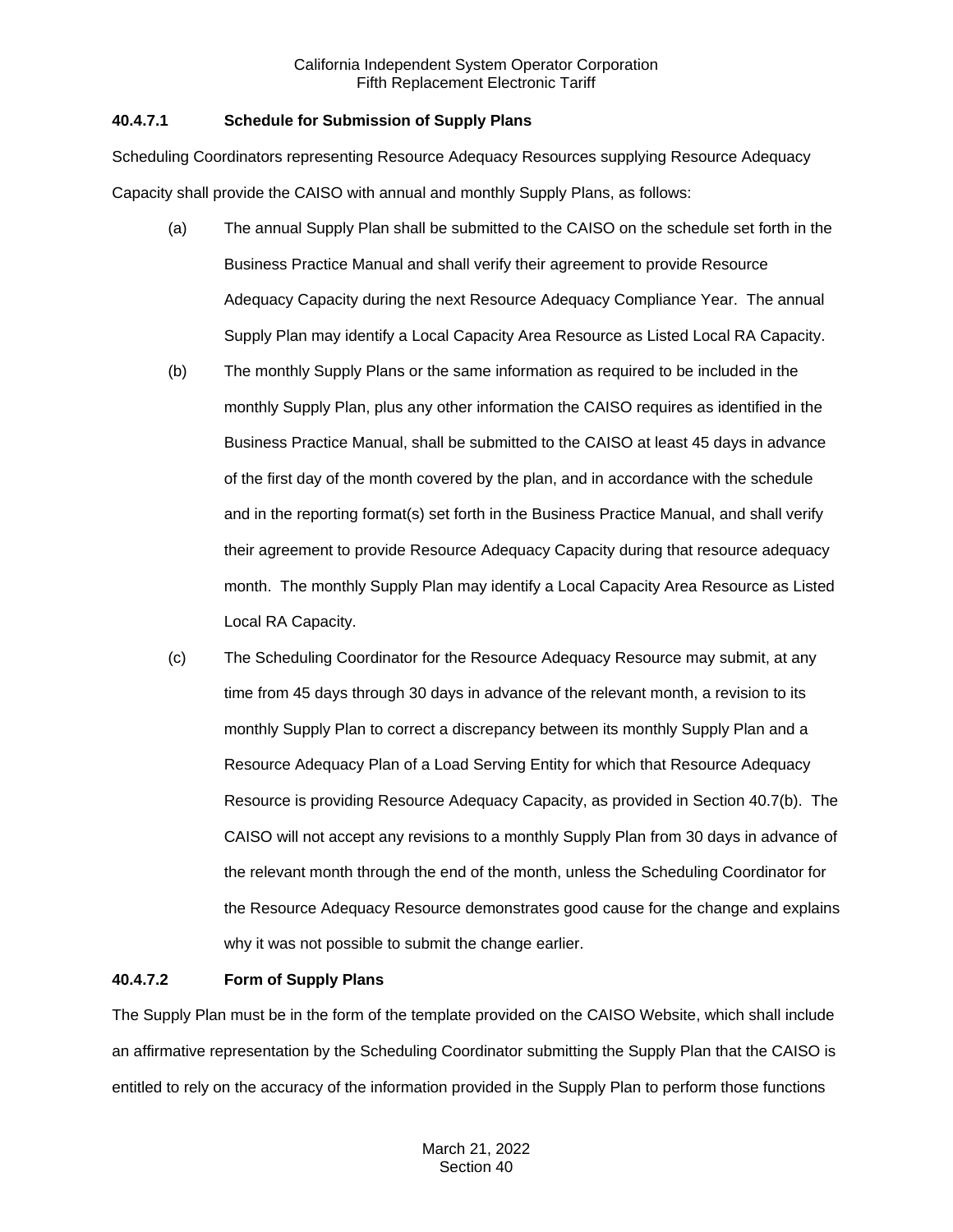# **40.4.7.1 Schedule for Submission of Supply Plans**

Scheduling Coordinators representing Resource Adequacy Resources supplying Resource Adequacy Capacity shall provide the CAISO with annual and monthly Supply Plans, as follows:

- (a) The annual Supply Plan shall be submitted to the CAISO on the schedule set forth in the Business Practice Manual and shall verify their agreement to provide Resource Adequacy Capacity during the next Resource Adequacy Compliance Year. The annual Supply Plan may identify a Local Capacity Area Resource as Listed Local RA Capacity.
- (b) The monthly Supply Plans or the same information as required to be included in the monthly Supply Plan, plus any other information the CAISO requires as identified in the Business Practice Manual, shall be submitted to the CAISO at least 45 days in advance of the first day of the month covered by the plan, and in accordance with the schedule and in the reporting format(s) set forth in the Business Practice Manual, and shall verify their agreement to provide Resource Adequacy Capacity during that resource adequacy month. The monthly Supply Plan may identify a Local Capacity Area Resource as Listed Local RA Capacity.
- (c) The Scheduling Coordinator for the Resource Adequacy Resource may submit, at any time from 45 days through 30 days in advance of the relevant month, a revision to its monthly Supply Plan to correct a discrepancy between its monthly Supply Plan and a Resource Adequacy Plan of a Load Serving Entity for which that Resource Adequacy Resource is providing Resource Adequacy Capacity, as provided in Section 40.7(b). The CAISO will not accept any revisions to a monthly Supply Plan from 30 days in advance of the relevant month through the end of the month, unless the Scheduling Coordinator for the Resource Adequacy Resource demonstrates good cause for the change and explains why it was not possible to submit the change earlier.

# **40.4.7.2 Form of Supply Plans**

The Supply Plan must be in the form of the template provided on the CAISO Website, which shall include an affirmative representation by the Scheduling Coordinator submitting the Supply Plan that the CAISO is entitled to rely on the accuracy of the information provided in the Supply Plan to perform those functions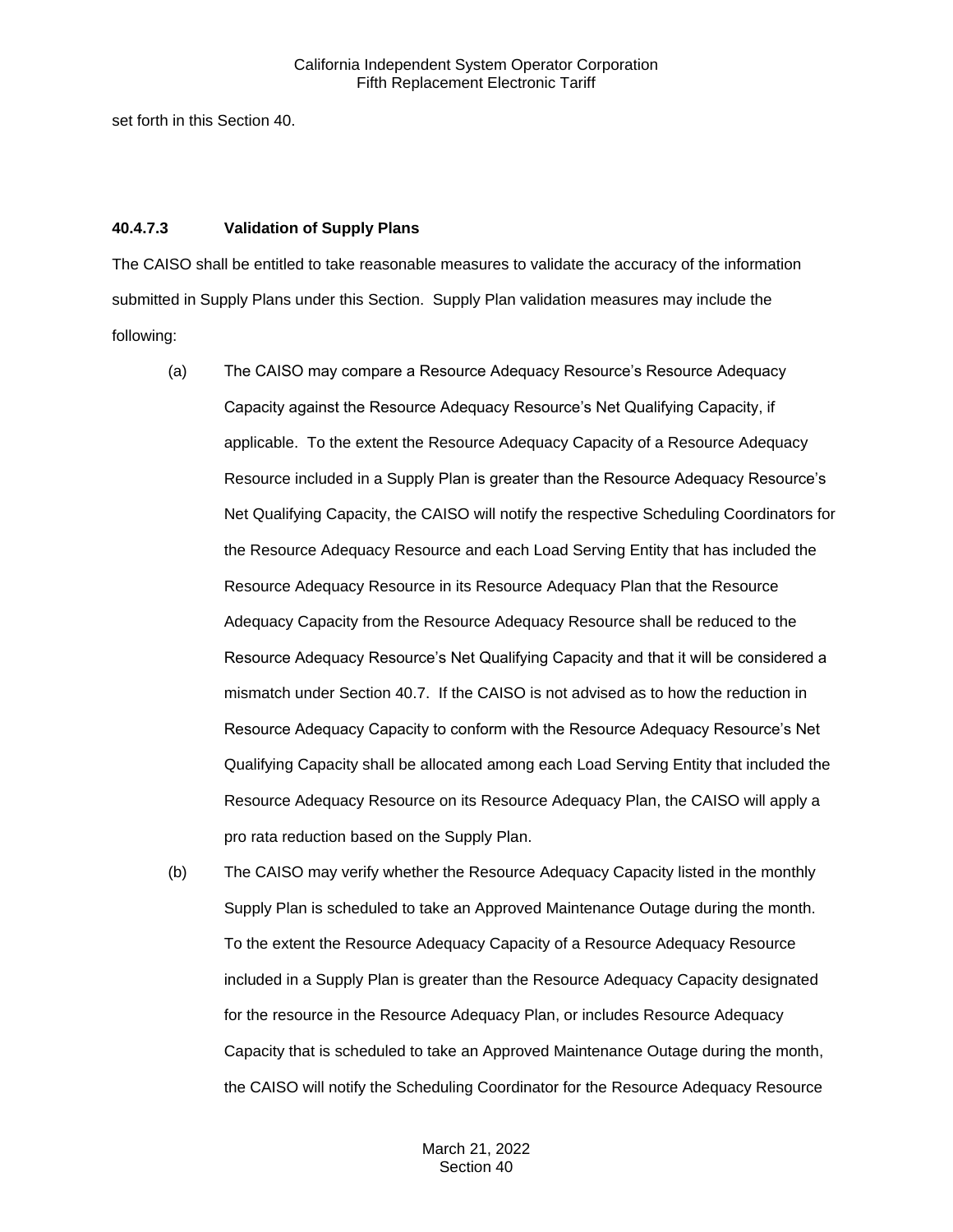set forth in this Section 40.

### **40.4.7.3 Validation of Supply Plans**

The CAISO shall be entitled to take reasonable measures to validate the accuracy of the information submitted in Supply Plans under this Section. Supply Plan validation measures may include the following:

- (a) The CAISO may compare a Resource Adequacy Resource's Resource Adequacy Capacity against the Resource Adequacy Resource's Net Qualifying Capacity, if applicable. To the extent the Resource Adequacy Capacity of a Resource Adequacy Resource included in a Supply Plan is greater than the Resource Adequacy Resource's Net Qualifying Capacity, the CAISO will notify the respective Scheduling Coordinators for the Resource Adequacy Resource and each Load Serving Entity that has included the Resource Adequacy Resource in its Resource Adequacy Plan that the Resource Adequacy Capacity from the Resource Adequacy Resource shall be reduced to the Resource Adequacy Resource's Net Qualifying Capacity and that it will be considered a mismatch under Section 40.7. If the CAISO is not advised as to how the reduction in Resource Adequacy Capacity to conform with the Resource Adequacy Resource's Net Qualifying Capacity shall be allocated among each Load Serving Entity that included the Resource Adequacy Resource on its Resource Adequacy Plan, the CAISO will apply a pro rata reduction based on the Supply Plan.
- (b) The CAISO may verify whether the Resource Adequacy Capacity listed in the monthly Supply Plan is scheduled to take an Approved Maintenance Outage during the month. To the extent the Resource Adequacy Capacity of a Resource Adequacy Resource included in a Supply Plan is greater than the Resource Adequacy Capacity designated for the resource in the Resource Adequacy Plan, or includes Resource Adequacy Capacity that is scheduled to take an Approved Maintenance Outage during the month, the CAISO will notify the Scheduling Coordinator for the Resource Adequacy Resource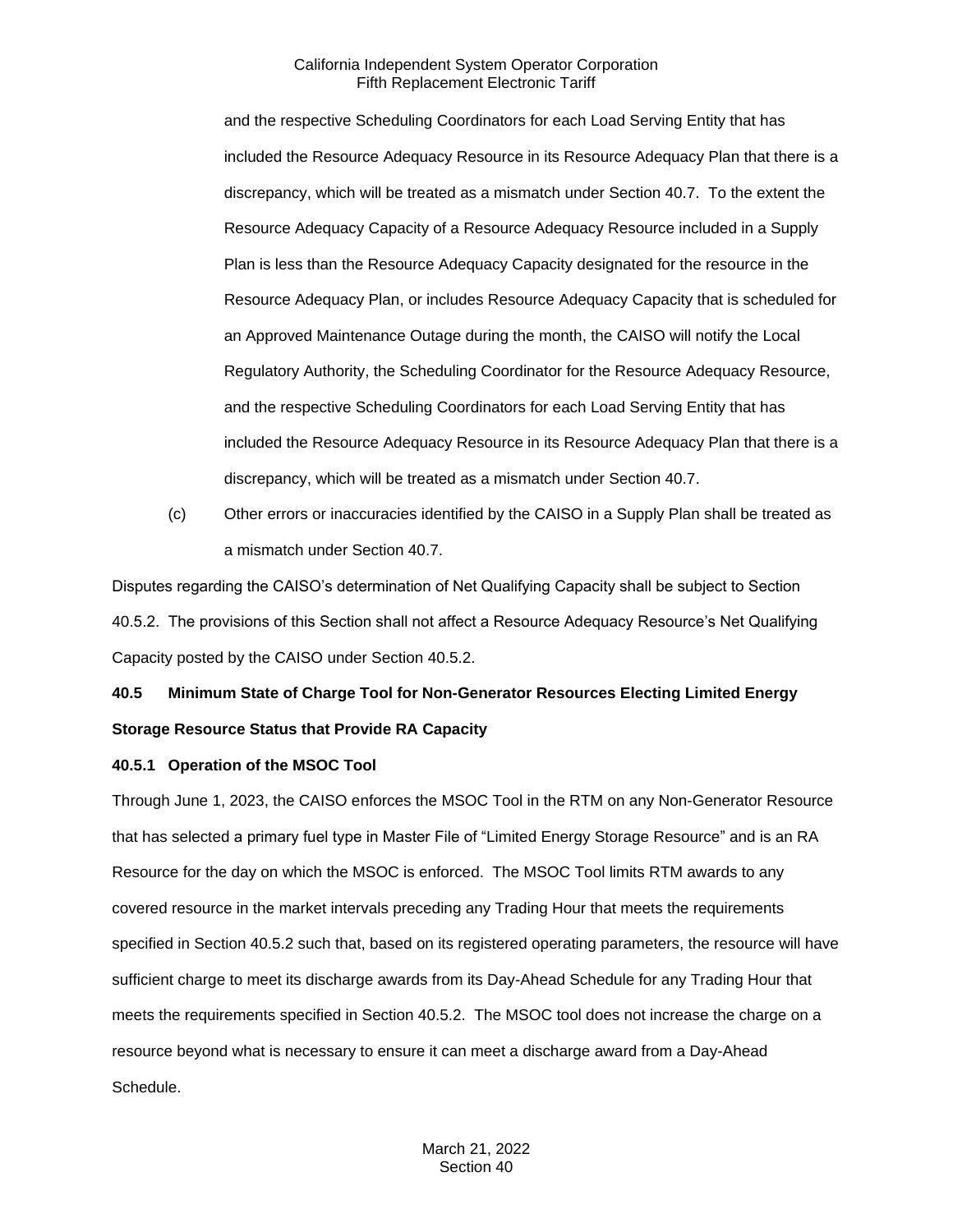and the respective Scheduling Coordinators for each Load Serving Entity that has included the Resource Adequacy Resource in its Resource Adequacy Plan that there is a discrepancy, which will be treated as a mismatch under Section 40.7. To the extent the Resource Adequacy Capacity of a Resource Adequacy Resource included in a Supply Plan is less than the Resource Adequacy Capacity designated for the resource in the Resource Adequacy Plan, or includes Resource Adequacy Capacity that is scheduled for an Approved Maintenance Outage during the month, the CAISO will notify the Local Regulatory Authority, the Scheduling Coordinator for the Resource Adequacy Resource, and the respective Scheduling Coordinators for each Load Serving Entity that has included the Resource Adequacy Resource in its Resource Adequacy Plan that there is a discrepancy, which will be treated as a mismatch under Section 40.7.

(c) Other errors or inaccuracies identified by the CAISO in a Supply Plan shall be treated as a mismatch under Section 40.7.

Disputes regarding the CAISO's determination of Net Qualifying Capacity shall be subject to Section 40.5.2. The provisions of this Section shall not affect a Resource Adequacy Resource's Net Qualifying Capacity posted by the CAISO under Section 40.5.2.

# **40.5 Minimum State of Charge Tool for Non-Generator Resources Electing Limited Energy Storage Resource Status that Provide RA Capacity**

# **40.5.1 Operation of the MSOC Tool**

Through June 1, 2023, the CAISO enforces the MSOC Tool in the RTM on any Non-Generator Resource that has selected a primary fuel type in Master File of "Limited Energy Storage Resource" and is an RA Resource for the day on which the MSOC is enforced. The MSOC Tool limits RTM awards to any covered resource in the market intervals preceding any Trading Hour that meets the requirements specified in Section 40.5.2 such that, based on its registered operating parameters, the resource will have sufficient charge to meet its discharge awards from its Day-Ahead Schedule for any Trading Hour that meets the requirements specified in Section 40.5.2. The MSOC tool does not increase the charge on a resource beyond what is necessary to ensure it can meet a discharge award from a Day-Ahead Schedule.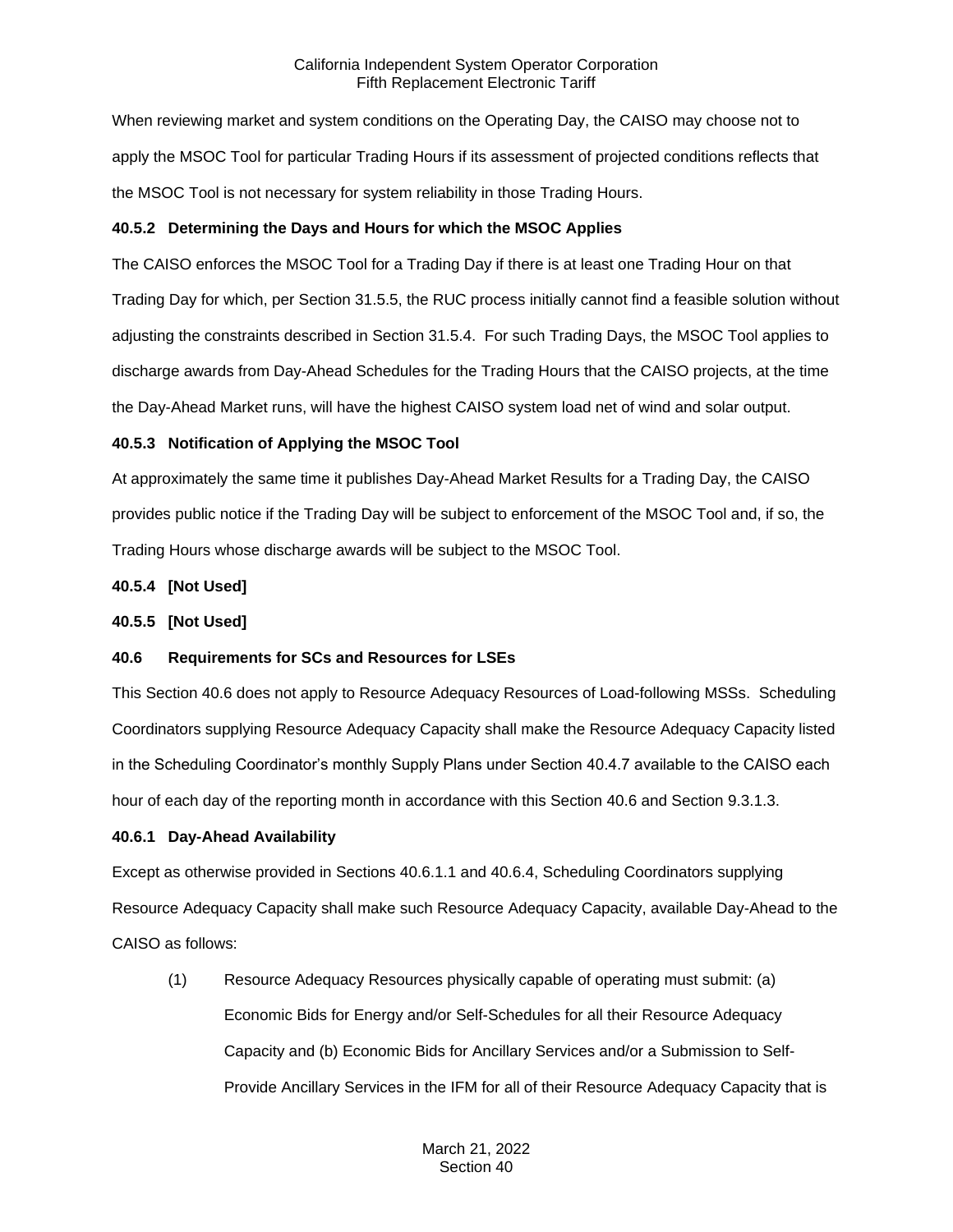When reviewing market and system conditions on the Operating Day, the CAISO may choose not to apply the MSOC Tool for particular Trading Hours if its assessment of projected conditions reflects that the MSOC Tool is not necessary for system reliability in those Trading Hours.

# **40.5.2 Determining the Days and Hours for which the MSOC Applies**

The CAISO enforces the MSOC Tool for a Trading Day if there is at least one Trading Hour on that Trading Day for which, per Section 31.5.5, the RUC process initially cannot find a feasible solution without adjusting the constraints described in Section 31.5.4. For such Trading Days, the MSOC Tool applies to discharge awards from Day-Ahead Schedules for the Trading Hours that the CAISO projects, at the time the Day-Ahead Market runs, will have the highest CAISO system load net of wind and solar output.

# **40.5.3 Notification of Applying the MSOC Tool**

At approximately the same time it publishes Day-Ahead Market Results for a Trading Day, the CAISO provides public notice if the Trading Day will be subject to enforcement of the MSOC Tool and, if so, the Trading Hours whose discharge awards will be subject to the MSOC Tool.

# **40.5.4 [Not Used]**

# **40.5.5 [Not Used]**

# **40.6 Requirements for SCs and Resources for LSEs**

This Section 40.6 does not apply to Resource Adequacy Resources of Load-following MSSs. Scheduling Coordinators supplying Resource Adequacy Capacity shall make the Resource Adequacy Capacity listed in the Scheduling Coordinator's monthly Supply Plans under Section 40.4.7 available to the CAISO each hour of each day of the reporting month in accordance with this Section 40.6 and Section 9.3.1.3.

# **40.6.1 Day-Ahead Availability**

Except as otherwise provided in Sections 40.6.1.1 and 40.6.4, Scheduling Coordinators supplying Resource Adequacy Capacity shall make such Resource Adequacy Capacity, available Day-Ahead to the CAISO as follows:

(1) Resource Adequacy Resources physically capable of operating must submit: (a) Economic Bids for Energy and/or Self-Schedules for all their Resource Adequacy Capacity and (b) Economic Bids for Ancillary Services and/or a Submission to Self-Provide Ancillary Services in the IFM for all of their Resource Adequacy Capacity that is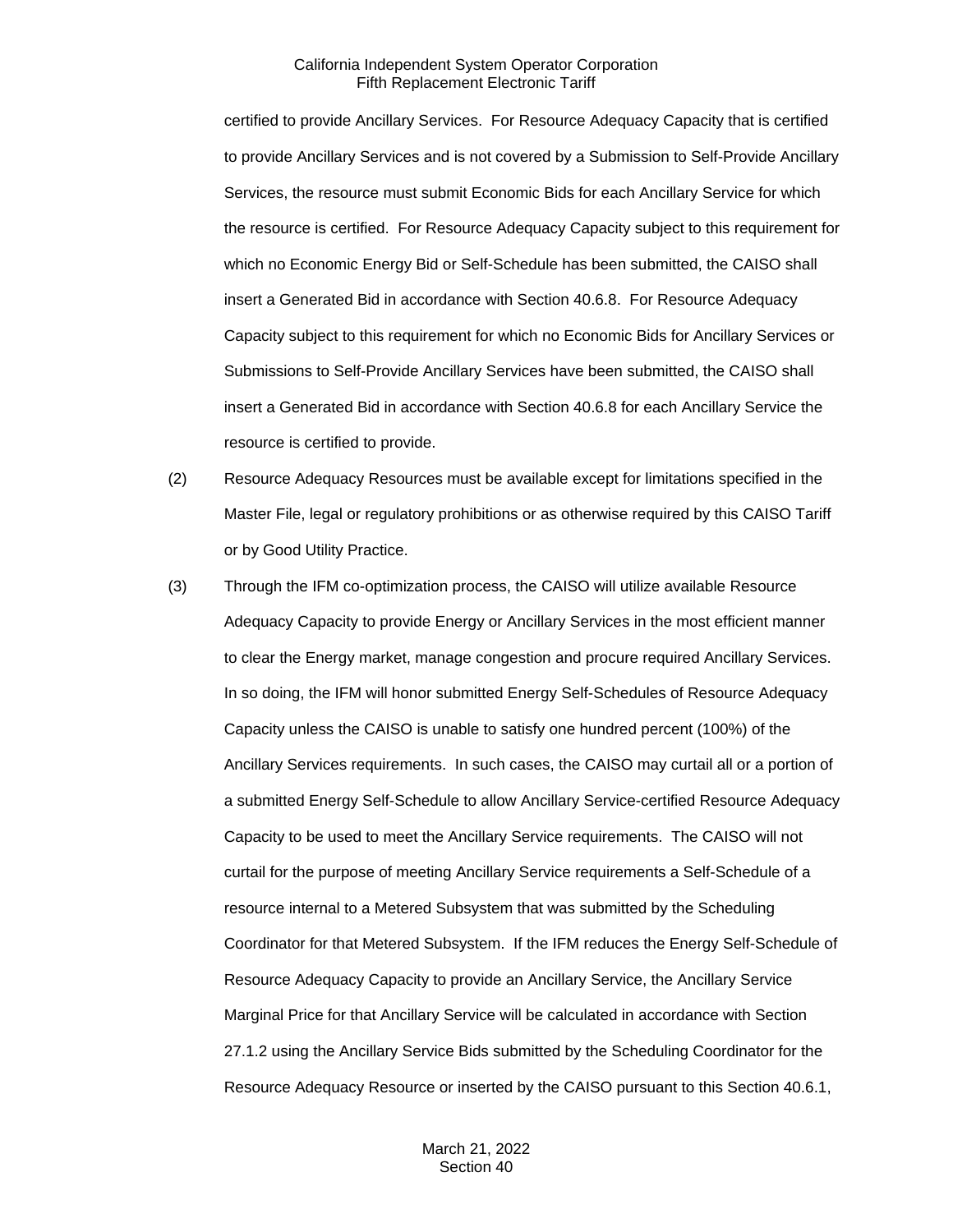certified to provide Ancillary Services. For Resource Adequacy Capacity that is certified to provide Ancillary Services and is not covered by a Submission to Self-Provide Ancillary Services, the resource must submit Economic Bids for each Ancillary Service for which the resource is certified. For Resource Adequacy Capacity subject to this requirement for which no Economic Energy Bid or Self-Schedule has been submitted, the CAISO shall insert a Generated Bid in accordance with Section 40.6.8. For Resource Adequacy Capacity subject to this requirement for which no Economic Bids for Ancillary Services or Submissions to Self-Provide Ancillary Services have been submitted, the CAISO shall insert a Generated Bid in accordance with Section 40.6.8 for each Ancillary Service the resource is certified to provide.

- (2) Resource Adequacy Resources must be available except for limitations specified in the Master File, legal or regulatory prohibitions or as otherwise required by this CAISO Tariff or by Good Utility Practice.
- (3) Through the IFM co-optimization process, the CAISO will utilize available Resource Adequacy Capacity to provide Energy or Ancillary Services in the most efficient manner to clear the Energy market, manage congestion and procure required Ancillary Services. In so doing, the IFM will honor submitted Energy Self-Schedules of Resource Adequacy Capacity unless the CAISO is unable to satisfy one hundred percent (100%) of the Ancillary Services requirements. In such cases, the CAISO may curtail all or a portion of a submitted Energy Self-Schedule to allow Ancillary Service-certified Resource Adequacy Capacity to be used to meet the Ancillary Service requirements. The CAISO will not curtail for the purpose of meeting Ancillary Service requirements a Self-Schedule of a resource internal to a Metered Subsystem that was submitted by the Scheduling Coordinator for that Metered Subsystem. If the IFM reduces the Energy Self-Schedule of Resource Adequacy Capacity to provide an Ancillary Service, the Ancillary Service Marginal Price for that Ancillary Service will be calculated in accordance with Section 27.1.2 using the Ancillary Service Bids submitted by the Scheduling Coordinator for the Resource Adequacy Resource or inserted by the CAISO pursuant to this Section 40.6.1,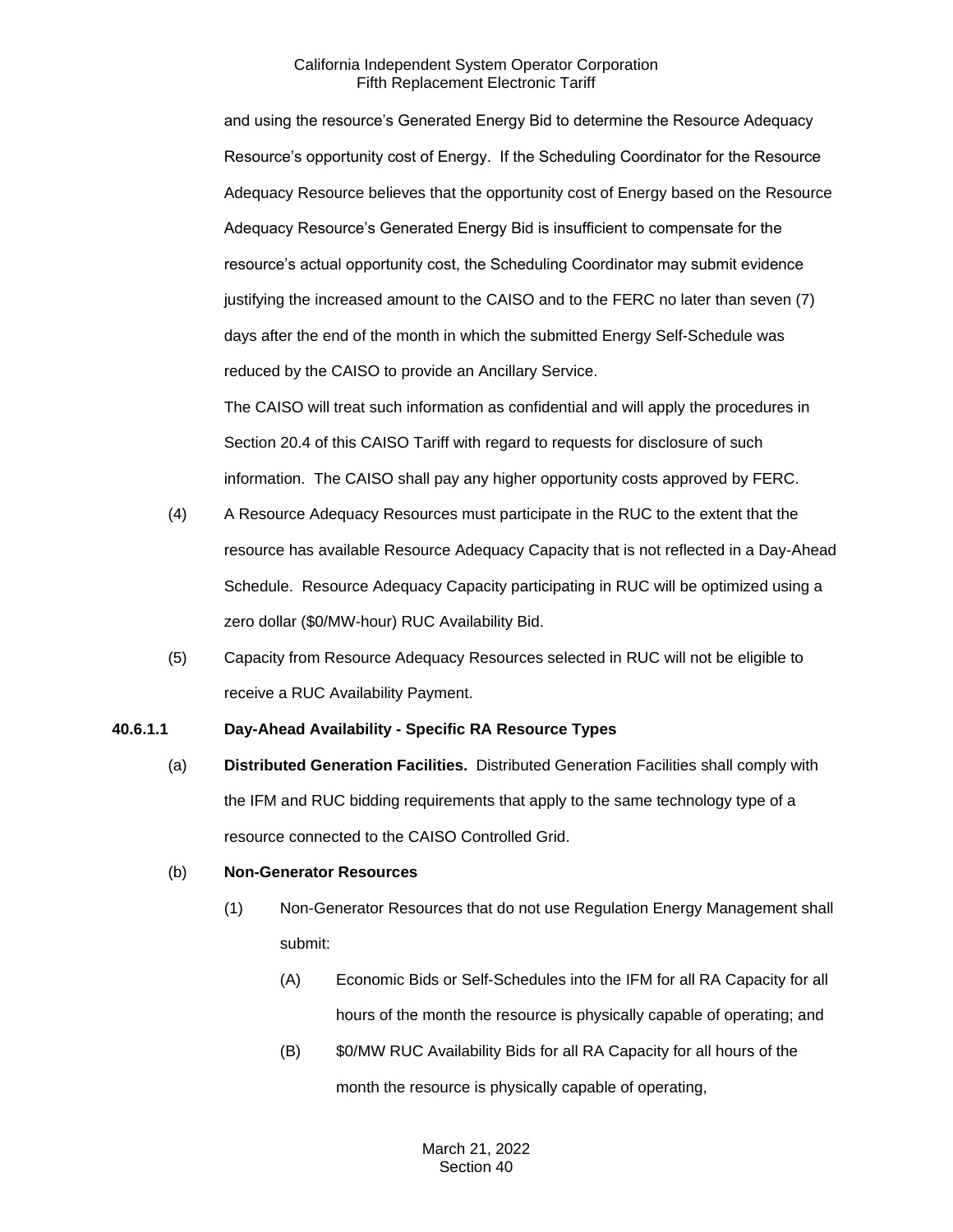and using the resource's Generated Energy Bid to determine the Resource Adequacy Resource's opportunity cost of Energy. If the Scheduling Coordinator for the Resource Adequacy Resource believes that the opportunity cost of Energy based on the Resource Adequacy Resource's Generated Energy Bid is insufficient to compensate for the resource's actual opportunity cost, the Scheduling Coordinator may submit evidence justifying the increased amount to the CAISO and to the FERC no later than seven (7) days after the end of the month in which the submitted Energy Self-Schedule was reduced by the CAISO to provide an Ancillary Service.

The CAISO will treat such information as confidential and will apply the procedures in Section 20.4 of this CAISO Tariff with regard to requests for disclosure of such information. The CAISO shall pay any higher opportunity costs approved by FERC.

- (4) A Resource Adequacy Resources must participate in the RUC to the extent that the resource has available Resource Adequacy Capacity that is not reflected in a Day-Ahead Schedule. Resource Adequacy Capacity participating in RUC will be optimized using a zero dollar (\$0/MW-hour) RUC Availability Bid.
- (5) Capacity from Resource Adequacy Resources selected in RUC will not be eligible to receive a RUC Availability Payment.

#### **40.6.1.1 Day-Ahead Availability - Specific RA Resource Types**

(a) **Distributed Generation Facilities.** Distributed Generation Facilities shall comply with the IFM and RUC bidding requirements that apply to the same technology type of a resource connected to the CAISO Controlled Grid.

#### (b) **Non-Generator Resources**

- (1) Non-Generator Resources that do not use Regulation Energy Management shall submit:
	- (A) Economic Bids or Self-Schedules into the IFM for all RA Capacity for all hours of the month the resource is physically capable of operating; and
	- (B) \$0/MW RUC Availability Bids for all RA Capacity for all hours of the month the resource is physically capable of operating,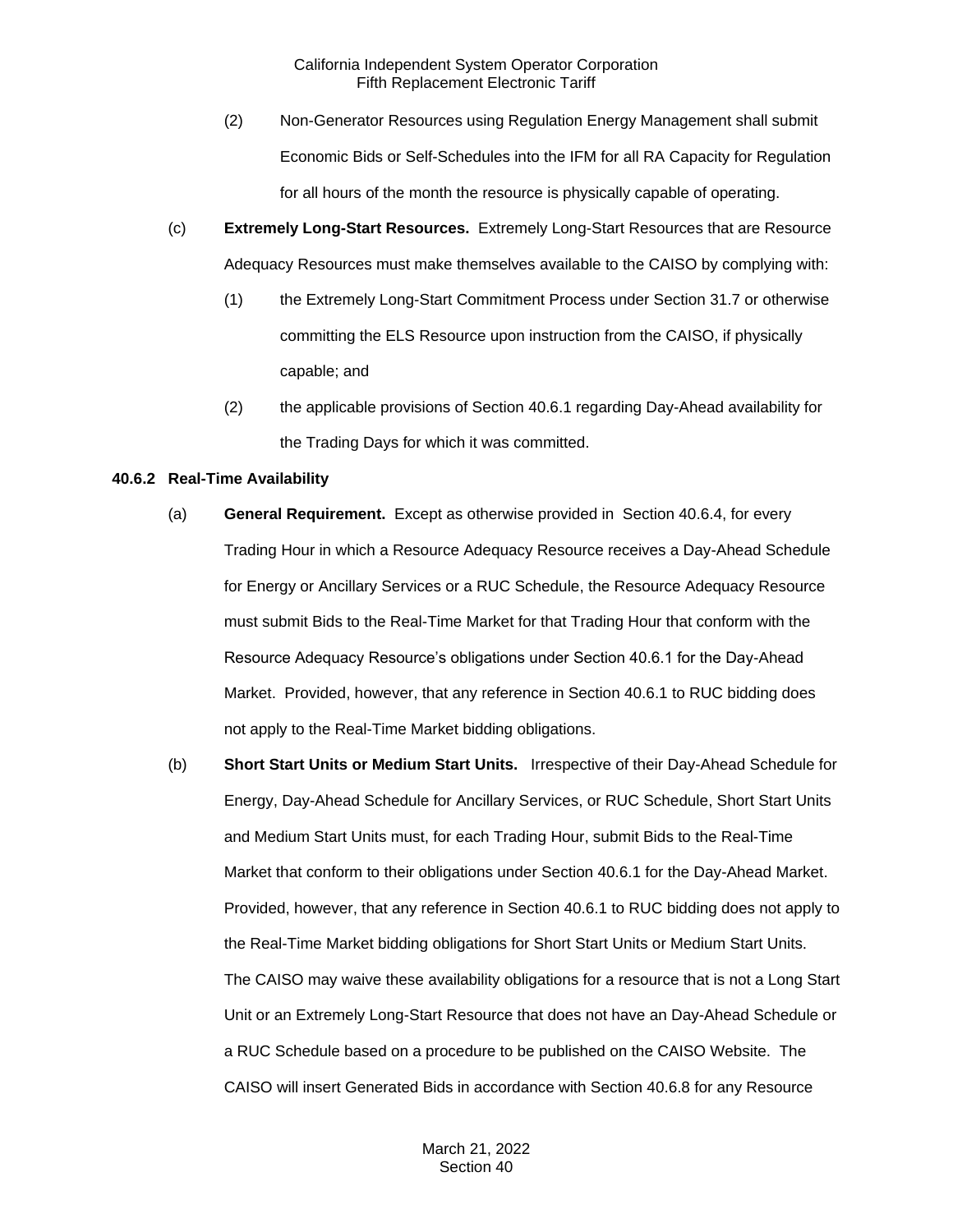- (2) Non-Generator Resources using Regulation Energy Management shall submit Economic Bids or Self-Schedules into the IFM for all RA Capacity for Regulation for all hours of the month the resource is physically capable of operating.
- (c) **Extremely Long-Start Resources.** Extremely Long-Start Resources that are Resource Adequacy Resources must make themselves available to the CAISO by complying with:
	- (1) the Extremely Long-Start Commitment Process under Section 31.7 or otherwise committing the ELS Resource upon instruction from the CAISO, if physically capable; and
	- (2) the applicable provisions of Section 40.6.1 regarding Day-Ahead availability for the Trading Days for which it was committed.

# **40.6.2 Real-Time Availability**

- (a) **General Requirement.** Except as otherwise provided in Section 40.6.4, for every Trading Hour in which a Resource Adequacy Resource receives a Day-Ahead Schedule for Energy or Ancillary Services or a RUC Schedule, the Resource Adequacy Resource must submit Bids to the Real-Time Market for that Trading Hour that conform with the Resource Adequacy Resource's obligations under Section 40.6.1 for the Day-Ahead Market. Provided, however, that any reference in Section 40.6.1 to RUC bidding does not apply to the Real-Time Market bidding obligations.
- (b) **Short Start Units or Medium Start Units.** Irrespective of their Day-Ahead Schedule for Energy, Day-Ahead Schedule for Ancillary Services, or RUC Schedule, Short Start Units and Medium Start Units must, for each Trading Hour, submit Bids to the Real-Time Market that conform to their obligations under Section 40.6.1 for the Day-Ahead Market. Provided, however, that any reference in Section 40.6.1 to RUC bidding does not apply to the Real-Time Market bidding obligations for Short Start Units or Medium Start Units. The CAISO may waive these availability obligations for a resource that is not a Long Start Unit or an Extremely Long-Start Resource that does not have an Day-Ahead Schedule or a RUC Schedule based on a procedure to be published on the CAISO Website. The CAISO will insert Generated Bids in accordance with Section 40.6.8 for any Resource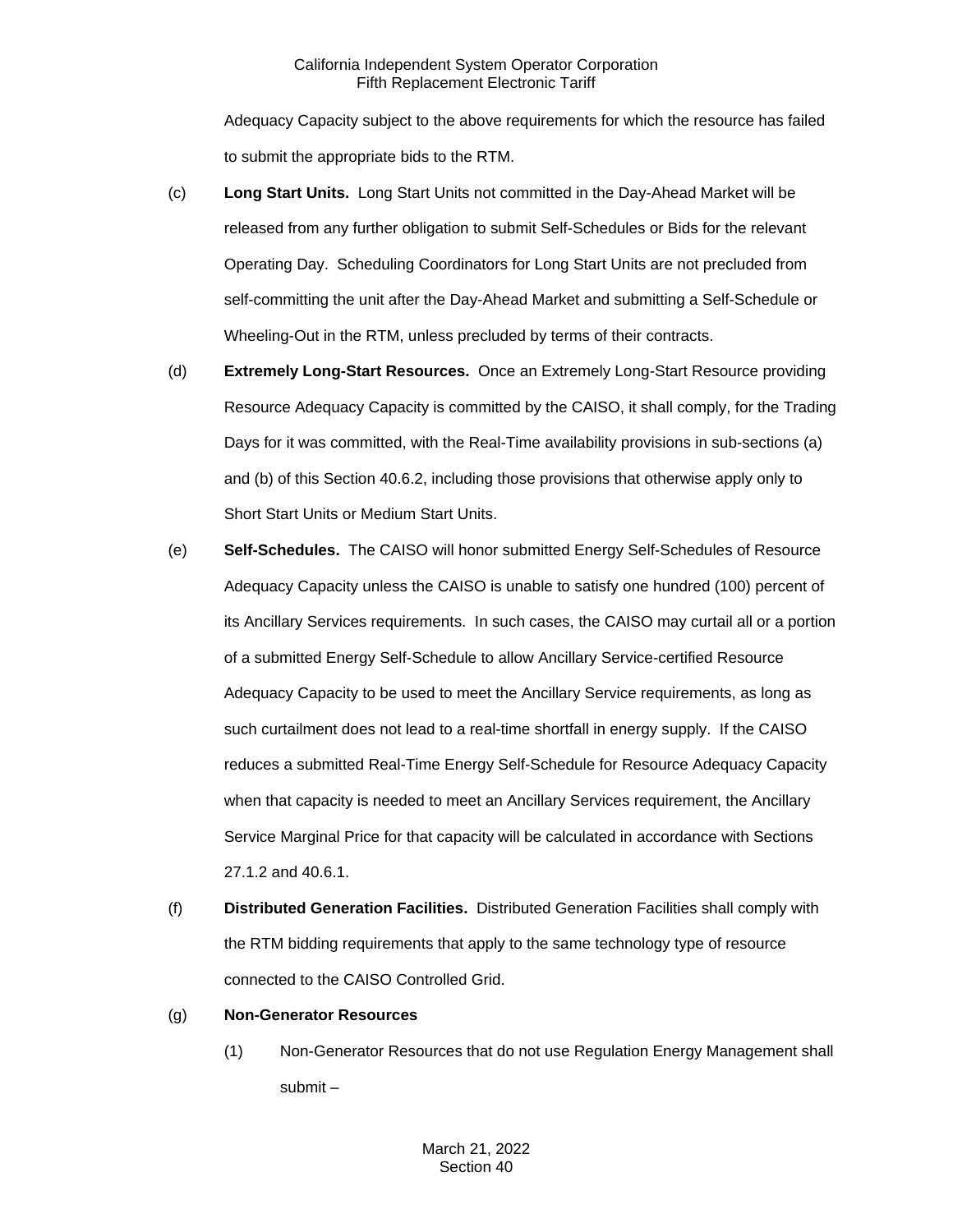Adequacy Capacity subject to the above requirements for which the resource has failed to submit the appropriate bids to the RTM.

- (c) **Long Start Units.** Long Start Units not committed in the Day-Ahead Market will be released from any further obligation to submit Self-Schedules or Bids for the relevant Operating Day. Scheduling Coordinators for Long Start Units are not precluded from self-committing the unit after the Day-Ahead Market and submitting a Self-Schedule or Wheeling-Out in the RTM, unless precluded by terms of their contracts.
- (d) **Extremely Long-Start Resources.** Once an Extremely Long-Start Resource providing Resource Adequacy Capacity is committed by the CAISO, it shall comply, for the Trading Days for it was committed, with the Real-Time availability provisions in sub-sections (a) and (b) of this Section 40.6.2, including those provisions that otherwise apply only to Short Start Units or Medium Start Units.
- (e) **Self-Schedules.** The CAISO will honor submitted Energy Self-Schedules of Resource Adequacy Capacity unless the CAISO is unable to satisfy one hundred (100) percent of its Ancillary Services requirements. In such cases, the CAISO may curtail all or a portion of a submitted Energy Self-Schedule to allow Ancillary Service-certified Resource Adequacy Capacity to be used to meet the Ancillary Service requirements, as long as such curtailment does not lead to a real-time shortfall in energy supply. If the CAISO reduces a submitted Real-Time Energy Self-Schedule for Resource Adequacy Capacity when that capacity is needed to meet an Ancillary Services requirement, the Ancillary Service Marginal Price for that capacity will be calculated in accordance with Sections 27.1.2 and 40.6.1.
- (f) **Distributed Generation Facilities.** Distributed Generation Facilities shall comply with the RTM bidding requirements that apply to the same technology type of resource connected to the CAISO Controlled Grid.
- (g) **Non-Generator Resources**
	- (1) Non-Generator Resources that do not use Regulation Energy Management shall submit –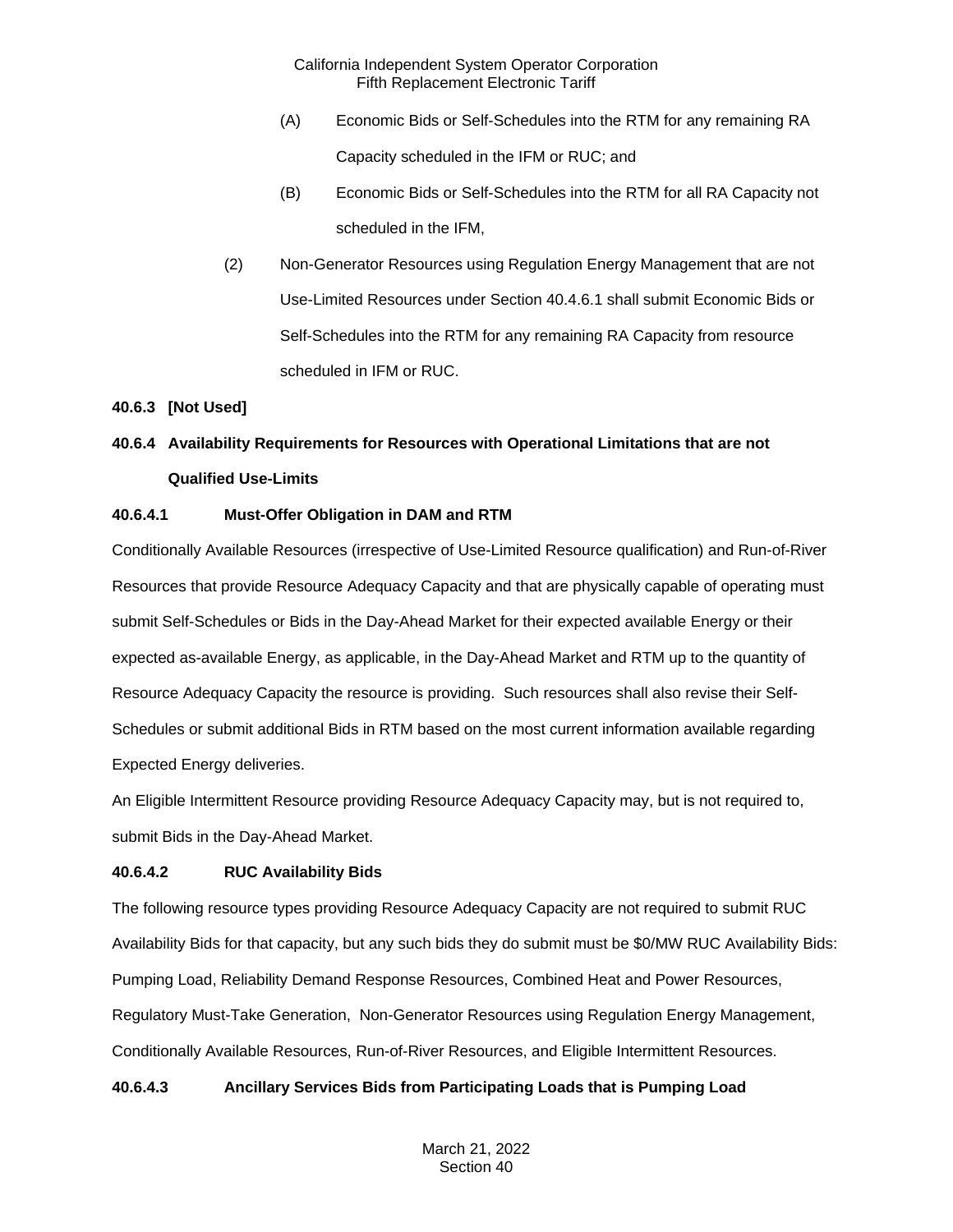- (A) Economic Bids or Self-Schedules into the RTM for any remaining RA Capacity scheduled in the IFM or RUC; and
- (B) Economic Bids or Self-Schedules into the RTM for all RA Capacity not scheduled in the IFM,
- (2) Non-Generator Resources using Regulation Energy Management that are not Use-Limited Resources under Section 40.4.6.1 shall submit Economic Bids or Self-Schedules into the RTM for any remaining RA Capacity from resource scheduled in IFM or RUC.

# **40.6.3 [Not Used]**

# **40.6.4 Availability Requirements for Resources with Operational Limitations that are not Qualified Use-Limits**

# **40.6.4.1 Must-Offer Obligation in DAM and RTM**

Conditionally Available Resources (irrespective of Use-Limited Resource qualification) and Run-of-River Resources that provide Resource Adequacy Capacity and that are physically capable of operating must submit Self-Schedules or Bids in the Day-Ahead Market for their expected available Energy or their expected as-available Energy, as applicable, in the Day-Ahead Market and RTM up to the quantity of Resource Adequacy Capacity the resource is providing. Such resources shall also revise their Self-Schedules or submit additional Bids in RTM based on the most current information available regarding Expected Energy deliveries.

An Eligible Intermittent Resource providing Resource Adequacy Capacity may, but is not required to, submit Bids in the Day-Ahead Market.

# **40.6.4.2 RUC Availability Bids**

The following resource types providing Resource Adequacy Capacity are not required to submit RUC Availability Bids for that capacity, but any such bids they do submit must be \$0/MW RUC Availability Bids: Pumping Load, Reliability Demand Response Resources, Combined Heat and Power Resources, Regulatory Must-Take Generation, Non-Generator Resources using Regulation Energy Management, Conditionally Available Resources, Run-of-River Resources, and Eligible Intermittent Resources.

# **40.6.4.3 Ancillary Services Bids from Participating Loads that is Pumping Load**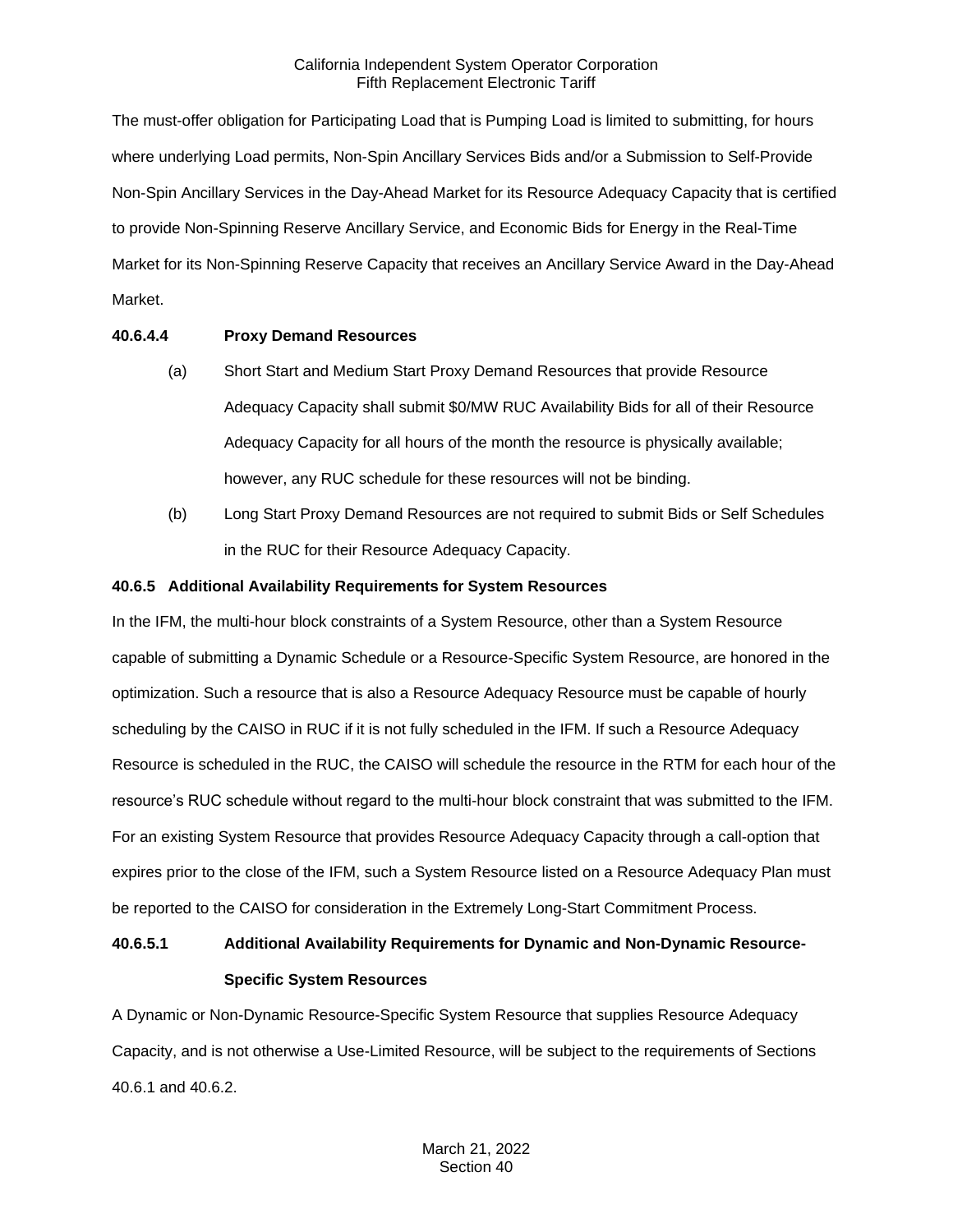The must-offer obligation for Participating Load that is Pumping Load is limited to submitting, for hours where underlying Load permits, Non-Spin Ancillary Services Bids and/or a Submission to Self-Provide Non-Spin Ancillary Services in the Day-Ahead Market for its Resource Adequacy Capacity that is certified to provide Non-Spinning Reserve Ancillary Service, and Economic Bids for Energy in the Real-Time Market for its Non-Spinning Reserve Capacity that receives an Ancillary Service Award in the Day-Ahead Market.

# **40.6.4.4 Proxy Demand Resources**

- (a) Short Start and Medium Start Proxy Demand Resources that provide Resource Adequacy Capacity shall submit \$0/MW RUC Availability Bids for all of their Resource Adequacy Capacity for all hours of the month the resource is physically available; however, any RUC schedule for these resources will not be binding.
- (b) Long Start Proxy Demand Resources are not required to submit Bids or Self Schedules in the RUC for their Resource Adequacy Capacity.

### **40.6.5 Additional Availability Requirements for System Resources**

In the IFM, the multi-hour block constraints of a System Resource, other than a System Resource capable of submitting a Dynamic Schedule or a Resource-Specific System Resource, are honored in the optimization. Such a resource that is also a Resource Adequacy Resource must be capable of hourly scheduling by the CAISO in RUC if it is not fully scheduled in the IFM. If such a Resource Adequacy Resource is scheduled in the RUC, the CAISO will schedule the resource in the RTM for each hour of the resource's RUC schedule without regard to the multi-hour block constraint that was submitted to the IFM. For an existing System Resource that provides Resource Adequacy Capacity through a call-option that expires prior to the close of the IFM, such a System Resource listed on a Resource Adequacy Plan must be reported to the CAISO for consideration in the Extremely Long-Start Commitment Process.

# **40.6.5.1 Additional Availability Requirements for Dynamic and Non-Dynamic Resource-Specific System Resources**

A Dynamic or Non-Dynamic Resource-Specific System Resource that supplies Resource Adequacy Capacity, and is not otherwise a Use-Limited Resource, will be subject to the requirements of Sections 40.6.1 and 40.6.2.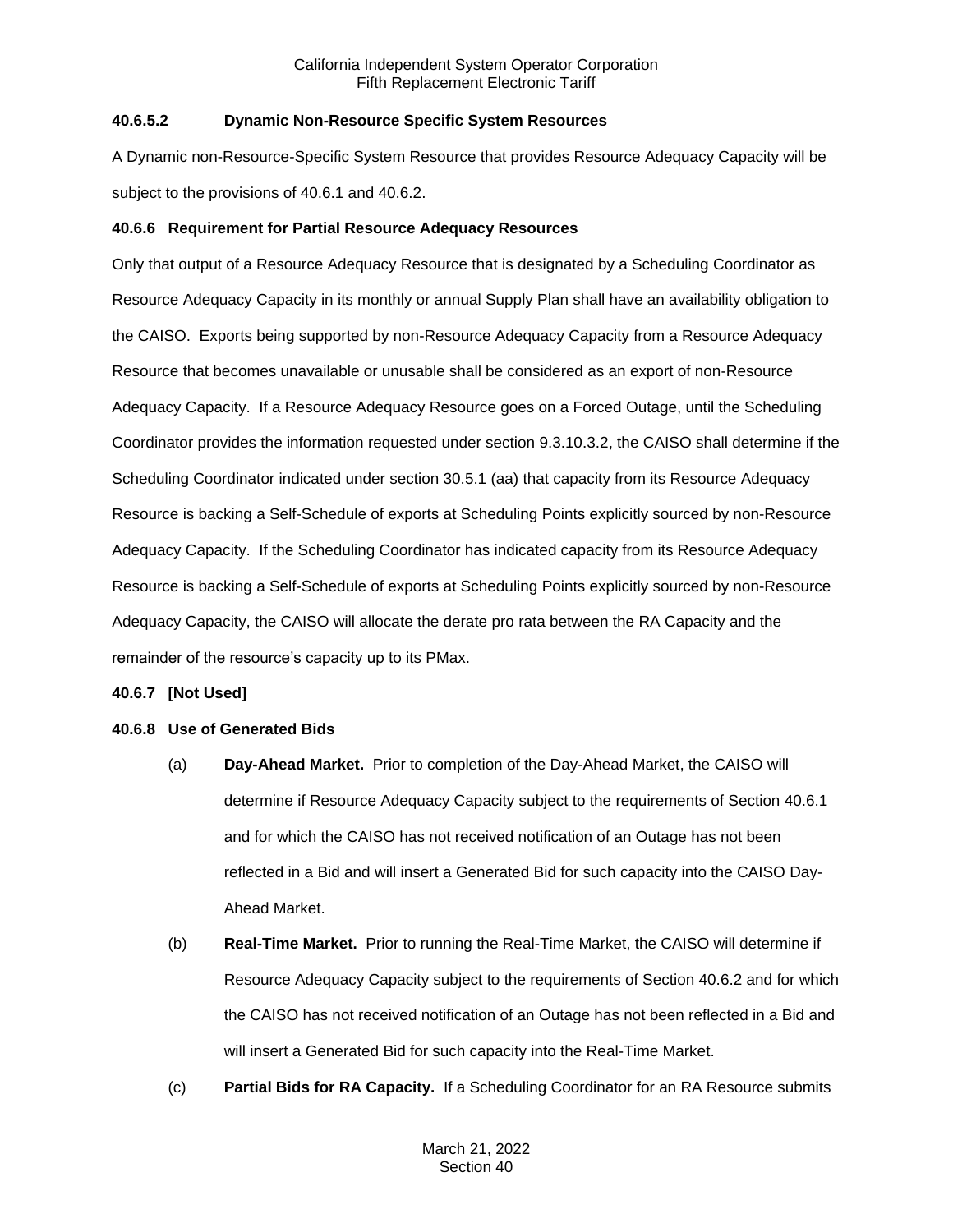# **40.6.5.2 Dynamic Non-Resource Specific System Resources**

A Dynamic non-Resource-Specific System Resource that provides Resource Adequacy Capacity will be subject to the provisions of 40.6.1 and 40.6.2.

### **40.6.6 Requirement for Partial Resource Adequacy Resources**

Only that output of a Resource Adequacy Resource that is designated by a Scheduling Coordinator as Resource Adequacy Capacity in its monthly or annual Supply Plan shall have an availability obligation to the CAISO. Exports being supported by non-Resource Adequacy Capacity from a Resource Adequacy Resource that becomes unavailable or unusable shall be considered as an export of non-Resource Adequacy Capacity. If a Resource Adequacy Resource goes on a Forced Outage, until the Scheduling Coordinator provides the information requested under section 9.3.10.3.2, the CAISO shall determine if the Scheduling Coordinator indicated under section 30.5.1 (aa) that capacity from its Resource Adequacy Resource is backing a Self-Schedule of exports at Scheduling Points explicitly sourced by non-Resource Adequacy Capacity. If the Scheduling Coordinator has indicated capacity from its Resource Adequacy Resource is backing a Self-Schedule of exports at Scheduling Points explicitly sourced by non-Resource Adequacy Capacity, the CAISO will allocate the derate pro rata between the RA Capacity and the remainder of the resource's capacity up to its PMax.

#### **40.6.7 [Not Used]**

#### **40.6.8 Use of Generated Bids**

- (a) **Day-Ahead Market.** Prior to completion of the Day-Ahead Market, the CAISO will determine if Resource Adequacy Capacity subject to the requirements of Section 40.6.1 and for which the CAISO has not received notification of an Outage has not been reflected in a Bid and will insert a Generated Bid for such capacity into the CAISO Day-Ahead Market.
- (b) **Real-Time Market.** Prior to running the Real-Time Market, the CAISO will determine if Resource Adequacy Capacity subject to the requirements of Section 40.6.2 and for which the CAISO has not received notification of an Outage has not been reflected in a Bid and will insert a Generated Bid for such capacity into the Real-Time Market.
- (c) **Partial Bids for RA Capacity.** If a Scheduling Coordinator for an RA Resource submits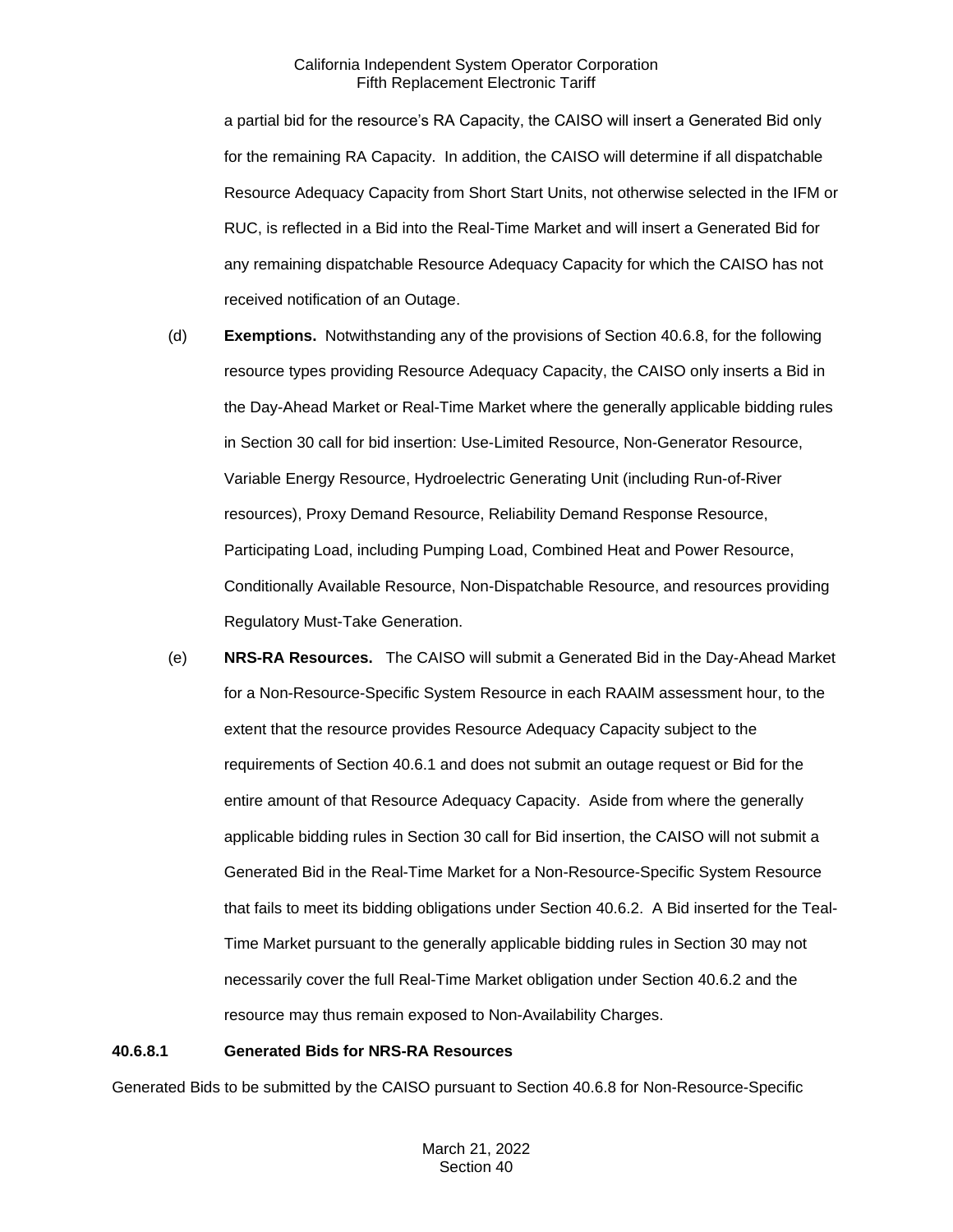a partial bid for the resource's RA Capacity, the CAISO will insert a Generated Bid only for the remaining RA Capacity. In addition, the CAISO will determine if all dispatchable Resource Adequacy Capacity from Short Start Units, not otherwise selected in the IFM or RUC, is reflected in a Bid into the Real-Time Market and will insert a Generated Bid for any remaining dispatchable Resource Adequacy Capacity for which the CAISO has not received notification of an Outage.

- (d) **Exemptions.** Notwithstanding any of the provisions of Section 40.6.8, for the following resource types providing Resource Adequacy Capacity, the CAISO only inserts a Bid in the Day-Ahead Market or Real-Time Market where the generally applicable bidding rules in Section 30 call for bid insertion: Use-Limited Resource, Non-Generator Resource, Variable Energy Resource, Hydroelectric Generating Unit (including Run-of-River resources), Proxy Demand Resource, Reliability Demand Response Resource, Participating Load, including Pumping Load, Combined Heat and Power Resource, Conditionally Available Resource, Non-Dispatchable Resource, and resources providing Regulatory Must-Take Generation.
- (e) **NRS-RA Resources.** The CAISO will submit a Generated Bid in the Day-Ahead Market for a Non-Resource-Specific System Resource in each RAAIM assessment hour, to the extent that the resource provides Resource Adequacy Capacity subject to the requirements of Section 40.6.1 and does not submit an outage request or Bid for the entire amount of that Resource Adequacy Capacity. Aside from where the generally applicable bidding rules in Section 30 call for Bid insertion, the CAISO will not submit a Generated Bid in the Real-Time Market for a Non-Resource-Specific System Resource that fails to meet its bidding obligations under Section 40.6.2. A Bid inserted for the Teal-Time Market pursuant to the generally applicable bidding rules in Section 30 may not necessarily cover the full Real-Time Market obligation under Section 40.6.2 and the resource may thus remain exposed to Non-Availability Charges.

#### **40.6.8.1 Generated Bids for NRS-RA Resources**

Generated Bids to be submitted by the CAISO pursuant to Section 40.6.8 for Non-Resource-Specific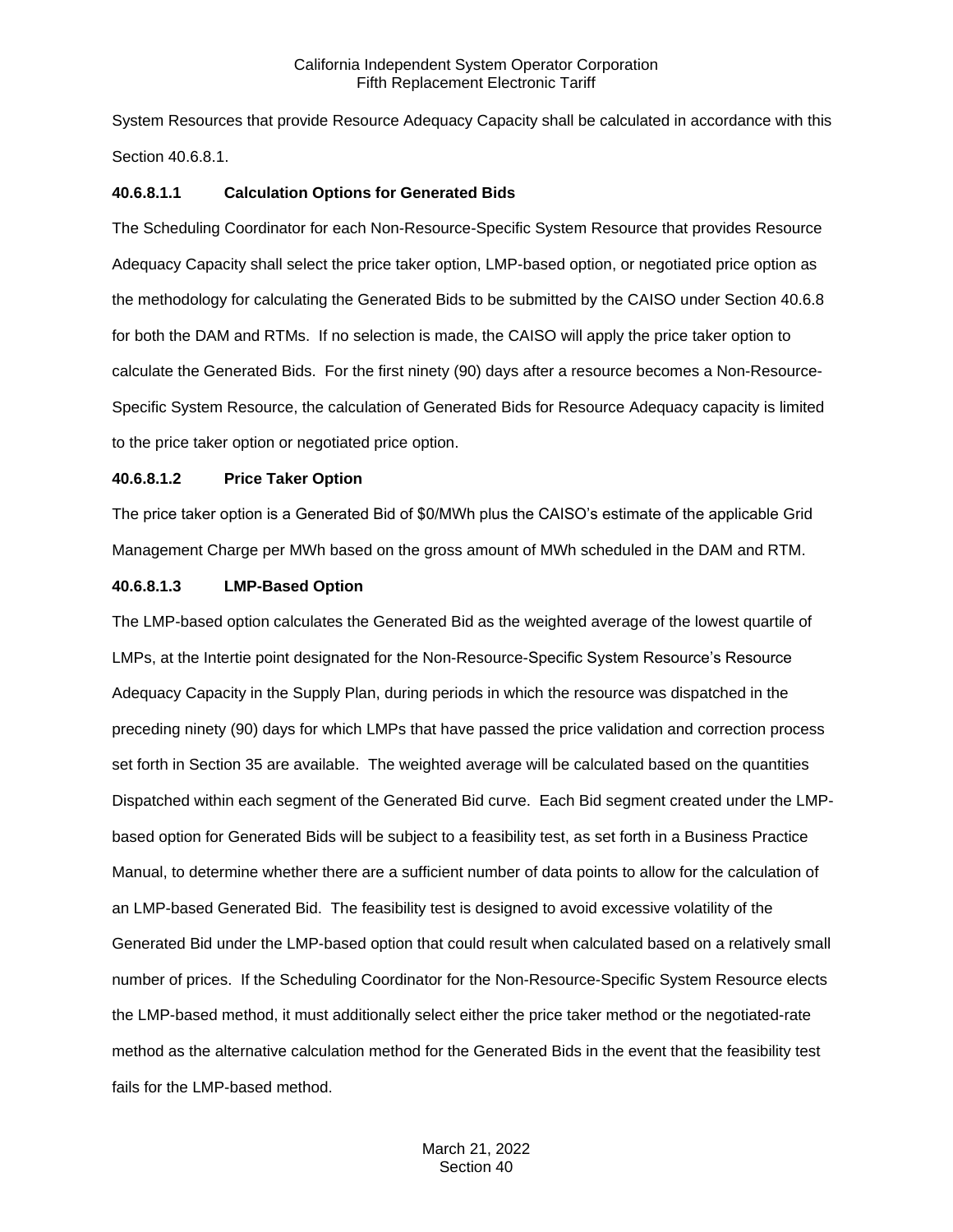System Resources that provide Resource Adequacy Capacity shall be calculated in accordance with this Section 40.6.8.1.

### **40.6.8.1.1 Calculation Options for Generated Bids**

The Scheduling Coordinator for each Non-Resource-Specific System Resource that provides Resource Adequacy Capacity shall select the price taker option, LMP-based option, or negotiated price option as the methodology for calculating the Generated Bids to be submitted by the CAISO under Section 40.6.8 for both the DAM and RTMs. If no selection is made, the CAISO will apply the price taker option to calculate the Generated Bids. For the first ninety (90) days after a resource becomes a Non-Resource-Specific System Resource, the calculation of Generated Bids for Resource Adequacy capacity is limited to the price taker option or negotiated price option.

#### **40.6.8.1.2 Price Taker Option**

The price taker option is a Generated Bid of \$0/MWh plus the CAISO's estimate of the applicable Grid Management Charge per MWh based on the gross amount of MWh scheduled in the DAM and RTM.

### **40.6.8.1.3 LMP-Based Option**

The LMP-based option calculates the Generated Bid as the weighted average of the lowest quartile of LMPs, at the Intertie point designated for the Non-Resource-Specific System Resource's Resource Adequacy Capacity in the Supply Plan, during periods in which the resource was dispatched in the preceding ninety (90) days for which LMPs that have passed the price validation and correction process set forth in Section 35 are available. The weighted average will be calculated based on the quantities Dispatched within each segment of the Generated Bid curve. Each Bid segment created under the LMPbased option for Generated Bids will be subject to a feasibility test, as set forth in a Business Practice Manual, to determine whether there are a sufficient number of data points to allow for the calculation of an LMP-based Generated Bid. The feasibility test is designed to avoid excessive volatility of the Generated Bid under the LMP-based option that could result when calculated based on a relatively small number of prices. If the Scheduling Coordinator for the Non-Resource-Specific System Resource elects the LMP-based method, it must additionally select either the price taker method or the negotiated-rate method as the alternative calculation method for the Generated Bids in the event that the feasibility test fails for the LMP-based method.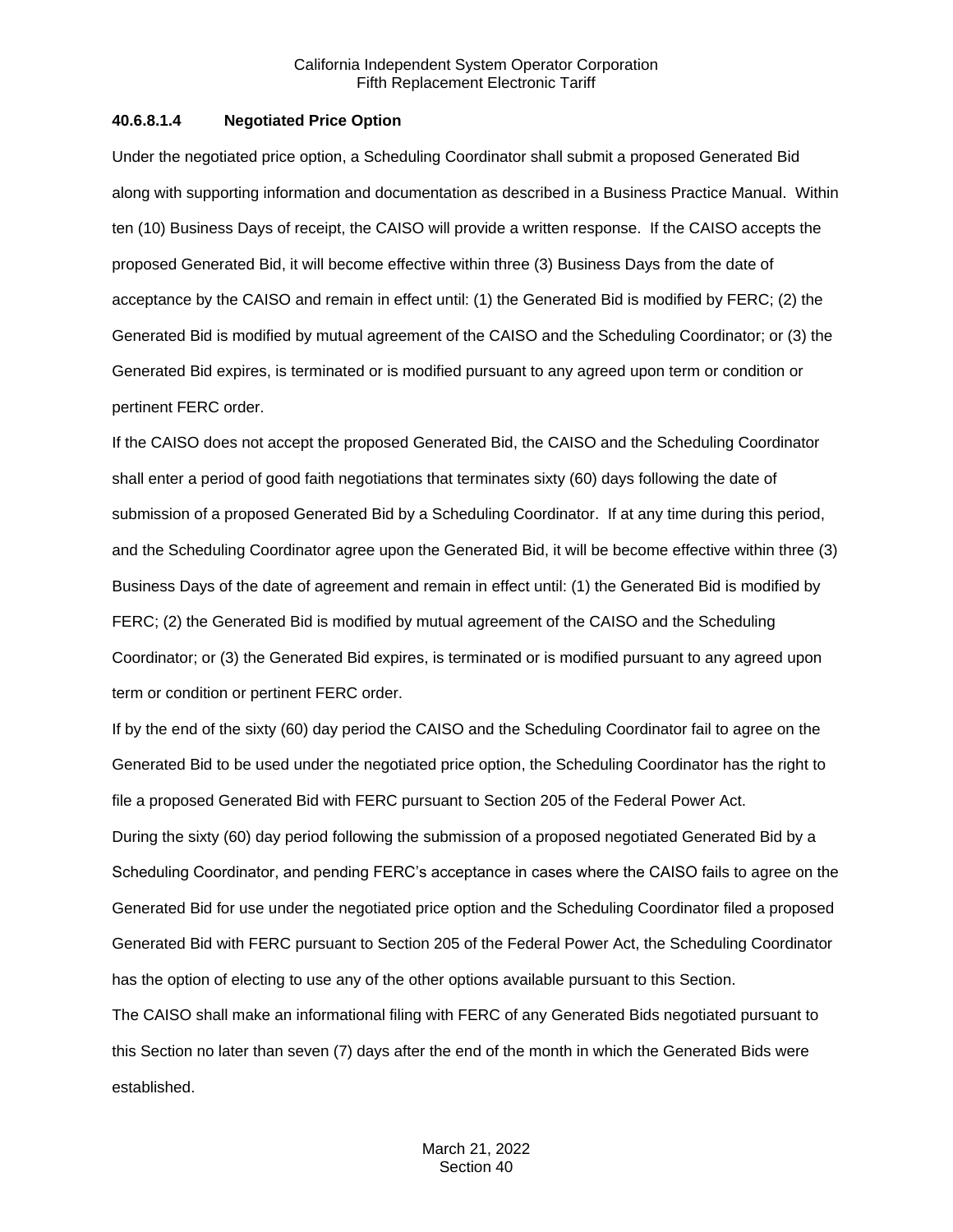### **40.6.8.1.4 Negotiated Price Option**

Under the negotiated price option, a Scheduling Coordinator shall submit a proposed Generated Bid along with supporting information and documentation as described in a Business Practice Manual. Within ten (10) Business Days of receipt, the CAISO will provide a written response. If the CAISO accepts the proposed Generated Bid, it will become effective within three (3) Business Days from the date of acceptance by the CAISO and remain in effect until: (1) the Generated Bid is modified by FERC; (2) the Generated Bid is modified by mutual agreement of the CAISO and the Scheduling Coordinator; or (3) the Generated Bid expires, is terminated or is modified pursuant to any agreed upon term or condition or pertinent FERC order.

If the CAISO does not accept the proposed Generated Bid, the CAISO and the Scheduling Coordinator shall enter a period of good faith negotiations that terminates sixty (60) days following the date of submission of a proposed Generated Bid by a Scheduling Coordinator. If at any time during this period, and the Scheduling Coordinator agree upon the Generated Bid, it will be become effective within three (3) Business Days of the date of agreement and remain in effect until: (1) the Generated Bid is modified by FERC; (2) the Generated Bid is modified by mutual agreement of the CAISO and the Scheduling Coordinator; or (3) the Generated Bid expires, is terminated or is modified pursuant to any agreed upon term or condition or pertinent FERC order.

If by the end of the sixty (60) day period the CAISO and the Scheduling Coordinator fail to agree on the Generated Bid to be used under the negotiated price option, the Scheduling Coordinator has the right to file a proposed Generated Bid with FERC pursuant to Section 205 of the Federal Power Act. During the sixty (60) day period following the submission of a proposed negotiated Generated Bid by a Scheduling Coordinator, and pending FERC's acceptance in cases where the CAISO fails to agree on the Generated Bid for use under the negotiated price option and the Scheduling Coordinator filed a proposed Generated Bid with FERC pursuant to Section 205 of the Federal Power Act, the Scheduling Coordinator has the option of electing to use any of the other options available pursuant to this Section. The CAISO shall make an informational filing with FERC of any Generated Bids negotiated pursuant to this Section no later than seven (7) days after the end of the month in which the Generated Bids were established.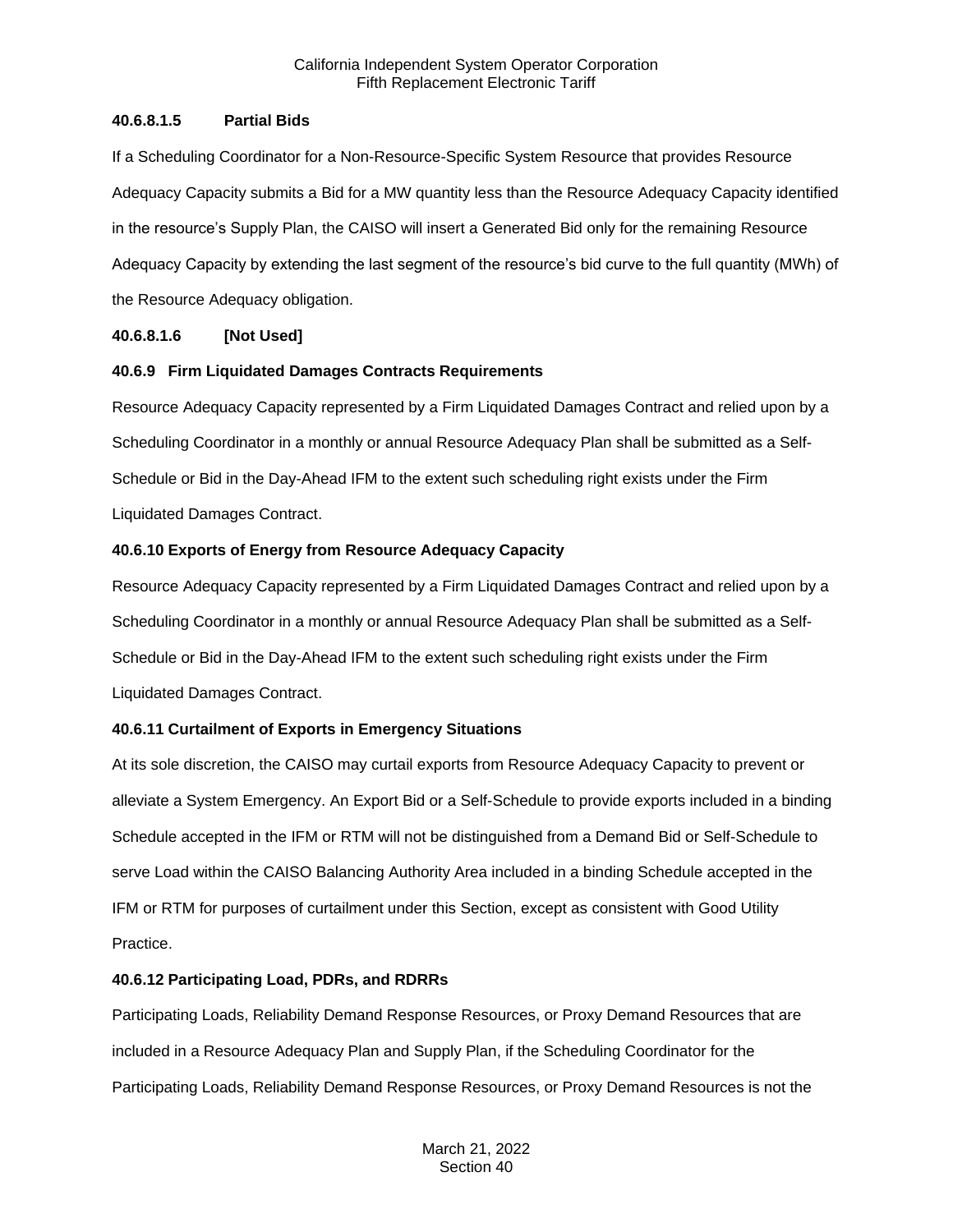# **40.6.8.1.5 Partial Bids**

If a Scheduling Coordinator for a Non-Resource-Specific System Resource that provides Resource Adequacy Capacity submits a Bid for a MW quantity less than the Resource Adequacy Capacity identified in the resource's Supply Plan, the CAISO will insert a Generated Bid only for the remaining Resource Adequacy Capacity by extending the last segment of the resource's bid curve to the full quantity (MWh) of the Resource Adequacy obligation.

# **40.6.8.1.6 [Not Used]**

# **40.6.9 Firm Liquidated Damages Contracts Requirements**

Resource Adequacy Capacity represented by a Firm Liquidated Damages Contract and relied upon by a Scheduling Coordinator in a monthly or annual Resource Adequacy Plan shall be submitted as a Self-Schedule or Bid in the Day-Ahead IFM to the extent such scheduling right exists under the Firm Liquidated Damages Contract.

# **40.6.10 Exports of Energy from Resource Adequacy Capacity**

Resource Adequacy Capacity represented by a Firm Liquidated Damages Contract and relied upon by a Scheduling Coordinator in a monthly or annual Resource Adequacy Plan shall be submitted as a Self-Schedule or Bid in the Day-Ahead IFM to the extent such scheduling right exists under the Firm Liquidated Damages Contract.

# **40.6.11 Curtailment of Exports in Emergency Situations**

At its sole discretion, the CAISO may curtail exports from Resource Adequacy Capacity to prevent or alleviate a System Emergency. An Export Bid or a Self-Schedule to provide exports included in a binding Schedule accepted in the IFM or RTM will not be distinguished from a Demand Bid or Self-Schedule to serve Load within the CAISO Balancing Authority Area included in a binding Schedule accepted in the IFM or RTM for purposes of curtailment under this Section, except as consistent with Good Utility Practice.

# **40.6.12 Participating Load, PDRs, and RDRRs**

Participating Loads, Reliability Demand Response Resources, or Proxy Demand Resources that are included in a Resource Adequacy Plan and Supply Plan, if the Scheduling Coordinator for the Participating Loads, Reliability Demand Response Resources, or Proxy Demand Resources is not the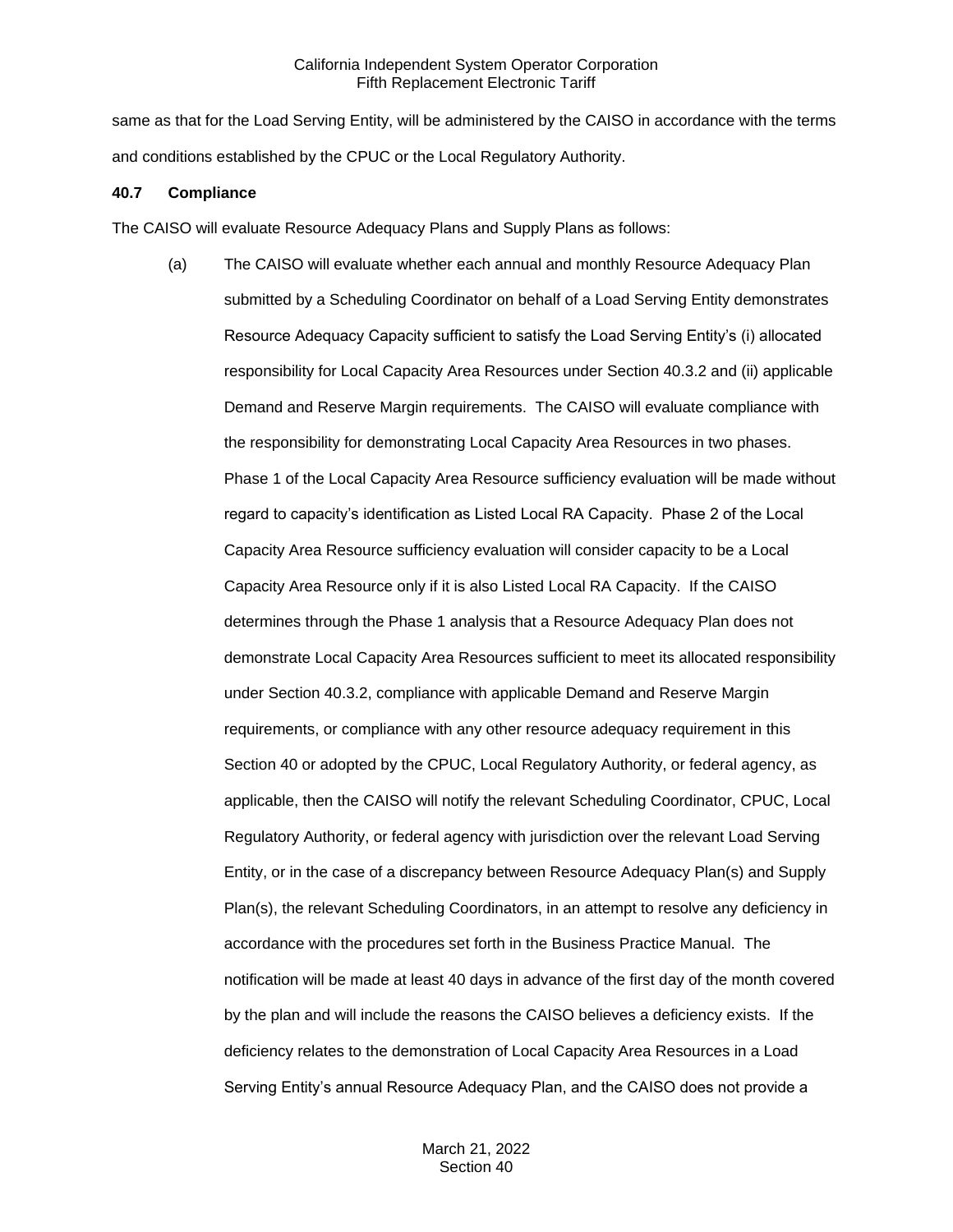same as that for the Load Serving Entity, will be administered by the CAISO in accordance with the terms and conditions established by the CPUC or the Local Regulatory Authority.

### **40.7 Compliance**

The CAISO will evaluate Resource Adequacy Plans and Supply Plans as follows:

(a) The CAISO will evaluate whether each annual and monthly Resource Adequacy Plan submitted by a Scheduling Coordinator on behalf of a Load Serving Entity demonstrates Resource Adequacy Capacity sufficient to satisfy the Load Serving Entity's (i) allocated responsibility for Local Capacity Area Resources under Section 40.3.2 and (ii) applicable Demand and Reserve Margin requirements. The CAISO will evaluate compliance with the responsibility for demonstrating Local Capacity Area Resources in two phases. Phase 1 of the Local Capacity Area Resource sufficiency evaluation will be made without regard to capacity's identification as Listed Local RA Capacity. Phase 2 of the Local Capacity Area Resource sufficiency evaluation will consider capacity to be a Local Capacity Area Resource only if it is also Listed Local RA Capacity. If the CAISO determines through the Phase 1 analysis that a Resource Adequacy Plan does not demonstrate Local Capacity Area Resources sufficient to meet its allocated responsibility under Section 40.3.2, compliance with applicable Demand and Reserve Margin requirements, or compliance with any other resource adequacy requirement in this Section 40 or adopted by the CPUC, Local Regulatory Authority, or federal agency, as applicable, then the CAISO will notify the relevant Scheduling Coordinator, CPUC, Local Regulatory Authority, or federal agency with jurisdiction over the relevant Load Serving Entity, or in the case of a discrepancy between Resource Adequacy Plan(s) and Supply Plan(s), the relevant Scheduling Coordinators, in an attempt to resolve any deficiency in accordance with the procedures set forth in the Business Practice Manual. The notification will be made at least 40 days in advance of the first day of the month covered by the plan and will include the reasons the CAISO believes a deficiency exists. If the deficiency relates to the demonstration of Local Capacity Area Resources in a Load Serving Entity's annual Resource Adequacy Plan, and the CAISO does not provide a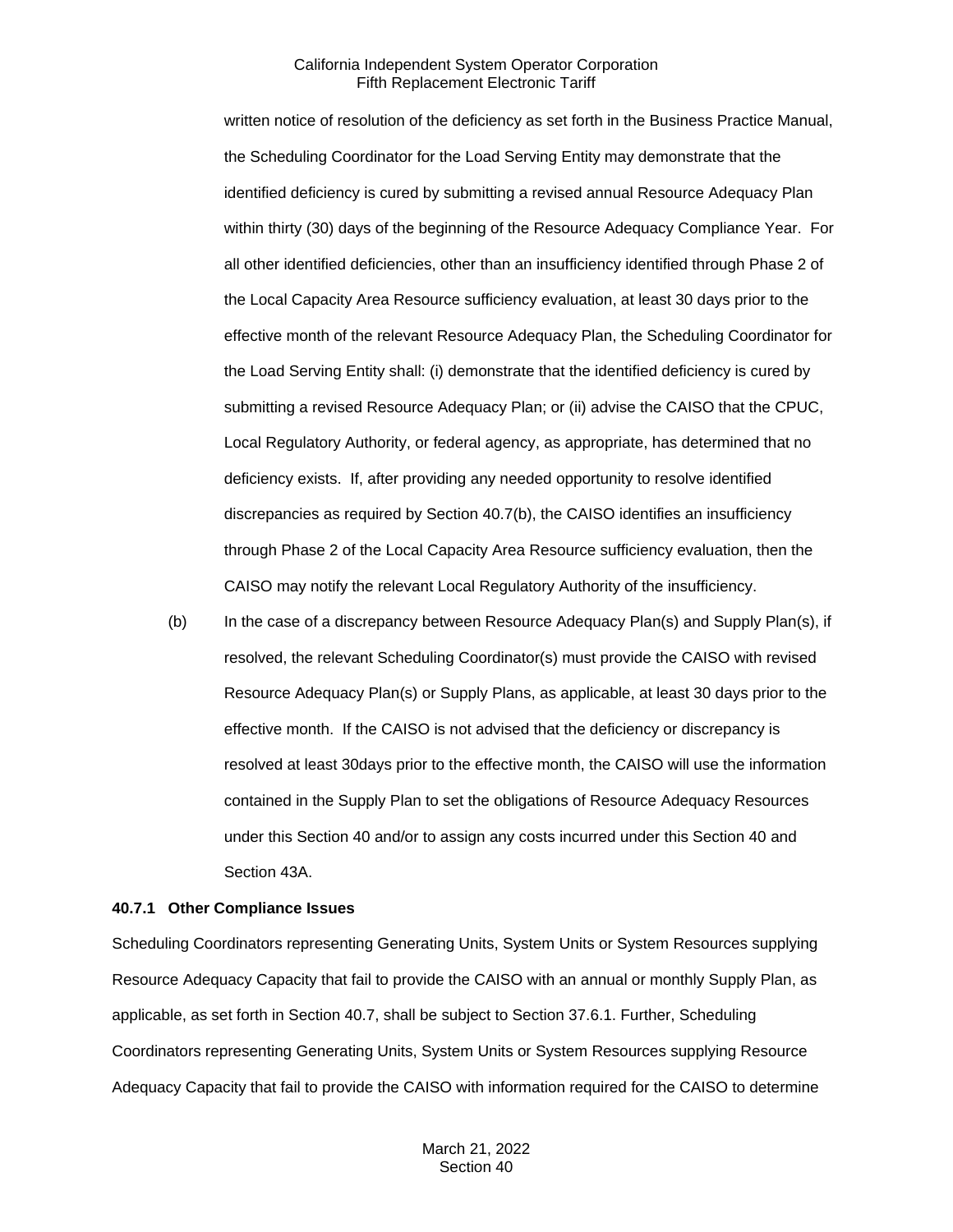written notice of resolution of the deficiency as set forth in the Business Practice Manual, the Scheduling Coordinator for the Load Serving Entity may demonstrate that the identified deficiency is cured by submitting a revised annual Resource Adequacy Plan within thirty (30) days of the beginning of the Resource Adequacy Compliance Year. For all other identified deficiencies, other than an insufficiency identified through Phase 2 of the Local Capacity Area Resource sufficiency evaluation, at least 30 days prior to the effective month of the relevant Resource Adequacy Plan, the Scheduling Coordinator for the Load Serving Entity shall: (i) demonstrate that the identified deficiency is cured by submitting a revised Resource Adequacy Plan; or (ii) advise the CAISO that the CPUC, Local Regulatory Authority, or federal agency, as appropriate, has determined that no deficiency exists. If, after providing any needed opportunity to resolve identified discrepancies as required by Section 40.7(b), the CAISO identifies an insufficiency through Phase 2 of the Local Capacity Area Resource sufficiency evaluation, then the CAISO may notify the relevant Local Regulatory Authority of the insufficiency.

(b) In the case of a discrepancy between Resource Adequacy Plan(s) and Supply Plan(s), if resolved, the relevant Scheduling Coordinator(s) must provide the CAISO with revised Resource Adequacy Plan(s) or Supply Plans, as applicable, at least 30 days prior to the effective month. If the CAISO is not advised that the deficiency or discrepancy is resolved at least 30days prior to the effective month, the CAISO will use the information contained in the Supply Plan to set the obligations of Resource Adequacy Resources under this Section 40 and/or to assign any costs incurred under this Section 40 and Section 43A.

#### **40.7.1 Other Compliance Issues**

Scheduling Coordinators representing Generating Units, System Units or System Resources supplying Resource Adequacy Capacity that fail to provide the CAISO with an annual or monthly Supply Plan, as applicable, as set forth in Section 40.7, shall be subject to Section 37.6.1. Further, Scheduling Coordinators representing Generating Units, System Units or System Resources supplying Resource Adequacy Capacity that fail to provide the CAISO with information required for the CAISO to determine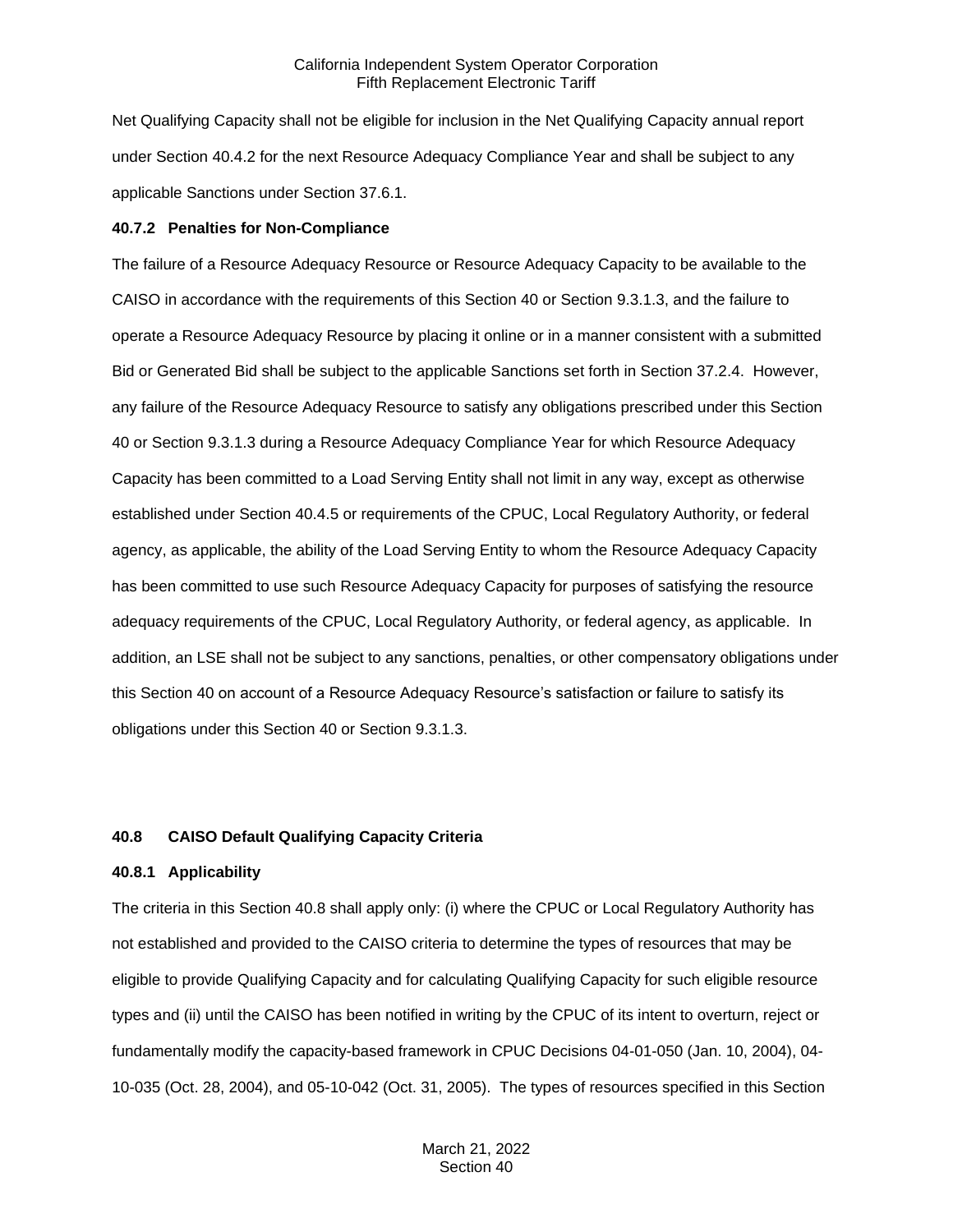Net Qualifying Capacity shall not be eligible for inclusion in the Net Qualifying Capacity annual report under Section 40.4.2 for the next Resource Adequacy Compliance Year and shall be subject to any applicable Sanctions under Section 37.6.1.

#### **40.7.2 Penalties for Non-Compliance**

The failure of a Resource Adequacy Resource or Resource Adequacy Capacity to be available to the CAISO in accordance with the requirements of this Section 40 or Section 9.3.1.3, and the failure to operate a Resource Adequacy Resource by placing it online or in a manner consistent with a submitted Bid or Generated Bid shall be subject to the applicable Sanctions set forth in Section 37.2.4. However, any failure of the Resource Adequacy Resource to satisfy any obligations prescribed under this Section 40 or Section 9.3.1.3 during a Resource Adequacy Compliance Year for which Resource Adequacy Capacity has been committed to a Load Serving Entity shall not limit in any way, except as otherwise established under Section 40.4.5 or requirements of the CPUC, Local Regulatory Authority, or federal agency, as applicable, the ability of the Load Serving Entity to whom the Resource Adequacy Capacity has been committed to use such Resource Adequacy Capacity for purposes of satisfying the resource adequacy requirements of the CPUC, Local Regulatory Authority, or federal agency, as applicable. In addition, an LSE shall not be subject to any sanctions, penalties, or other compensatory obligations under this Section 40 on account of a Resource Adequacy Resource's satisfaction or failure to satisfy its obligations under this Section 40 or Section 9.3.1.3.

#### **40.8 CAISO Default Qualifying Capacity Criteria**

#### **40.8.1 Applicability**

The criteria in this Section 40.8 shall apply only: (i) where the CPUC or Local Regulatory Authority has not established and provided to the CAISO criteria to determine the types of resources that may be eligible to provide Qualifying Capacity and for calculating Qualifying Capacity for such eligible resource types and (ii) until the CAISO has been notified in writing by the CPUC of its intent to overturn, reject or fundamentally modify the capacity-based framework in CPUC Decisions 04-01-050 (Jan. 10, 2004), 04- 10-035 (Oct. 28, 2004), and 05-10-042 (Oct. 31, 2005). The types of resources specified in this Section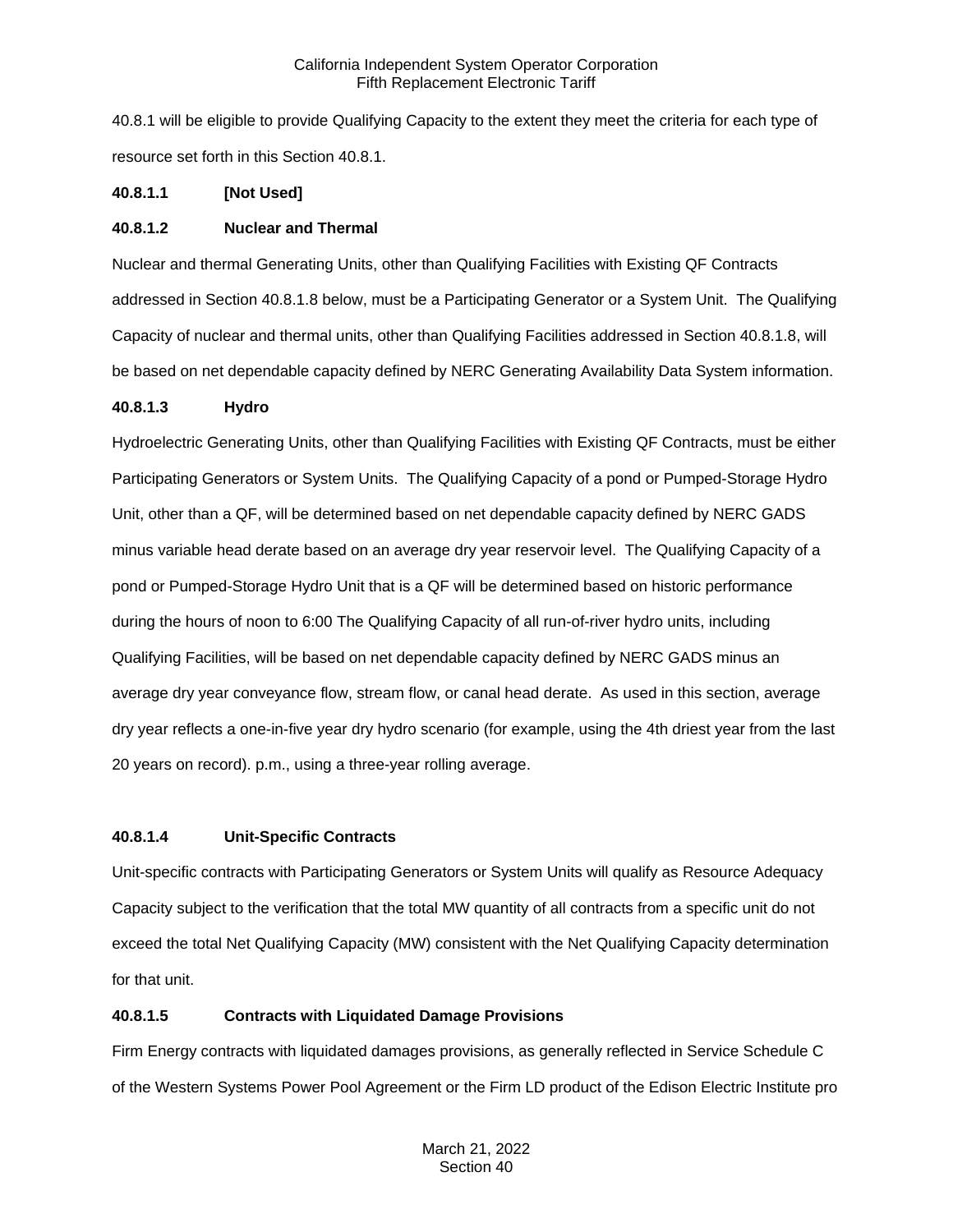40.8.1 will be eligible to provide Qualifying Capacity to the extent they meet the criteria for each type of resource set forth in this Section 40.8.1.

# **40.8.1.1 [Not Used]**

### **40.8.1.2 Nuclear and Thermal**

Nuclear and thermal Generating Units, other than Qualifying Facilities with Existing QF Contracts addressed in Section 40.8.1.8 below, must be a Participating Generator or a System Unit. The Qualifying Capacity of nuclear and thermal units, other than Qualifying Facilities addressed in Section 40.8.1.8, will be based on net dependable capacity defined by NERC Generating Availability Data System information.

### **40.8.1.3 Hydro**

Hydroelectric Generating Units, other than Qualifying Facilities with Existing QF Contracts, must be either Participating Generators or System Units. The Qualifying Capacity of a pond or Pumped-Storage Hydro Unit, other than a QF, will be determined based on net dependable capacity defined by NERC GADS minus variable head derate based on an average dry year reservoir level. The Qualifying Capacity of a pond or Pumped-Storage Hydro Unit that is a QF will be determined based on historic performance during the hours of noon to 6:00 The Qualifying Capacity of all run-of-river hydro units, including Qualifying Facilities, will be based on net dependable capacity defined by NERC GADS minus an average dry year conveyance flow, stream flow, or canal head derate. As used in this section, average dry year reflects a one-in-five year dry hydro scenario (for example, using the 4th driest year from the last 20 years on record). p.m., using a three-year rolling average.

# **40.8.1.4 Unit-Specific Contracts**

Unit-specific contracts with Participating Generators or System Units will qualify as Resource Adequacy Capacity subject to the verification that the total MW quantity of all contracts from a specific unit do not exceed the total Net Qualifying Capacity (MW) consistent with the Net Qualifying Capacity determination for that unit.

# **40.8.1.5 Contracts with Liquidated Damage Provisions**

Firm Energy contracts with liquidated damages provisions, as generally reflected in Service Schedule C of the Western Systems Power Pool Agreement or the Firm LD product of the Edison Electric Institute pro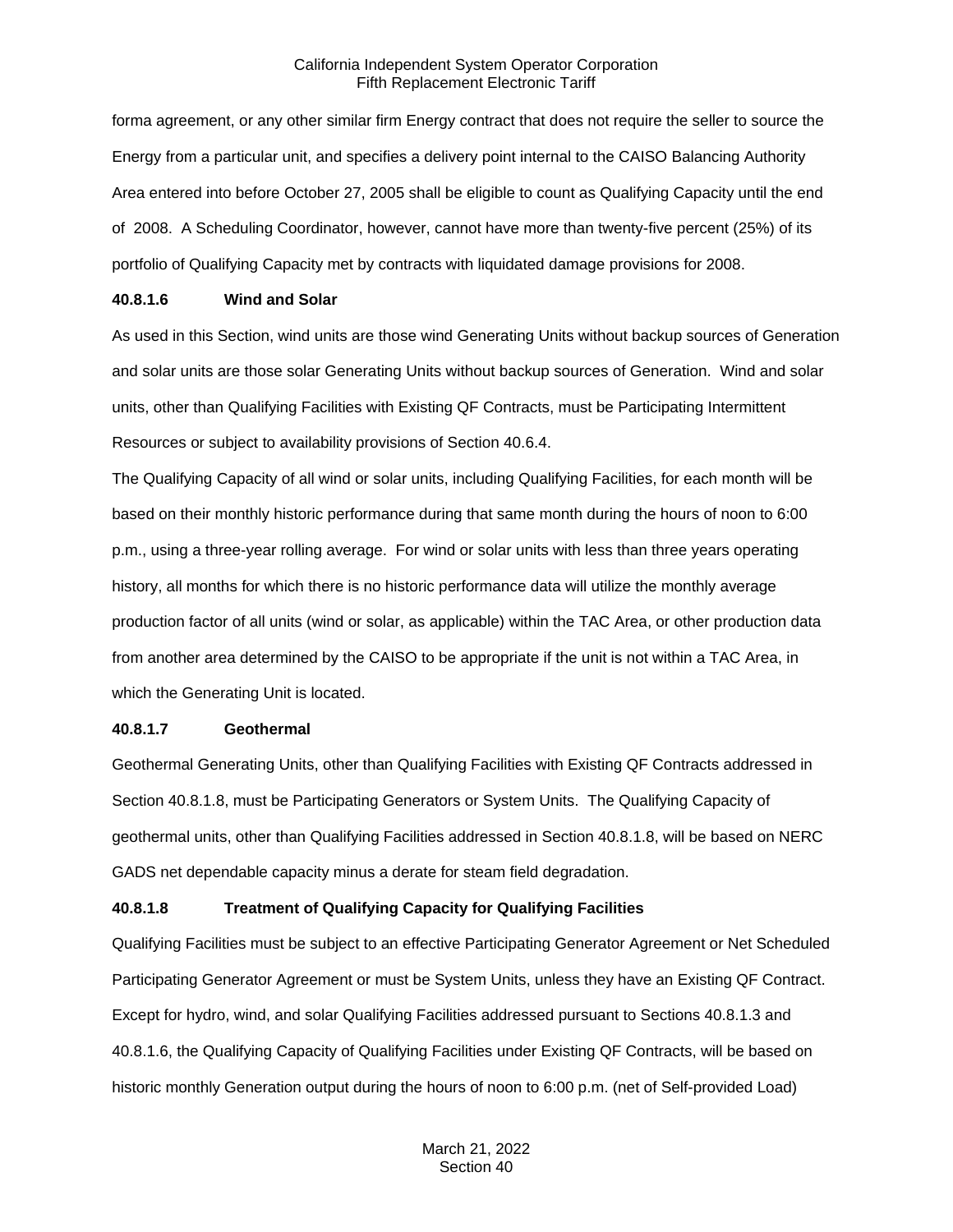forma agreement, or any other similar firm Energy contract that does not require the seller to source the Energy from a particular unit, and specifies a delivery point internal to the CAISO Balancing Authority Area entered into before October 27, 2005 shall be eligible to count as Qualifying Capacity until the end of 2008. A Scheduling Coordinator, however, cannot have more than twenty-five percent (25%) of its portfolio of Qualifying Capacity met by contracts with liquidated damage provisions for 2008.

### **40.8.1.6 Wind and Solar**

As used in this Section, wind units are those wind Generating Units without backup sources of Generation and solar units are those solar Generating Units without backup sources of Generation. Wind and solar units, other than Qualifying Facilities with Existing QF Contracts, must be Participating Intermittent Resources or subject to availability provisions of Section 40.6.4.

The Qualifying Capacity of all wind or solar units, including Qualifying Facilities, for each month will be based on their monthly historic performance during that same month during the hours of noon to 6:00 p.m., using a three-year rolling average. For wind or solar units with less than three years operating history, all months for which there is no historic performance data will utilize the monthly average production factor of all units (wind or solar, as applicable) within the TAC Area, or other production data from another area determined by the CAISO to be appropriate if the unit is not within a TAC Area, in which the Generating Unit is located.

# **40.8.1.7 Geothermal**

Geothermal Generating Units, other than Qualifying Facilities with Existing QF Contracts addressed in Section 40.8.1.8, must be Participating Generators or System Units. The Qualifying Capacity of geothermal units, other than Qualifying Facilities addressed in Section 40.8.1.8, will be based on NERC GADS net dependable capacity minus a derate for steam field degradation.

# **40.8.1.8 Treatment of Qualifying Capacity for Qualifying Facilities**

Qualifying Facilities must be subject to an effective Participating Generator Agreement or Net Scheduled Participating Generator Agreement or must be System Units, unless they have an Existing QF Contract. Except for hydro, wind, and solar Qualifying Facilities addressed pursuant to Sections 40.8.1.3 and 40.8.1.6, the Qualifying Capacity of Qualifying Facilities under Existing QF Contracts, will be based on historic monthly Generation output during the hours of noon to 6:00 p.m. (net of Self-provided Load)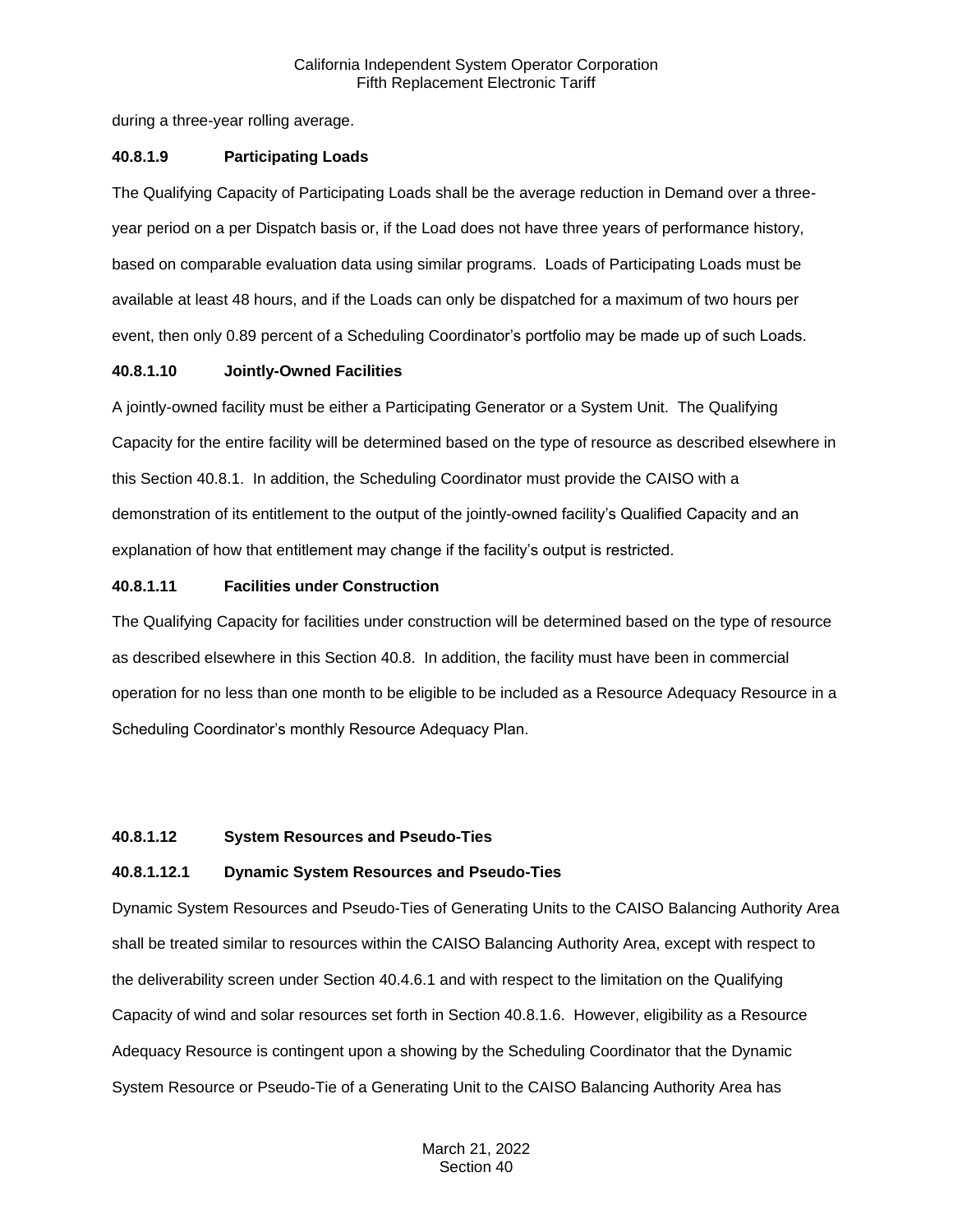during a three-year rolling average.

## **40.8.1.9 Participating Loads**

The Qualifying Capacity of Participating Loads shall be the average reduction in Demand over a threeyear period on a per Dispatch basis or, if the Load does not have three years of performance history, based on comparable evaluation data using similar programs. Loads of Participating Loads must be available at least 48 hours, and if the Loads can only be dispatched for a maximum of two hours per event, then only 0.89 percent of a Scheduling Coordinator's portfolio may be made up of such Loads.

### **40.8.1.10 Jointly-Owned Facilities**

A jointly-owned facility must be either a Participating Generator or a System Unit. The Qualifying Capacity for the entire facility will be determined based on the type of resource as described elsewhere in this Section 40.8.1. In addition, the Scheduling Coordinator must provide the CAISO with a demonstration of its entitlement to the output of the jointly-owned facility's Qualified Capacity and an explanation of how that entitlement may change if the facility's output is restricted.

# **40.8.1.11 Facilities under Construction**

The Qualifying Capacity for facilities under construction will be determined based on the type of resource as described elsewhere in this Section 40.8. In addition, the facility must have been in commercial operation for no less than one month to be eligible to be included as a Resource Adequacy Resource in a Scheduling Coordinator's monthly Resource Adequacy Plan.

# **40.8.1.12 System Resources and Pseudo-Ties**

# **40.8.1.12.1 Dynamic System Resources and Pseudo-Ties**

Dynamic System Resources and Pseudo-Ties of Generating Units to the CAISO Balancing Authority Area shall be treated similar to resources within the CAISO Balancing Authority Area, except with respect to the deliverability screen under Section 40.4.6.1 and with respect to the limitation on the Qualifying Capacity of wind and solar resources set forth in Section 40.8.1.6. However, eligibility as a Resource Adequacy Resource is contingent upon a showing by the Scheduling Coordinator that the Dynamic System Resource or Pseudo-Tie of a Generating Unit to the CAISO Balancing Authority Area has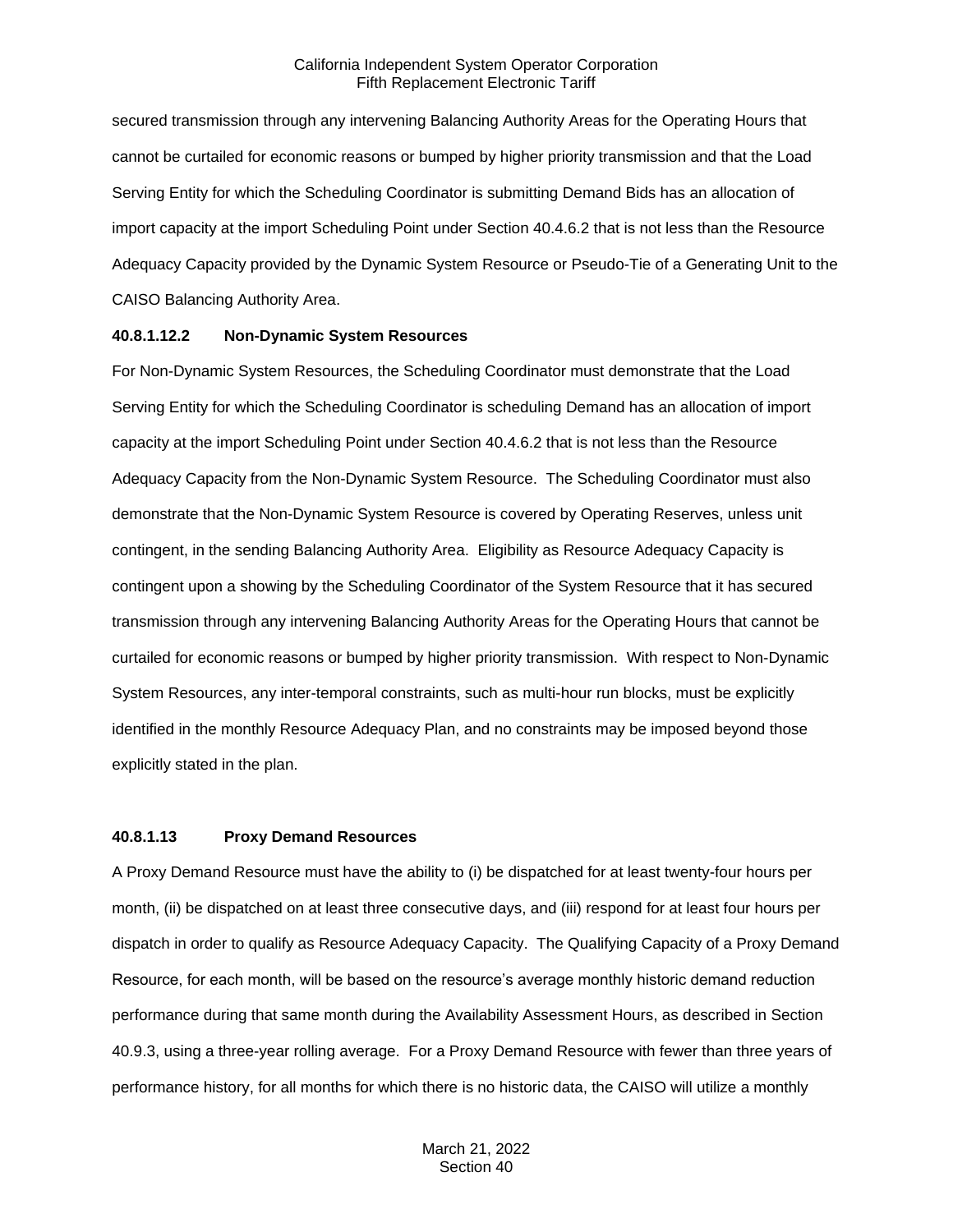secured transmission through any intervening Balancing Authority Areas for the Operating Hours that cannot be curtailed for economic reasons or bumped by higher priority transmission and that the Load Serving Entity for which the Scheduling Coordinator is submitting Demand Bids has an allocation of import capacity at the import Scheduling Point under Section 40.4.6.2 that is not less than the Resource Adequacy Capacity provided by the Dynamic System Resource or Pseudo-Tie of a Generating Unit to the CAISO Balancing Authority Area.

#### **40.8.1.12.2 Non-Dynamic System Resources**

For Non-Dynamic System Resources, the Scheduling Coordinator must demonstrate that the Load Serving Entity for which the Scheduling Coordinator is scheduling Demand has an allocation of import capacity at the import Scheduling Point under Section 40.4.6.2 that is not less than the Resource Adequacy Capacity from the Non-Dynamic System Resource. The Scheduling Coordinator must also demonstrate that the Non-Dynamic System Resource is covered by Operating Reserves, unless unit contingent, in the sending Balancing Authority Area. Eligibility as Resource Adequacy Capacity is contingent upon a showing by the Scheduling Coordinator of the System Resource that it has secured transmission through any intervening Balancing Authority Areas for the Operating Hours that cannot be curtailed for economic reasons or bumped by higher priority transmission. With respect to Non-Dynamic System Resources, any inter-temporal constraints, such as multi-hour run blocks, must be explicitly identified in the monthly Resource Adequacy Plan, and no constraints may be imposed beyond those explicitly stated in the plan.

#### **40.8.1.13 Proxy Demand Resources**

A Proxy Demand Resource must have the ability to (i) be dispatched for at least twenty-four hours per month, (ii) be dispatched on at least three consecutive days, and (iii) respond for at least four hours per dispatch in order to qualify as Resource Adequacy Capacity. The Qualifying Capacity of a Proxy Demand Resource, for each month, will be based on the resource's average monthly historic demand reduction performance during that same month during the Availability Assessment Hours, as described in Section 40.9.3, using a three-year rolling average. For a Proxy Demand Resource with fewer than three years of performance history, for all months for which there is no historic data, the CAISO will utilize a monthly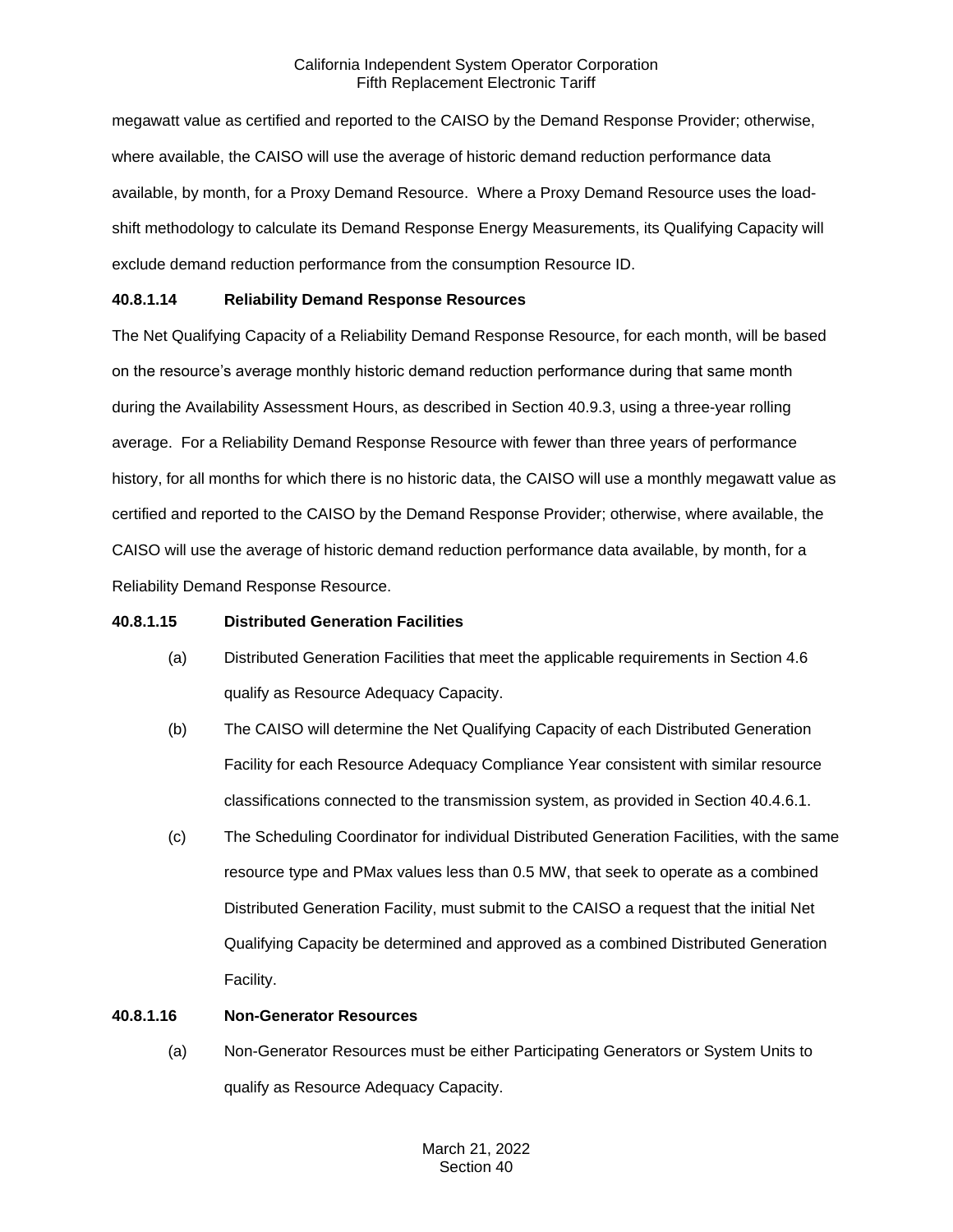megawatt value as certified and reported to the CAISO by the Demand Response Provider; otherwise, where available, the CAISO will use the average of historic demand reduction performance data available, by month, for a Proxy Demand Resource. Where a Proxy Demand Resource uses the loadshift methodology to calculate its Demand Response Energy Measurements, its Qualifying Capacity will exclude demand reduction performance from the consumption Resource ID.

# **40.8.1.14 Reliability Demand Response Resources**

The Net Qualifying Capacity of a Reliability Demand Response Resource, for each month, will be based on the resource's average monthly historic demand reduction performance during that same month during the Availability Assessment Hours, as described in Section 40.9.3, using a three-year rolling average. For a Reliability Demand Response Resource with fewer than three years of performance history, for all months for which there is no historic data, the CAISO will use a monthly megawatt value as certified and reported to the CAISO by the Demand Response Provider; otherwise, where available, the CAISO will use the average of historic demand reduction performance data available, by month, for a Reliability Demand Response Resource.

#### **40.8.1.15 Distributed Generation Facilities**

- (a) Distributed Generation Facilities that meet the applicable requirements in Section 4.6 qualify as Resource Adequacy Capacity.
- (b) The CAISO will determine the Net Qualifying Capacity of each Distributed Generation Facility for each Resource Adequacy Compliance Year consistent with similar resource classifications connected to the transmission system, as provided in Section 40.4.6.1.
- (c) The Scheduling Coordinator for individual Distributed Generation Facilities, with the same resource type and PMax values less than 0.5 MW, that seek to operate as a combined Distributed Generation Facility, must submit to the CAISO a request that the initial Net Qualifying Capacity be determined and approved as a combined Distributed Generation Facility.

#### **40.8.1.16 Non-Generator Resources**

(a) Non-Generator Resources must be either Participating Generators or System Units to qualify as Resource Adequacy Capacity.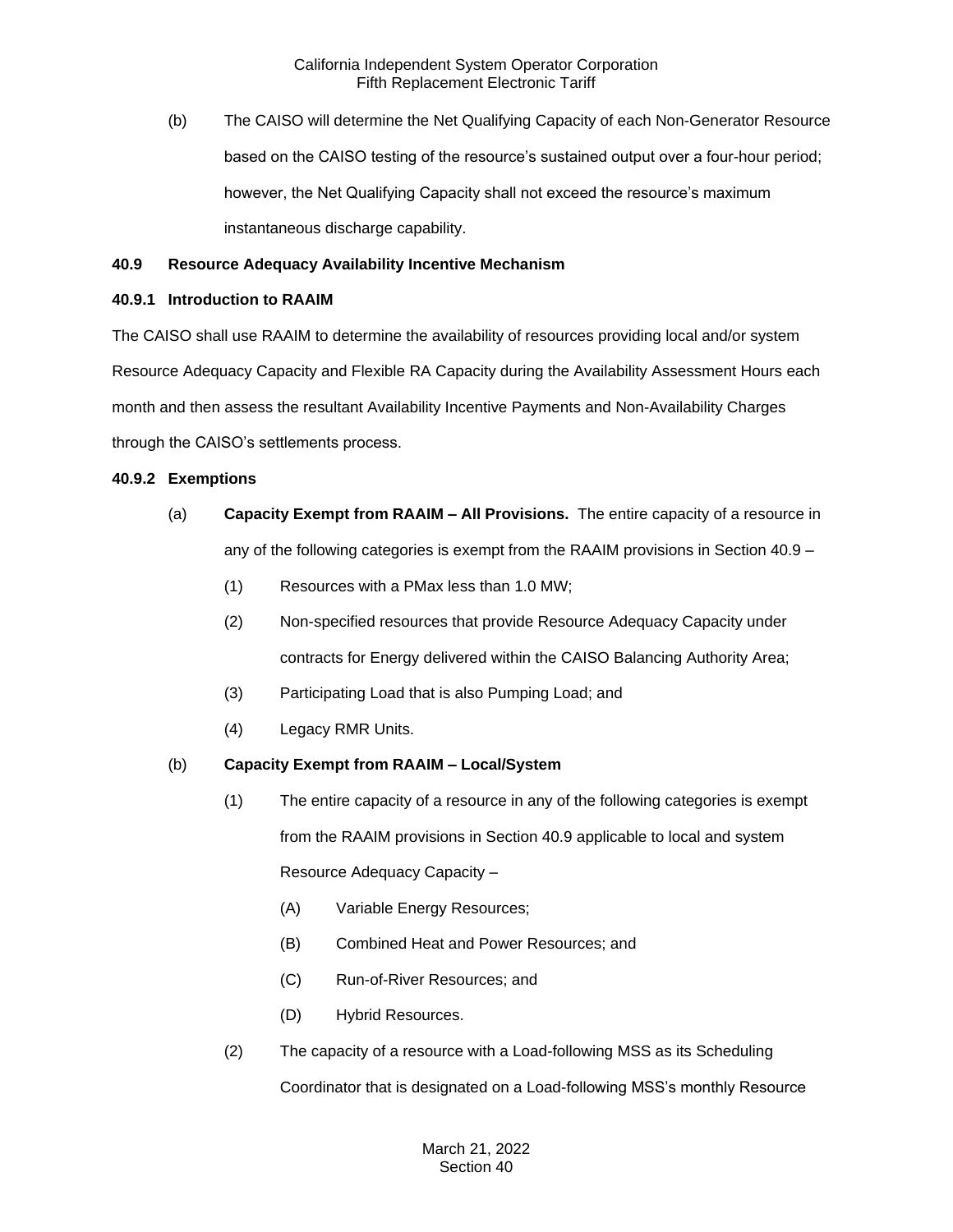(b) The CAISO will determine the Net Qualifying Capacity of each Non-Generator Resource based on the CAISO testing of the resource's sustained output over a four-hour period; however, the Net Qualifying Capacity shall not exceed the resource's maximum instantaneous discharge capability.

### **40.9 Resource Adequacy Availability Incentive Mechanism**

#### **40.9.1 Introduction to RAAIM**

The CAISO shall use RAAIM to determine the availability of resources providing local and/or system Resource Adequacy Capacity and Flexible RA Capacity during the Availability Assessment Hours each month and then assess the resultant Availability Incentive Payments and Non-Availability Charges through the CAISO's settlements process.

### **40.9.2 Exemptions**

- (a) **Capacity Exempt from RAAIM – All Provisions.** The entire capacity of a resource in any of the following categories is exempt from the RAAIM provisions in Section 40.9 –
	- (1) Resources with a PMax less than 1.0 MW;
	- (2) Non-specified resources that provide Resource Adequacy Capacity under contracts for Energy delivered within the CAISO Balancing Authority Area;
	- (3) Participating Load that is also Pumping Load; and
	- (4) Legacy RMR Units.

# (b) **Capacity Exempt from RAAIM – Local/System**

- (1) The entire capacity of a resource in any of the following categories is exempt from the RAAIM provisions in Section 40.9 applicable to local and system Resource Adequacy Capacity –
	- (A) Variable Energy Resources;
	- (B) Combined Heat and Power Resources; and
	- (C) Run-of-River Resources; and
	- (D) Hybrid Resources.
- (2) The capacity of a resource with a Load-following MSS as its Scheduling Coordinator that is designated on a Load-following MSS's monthly Resource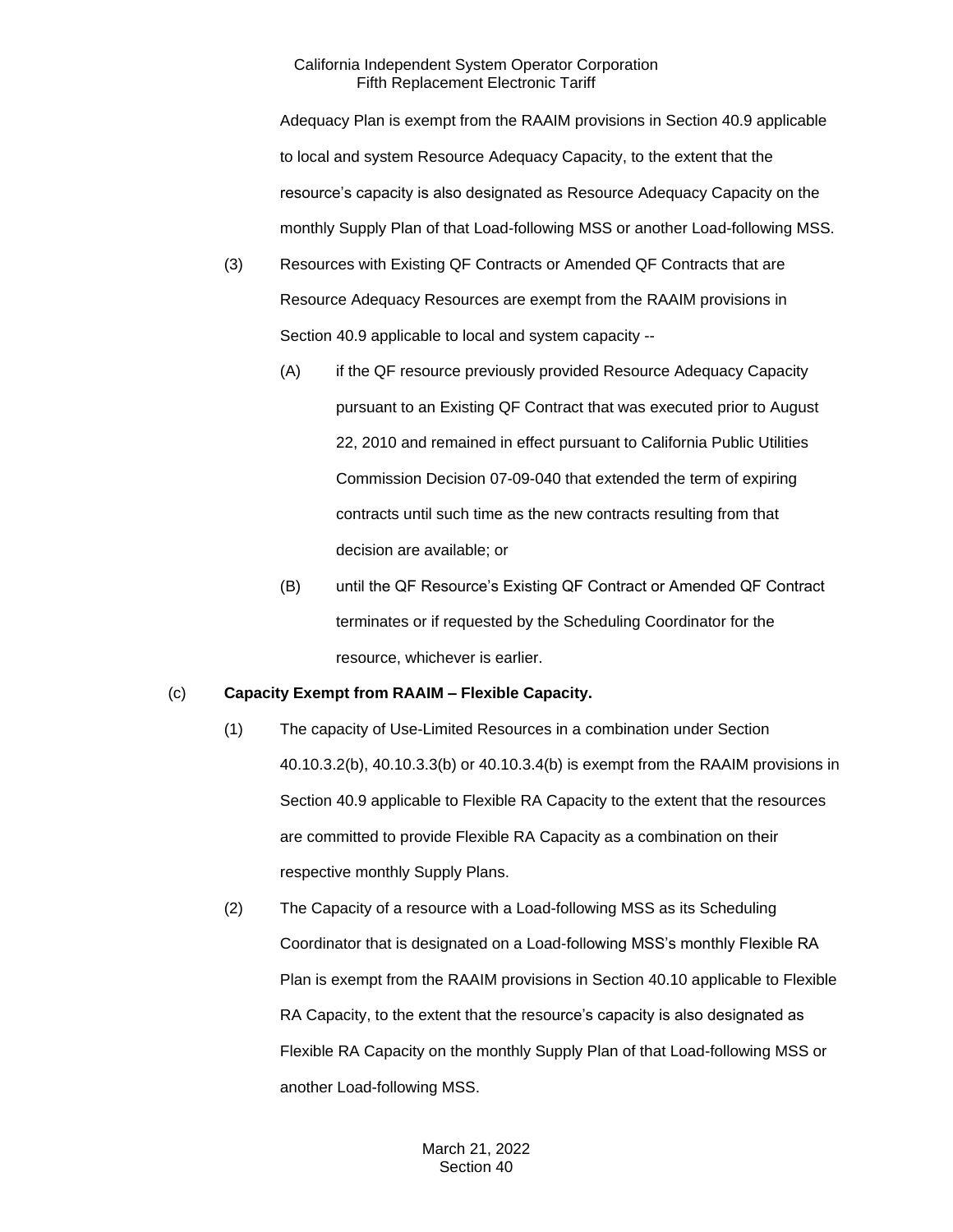Adequacy Plan is exempt from the RAAIM provisions in Section 40.9 applicable to local and system Resource Adequacy Capacity, to the extent that the resource's capacity is also designated as Resource Adequacy Capacity on the monthly Supply Plan of that Load-following MSS or another Load-following MSS.

- (3) Resources with Existing QF Contracts or Amended QF Contracts that are Resource Adequacy Resources are exempt from the RAAIM provisions in Section 40.9 applicable to local and system capacity --
	- (A) if the QF resource previously provided Resource Adequacy Capacity pursuant to an Existing QF Contract that was executed prior to August 22, 2010 and remained in effect pursuant to California Public Utilities Commission Decision 07-09-040 that extended the term of expiring contracts until such time as the new contracts resulting from that decision are available; or
	- (B) until the QF Resource's Existing QF Contract or Amended QF Contract terminates or if requested by the Scheduling Coordinator for the resource, whichever is earlier.

# (c) **Capacity Exempt from RAAIM – Flexible Capacity.**

- (1) The capacity of Use-Limited Resources in a combination under Section 40.10.3.2(b), 40.10.3.3(b) or 40.10.3.4(b) is exempt from the RAAIM provisions in Section 40.9 applicable to Flexible RA Capacity to the extent that the resources are committed to provide Flexible RA Capacity as a combination on their respective monthly Supply Plans.
- (2) The Capacity of a resource with a Load-following MSS as its Scheduling Coordinator that is designated on a Load-following MSS's monthly Flexible RA Plan is exempt from the RAAIM provisions in Section 40.10 applicable to Flexible RA Capacity, to the extent that the resource's capacity is also designated as Flexible RA Capacity on the monthly Supply Plan of that Load-following MSS or another Load-following MSS.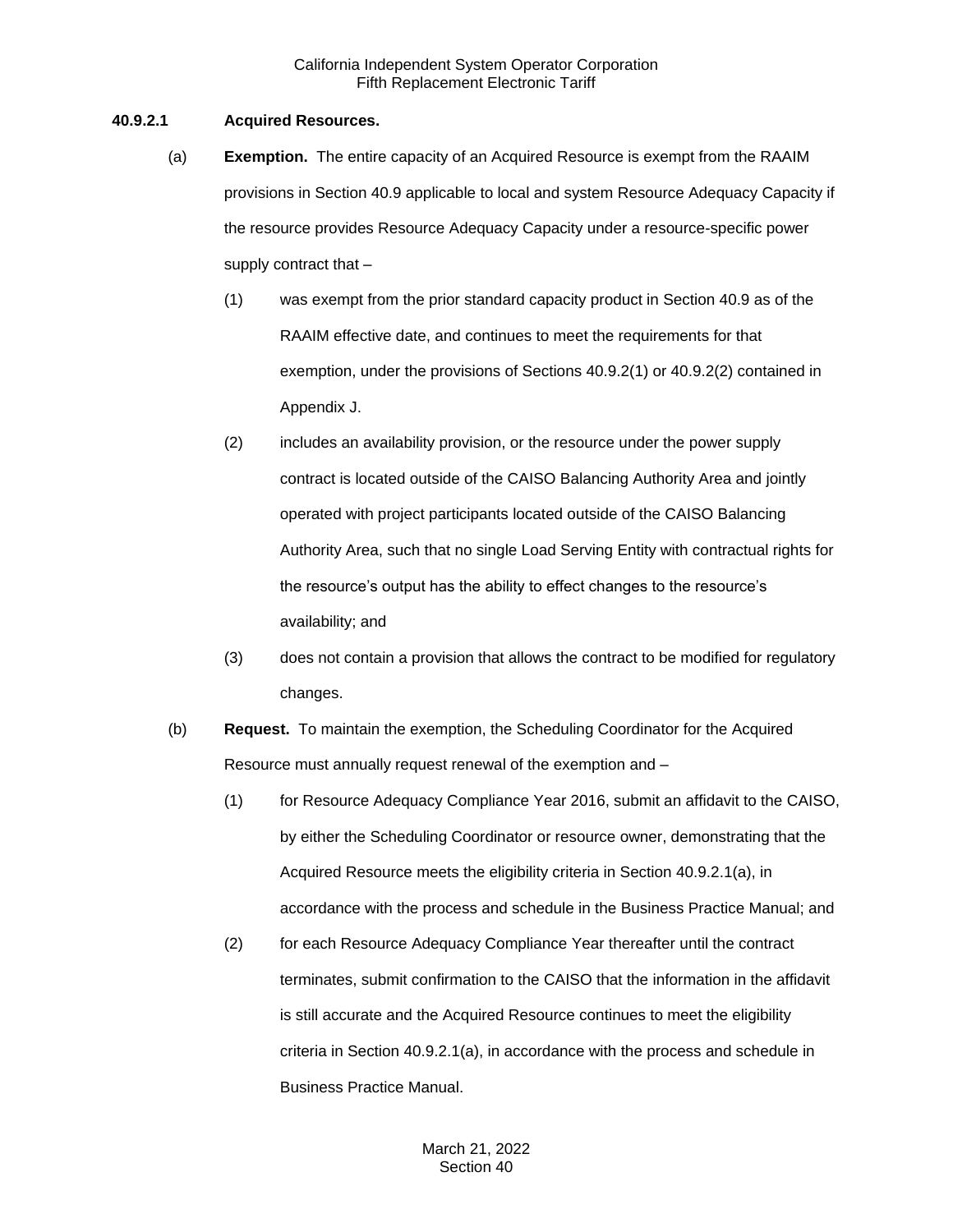# **40.9.2.1 Acquired Resources.**

- (a) **Exemption.** The entire capacity of an Acquired Resource is exempt from the RAAIM provisions in Section 40.9 applicable to local and system Resource Adequacy Capacity if the resource provides Resource Adequacy Capacity under a resource-specific power supply contract that –
	- (1) was exempt from the prior standard capacity product in Section 40.9 as of the RAAIM effective date, and continues to meet the requirements for that exemption, under the provisions of Sections 40.9.2(1) or 40.9.2(2) contained in Appendix J.
	- (2) includes an availability provision, or the resource under the power supply contract is located outside of the CAISO Balancing Authority Area and jointly operated with project participants located outside of the CAISO Balancing Authority Area, such that no single Load Serving Entity with contractual rights for the resource's output has the ability to effect changes to the resource's availability; and
	- (3) does not contain a provision that allows the contract to be modified for regulatory changes.
- (b) **Request.** To maintain the exemption, the Scheduling Coordinator for the Acquired Resource must annually request renewal of the exemption and –
	- (1) for Resource Adequacy Compliance Year 2016, submit an affidavit to the CAISO, by either the Scheduling Coordinator or resource owner, demonstrating that the Acquired Resource meets the eligibility criteria in Section 40.9.2.1(a), in accordance with the process and schedule in the Business Practice Manual; and
	- (2) for each Resource Adequacy Compliance Year thereafter until the contract terminates, submit confirmation to the CAISO that the information in the affidavit is still accurate and the Acquired Resource continues to meet the eligibility criteria in Section 40.9.2.1(a), in accordance with the process and schedule in Business Practice Manual.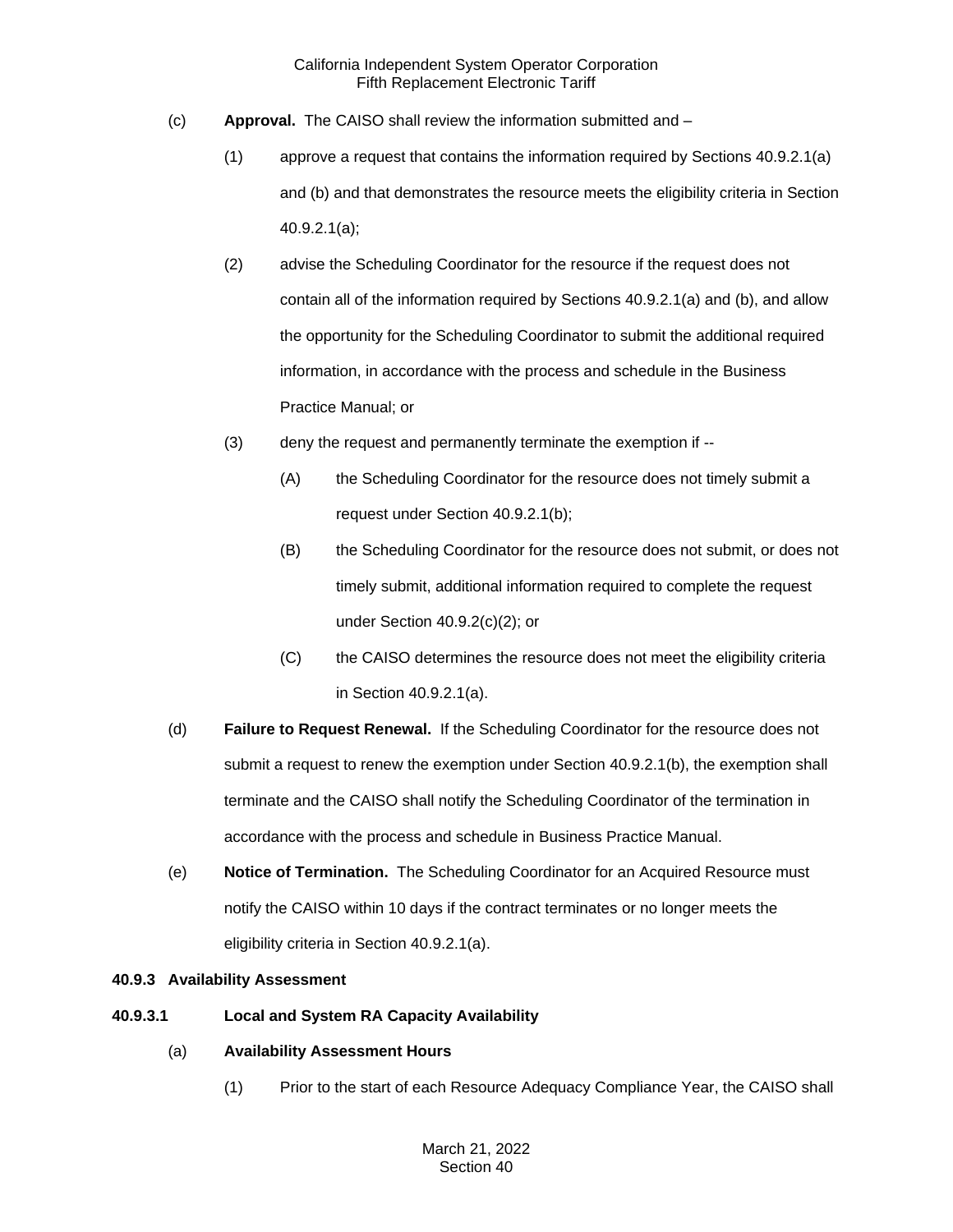- (c) **Approval.** The CAISO shall review the information submitted and
	- (1) approve a request that contains the information required by Sections 40.9.2.1(a) and (b) and that demonstrates the resource meets the eligibility criteria in Section 40.9.2.1(a);
	- (2) advise the Scheduling Coordinator for the resource if the request does not contain all of the information required by Sections 40.9.2.1(a) and (b), and allow the opportunity for the Scheduling Coordinator to submit the additional required information, in accordance with the process and schedule in the Business Practice Manual; or
	- (3) deny the request and permanently terminate the exemption if --
		- (A) the Scheduling Coordinator for the resource does not timely submit a request under Section 40.9.2.1(b);
		- (B) the Scheduling Coordinator for the resource does not submit, or does not timely submit, additional information required to complete the request under Section 40.9.2(c)(2); or
		- (C) the CAISO determines the resource does not meet the eligibility criteria in Section 40.9.2.1(a).
- (d) **Failure to Request Renewal.** If the Scheduling Coordinator for the resource does not submit a request to renew the exemption under Section 40.9.2.1(b), the exemption shall terminate and the CAISO shall notify the Scheduling Coordinator of the termination in accordance with the process and schedule in Business Practice Manual.
- (e) **Notice of Termination.** The Scheduling Coordinator for an Acquired Resource must notify the CAISO within 10 days if the contract terminates or no longer meets the eligibility criteria in Section 40.9.2.1(a).

# **40.9.3 Availability Assessment**

- **40.9.3.1 Local and System RA Capacity Availability**
	- (a) **Availability Assessment Hours**
		- (1) Prior to the start of each Resource Adequacy Compliance Year, the CAISO shall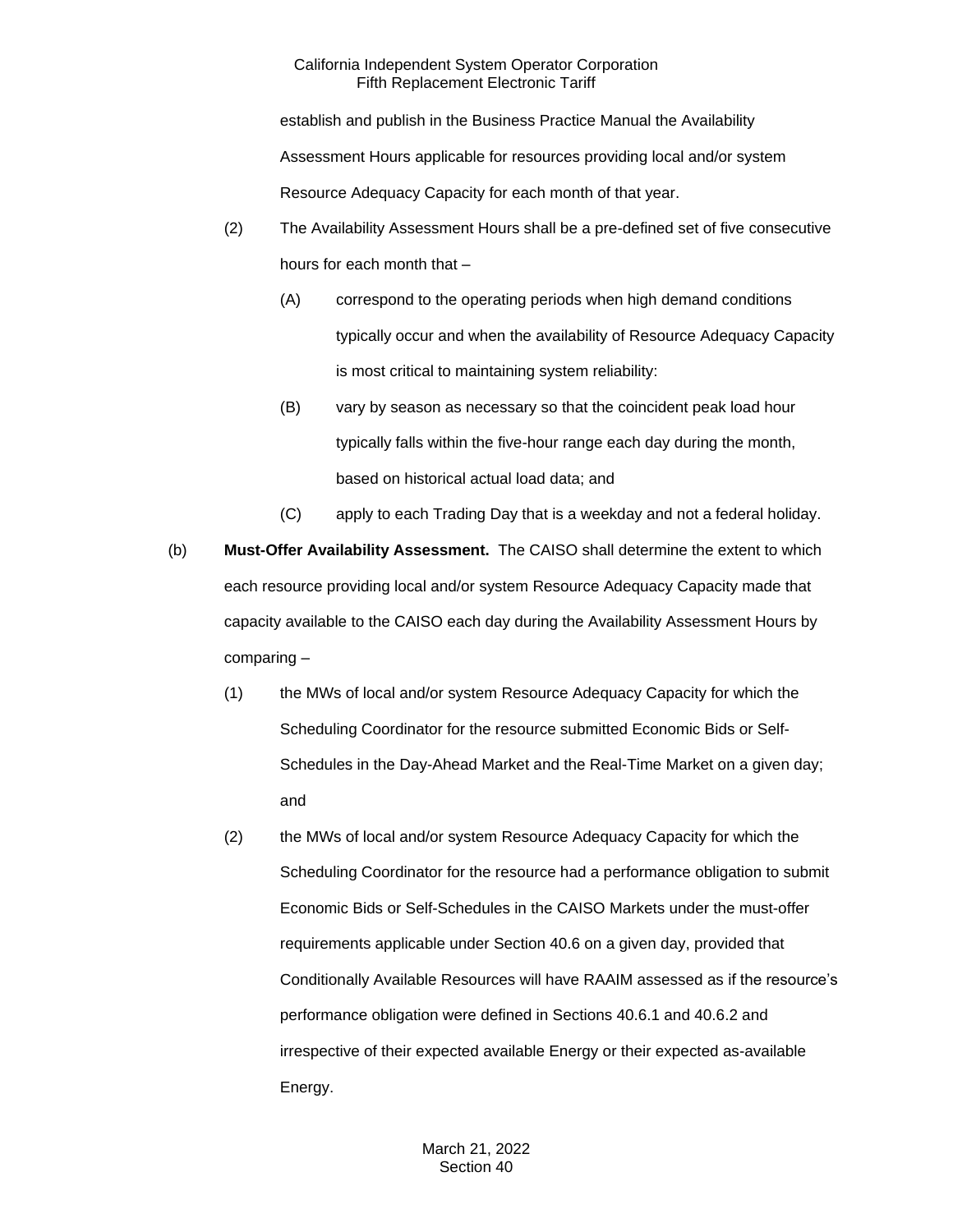establish and publish in the Business Practice Manual the Availability

Assessment Hours applicable for resources providing local and/or system

Resource Adequacy Capacity for each month of that year.

- (2) The Availability Assessment Hours shall be a pre-defined set of five consecutive hours for each month that –
	- (A) correspond to the operating periods when high demand conditions typically occur and when the availability of Resource Adequacy Capacity is most critical to maintaining system reliability:
	- (B) vary by season as necessary so that the coincident peak load hour typically falls within the five-hour range each day during the month, based on historical actual load data; and
	- (C) apply to each Trading Day that is a weekday and not a federal holiday.
- (b) **Must-Offer Availability Assessment.** The CAISO shall determine the extent to which each resource providing local and/or system Resource Adequacy Capacity made that capacity available to the CAISO each day during the Availability Assessment Hours by comparing –
	- (1) the MWs of local and/or system Resource Adequacy Capacity for which the Scheduling Coordinator for the resource submitted Economic Bids or Self-Schedules in the Day-Ahead Market and the Real-Time Market on a given day; and
	- (2) the MWs of local and/or system Resource Adequacy Capacity for which the Scheduling Coordinator for the resource had a performance obligation to submit Economic Bids or Self-Schedules in the CAISO Markets under the must-offer requirements applicable under Section 40.6 on a given day, provided that Conditionally Available Resources will have RAAIM assessed as if the resource's performance obligation were defined in Sections 40.6.1 and 40.6.2 and irrespective of their expected available Energy or their expected as-available Energy.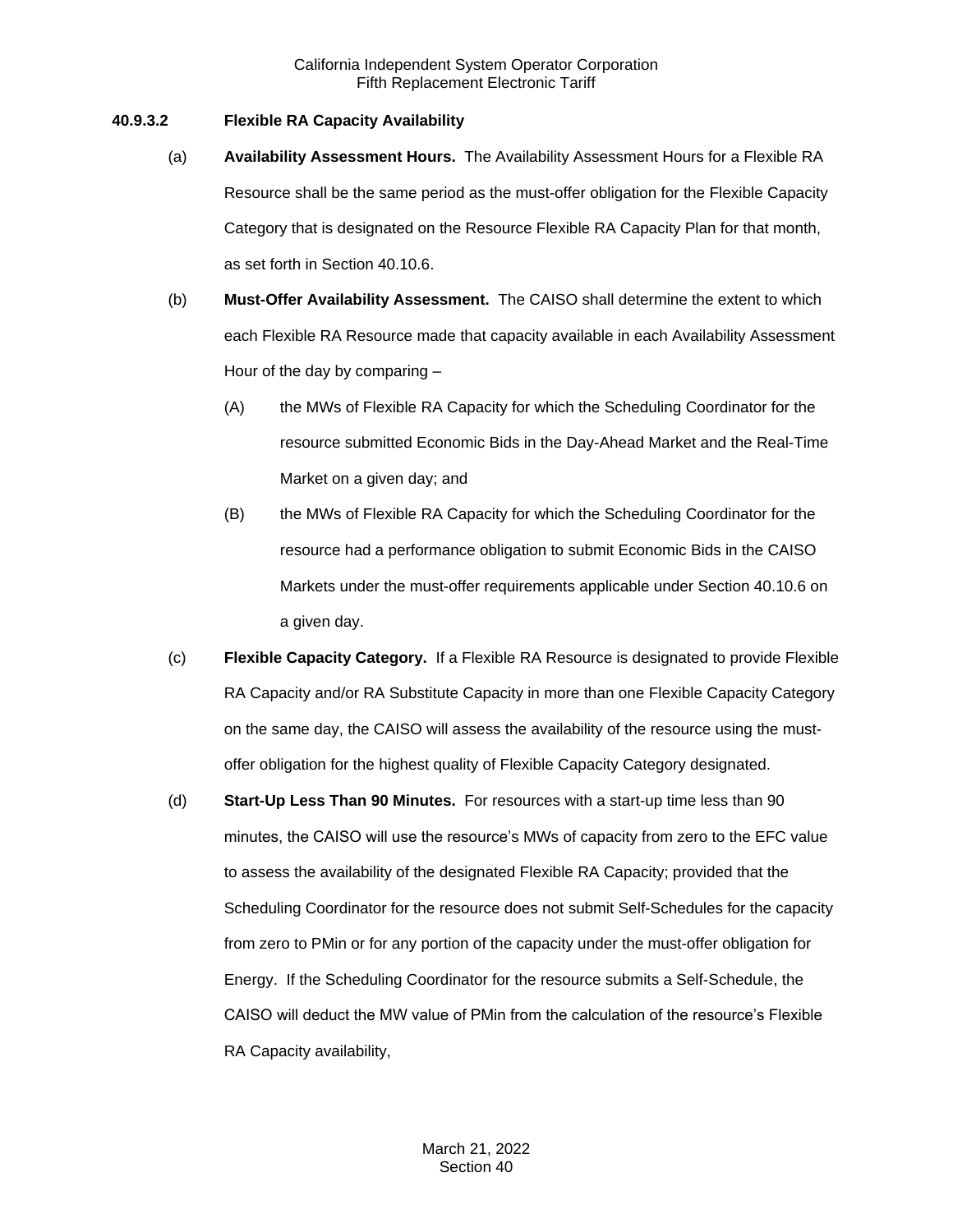# **40.9.3.2 Flexible RA Capacity Availability**

- (a) **Availability Assessment Hours.** The Availability Assessment Hours for a Flexible RA Resource shall be the same period as the must-offer obligation for the Flexible Capacity Category that is designated on the Resource Flexible RA Capacity Plan for that month, as set forth in Section 40.10.6.
- (b) **Must-Offer Availability Assessment.** The CAISO shall determine the extent to which each Flexible RA Resource made that capacity available in each Availability Assessment Hour of the day by comparing –
	- (A) the MWs of Flexible RA Capacity for which the Scheduling Coordinator for the resource submitted Economic Bids in the Day-Ahead Market and the Real-Time Market on a given day; and
	- (B) the MWs of Flexible RA Capacity for which the Scheduling Coordinator for the resource had a performance obligation to submit Economic Bids in the CAISO Markets under the must-offer requirements applicable under Section 40.10.6 on a given day.
- (c) **Flexible Capacity Category.** If a Flexible RA Resource is designated to provide Flexible RA Capacity and/or RA Substitute Capacity in more than one Flexible Capacity Category on the same day, the CAISO will assess the availability of the resource using the mustoffer obligation for the highest quality of Flexible Capacity Category designated.
- (d) **Start-Up Less Than 90 Minutes.** For resources with a start-up time less than 90 minutes, the CAISO will use the resource's MWs of capacity from zero to the EFC value to assess the availability of the designated Flexible RA Capacity; provided that the Scheduling Coordinator for the resource does not submit Self-Schedules for the capacity from zero to PMin or for any portion of the capacity under the must-offer obligation for Energy. If the Scheduling Coordinator for the resource submits a Self-Schedule, the CAISO will deduct the MW value of PMin from the calculation of the resource's Flexible RA Capacity availability,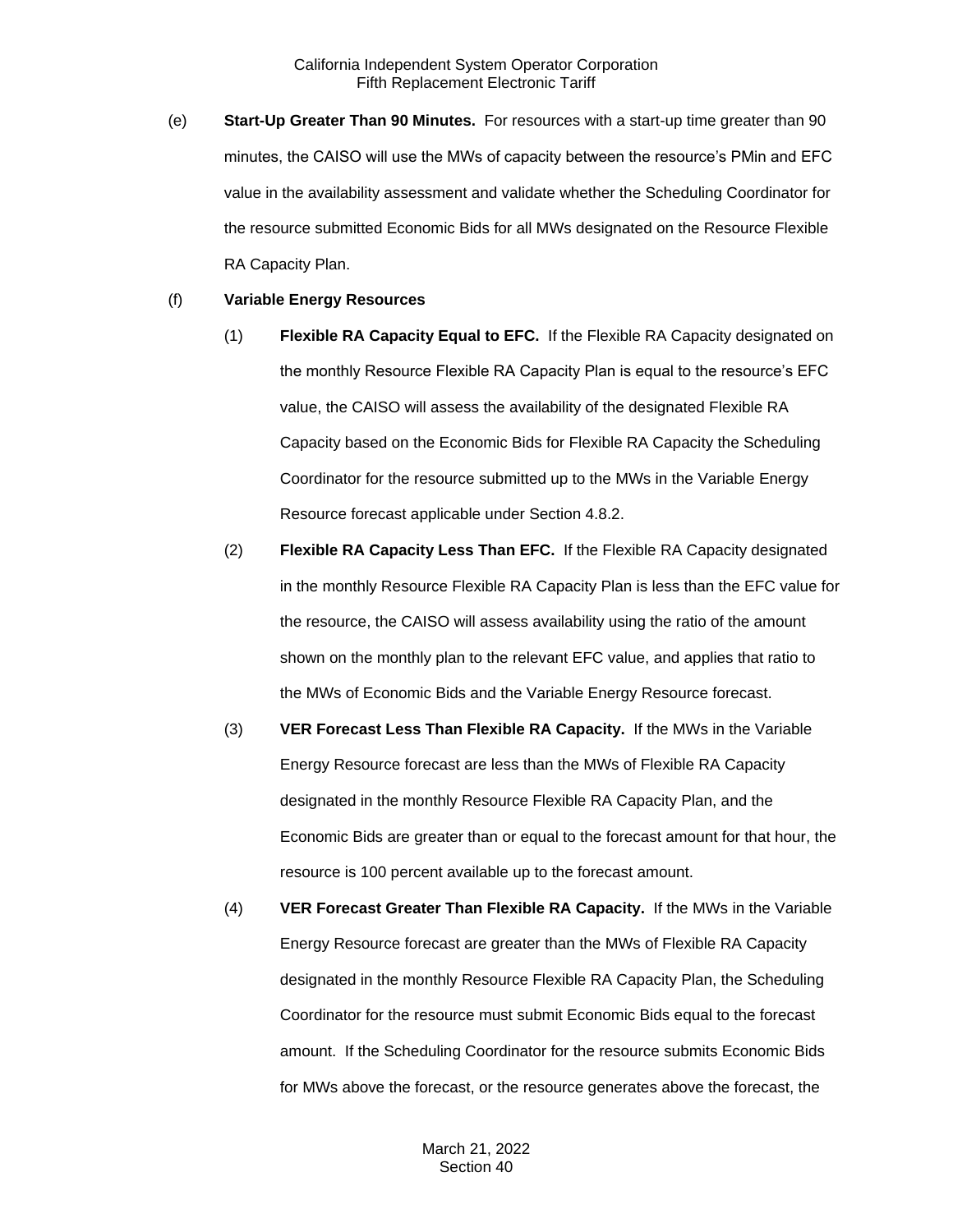(e) **Start-Up Greater Than 90 Minutes.** For resources with a start-up time greater than 90 minutes, the CAISO will use the MWs of capacity between the resource's PMin and EFC value in the availability assessment and validate whether the Scheduling Coordinator for the resource submitted Economic Bids for all MWs designated on the Resource Flexible RA Capacity Plan.

#### (f) **Variable Energy Resources**

- (1) **Flexible RA Capacity Equal to EFC.** If the Flexible RA Capacity designated on the monthly Resource Flexible RA Capacity Plan is equal to the resource's EFC value, the CAISO will assess the availability of the designated Flexible RA Capacity based on the Economic Bids for Flexible RA Capacity the Scheduling Coordinator for the resource submitted up to the MWs in the Variable Energy Resource forecast applicable under Section 4.8.2.
- (2) **Flexible RA Capacity Less Than EFC.** If the Flexible RA Capacity designated in the monthly Resource Flexible RA Capacity Plan is less than the EFC value for the resource, the CAISO will assess availability using the ratio of the amount shown on the monthly plan to the relevant EFC value, and applies that ratio to the MWs of Economic Bids and the Variable Energy Resource forecast.
- (3) **VER Forecast Less Than Flexible RA Capacity.** If the MWs in the Variable Energy Resource forecast are less than the MWs of Flexible RA Capacity designated in the monthly Resource Flexible RA Capacity Plan, and the Economic Bids are greater than or equal to the forecast amount for that hour, the resource is 100 percent available up to the forecast amount.
- (4) **VER Forecast Greater Than Flexible RA Capacity.** If the MWs in the Variable Energy Resource forecast are greater than the MWs of Flexible RA Capacity designated in the monthly Resource Flexible RA Capacity Plan, the Scheduling Coordinator for the resource must submit Economic Bids equal to the forecast amount. If the Scheduling Coordinator for the resource submits Economic Bids for MWs above the forecast, or the resource generates above the forecast, the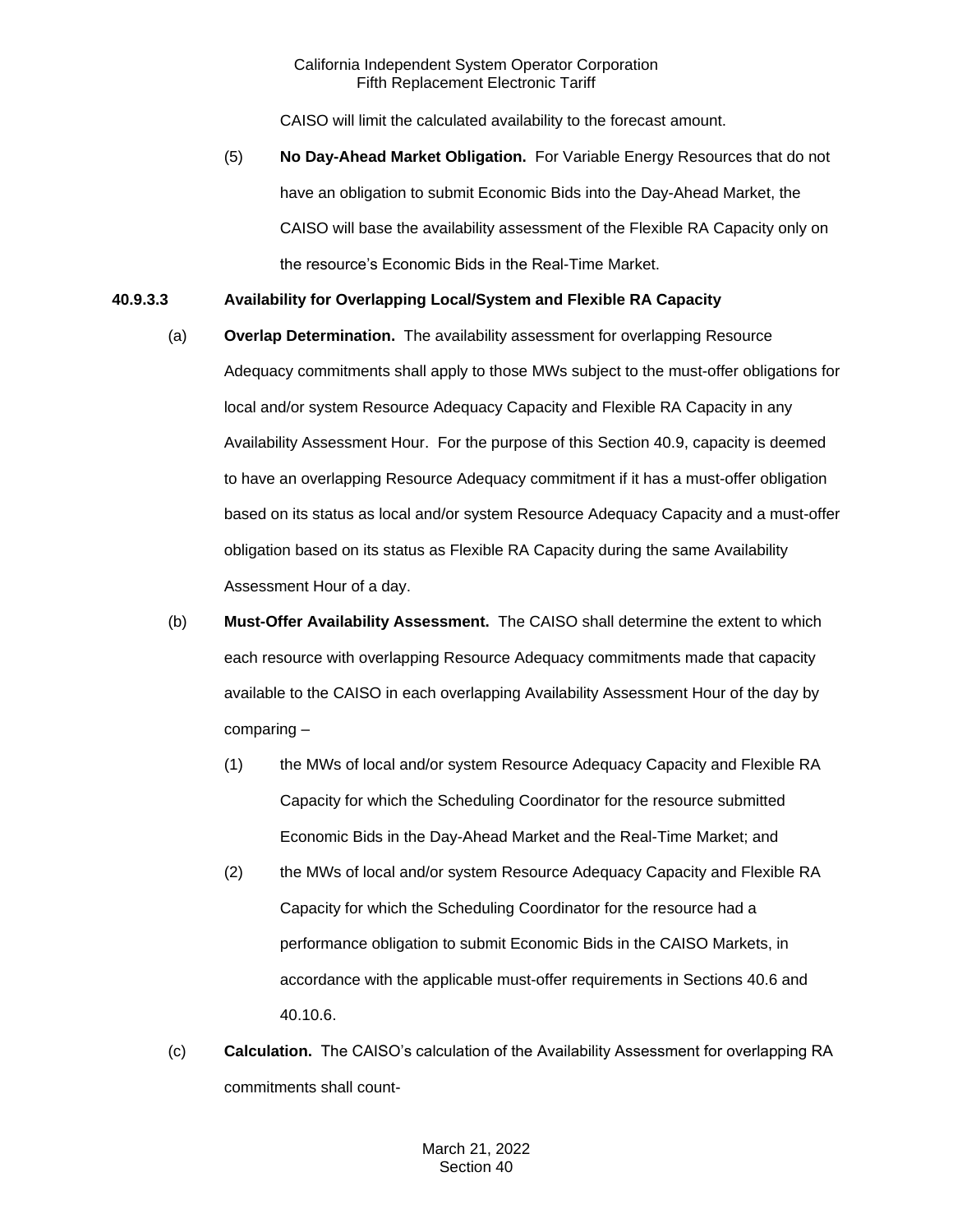CAISO will limit the calculated availability to the forecast amount.

(5) **No Day-Ahead Market Obligation.** For Variable Energy Resources that do not have an obligation to submit Economic Bids into the Day-Ahead Market, the CAISO will base the availability assessment of the Flexible RA Capacity only on the resource's Economic Bids in the Real-Time Market.

# **40.9.3.3 Availability for Overlapping Local/System and Flexible RA Capacity**

- (a) **Overlap Determination.** The availability assessment for overlapping Resource Adequacy commitments shall apply to those MWs subject to the must-offer obligations for local and/or system Resource Adequacy Capacity and Flexible RA Capacity in any Availability Assessment Hour. For the purpose of this Section 40.9, capacity is deemed to have an overlapping Resource Adequacy commitment if it has a must-offer obligation based on its status as local and/or system Resource Adequacy Capacity and a must-offer obligation based on its status as Flexible RA Capacity during the same Availability Assessment Hour of a day.
- (b) **Must-Offer Availability Assessment.** The CAISO shall determine the extent to which each resource with overlapping Resource Adequacy commitments made that capacity available to the CAISO in each overlapping Availability Assessment Hour of the day by comparing –
	- (1) the MWs of local and/or system Resource Adequacy Capacity and Flexible RA Capacity for which the Scheduling Coordinator for the resource submitted Economic Bids in the Day-Ahead Market and the Real-Time Market; and
	- (2) the MWs of local and/or system Resource Adequacy Capacity and Flexible RA Capacity for which the Scheduling Coordinator for the resource had a performance obligation to submit Economic Bids in the CAISO Markets, in accordance with the applicable must-offer requirements in Sections 40.6 and 40.10.6.
- (c) **Calculation.** The CAISO's calculation of the Availability Assessment for overlapping RA commitments shall count-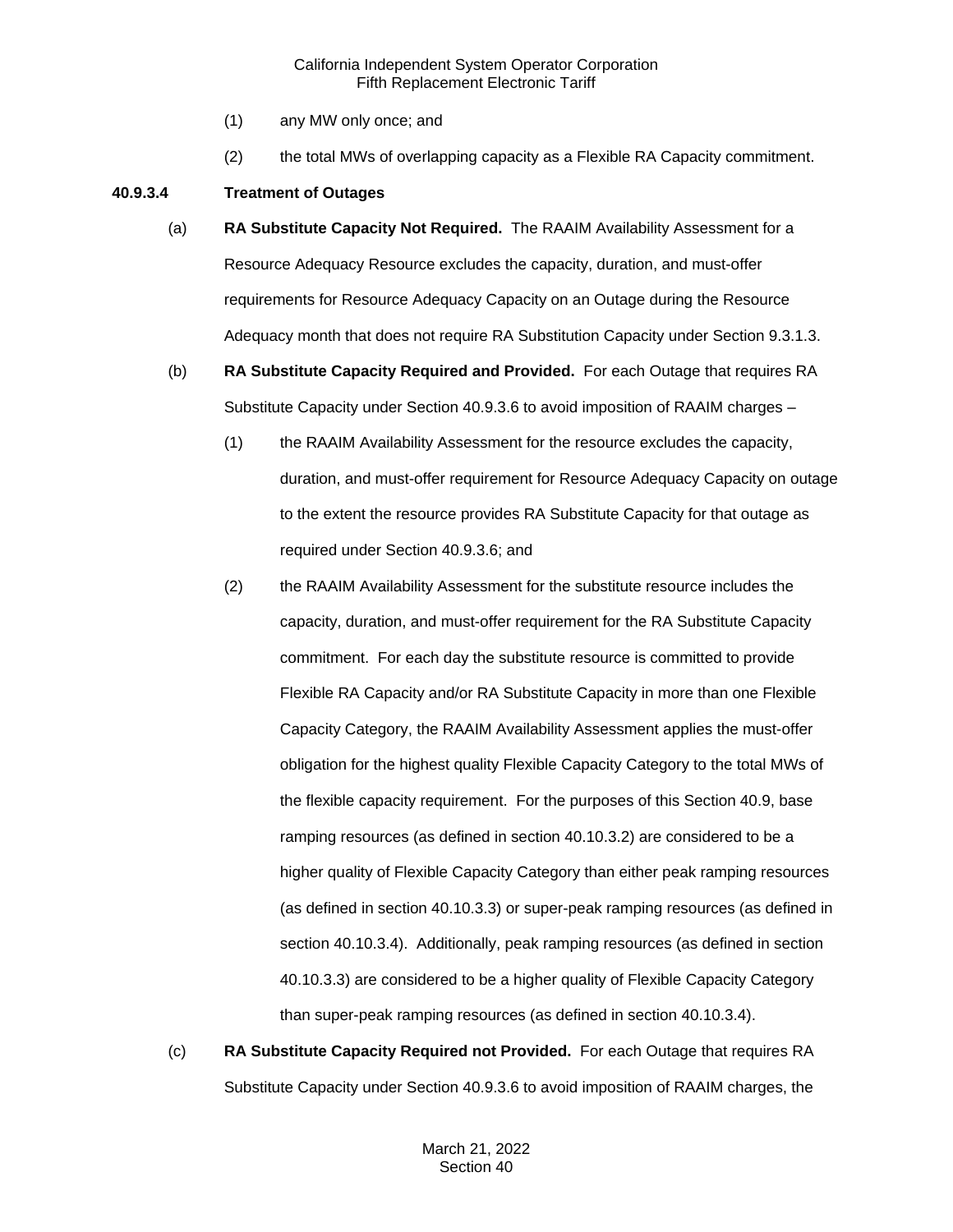- (1) any MW only once; and
- (2) the total MWs of overlapping capacity as a Flexible RA Capacity commitment.

# **40.9.3.4 Treatment of Outages**

- (a) **RA Substitute Capacity Not Required.** The RAAIM Availability Assessment for a Resource Adequacy Resource excludes the capacity, duration, and must-offer requirements for Resource Adequacy Capacity on an Outage during the Resource Adequacy month that does not require RA Substitution Capacity under Section 9.3.1.3.
- (b) **RA Substitute Capacity Required and Provided.** For each Outage that requires RA Substitute Capacity under Section 40.9.3.6 to avoid imposition of RAAIM charges –
	- (1) the RAAIM Availability Assessment for the resource excludes the capacity, duration, and must-offer requirement for Resource Adequacy Capacity on outage to the extent the resource provides RA Substitute Capacity for that outage as required under Section 40.9.3.6; and
	- (2) the RAAIM Availability Assessment for the substitute resource includes the capacity, duration, and must-offer requirement for the RA Substitute Capacity commitment. For each day the substitute resource is committed to provide Flexible RA Capacity and/or RA Substitute Capacity in more than one Flexible Capacity Category, the RAAIM Availability Assessment applies the must-offer obligation for the highest quality Flexible Capacity Category to the total MWs of the flexible capacity requirement. For the purposes of this Section 40.9, base ramping resources (as defined in section 40.10.3.2) are considered to be a higher quality of Flexible Capacity Category than either peak ramping resources (as defined in section 40.10.3.3) or super-peak ramping resources (as defined in section 40.10.3.4). Additionally, peak ramping resources (as defined in section 40.10.3.3) are considered to be a higher quality of Flexible Capacity Category than super-peak ramping resources (as defined in section 40.10.3.4).
- (c) **RA Substitute Capacity Required not Provided.** For each Outage that requires RA Substitute Capacity under Section 40.9.3.6 to avoid imposition of RAAIM charges, the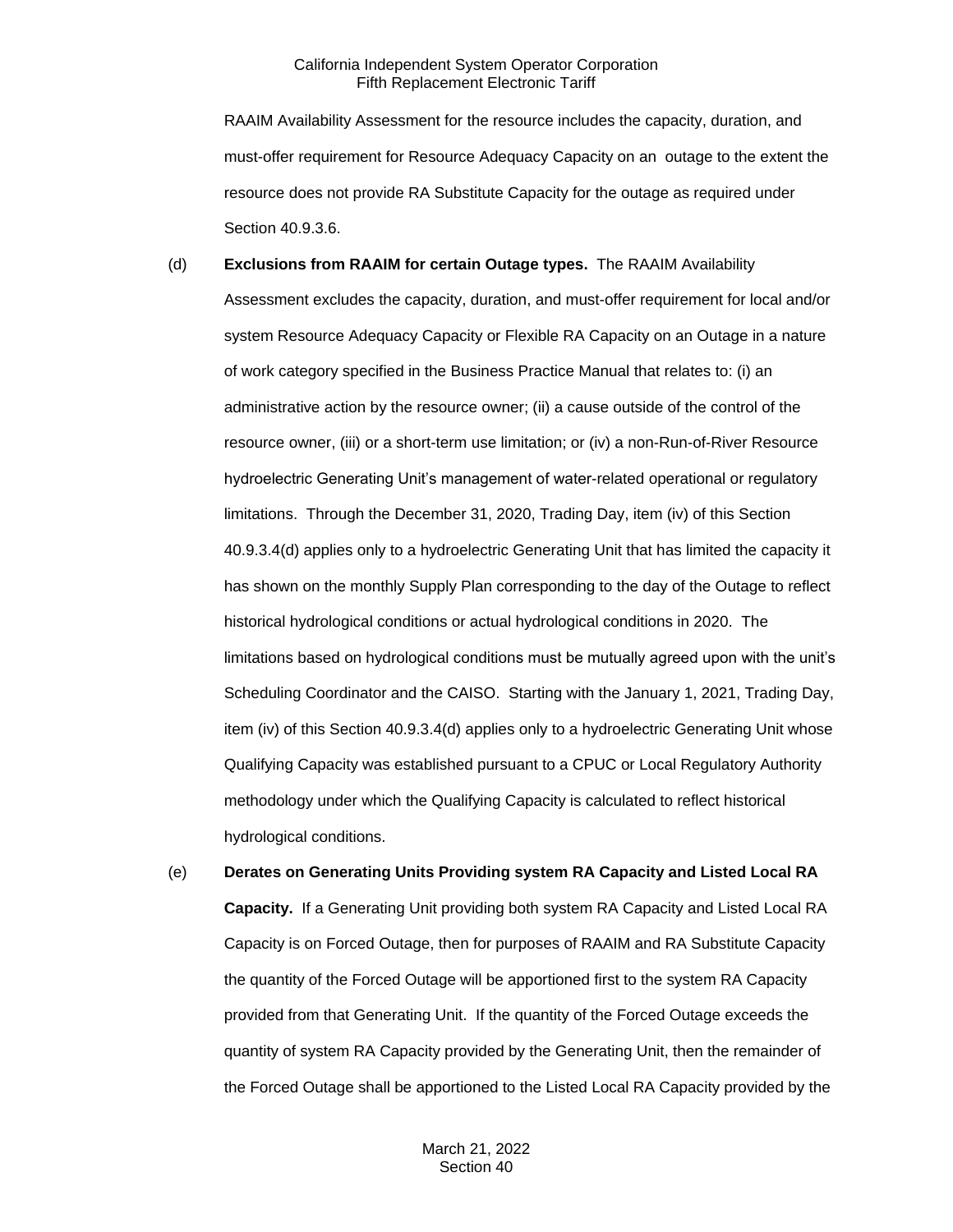RAAIM Availability Assessment for the resource includes the capacity, duration, and must-offer requirement for Resource Adequacy Capacity on an outage to the extent the resource does not provide RA Substitute Capacity for the outage as required under Section 40.9.3.6.

#### (d) **Exclusions from RAAIM for certain Outage types.** The RAAIM Availability

Assessment excludes the capacity, duration, and must-offer requirement for local and/or system Resource Adequacy Capacity or Flexible RA Capacity on an Outage in a nature of work category specified in the Business Practice Manual that relates to: (i) an administrative action by the resource owner; (ii) a cause outside of the control of the resource owner, (iii) or a short-term use limitation; or (iv) a non-Run-of-River Resource hydroelectric Generating Unit's management of water-related operational or regulatory limitations. Through the December 31, 2020, Trading Day, item (iv) of this Section 40.9.3.4(d) applies only to a hydroelectric Generating Unit that has limited the capacity it has shown on the monthly Supply Plan corresponding to the day of the Outage to reflect historical hydrological conditions or actual hydrological conditions in 2020. The limitations based on hydrological conditions must be mutually agreed upon with the unit's Scheduling Coordinator and the CAISO. Starting with the January 1, 2021, Trading Day, item (iv) of this Section 40.9.3.4(d) applies only to a hydroelectric Generating Unit whose Qualifying Capacity was established pursuant to a CPUC or Local Regulatory Authority methodology under which the Qualifying Capacity is calculated to reflect historical hydrological conditions.

(e) **Derates on Generating Units Providing system RA Capacity and Listed Local RA Capacity.** If a Generating Unit providing both system RA Capacity and Listed Local RA Capacity is on Forced Outage, then for purposes of RAAIM and RA Substitute Capacity the quantity of the Forced Outage will be apportioned first to the system RA Capacity provided from that Generating Unit. If the quantity of the Forced Outage exceeds the quantity of system RA Capacity provided by the Generating Unit, then the remainder of the Forced Outage shall be apportioned to the Listed Local RA Capacity provided by the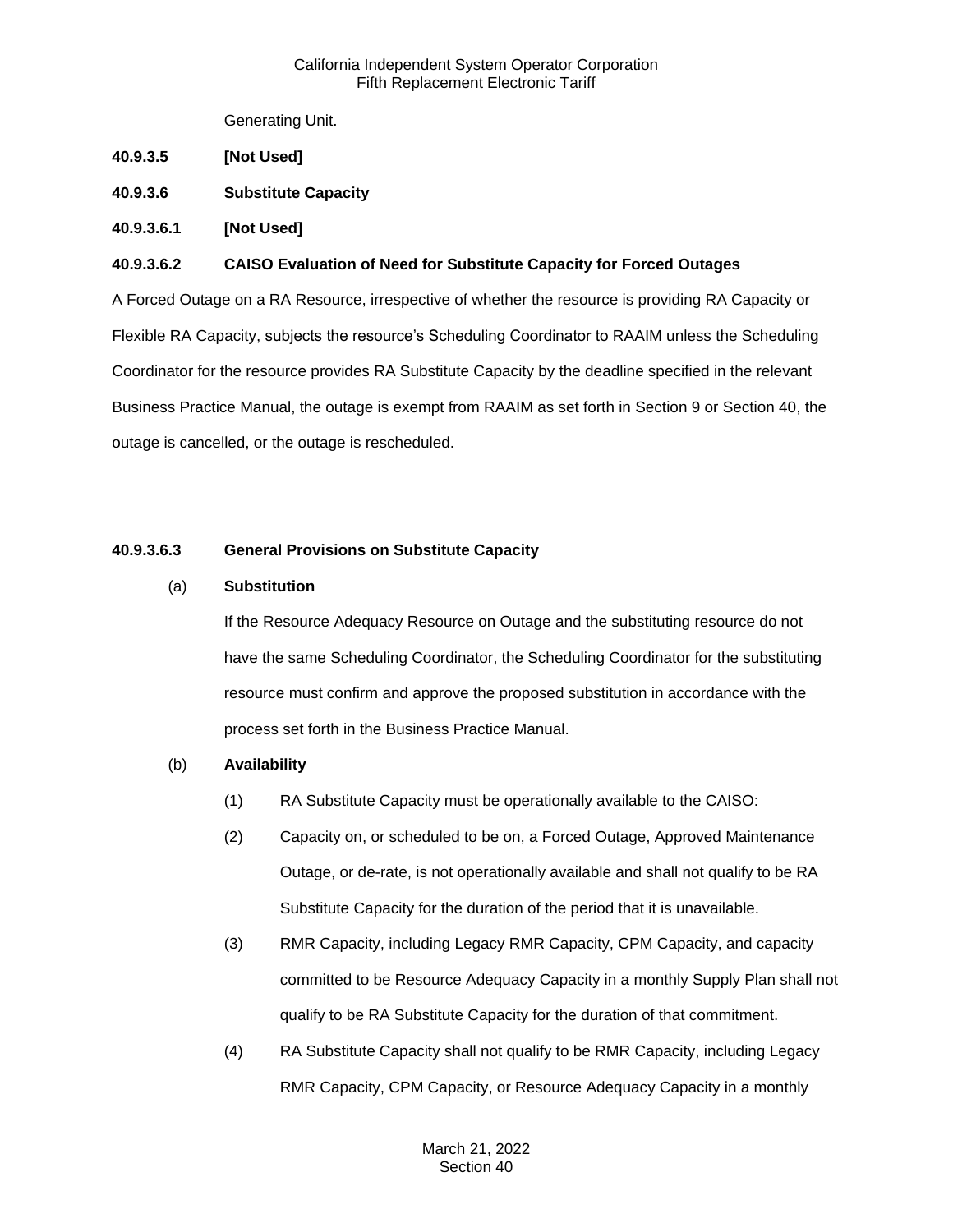Generating Unit.

- **40.9.3.5 [Not Used]**
- **40.9.3.6 Substitute Capacity**
- **40.9.3.6.1 [Not Used]**

### **40.9.3.6.2 CAISO Evaluation of Need for Substitute Capacity for Forced Outages**

A Forced Outage on a RA Resource, irrespective of whether the resource is providing RA Capacity or Flexible RA Capacity, subjects the resource's Scheduling Coordinator to RAAIM unless the Scheduling Coordinator for the resource provides RA Substitute Capacity by the deadline specified in the relevant Business Practice Manual, the outage is exempt from RAAIM as set forth in Section 9 or Section 40, the outage is cancelled, or the outage is rescheduled.

# **40.9.3.6.3 General Provisions on Substitute Capacity**

### (a) **Substitution**

If the Resource Adequacy Resource on Outage and the substituting resource do not have the same Scheduling Coordinator, the Scheduling Coordinator for the substituting resource must confirm and approve the proposed substitution in accordance with the process set forth in the Business Practice Manual.

#### (b) **Availability**

- (1) RA Substitute Capacity must be operationally available to the CAISO:
- (2) Capacity on, or scheduled to be on, a Forced Outage, Approved Maintenance Outage, or de-rate, is not operationally available and shall not qualify to be RA Substitute Capacity for the duration of the period that it is unavailable.
- (3) RMR Capacity, including Legacy RMR Capacity, CPM Capacity, and capacity committed to be Resource Adequacy Capacity in a monthly Supply Plan shall not qualify to be RA Substitute Capacity for the duration of that commitment.
- (4) RA Substitute Capacity shall not qualify to be RMR Capacity, including Legacy RMR Capacity, CPM Capacity, or Resource Adequacy Capacity in a monthly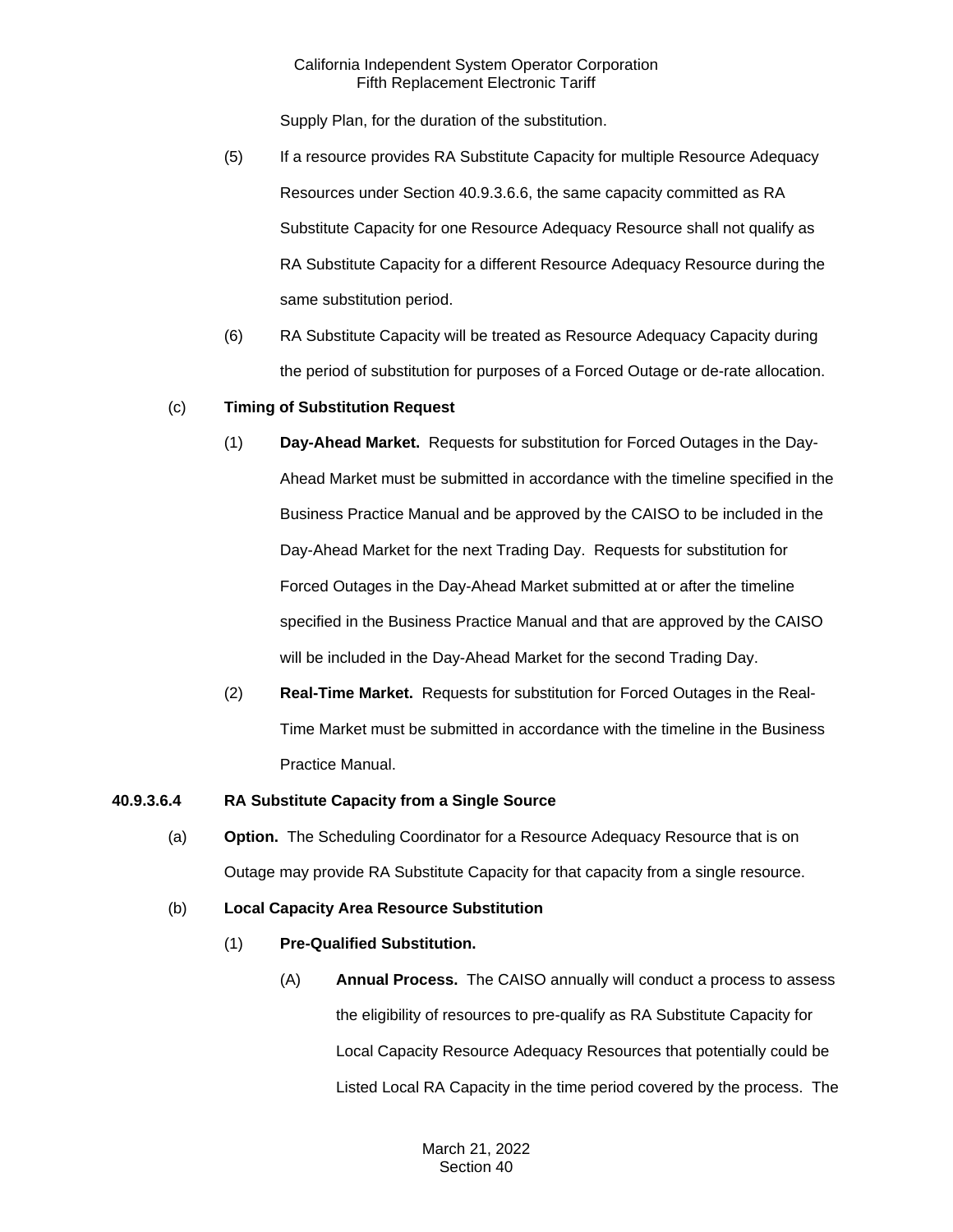Supply Plan, for the duration of the substitution.

- (5) If a resource provides RA Substitute Capacity for multiple Resource Adequacy Resources under Section 40.9.3.6.6, the same capacity committed as RA Substitute Capacity for one Resource Adequacy Resource shall not qualify as RA Substitute Capacity for a different Resource Adequacy Resource during the same substitution period.
- (6) RA Substitute Capacity will be treated as Resource Adequacy Capacity during the period of substitution for purposes of a Forced Outage or de-rate allocation.

# (c) **Timing of Substitution Request**

- (1) **Day-Ahead Market.** Requests for substitution for Forced Outages in the Day-Ahead Market must be submitted in accordance with the timeline specified in the Business Practice Manual and be approved by the CAISO to be included in the Day-Ahead Market for the next Trading Day. Requests for substitution for Forced Outages in the Day-Ahead Market submitted at or after the timeline specified in the Business Practice Manual and that are approved by the CAISO will be included in the Day-Ahead Market for the second Trading Day.
- (2) **Real-Time Market.** Requests for substitution for Forced Outages in the Real-Time Market must be submitted in accordance with the timeline in the Business Practice Manual.

#### **40.9.3.6.4 RA Substitute Capacity from a Single Source**

(a) **Option.** The Scheduling Coordinator for a Resource Adequacy Resource that is on Outage may provide RA Substitute Capacity for that capacity from a single resource.

# (b) **Local Capacity Area Resource Substitution**

- (1) **Pre-Qualified Substitution.**
	- (A) **Annual Process.** The CAISO annually will conduct a process to assess the eligibility of resources to pre-qualify as RA Substitute Capacity for Local Capacity Resource Adequacy Resources that potentially could be Listed Local RA Capacity in the time period covered by the process. The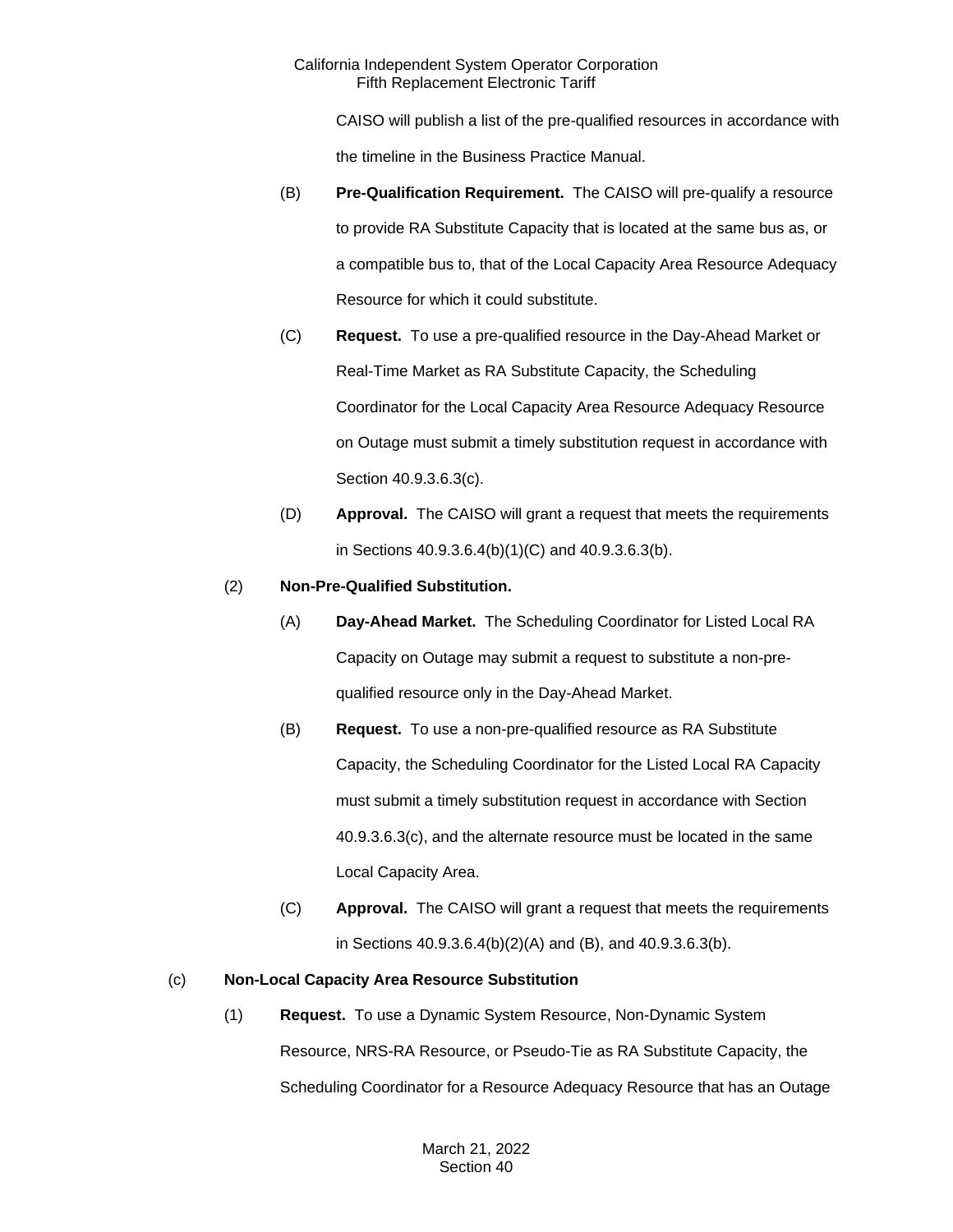CAISO will publish a list of the pre-qualified resources in accordance with the timeline in the Business Practice Manual.

- (B) **Pre-Qualification Requirement.** The CAISO will pre-qualify a resource to provide RA Substitute Capacity that is located at the same bus as, or a compatible bus to, that of the Local Capacity Area Resource Adequacy Resource for which it could substitute.
- (C) **Request.** To use a pre-qualified resource in the Day-Ahead Market or Real-Time Market as RA Substitute Capacity, the Scheduling Coordinator for the Local Capacity Area Resource Adequacy Resource on Outage must submit a timely substitution request in accordance with Section 40.9.3.6.3(c).
- (D) **Approval.** The CAISO will grant a request that meets the requirements in Sections 40.9.3.6.4(b)(1)(C) and 40.9.3.6.3(b).

# (2) **Non-Pre-Qualified Substitution.**

- (A) **Day-Ahead Market.** The Scheduling Coordinator for Listed Local RA Capacity on Outage may submit a request to substitute a non-prequalified resource only in the Day-Ahead Market.
- (B) **Request.** To use a non-pre-qualified resource as RA Substitute Capacity, the Scheduling Coordinator for the Listed Local RA Capacity must submit a timely substitution request in accordance with Section 40.9.3.6.3(c), and the alternate resource must be located in the same Local Capacity Area.
- (C) **Approval.** The CAISO will grant a request that meets the requirements in Sections 40.9.3.6.4(b)(2)(A) and (B), and 40.9.3.6.3(b).

# (c) **Non-Local Capacity Area Resource Substitution**

(1) **Request.** To use a Dynamic System Resource, Non-Dynamic System Resource, NRS-RA Resource, or Pseudo-Tie as RA Substitute Capacity, the Scheduling Coordinator for a Resource Adequacy Resource that has an Outage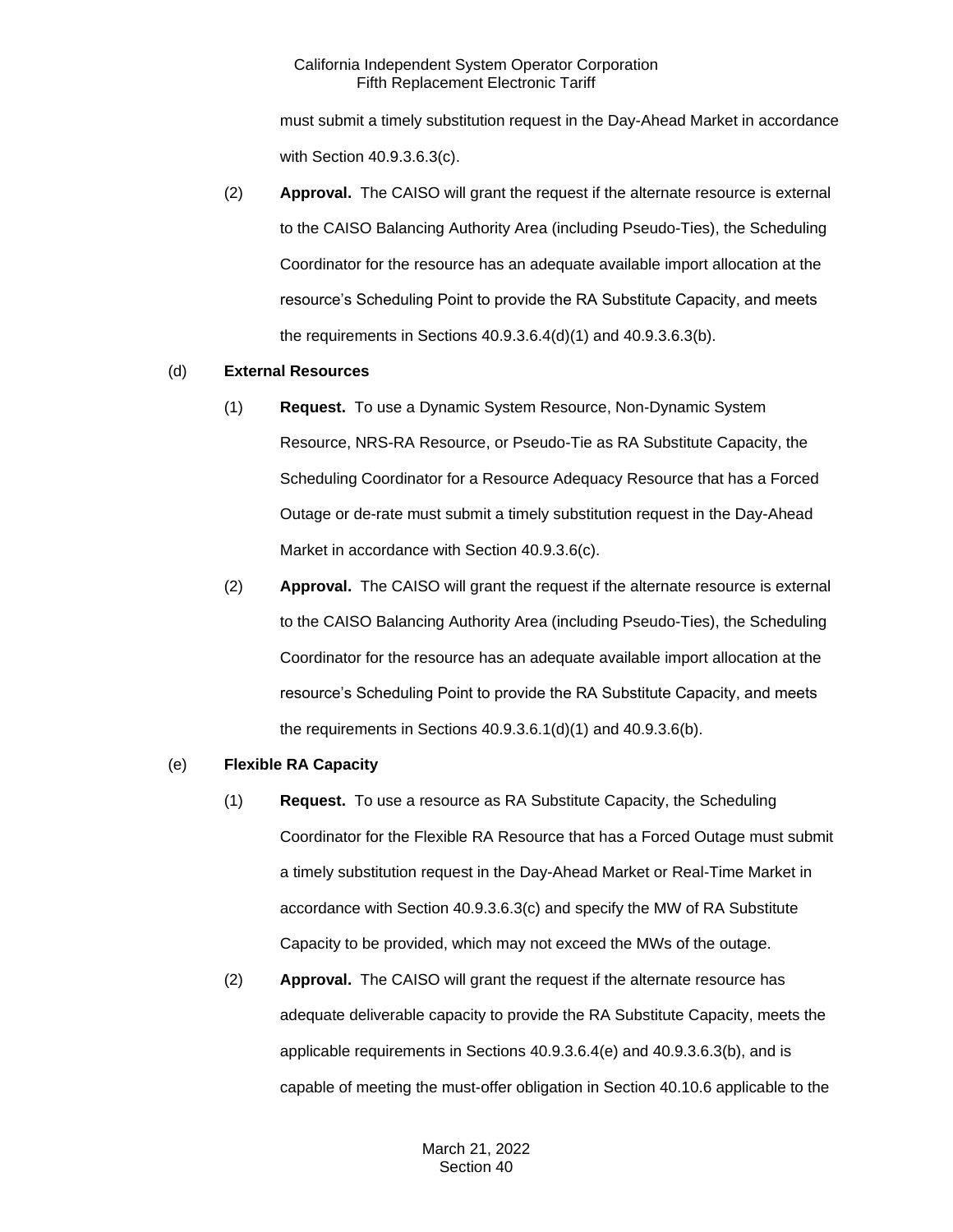must submit a timely substitution request in the Day-Ahead Market in accordance with Section 40.9.3.6.3(c).

(2) **Approval.** The CAISO will grant the request if the alternate resource is external to the CAISO Balancing Authority Area (including Pseudo-Ties), the Scheduling Coordinator for the resource has an adequate available import allocation at the resource's Scheduling Point to provide the RA Substitute Capacity, and meets the requirements in Sections 40.9.3.6.4(d)(1) and 40.9.3.6.3(b).

# (d) **External Resources**

- (1) **Request.** To use a Dynamic System Resource, Non-Dynamic System Resource, NRS-RA Resource, or Pseudo-Tie as RA Substitute Capacity, the Scheduling Coordinator for a Resource Adequacy Resource that has a Forced Outage or de-rate must submit a timely substitution request in the Day-Ahead Market in accordance with Section 40.9.3.6(c).
- (2) **Approval.** The CAISO will grant the request if the alternate resource is external to the CAISO Balancing Authority Area (including Pseudo-Ties), the Scheduling Coordinator for the resource has an adequate available import allocation at the resource's Scheduling Point to provide the RA Substitute Capacity, and meets the requirements in Sections 40.9.3.6.1(d)(1) and 40.9.3.6(b).

#### (e) **Flexible RA Capacity**

- (1) **Request.** To use a resource as RA Substitute Capacity, the Scheduling Coordinator for the Flexible RA Resource that has a Forced Outage must submit a timely substitution request in the Day-Ahead Market or Real-Time Market in accordance with Section 40.9.3.6.3(c) and specify the MW of RA Substitute Capacity to be provided, which may not exceed the MWs of the outage.
- (2) **Approval.** The CAISO will grant the request if the alternate resource has adequate deliverable capacity to provide the RA Substitute Capacity, meets the applicable requirements in Sections 40.9.3.6.4(e) and 40.9.3.6.3(b), and is capable of meeting the must-offer obligation in Section 40.10.6 applicable to the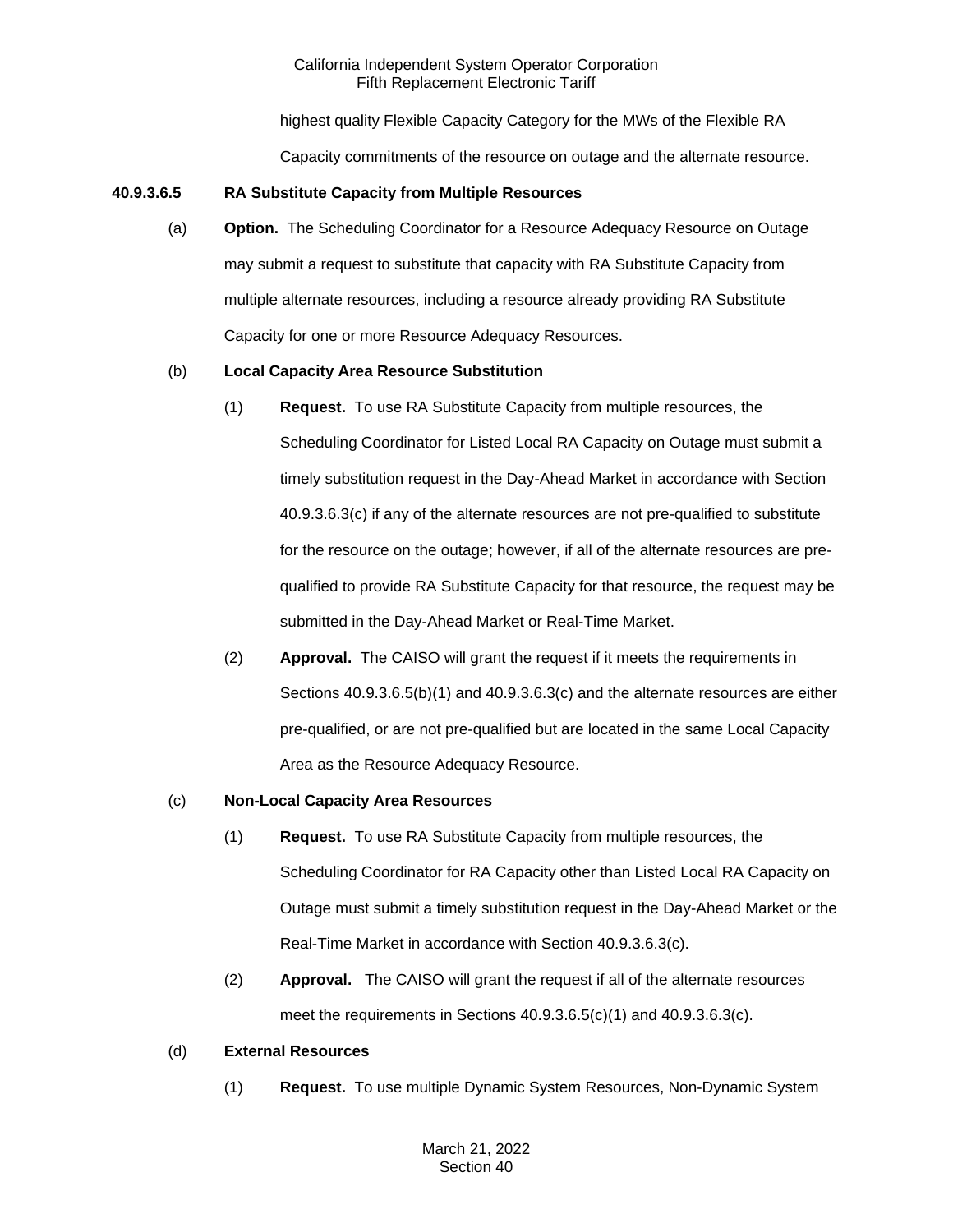highest quality Flexible Capacity Category for the MWs of the Flexible RA

Capacity commitments of the resource on outage and the alternate resource.

# **40.9.3.6.5 RA Substitute Capacity from Multiple Resources**

(a) **Option.** The Scheduling Coordinator for a Resource Adequacy Resource on Outage may submit a request to substitute that capacity with RA Substitute Capacity from multiple alternate resources, including a resource already providing RA Substitute Capacity for one or more Resource Adequacy Resources.

# (b) **Local Capacity Area Resource Substitution**

- (1) **Request.** To use RA Substitute Capacity from multiple resources, the Scheduling Coordinator for Listed Local RA Capacity on Outage must submit a timely substitution request in the Day-Ahead Market in accordance with Section 40.9.3.6.3(c) if any of the alternate resources are not pre-qualified to substitute for the resource on the outage; however, if all of the alternate resources are prequalified to provide RA Substitute Capacity for that resource, the request may be submitted in the Day-Ahead Market or Real-Time Market.
- (2) **Approval.** The CAISO will grant the request if it meets the requirements in Sections 40.9.3.6.5(b)(1) and 40.9.3.6.3(c) and the alternate resources are either pre-qualified, or are not pre-qualified but are located in the same Local Capacity Area as the Resource Adequacy Resource.

# (c) **Non-Local Capacity Area Resources**

- (1) **Request.** To use RA Substitute Capacity from multiple resources, the Scheduling Coordinator for RA Capacity other than Listed Local RA Capacity on Outage must submit a timely substitution request in the Day-Ahead Market or the Real-Time Market in accordance with Section 40.9.3.6.3(c).
- (2) **Approval.** The CAISO will grant the request if all of the alternate resources meet the requirements in Sections 40.9.3.6.5(c)(1) and 40.9.3.6.3(c).

# (d) **External Resources**

(1) **Request.** To use multiple Dynamic System Resources, Non-Dynamic System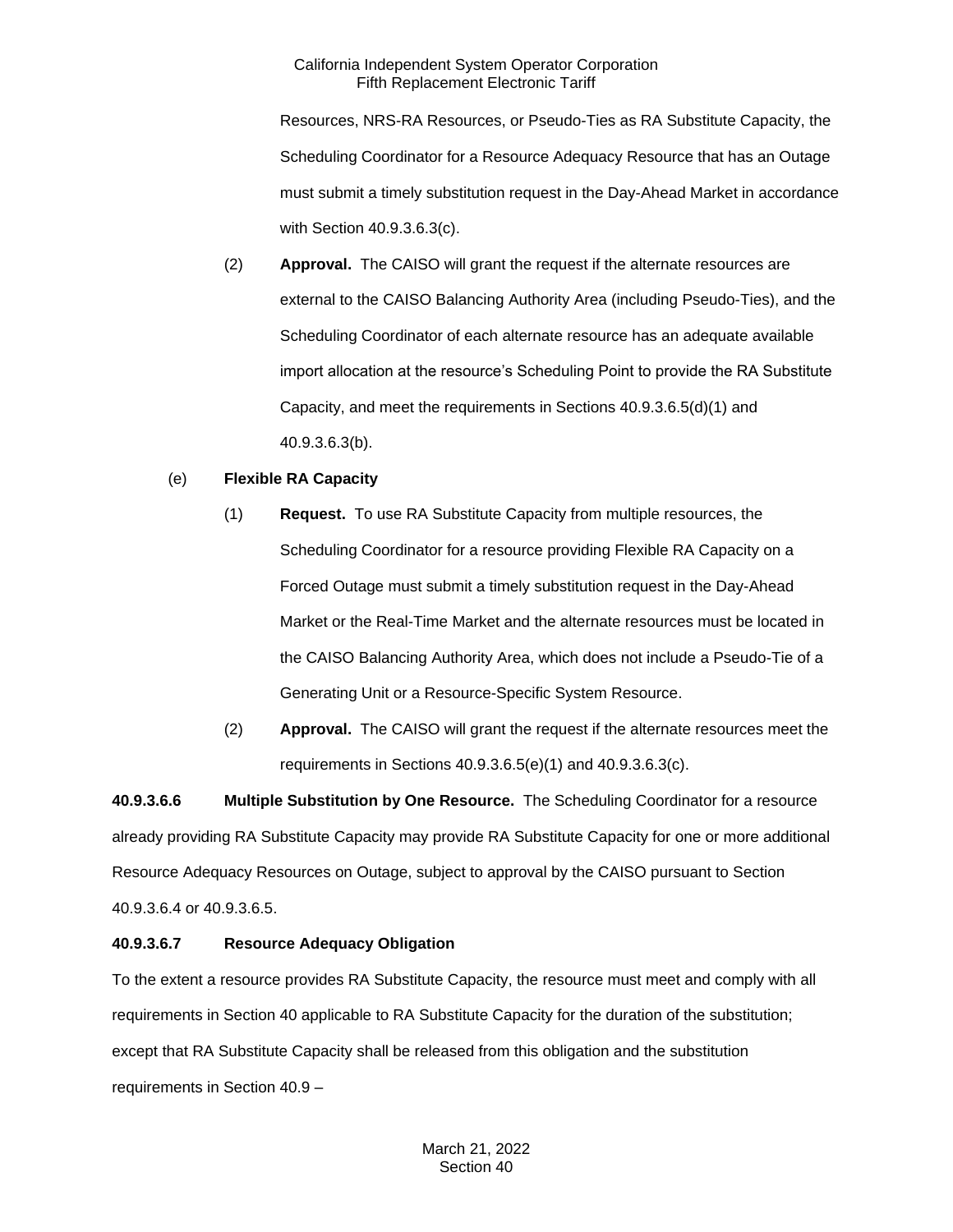Resources, NRS-RA Resources, or Pseudo-Ties as RA Substitute Capacity, the Scheduling Coordinator for a Resource Adequacy Resource that has an Outage must submit a timely substitution request in the Day-Ahead Market in accordance with Section 40.9.3.6.3(c).

(2) **Approval.** The CAISO will grant the request if the alternate resources are external to the CAISO Balancing Authority Area (including Pseudo-Ties), and the Scheduling Coordinator of each alternate resource has an adequate available import allocation at the resource's Scheduling Point to provide the RA Substitute Capacity, and meet the requirements in Sections 40.9.3.6.5(d)(1) and 40.9.3.6.3(b).

# (e) **Flexible RA Capacity**

- (1) **Request.** To use RA Substitute Capacity from multiple resources, the Scheduling Coordinator for a resource providing Flexible RA Capacity on a Forced Outage must submit a timely substitution request in the Day-Ahead Market or the Real-Time Market and the alternate resources must be located in the CAISO Balancing Authority Area, which does not include a Pseudo-Tie of a Generating Unit or a Resource-Specific System Resource.
- (2) **Approval.** The CAISO will grant the request if the alternate resources meet the requirements in Sections 40.9.3.6.5(e)(1) and 40.9.3.6.3(c).

**40.9.3.6.6 Multiple Substitution by One Resource.** The Scheduling Coordinator for a resource already providing RA Substitute Capacity may provide RA Substitute Capacity for one or more additional Resource Adequacy Resources on Outage, subject to approval by the CAISO pursuant to Section 40.9.3.6.4 or 40.9.3.6.5.

# **40.9.3.6.7 Resource Adequacy Obligation**

To the extent a resource provides RA Substitute Capacity, the resource must meet and comply with all requirements in Section 40 applicable to RA Substitute Capacity for the duration of the substitution; except that RA Substitute Capacity shall be released from this obligation and the substitution requirements in Section 40.9 –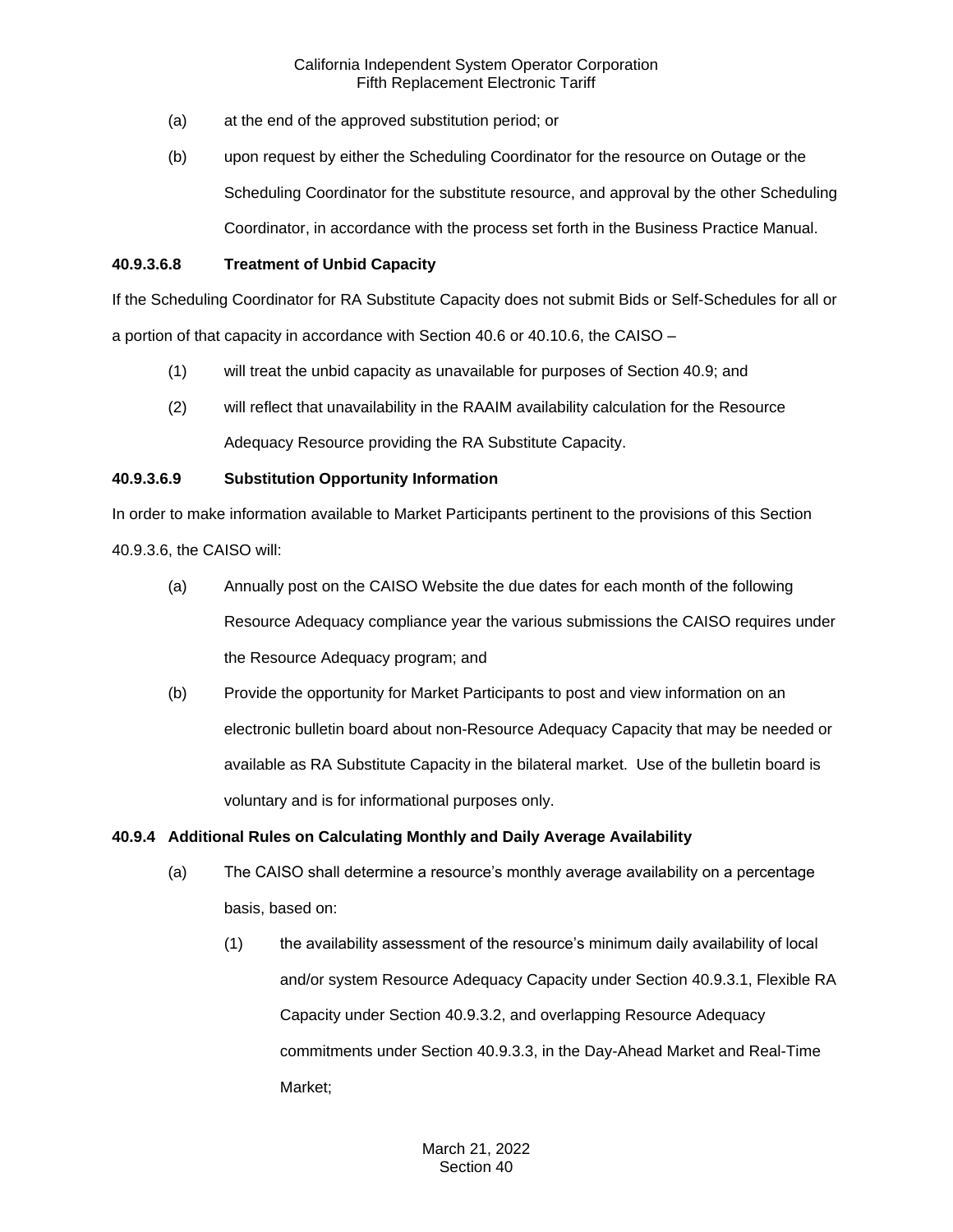- (a) at the end of the approved substitution period; or
- (b) upon request by either the Scheduling Coordinator for the resource on Outage or the Scheduling Coordinator for the substitute resource, and approval by the other Scheduling Coordinator, in accordance with the process set forth in the Business Practice Manual.

#### **40.9.3.6.8 Treatment of Unbid Capacity**

If the Scheduling Coordinator for RA Substitute Capacity does not submit Bids or Self-Schedules for all or a portion of that capacity in accordance with Section 40.6 or 40.10.6, the CAISO –

- (1) will treat the unbid capacity as unavailable for purposes of Section 40.9; and
- (2) will reflect that unavailability in the RAAIM availability calculation for the Resource Adequacy Resource providing the RA Substitute Capacity.

# **40.9.3.6.9 Substitution Opportunity Information**

In order to make information available to Market Participants pertinent to the provisions of this Section 40.9.3.6, the CAISO will:

- (a) Annually post on the CAISO Website the due dates for each month of the following Resource Adequacy compliance year the various submissions the CAISO requires under the Resource Adequacy program; and
- (b) Provide the opportunity for Market Participants to post and view information on an electronic bulletin board about non-Resource Adequacy Capacity that may be needed or available as RA Substitute Capacity in the bilateral market. Use of the bulletin board is voluntary and is for informational purposes only.

# **40.9.4 Additional Rules on Calculating Monthly and Daily Average Availability**

- (a) The CAISO shall determine a resource's monthly average availability on a percentage basis, based on:
	- (1) the availability assessment of the resource's minimum daily availability of local and/or system Resource Adequacy Capacity under Section 40.9.3.1, Flexible RA Capacity under Section 40.9.3.2, and overlapping Resource Adequacy commitments under Section 40.9.3.3, in the Day-Ahead Market and Real-Time Market;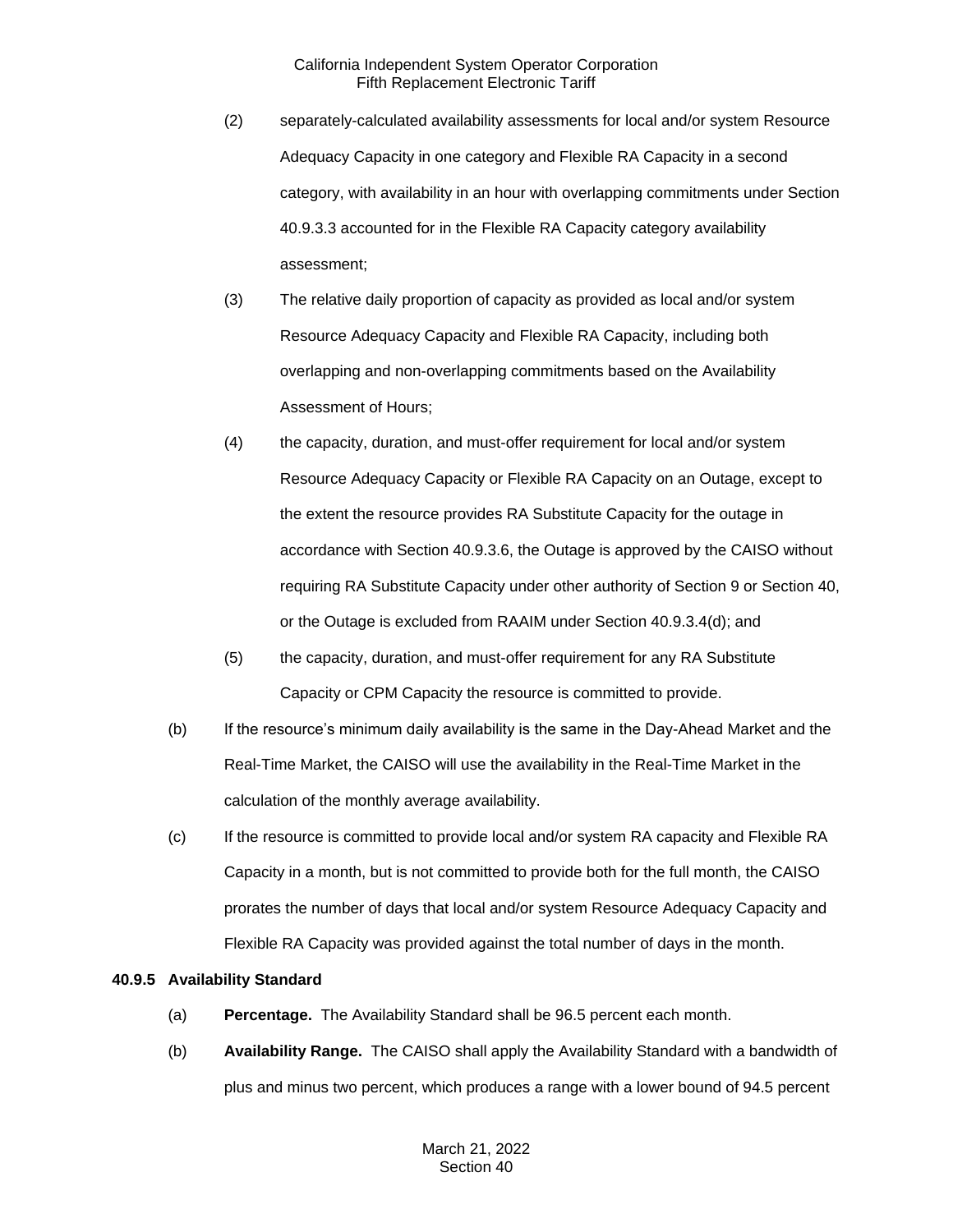- (2) separately-calculated availability assessments for local and/or system Resource Adequacy Capacity in one category and Flexible RA Capacity in a second category, with availability in an hour with overlapping commitments under Section 40.9.3.3 accounted for in the Flexible RA Capacity category availability assessment;
- (3) The relative daily proportion of capacity as provided as local and/or system Resource Adequacy Capacity and Flexible RA Capacity, including both overlapping and non-overlapping commitments based on the Availability Assessment of Hours;
- (4) the capacity, duration, and must-offer requirement for local and/or system Resource Adequacy Capacity or Flexible RA Capacity on an Outage, except to the extent the resource provides RA Substitute Capacity for the outage in accordance with Section 40.9.3.6, the Outage is approved by the CAISO without requiring RA Substitute Capacity under other authority of Section 9 or Section 40, or the Outage is excluded from RAAIM under Section 40.9.3.4(d); and
- (5) the capacity, duration, and must-offer requirement for any RA Substitute Capacity or CPM Capacity the resource is committed to provide.
- (b) If the resource's minimum daily availability is the same in the Day-Ahead Market and the Real-Time Market, the CAISO will use the availability in the Real-Time Market in the calculation of the monthly average availability.
- (c) If the resource is committed to provide local and/or system RA capacity and Flexible RA Capacity in a month, but is not committed to provide both for the full month, the CAISO prorates the number of days that local and/or system Resource Adequacy Capacity and Flexible RA Capacity was provided against the total number of days in the month.

# **40.9.5 Availability Standard**

- (a) **Percentage.** The Availability Standard shall be 96.5 percent each month.
- (b) **Availability Range.** The CAISO shall apply the Availability Standard with a bandwidth of plus and minus two percent, which produces a range with a lower bound of 94.5 percent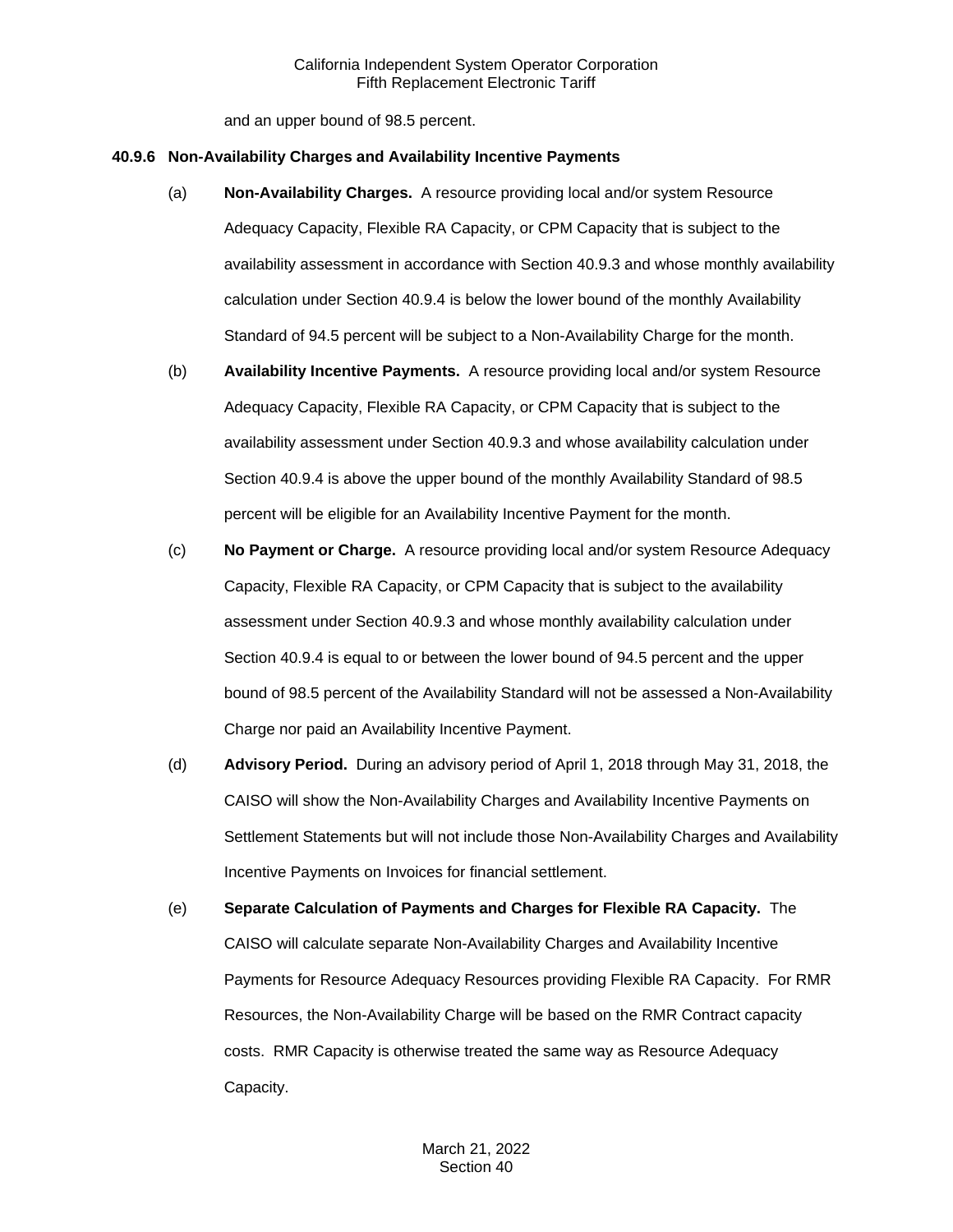and an upper bound of 98.5 percent.

#### **40.9.6 Non-Availability Charges and Availability Incentive Payments**

- (a) **Non-Availability Charges.** A resource providing local and/or system Resource Adequacy Capacity, Flexible RA Capacity, or CPM Capacity that is subject to the availability assessment in accordance with Section 40.9.3 and whose monthly availability calculation under Section 40.9.4 is below the lower bound of the monthly Availability Standard of 94.5 percent will be subject to a Non-Availability Charge for the month.
- (b) **Availability Incentive Payments.** A resource providing local and/or system Resource Adequacy Capacity, Flexible RA Capacity, or CPM Capacity that is subject to the availability assessment under Section 40.9.3 and whose availability calculation under Section 40.9.4 is above the upper bound of the monthly Availability Standard of 98.5 percent will be eligible for an Availability Incentive Payment for the month.
- (c) **No Payment or Charge.** A resource providing local and/or system Resource Adequacy Capacity, Flexible RA Capacity, or CPM Capacity that is subject to the availability assessment under Section 40.9.3 and whose monthly availability calculation under Section 40.9.4 is equal to or between the lower bound of 94.5 percent and the upper bound of 98.5 percent of the Availability Standard will not be assessed a Non-Availability Charge nor paid an Availability Incentive Payment.
- (d) **Advisory Period.** During an advisory period of April 1, 2018 through May 31, 2018, the CAISO will show the Non-Availability Charges and Availability Incentive Payments on Settlement Statements but will not include those Non-Availability Charges and Availability Incentive Payments on Invoices for financial settlement.
- (e) **Separate Calculation of Payments and Charges for Flexible RA Capacity.** The CAISO will calculate separate Non-Availability Charges and Availability Incentive Payments for Resource Adequacy Resources providing Flexible RA Capacity. For RMR Resources, the Non-Availability Charge will be based on the RMR Contract capacity costs. RMR Capacity is otherwise treated the same way as Resource Adequacy Capacity.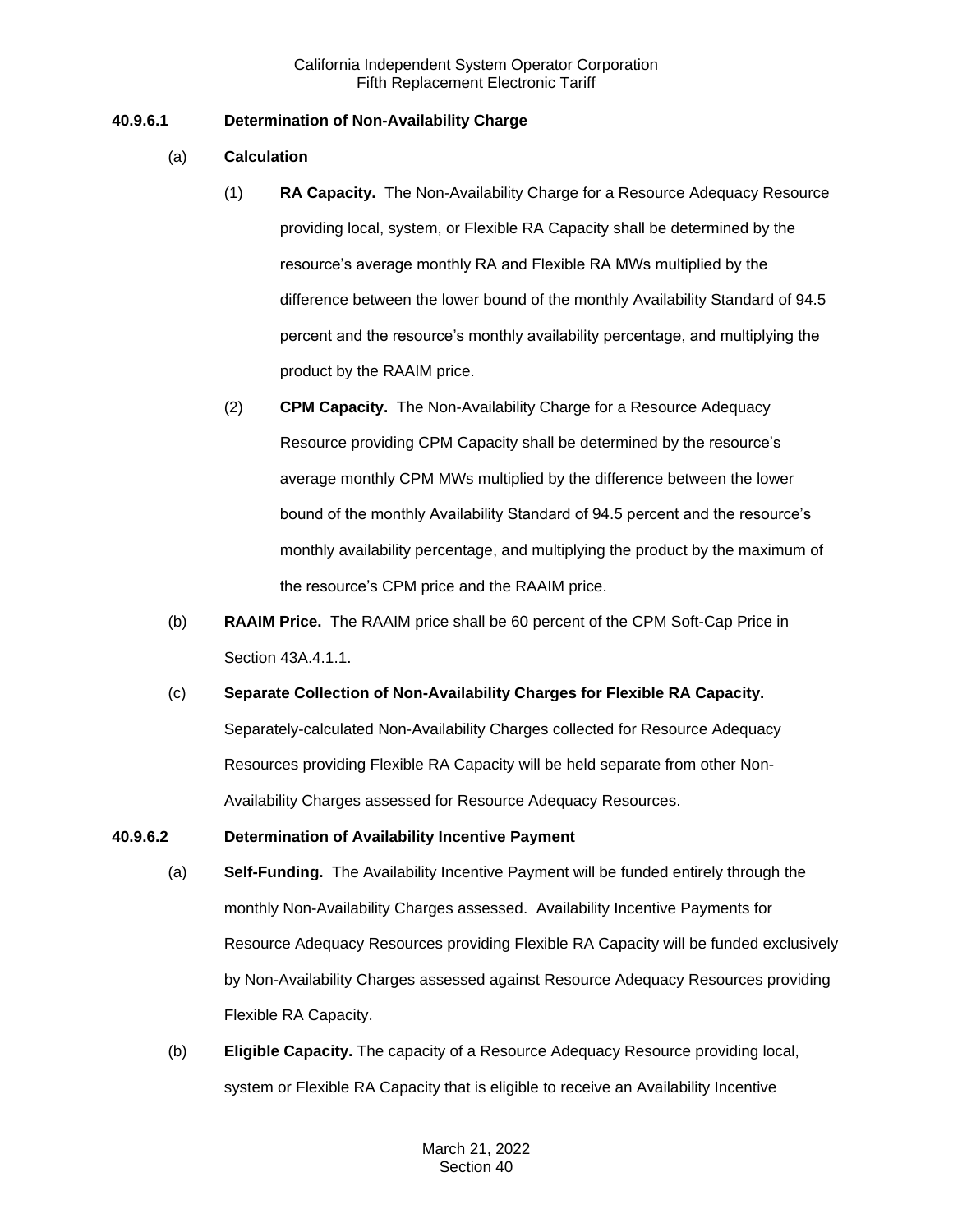# **40.9.6.1 Determination of Non-Availability Charge**

- (a) **Calculation**
	- (1) **RA Capacity.** The Non-Availability Charge for a Resource Adequacy Resource providing local, system, or Flexible RA Capacity shall be determined by the resource's average monthly RA and Flexible RA MWs multiplied by the difference between the lower bound of the monthly Availability Standard of 94.5 percent and the resource's monthly availability percentage, and multiplying the product by the RAAIM price.
	- (2) **CPM Capacity.** The Non-Availability Charge for a Resource Adequacy Resource providing CPM Capacity shall be determined by the resource's average monthly CPM MWs multiplied by the difference between the lower bound of the monthly Availability Standard of 94.5 percent and the resource's monthly availability percentage, and multiplying the product by the maximum of the resource's CPM price and the RAAIM price.
- (b) **RAAIM Price.** The RAAIM price shall be 60 percent of the CPM Soft-Cap Price in Section 43A.4.1.1.
- (c) **Separate Collection of Non-Availability Charges for Flexible RA Capacity.**  Separately-calculated Non-Availability Charges collected for Resource Adequacy Resources providing Flexible RA Capacity will be held separate from other Non-Availability Charges assessed for Resource Adequacy Resources.

# **40.9.6.2 Determination of Availability Incentive Payment**

- (a) **Self-Funding.** The Availability Incentive Payment will be funded entirely through the monthly Non-Availability Charges assessed. Availability Incentive Payments for Resource Adequacy Resources providing Flexible RA Capacity will be funded exclusively by Non-Availability Charges assessed against Resource Adequacy Resources providing Flexible RA Capacity.
- (b) **Eligible Capacity.** The capacity of a Resource Adequacy Resource providing local, system or Flexible RA Capacity that is eligible to receive an Availability Incentive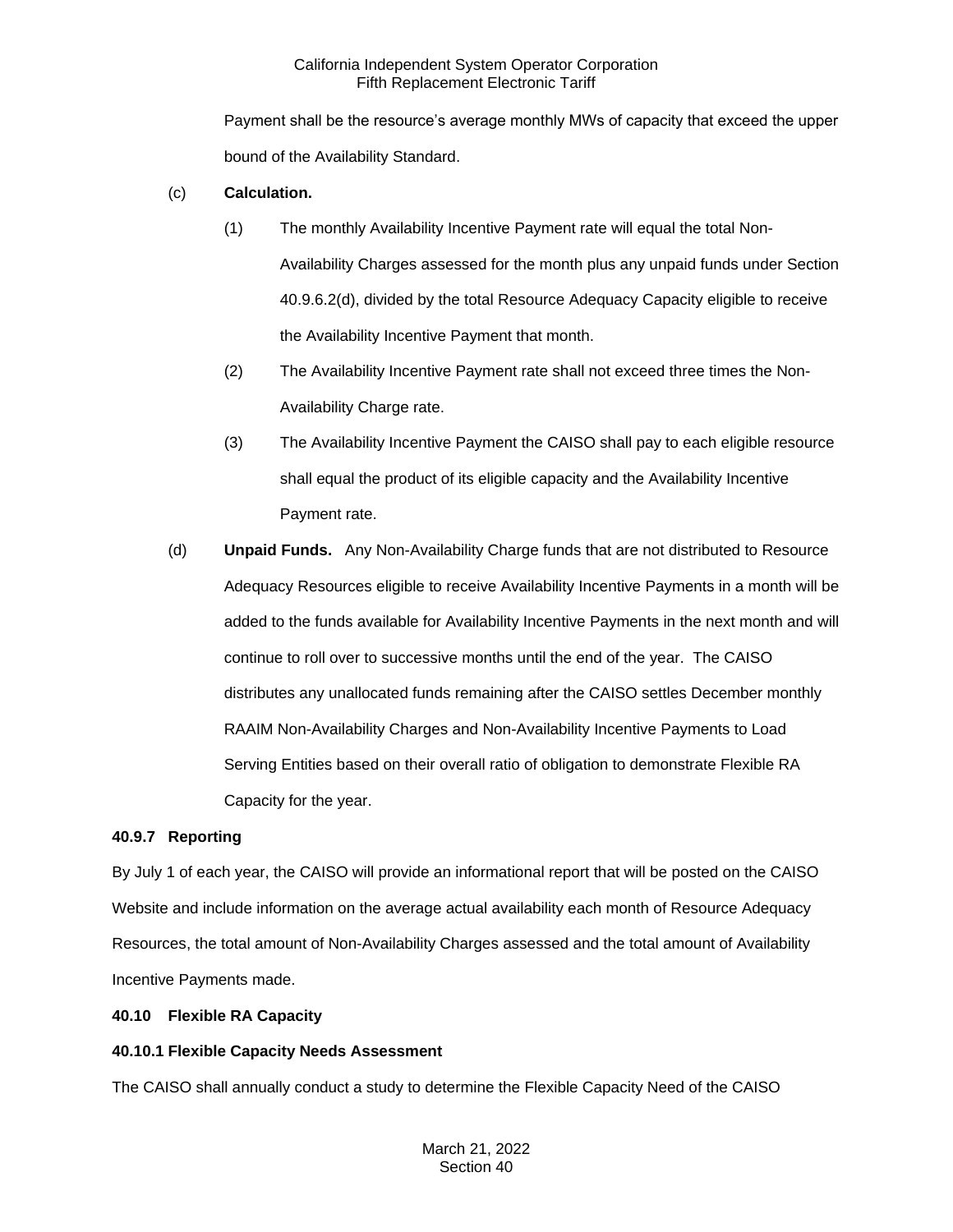Payment shall be the resource's average monthly MWs of capacity that exceed the upper bound of the Availability Standard.

### (c) **Calculation.**

- (1) The monthly Availability Incentive Payment rate will equal the total Non-Availability Charges assessed for the month plus any unpaid funds under Section 40.9.6.2(d), divided by the total Resource Adequacy Capacity eligible to receive the Availability Incentive Payment that month.
- (2) The Availability Incentive Payment rate shall not exceed three times the Non-Availability Charge rate.
- (3) The Availability Incentive Payment the CAISO shall pay to each eligible resource shall equal the product of its eligible capacity and the Availability Incentive Payment rate.
- (d) **Unpaid Funds.** Any Non-Availability Charge funds that are not distributed to Resource Adequacy Resources eligible to receive Availability Incentive Payments in a month will be added to the funds available for Availability Incentive Payments in the next month and will continue to roll over to successive months until the end of the year. The CAISO distributes any unallocated funds remaining after the CAISO settles December monthly RAAIM Non-Availability Charges and Non-Availability Incentive Payments to Load Serving Entities based on their overall ratio of obligation to demonstrate Flexible RA Capacity for the year.

#### **40.9.7 Reporting**

By July 1 of each year, the CAISO will provide an informational report that will be posted on the CAISO Website and include information on the average actual availability each month of Resource Adequacy Resources, the total amount of Non-Availability Charges assessed and the total amount of Availability Incentive Payments made.

# **40.10 Flexible RA Capacity**

# **40.10.1 Flexible Capacity Needs Assessment**

The CAISO shall annually conduct a study to determine the Flexible Capacity Need of the CAISO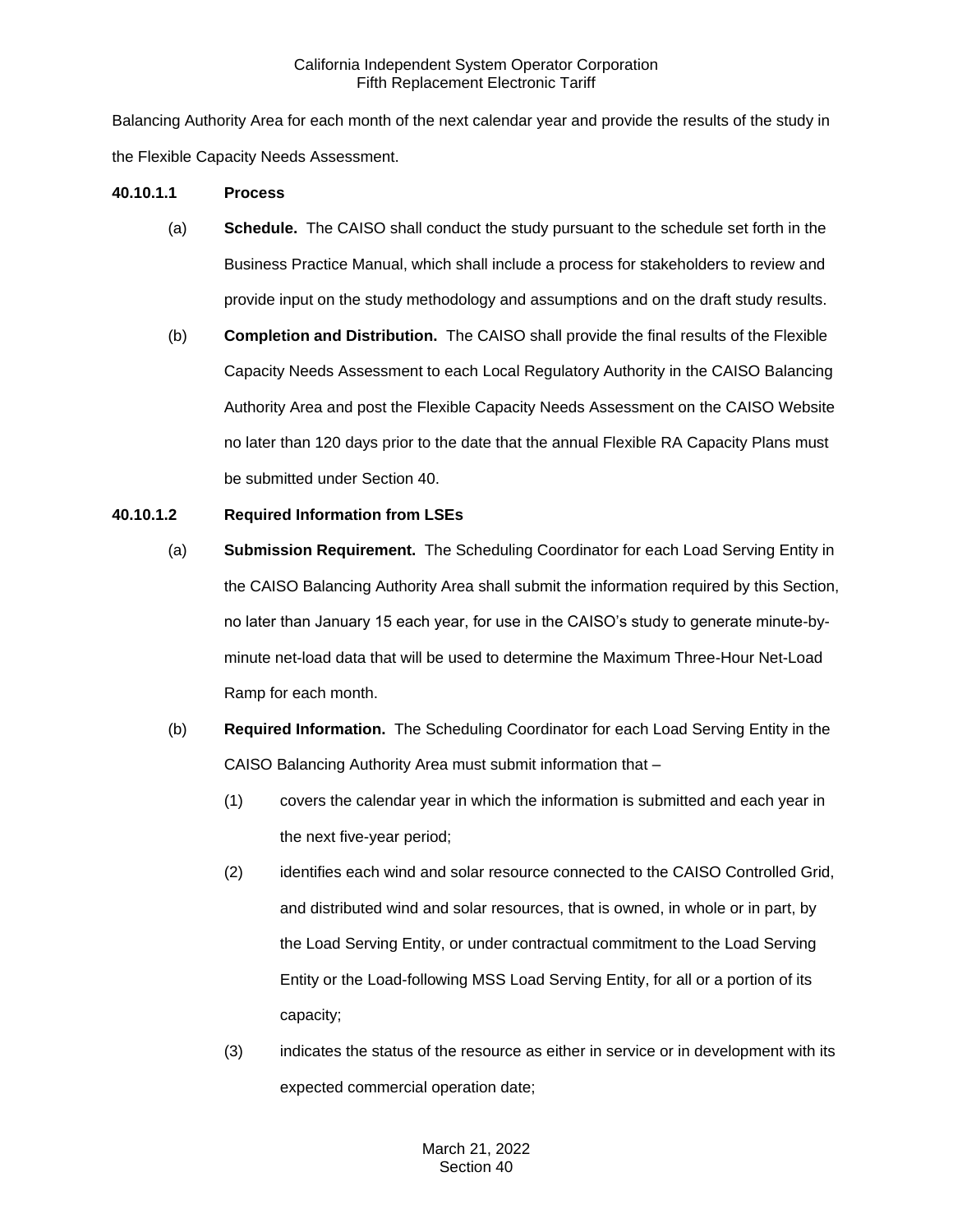Balancing Authority Area for each month of the next calendar year and provide the results of the study in the Flexible Capacity Needs Assessment.

#### **40.10.1.1 Process**

- (a) **Schedule.** The CAISO shall conduct the study pursuant to the schedule set forth in the Business Practice Manual, which shall include a process for stakeholders to review and provide input on the study methodology and assumptions and on the draft study results.
- (b) **Completion and Distribution.** The CAISO shall provide the final results of the Flexible Capacity Needs Assessment to each Local Regulatory Authority in the CAISO Balancing Authority Area and post the Flexible Capacity Needs Assessment on the CAISO Website no later than 120 days prior to the date that the annual Flexible RA Capacity Plans must be submitted under Section 40.

# **40.10.1.2 Required Information from LSEs**

- (a) **Submission Requirement.** The Scheduling Coordinator for each Load Serving Entity in the CAISO Balancing Authority Area shall submit the information required by this Section, no later than January 15 each year, for use in the CAISO's study to generate minute-byminute net-load data that will be used to determine the Maximum Three-Hour Net-Load Ramp for each month.
- (b) **Required Information.** The Scheduling Coordinator for each Load Serving Entity in the CAISO Balancing Authority Area must submit information that –
	- (1) covers the calendar year in which the information is submitted and each year in the next five-year period;
	- (2) identifies each wind and solar resource connected to the CAISO Controlled Grid, and distributed wind and solar resources, that is owned, in whole or in part, by the Load Serving Entity, or under contractual commitment to the Load Serving Entity or the Load-following MSS Load Serving Entity, for all or a portion of its capacity;
	- (3) indicates the status of the resource as either in service or in development with its expected commercial operation date;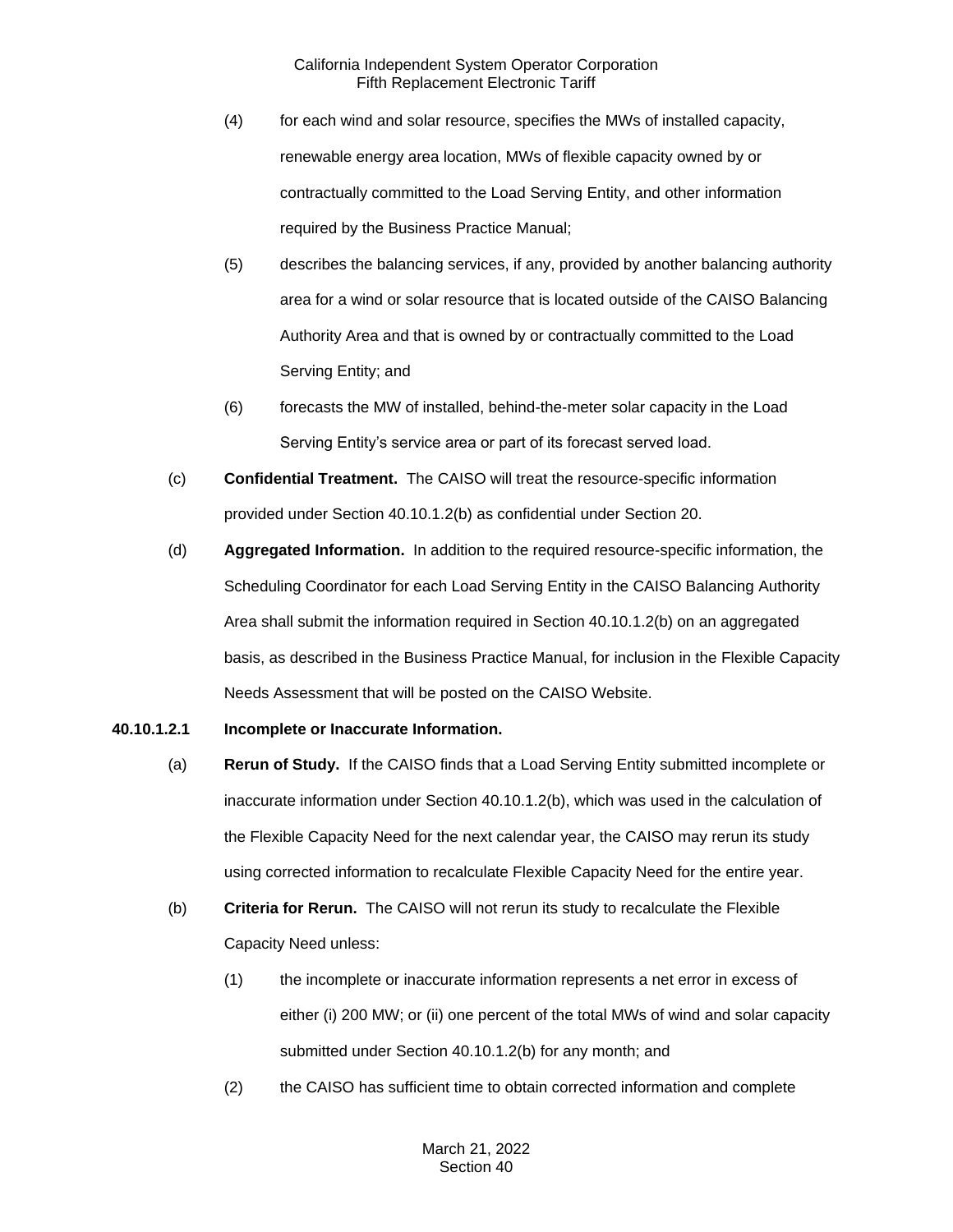- (4) for each wind and solar resource, specifies the MWs of installed capacity, renewable energy area location, MWs of flexible capacity owned by or contractually committed to the Load Serving Entity, and other information required by the Business Practice Manual;
- (5) describes the balancing services, if any, provided by another balancing authority area for a wind or solar resource that is located outside of the CAISO Balancing Authority Area and that is owned by or contractually committed to the Load Serving Entity; and
- (6) forecasts the MW of installed, behind-the-meter solar capacity in the Load Serving Entity's service area or part of its forecast served load.
- (c) **Confidential Treatment.** The CAISO will treat the resource-specific information provided under Section 40.10.1.2(b) as confidential under Section 20.
- (d) **Aggregated Information.** In addition to the required resource-specific information, the Scheduling Coordinator for each Load Serving Entity in the CAISO Balancing Authority Area shall submit the information required in Section 40.10.1.2(b) on an aggregated basis, as described in the Business Practice Manual, for inclusion in the Flexible Capacity Needs Assessment that will be posted on the CAISO Website.

# **40.10.1.2.1 Incomplete or Inaccurate Information.**

- (a) **Rerun of Study.** If the CAISO finds that a Load Serving Entity submitted incomplete or inaccurate information under Section 40.10.1.2(b), which was used in the calculation of the Flexible Capacity Need for the next calendar year, the CAISO may rerun its study using corrected information to recalculate Flexible Capacity Need for the entire year.
- (b) **Criteria for Rerun.** The CAISO will not rerun its study to recalculate the Flexible Capacity Need unless:
	- (1) the incomplete or inaccurate information represents a net error in excess of either (i) 200 MW; or (ii) one percent of the total MWs of wind and solar capacity submitted under Section 40.10.1.2(b) for any month; and
	- (2) the CAISO has sufficient time to obtain corrected information and complete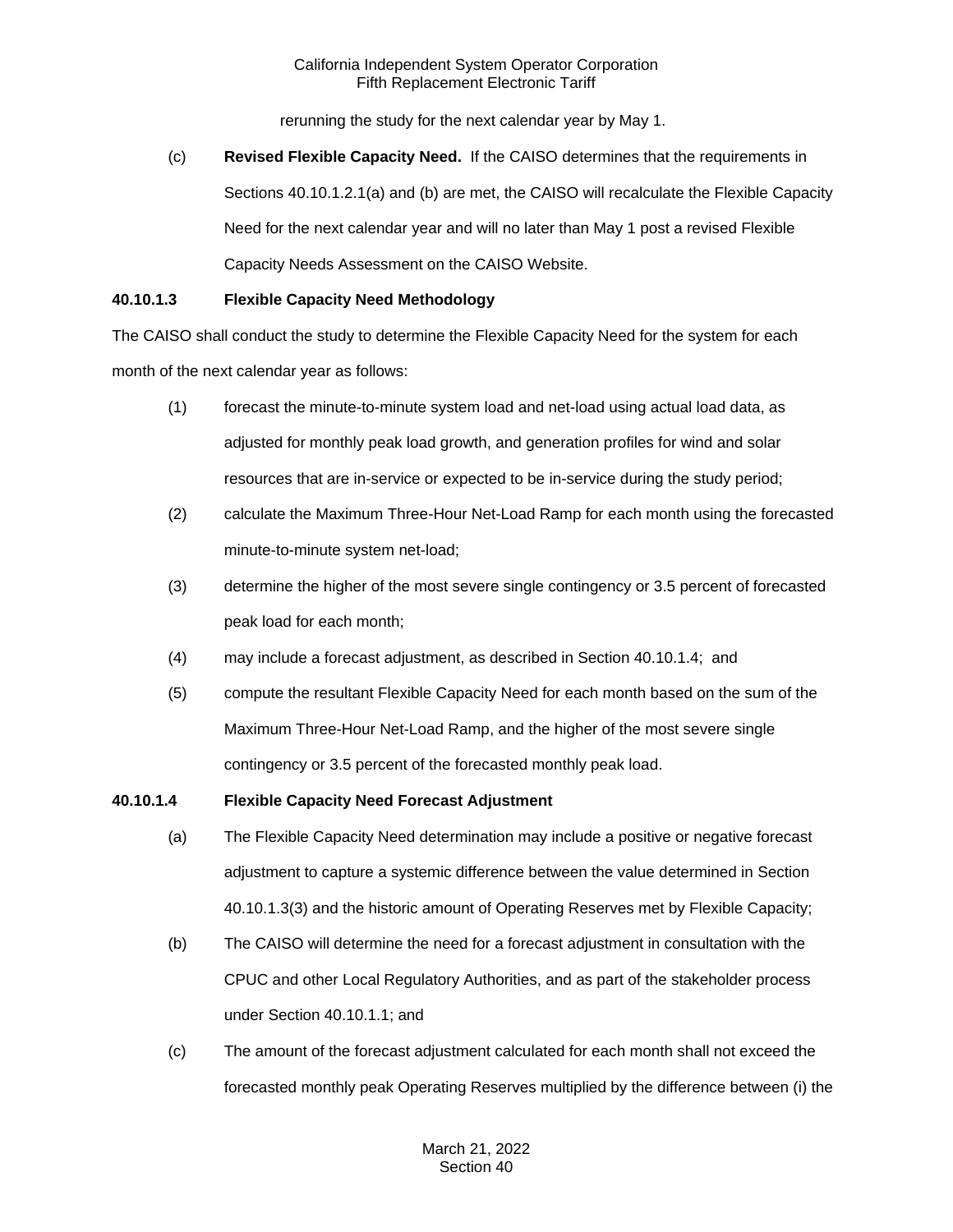rerunning the study for the next calendar year by May 1.

(c) **Revised Flexible Capacity Need.** If the CAISO determines that the requirements in Sections 40.10.1.2.1(a) and (b) are met, the CAISO will recalculate the Flexible Capacity Need for the next calendar year and will no later than May 1 post a revised Flexible Capacity Needs Assessment on the CAISO Website.

# **40.10.1.3 Flexible Capacity Need Methodology**

The CAISO shall conduct the study to determine the Flexible Capacity Need for the system for each month of the next calendar year as follows:

- (1) forecast the minute-to-minute system load and net-load using actual load data, as adjusted for monthly peak load growth, and generation profiles for wind and solar resources that are in-service or expected to be in-service during the study period;
- (2) calculate the Maximum Three-Hour Net-Load Ramp for each month using the forecasted minute-to-minute system net-load;
- (3) determine the higher of the most severe single contingency or 3.5 percent of forecasted peak load for each month;
- (4) may include a forecast adjustment, as described in Section 40.10.1.4; and
- (5) compute the resultant Flexible Capacity Need for each month based on the sum of the Maximum Three-Hour Net-Load Ramp, and the higher of the most severe single contingency or 3.5 percent of the forecasted monthly peak load.

# **40.10.1.4 Flexible Capacity Need Forecast Adjustment**

- (a) The Flexible Capacity Need determination may include a positive or negative forecast adjustment to capture a systemic difference between the value determined in Section 40.10.1.3(3) and the historic amount of Operating Reserves met by Flexible Capacity;
- (b) The CAISO will determine the need for a forecast adjustment in consultation with the CPUC and other Local Regulatory Authorities, and as part of the stakeholder process under Section 40.10.1.1; and
- (c) The amount of the forecast adjustment calculated for each month shall not exceed the forecasted monthly peak Operating Reserves multiplied by the difference between (i) the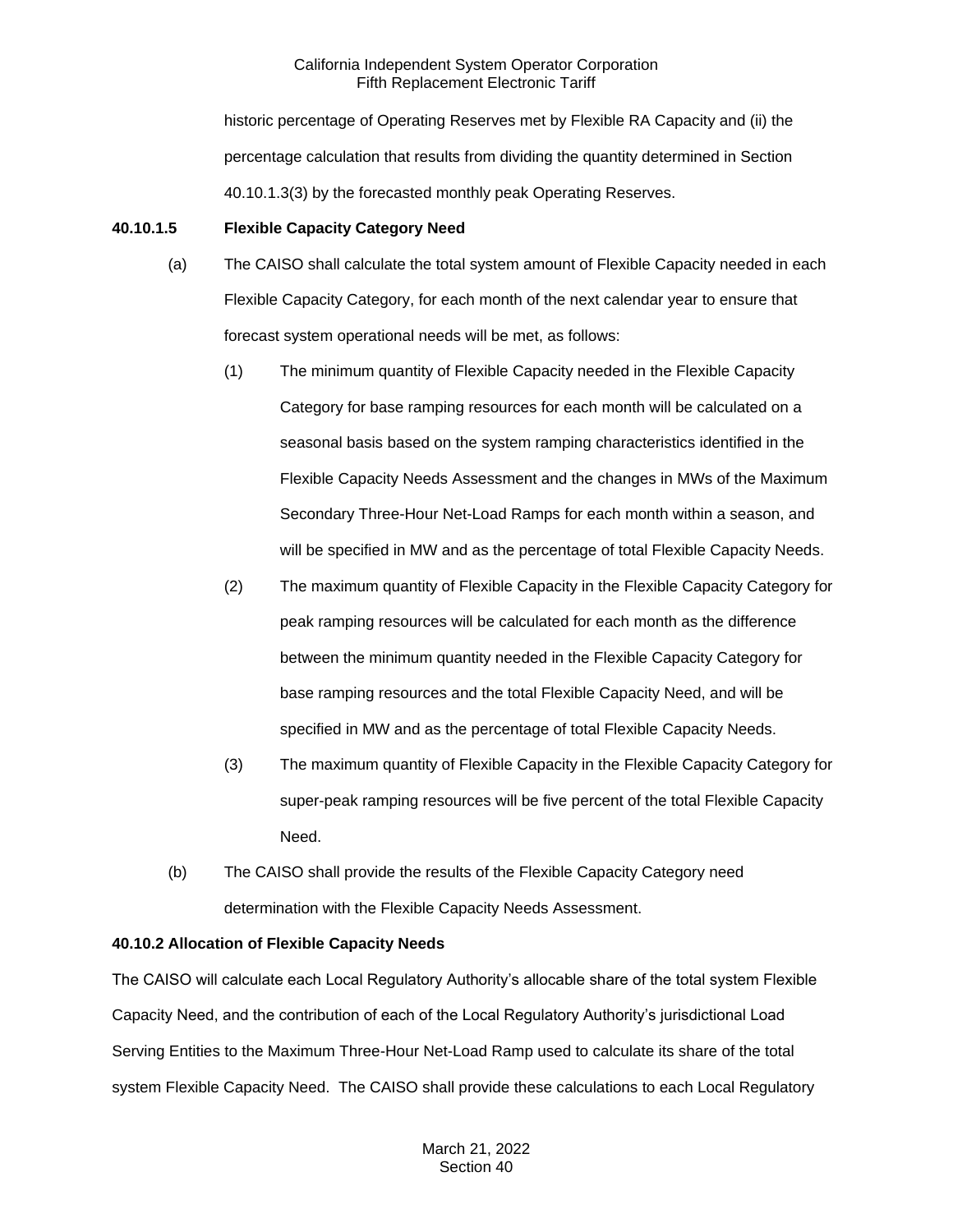historic percentage of Operating Reserves met by Flexible RA Capacity and (ii) the percentage calculation that results from dividing the quantity determined in Section 40.10.1.3(3) by the forecasted monthly peak Operating Reserves.

# **40.10.1.5 Flexible Capacity Category Need**

- (a) The CAISO shall calculate the total system amount of Flexible Capacity needed in each Flexible Capacity Category, for each month of the next calendar year to ensure that forecast system operational needs will be met, as follows:
	- (1) The minimum quantity of Flexible Capacity needed in the Flexible Capacity Category for base ramping resources for each month will be calculated on a seasonal basis based on the system ramping characteristics identified in the Flexible Capacity Needs Assessment and the changes in MWs of the Maximum Secondary Three-Hour Net-Load Ramps for each month within a season, and will be specified in MW and as the percentage of total Flexible Capacity Needs.
	- (2) The maximum quantity of Flexible Capacity in the Flexible Capacity Category for peak ramping resources will be calculated for each month as the difference between the minimum quantity needed in the Flexible Capacity Category for base ramping resources and the total Flexible Capacity Need, and will be specified in MW and as the percentage of total Flexible Capacity Needs.
	- (3) The maximum quantity of Flexible Capacity in the Flexible Capacity Category for super-peak ramping resources will be five percent of the total Flexible Capacity Need.
- (b) The CAISO shall provide the results of the Flexible Capacity Category need determination with the Flexible Capacity Needs Assessment.

# **40.10.2 Allocation of Flexible Capacity Needs**

The CAISO will calculate each Local Regulatory Authority's allocable share of the total system Flexible Capacity Need, and the contribution of each of the Local Regulatory Authority's jurisdictional Load Serving Entities to the Maximum Three-Hour Net-Load Ramp used to calculate its share of the total system Flexible Capacity Need. The CAISO shall provide these calculations to each Local Regulatory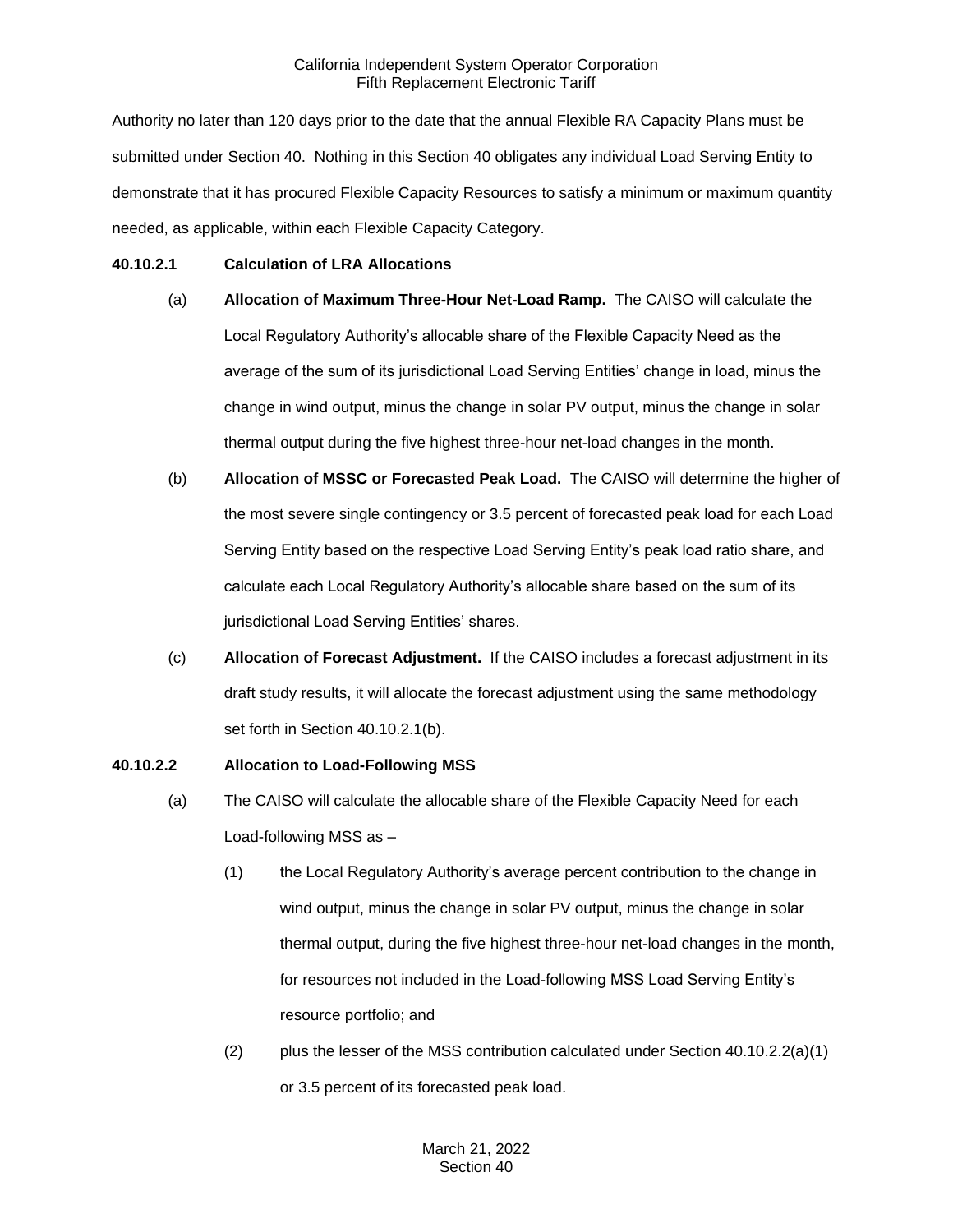Authority no later than 120 days prior to the date that the annual Flexible RA Capacity Plans must be submitted under Section 40. Nothing in this Section 40 obligates any individual Load Serving Entity to demonstrate that it has procured Flexible Capacity Resources to satisfy a minimum or maximum quantity needed, as applicable, within each Flexible Capacity Category.

### **40.10.2.1 Calculation of LRA Allocations**

- (a) **Allocation of Maximum Three-Hour Net-Load Ramp.** The CAISO will calculate the Local Regulatory Authority's allocable share of the Flexible Capacity Need as the average of the sum of its jurisdictional Load Serving Entities' change in load, minus the change in wind output, minus the change in solar PV output, minus the change in solar thermal output during the five highest three-hour net-load changes in the month.
- (b) **Allocation of MSSC or Forecasted Peak Load.** The CAISO will determine the higher of the most severe single contingency or 3.5 percent of forecasted peak load for each Load Serving Entity based on the respective Load Serving Entity's peak load ratio share, and calculate each Local Regulatory Authority's allocable share based on the sum of its jurisdictional Load Serving Entities' shares.
- (c) **Allocation of Forecast Adjustment.** If the CAISO includes a forecast adjustment in its draft study results, it will allocate the forecast adjustment using the same methodology set forth in Section 40.10.2.1(b).

# **40.10.2.2 Allocation to Load-Following MSS**

- (a) The CAISO will calculate the allocable share of the Flexible Capacity Need for each Load-following MSS as –
	- (1) the Local Regulatory Authority's average percent contribution to the change in wind output, minus the change in solar PV output, minus the change in solar thermal output, during the five highest three-hour net-load changes in the month, for resources not included in the Load-following MSS Load Serving Entity's resource portfolio; and
	- (2) plus the lesser of the MSS contribution calculated under Section  $40.10.2.2(a)(1)$ or 3.5 percent of its forecasted peak load.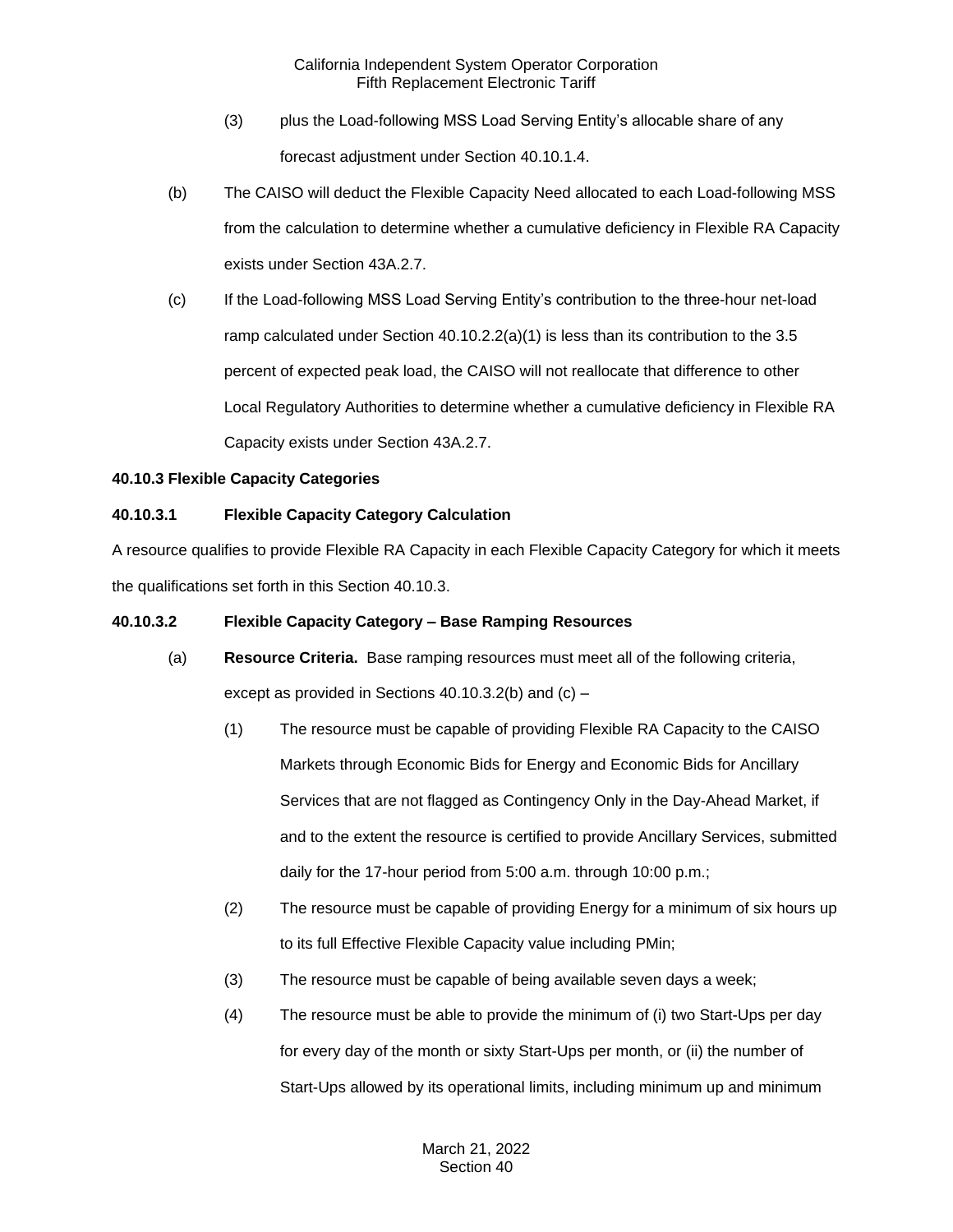- (3) plus the Load-following MSS Load Serving Entity's allocable share of any forecast adjustment under Section 40.10.1.4.
- (b) The CAISO will deduct the Flexible Capacity Need allocated to each Load-following MSS from the calculation to determine whether a cumulative deficiency in Flexible RA Capacity exists under Section 43A.2.7.
- (c) If the Load-following MSS Load Serving Entity's contribution to the three-hour net-load ramp calculated under Section 40.10.2.2(a)(1) is less than its contribution to the 3.5 percent of expected peak load, the CAISO will not reallocate that difference to other Local Regulatory Authorities to determine whether a cumulative deficiency in Flexible RA Capacity exists under Section 43A.2.7.

# **40.10.3 Flexible Capacity Categories**

# **40.10.3.1 Flexible Capacity Category Calculation**

A resource qualifies to provide Flexible RA Capacity in each Flexible Capacity Category for which it meets the qualifications set forth in this Section 40.10.3.

# **40.10.3.2 Flexible Capacity Category – Base Ramping Resources**

- (a) **Resource Criteria.** Base ramping resources must meet all of the following criteria, except as provided in Sections  $40.10.3.2(b)$  and  $(c)$  –
	- (1) The resource must be capable of providing Flexible RA Capacity to the CAISO Markets through Economic Bids for Energy and Economic Bids for Ancillary Services that are not flagged as Contingency Only in the Day-Ahead Market, if and to the extent the resource is certified to provide Ancillary Services, submitted daily for the 17-hour period from 5:00 a.m. through 10:00 p.m.;
	- (2) The resource must be capable of providing Energy for a minimum of six hours up to its full Effective Flexible Capacity value including PMin;
	- (3) The resource must be capable of being available seven days a week;
	- (4) The resource must be able to provide the minimum of (i) two Start-Ups per day for every day of the month or sixty Start-Ups per month, or (ii) the number of Start-Ups allowed by its operational limits, including minimum up and minimum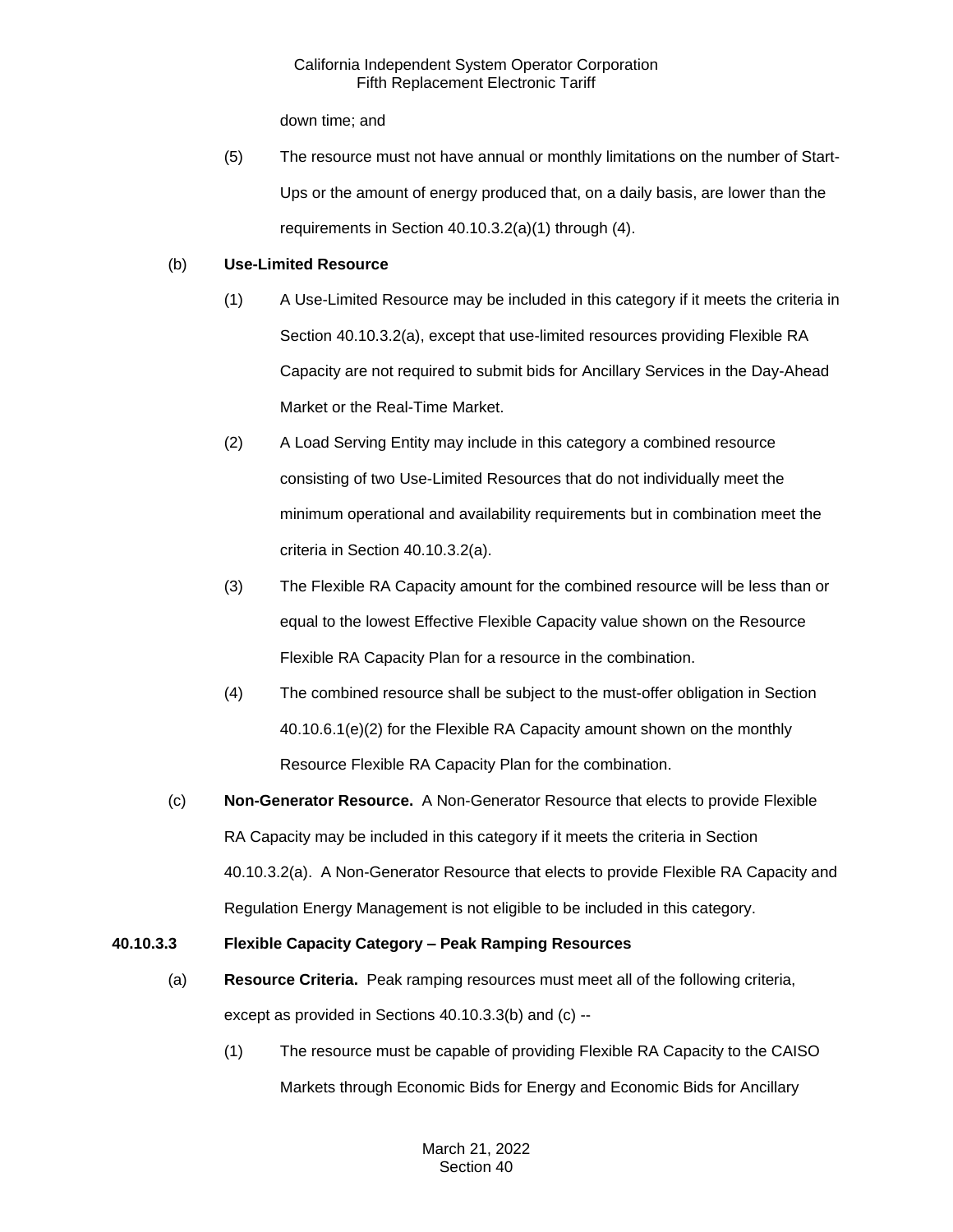down time; and

(5) The resource must not have annual or monthly limitations on the number of Start-Ups or the amount of energy produced that, on a daily basis, are lower than the requirements in Section 40.10.3.2(a)(1) through (4).

# (b) **Use-Limited Resource**

- (1) A Use-Limited Resource may be included in this category if it meets the criteria in Section 40.10.3.2(a), except that use-limited resources providing Flexible RA Capacity are not required to submit bids for Ancillary Services in the Day-Ahead Market or the Real-Time Market.
- (2) A Load Serving Entity may include in this category a combined resource consisting of two Use-Limited Resources that do not individually meet the minimum operational and availability requirements but in combination meet the criteria in Section 40.10.3.2(a).
- (3) The Flexible RA Capacity amount for the combined resource will be less than or equal to the lowest Effective Flexible Capacity value shown on the Resource Flexible RA Capacity Plan for a resource in the combination.
- (4) The combined resource shall be subject to the must-offer obligation in Section 40.10.6.1(e)(2) for the Flexible RA Capacity amount shown on the monthly Resource Flexible RA Capacity Plan for the combination.
- (c) **Non-Generator Resource.** A Non-Generator Resource that elects to provide Flexible RA Capacity may be included in this category if it meets the criteria in Section 40.10.3.2(a). A Non-Generator Resource that elects to provide Flexible RA Capacity and Regulation Energy Management is not eligible to be included in this category.

# **40.10.3.3 Flexible Capacity Category – Peak Ramping Resources**

- (a) **Resource Criteria.** Peak ramping resources must meet all of the following criteria, except as provided in Sections 40.10.3.3(b) and (c) --
	- (1) The resource must be capable of providing Flexible RA Capacity to the CAISO Markets through Economic Bids for Energy and Economic Bids for Ancillary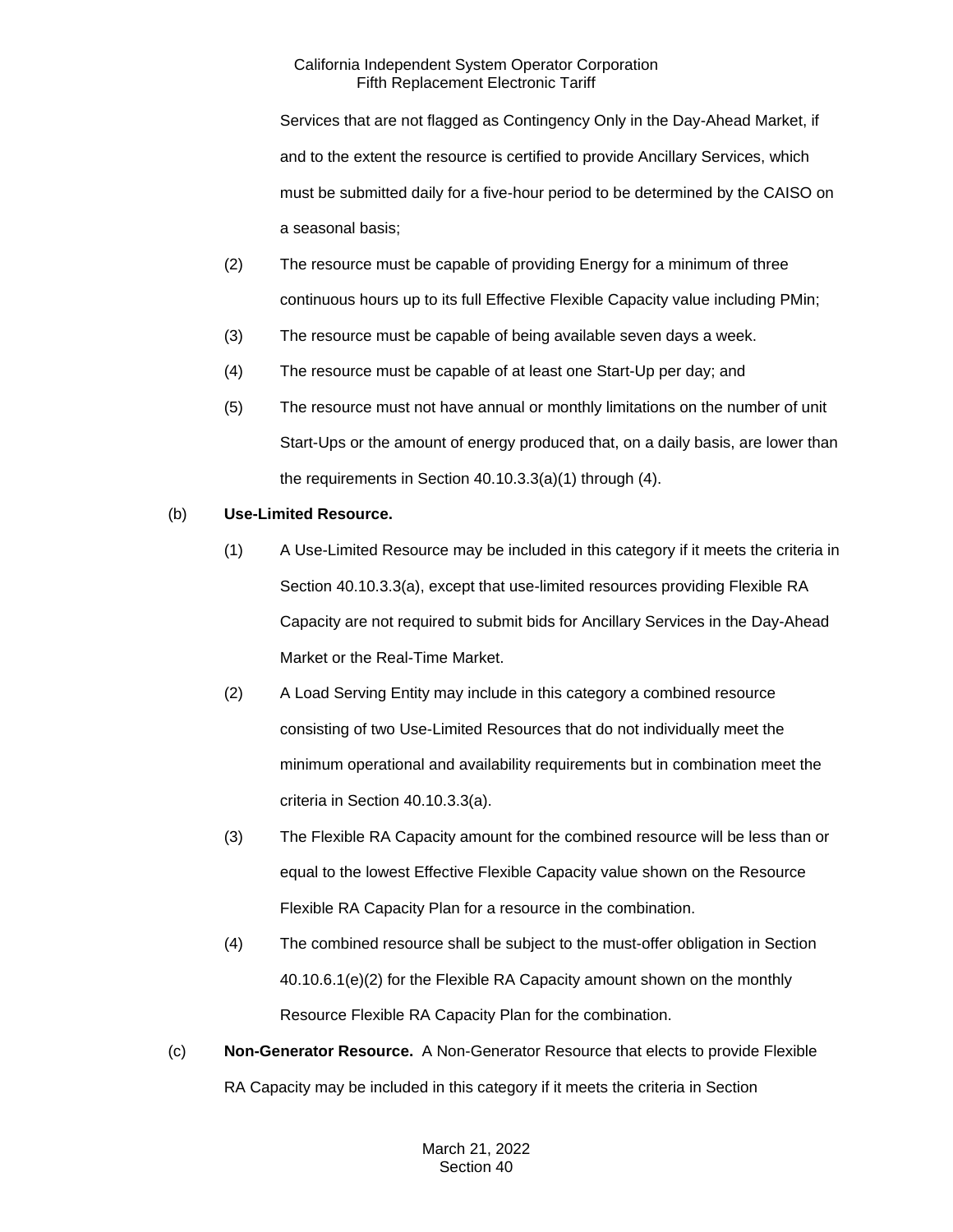Services that are not flagged as Contingency Only in the Day-Ahead Market, if and to the extent the resource is certified to provide Ancillary Services, which must be submitted daily for a five-hour period to be determined by the CAISO on a seasonal basis;

- (2) The resource must be capable of providing Energy for a minimum of three continuous hours up to its full Effective Flexible Capacity value including PMin;
- (3) The resource must be capable of being available seven days a week.
- (4) The resource must be capable of at least one Start-Up per day; and
- (5) The resource must not have annual or monthly limitations on the number of unit Start-Ups or the amount of energy produced that, on a daily basis, are lower than the requirements in Section 40.10.3.3(a)(1) through (4).

# (b) **Use-Limited Resource.**

- (1) A Use-Limited Resource may be included in this category if it meets the criteria in Section 40.10.3.3(a), except that use-limited resources providing Flexible RA Capacity are not required to submit bids for Ancillary Services in the Day-Ahead Market or the Real-Time Market.
- (2) A Load Serving Entity may include in this category a combined resource consisting of two Use-Limited Resources that do not individually meet the minimum operational and availability requirements but in combination meet the criteria in Section 40.10.3.3(a).
- (3) The Flexible RA Capacity amount for the combined resource will be less than or equal to the lowest Effective Flexible Capacity value shown on the Resource Flexible RA Capacity Plan for a resource in the combination.
- (4) The combined resource shall be subject to the must-offer obligation in Section 40.10.6.1(e)(2) for the Flexible RA Capacity amount shown on the monthly Resource Flexible RA Capacity Plan for the combination.
- (c) **Non-Generator Resource.** A Non-Generator Resource that elects to provide Flexible RA Capacity may be included in this category if it meets the criteria in Section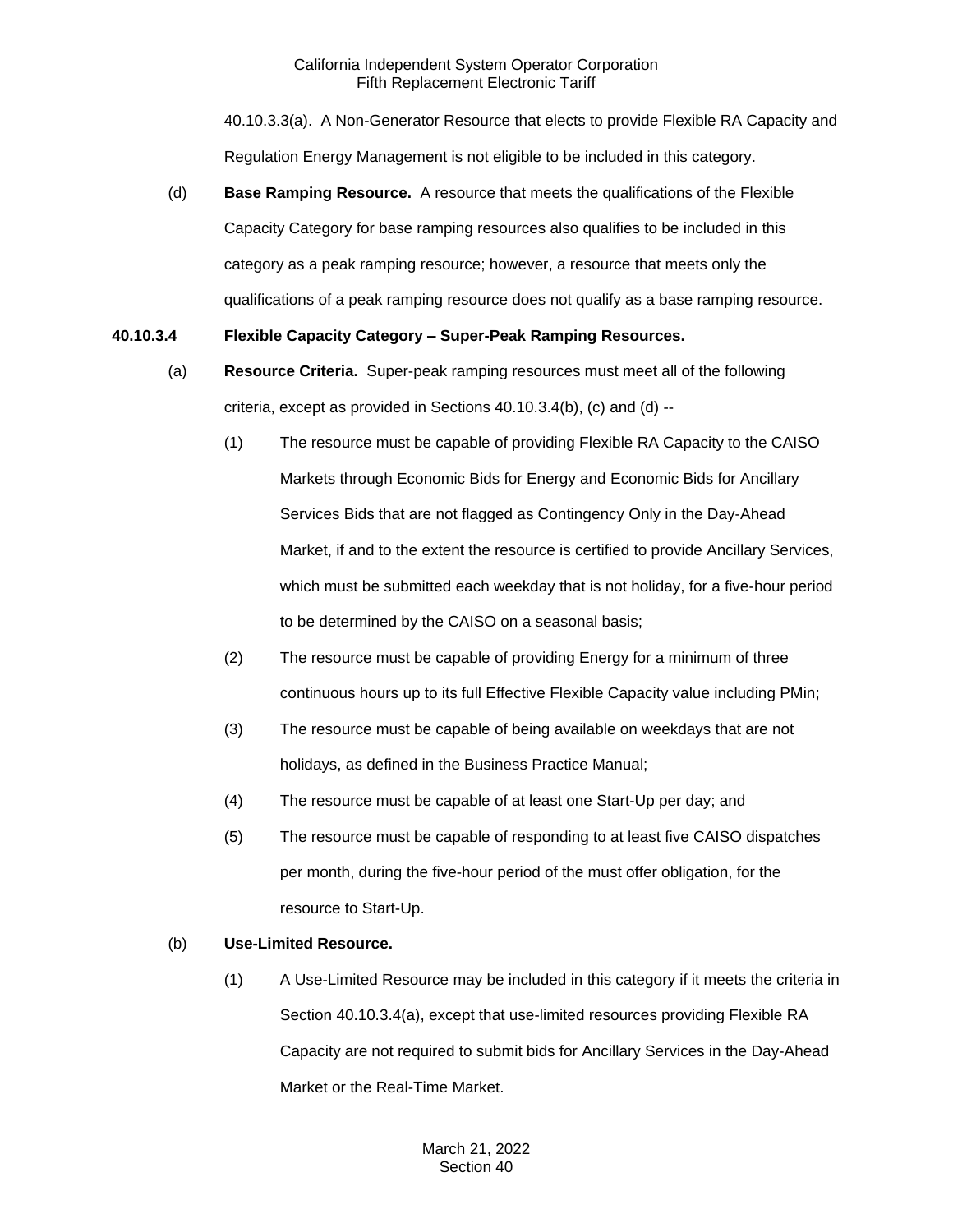40.10.3.3(a). A Non-Generator Resource that elects to provide Flexible RA Capacity and Regulation Energy Management is not eligible to be included in this category.

(d) **Base Ramping Resource.** A resource that meets the qualifications of the Flexible Capacity Category for base ramping resources also qualifies to be included in this category as a peak ramping resource; however, a resource that meets only the qualifications of a peak ramping resource does not qualify as a base ramping resource.

# **40.10.3.4 Flexible Capacity Category – Super-Peak Ramping Resources.**

- (a) **Resource Criteria.** Super-peak ramping resources must meet all of the following criteria, except as provided in Sections 40.10.3.4(b), (c) and (d) --
	- (1) The resource must be capable of providing Flexible RA Capacity to the CAISO Markets through Economic Bids for Energy and Economic Bids for Ancillary Services Bids that are not flagged as Contingency Only in the Day-Ahead Market, if and to the extent the resource is certified to provide Ancillary Services, which must be submitted each weekday that is not holiday, for a five-hour period to be determined by the CAISO on a seasonal basis;
	- (2) The resource must be capable of providing Energy for a minimum of three continuous hours up to its full Effective Flexible Capacity value including PMin;
	- (3) The resource must be capable of being available on weekdays that are not holidays, as defined in the Business Practice Manual;
	- (4) The resource must be capable of at least one Start-Up per day; and
	- (5) The resource must be capable of responding to at least five CAISO dispatches per month, during the five-hour period of the must offer obligation, for the resource to Start-Up.

# (b) **Use-Limited Resource.**

(1) A Use-Limited Resource may be included in this category if it meets the criteria in Section 40.10.3.4(a), except that use-limited resources providing Flexible RA Capacity are not required to submit bids for Ancillary Services in the Day-Ahead Market or the Real-Time Market.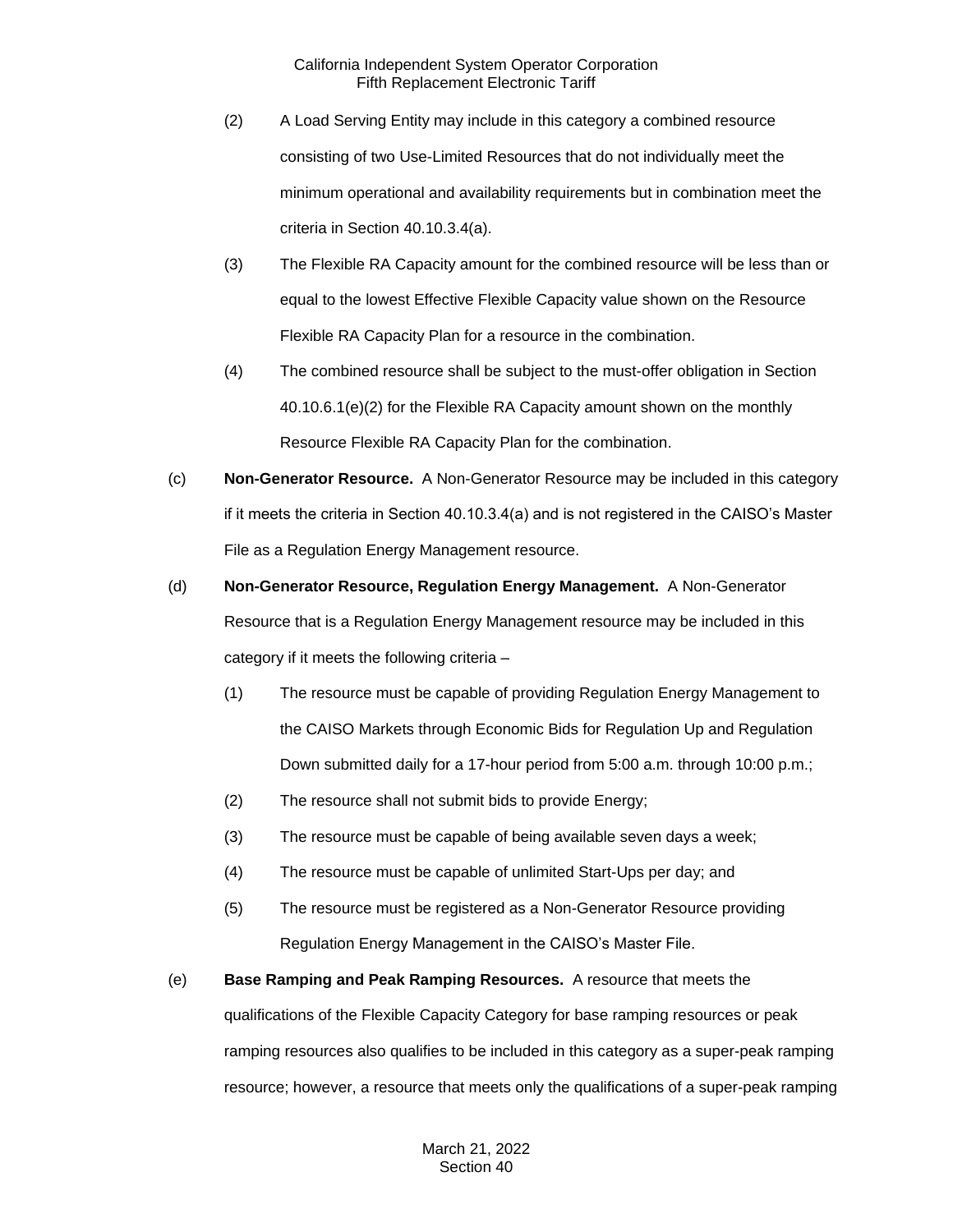- (2) A Load Serving Entity may include in this category a combined resource consisting of two Use-Limited Resources that do not individually meet the minimum operational and availability requirements but in combination meet the criteria in Section 40.10.3.4(a).
- (3) The Flexible RA Capacity amount for the combined resource will be less than or equal to the lowest Effective Flexible Capacity value shown on the Resource Flexible RA Capacity Plan for a resource in the combination.
- (4) The combined resource shall be subject to the must-offer obligation in Section 40.10.6.1(e)(2) for the Flexible RA Capacity amount shown on the monthly Resource Flexible RA Capacity Plan for the combination.
- (c) **Non-Generator Resource.** A Non-Generator Resource may be included in this category if it meets the criteria in Section 40.10.3.4(a) and is not registered in the CAISO's Master File as a Regulation Energy Management resource.
- (d) **Non-Generator Resource, Regulation Energy Management.** A Non-Generator Resource that is a Regulation Energy Management resource may be included in this category if it meets the following criteria –
	- (1) The resource must be capable of providing Regulation Energy Management to the CAISO Markets through Economic Bids for Regulation Up and Regulation Down submitted daily for a 17-hour period from 5:00 a.m. through 10:00 p.m.;
	- (2) The resource shall not submit bids to provide Energy;
	- (3) The resource must be capable of being available seven days a week;
	- (4) The resource must be capable of unlimited Start-Ups per day; and
	- (5) The resource must be registered as a Non-Generator Resource providing Regulation Energy Management in the CAISO's Master File.
- (e) **Base Ramping and Peak Ramping Resources.** A resource that meets the qualifications of the Flexible Capacity Category for base ramping resources or peak ramping resources also qualifies to be included in this category as a super-peak ramping resource; however, a resource that meets only the qualifications of a super-peak ramping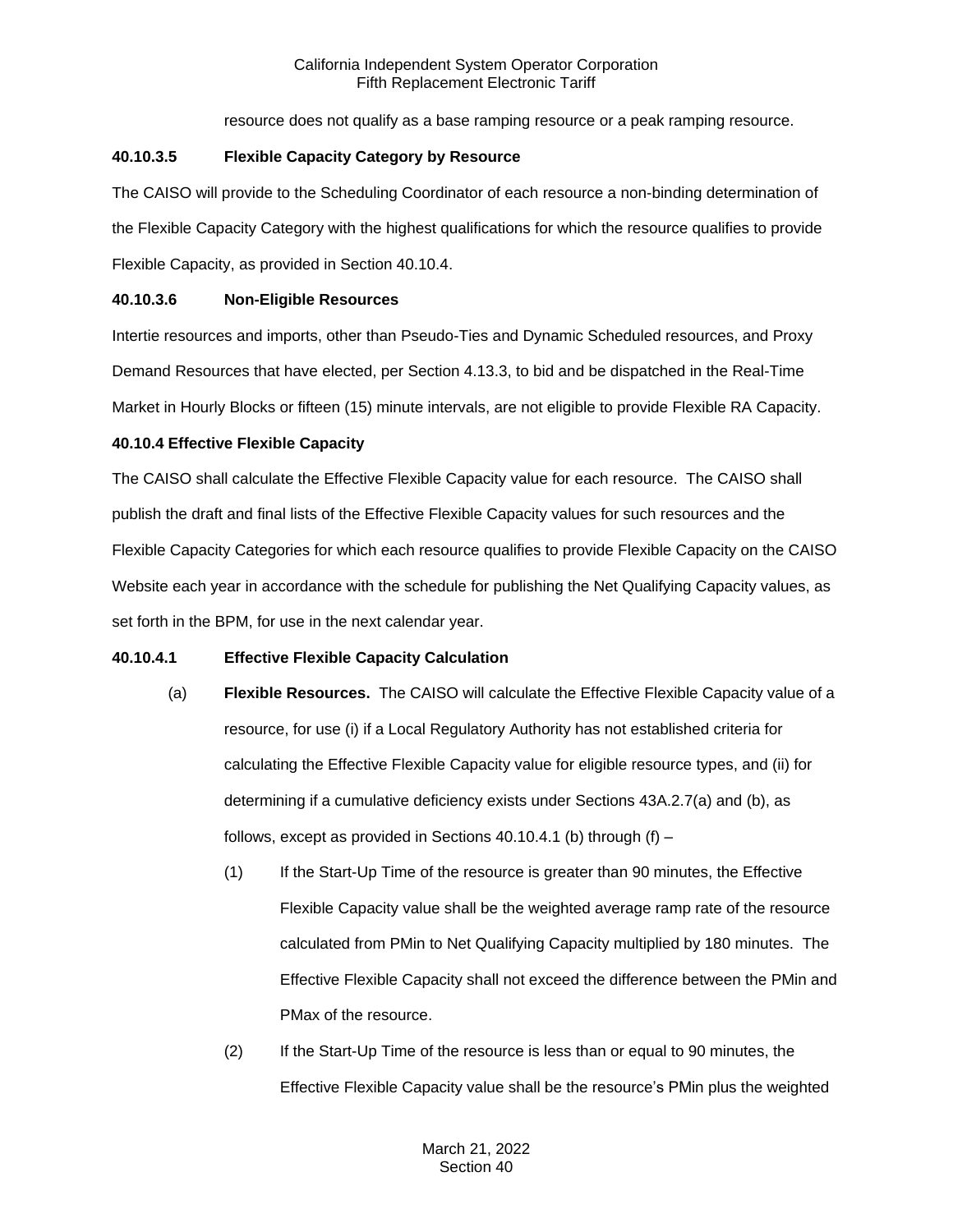resource does not qualify as a base ramping resource or a peak ramping resource.

# **40.10.3.5 Flexible Capacity Category by Resource**

The CAISO will provide to the Scheduling Coordinator of each resource a non-binding determination of the Flexible Capacity Category with the highest qualifications for which the resource qualifies to provide Flexible Capacity, as provided in Section 40.10.4.

# **40.10.3.6 Non-Eligible Resources**

Intertie resources and imports, other than Pseudo-Ties and Dynamic Scheduled resources, and Proxy Demand Resources that have elected, per Section 4.13.3, to bid and be dispatched in the Real-Time Market in Hourly Blocks or fifteen (15) minute intervals, are not eligible to provide Flexible RA Capacity.

# **40.10.4 Effective Flexible Capacity**

The CAISO shall calculate the Effective Flexible Capacity value for each resource. The CAISO shall publish the draft and final lists of the Effective Flexible Capacity values for such resources and the Flexible Capacity Categories for which each resource qualifies to provide Flexible Capacity on the CAISO Website each year in accordance with the schedule for publishing the Net Qualifying Capacity values, as set forth in the BPM, for use in the next calendar year.

# **40.10.4.1 Effective Flexible Capacity Calculation**

- (a) **Flexible Resources.** The CAISO will calculate the Effective Flexible Capacity value of a resource, for use (i) if a Local Regulatory Authority has not established criteria for calculating the Effective Flexible Capacity value for eligible resource types, and (ii) for determining if a cumulative deficiency exists under Sections 43A.2.7(a) and (b), as follows, except as provided in Sections 40.10.4.1 (b) through (f) –
	- (1) If the Start-Up Time of the resource is greater than 90 minutes, the Effective Flexible Capacity value shall be the weighted average ramp rate of the resource calculated from PMin to Net Qualifying Capacity multiplied by 180 minutes. The Effective Flexible Capacity shall not exceed the difference between the PMin and PMax of the resource.
	- (2) If the Start-Up Time of the resource is less than or equal to 90 minutes, the Effective Flexible Capacity value shall be the resource's PMin plus the weighted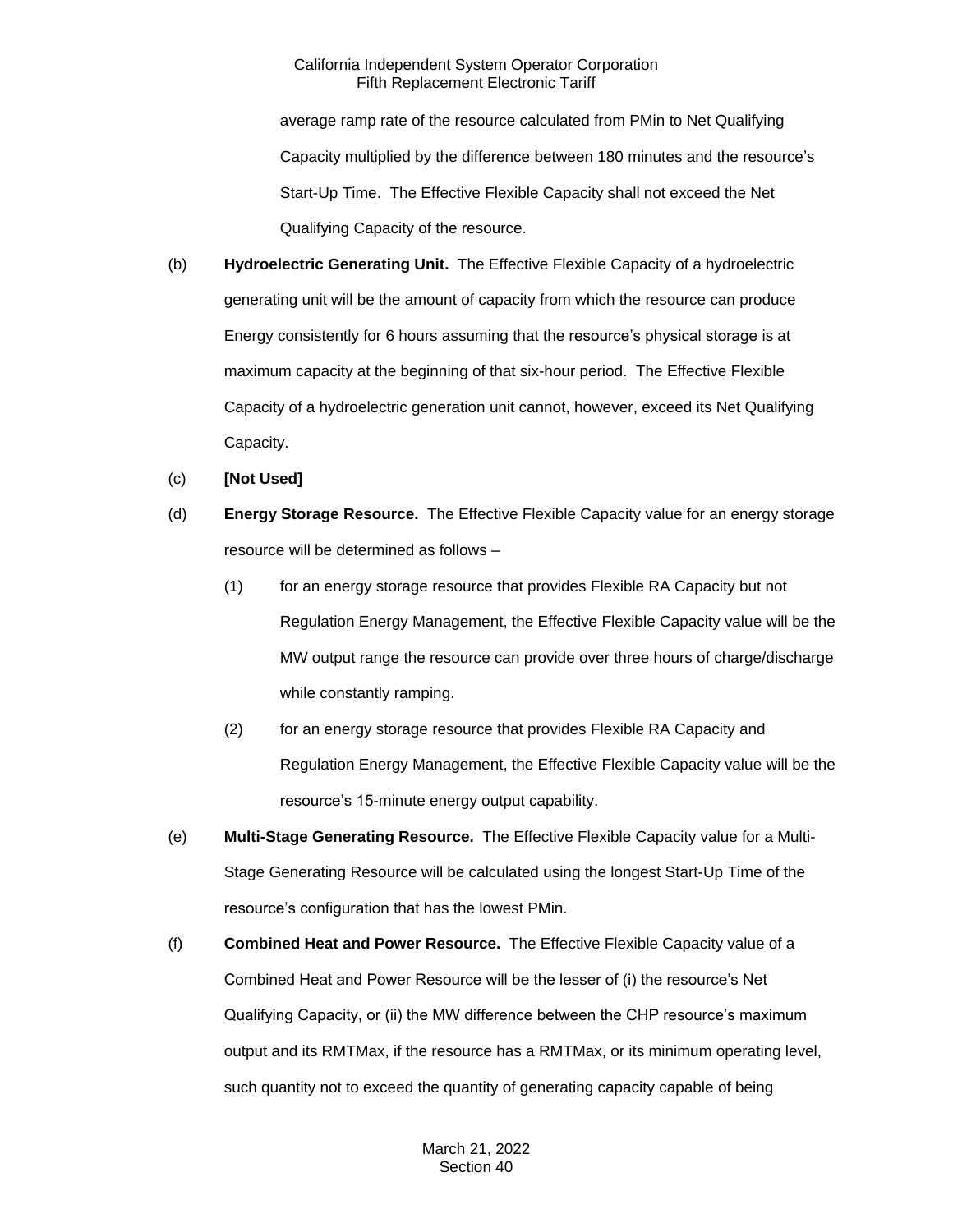average ramp rate of the resource calculated from PMin to Net Qualifying Capacity multiplied by the difference between 180 minutes and the resource's Start-Up Time. The Effective Flexible Capacity shall not exceed the Net Qualifying Capacity of the resource.

- (b) **Hydroelectric Generating Unit.** The Effective Flexible Capacity of a hydroelectric generating unit will be the amount of capacity from which the resource can produce Energy consistently for 6 hours assuming that the resource's physical storage is at maximum capacity at the beginning of that six-hour period. The Effective Flexible Capacity of a hydroelectric generation unit cannot, however, exceed its Net Qualifying Capacity.
- (c) **[Not Used]**
- (d) **Energy Storage Resource.** The Effective Flexible Capacity value for an energy storage resource will be determined as follows –
	- (1) for an energy storage resource that provides Flexible RA Capacity but not Regulation Energy Management, the Effective Flexible Capacity value will be the MW output range the resource can provide over three hours of charge/discharge while constantly ramping.
	- (2) for an energy storage resource that provides Flexible RA Capacity and Regulation Energy Management, the Effective Flexible Capacity value will be the resource's 15-minute energy output capability.
- (e) **Multi-Stage Generating Resource.** The Effective Flexible Capacity value for a Multi-Stage Generating Resource will be calculated using the longest Start-Up Time of the resource's configuration that has the lowest PMin.
- (f) **Combined Heat and Power Resource.** The Effective Flexible Capacity value of a Combined Heat and Power Resource will be the lesser of (i) the resource's Net Qualifying Capacity, or (ii) the MW difference between the CHP resource's maximum output and its RMTMax, if the resource has a RMTMax, or its minimum operating level, such quantity not to exceed the quantity of generating capacity capable of being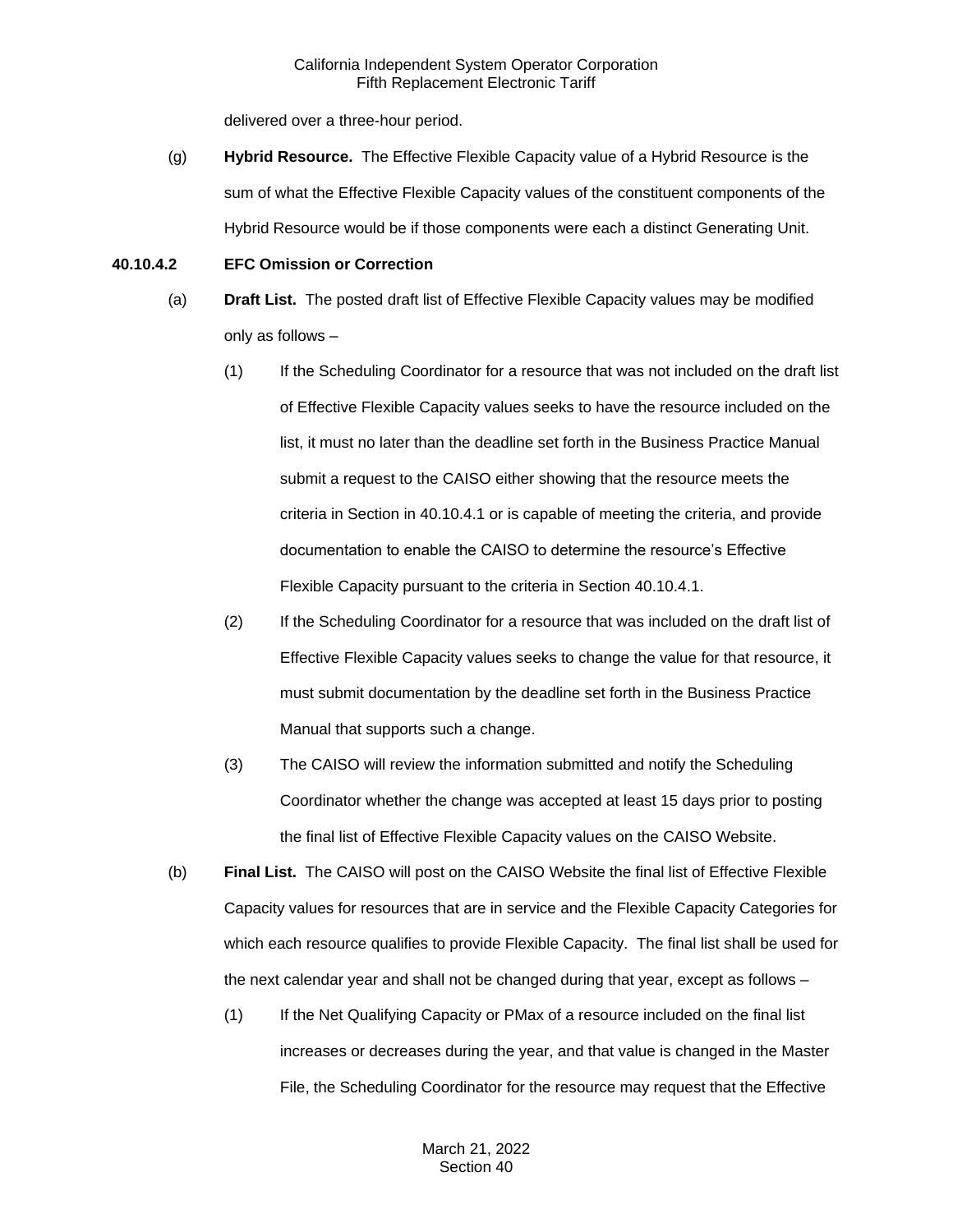delivered over a three-hour period.

(g) **Hybrid Resource.** The Effective Flexible Capacity value of a Hybrid Resource is the sum of what the Effective Flexible Capacity values of the constituent components of the Hybrid Resource would be if those components were each a distinct Generating Unit.

#### **40.10.4.2 EFC Omission or Correction**

- (a) **Draft List.** The posted draft list of Effective Flexible Capacity values may be modified only as follows –
	- (1) If the Scheduling Coordinator for a resource that was not included on the draft list of Effective Flexible Capacity values seeks to have the resource included on the list, it must no later than the deadline set forth in the Business Practice Manual submit a request to the CAISO either showing that the resource meets the criteria in Section in 40.10.4.1 or is capable of meeting the criteria, and provide documentation to enable the CAISO to determine the resource's Effective Flexible Capacity pursuant to the criteria in Section 40.10.4.1.
	- (2) If the Scheduling Coordinator for a resource that was included on the draft list of Effective Flexible Capacity values seeks to change the value for that resource, it must submit documentation by the deadline set forth in the Business Practice Manual that supports such a change.
	- (3) The CAISO will review the information submitted and notify the Scheduling Coordinator whether the change was accepted at least 15 days prior to posting the final list of Effective Flexible Capacity values on the CAISO Website.
- (b) **Final List.** The CAISO will post on the CAISO Website the final list of Effective Flexible Capacity values for resources that are in service and the Flexible Capacity Categories for which each resource qualifies to provide Flexible Capacity. The final list shall be used for the next calendar year and shall not be changed during that year, except as follows –
	- (1) If the Net Qualifying Capacity or PMax of a resource included on the final list increases or decreases during the year, and that value is changed in the Master File, the Scheduling Coordinator for the resource may request that the Effective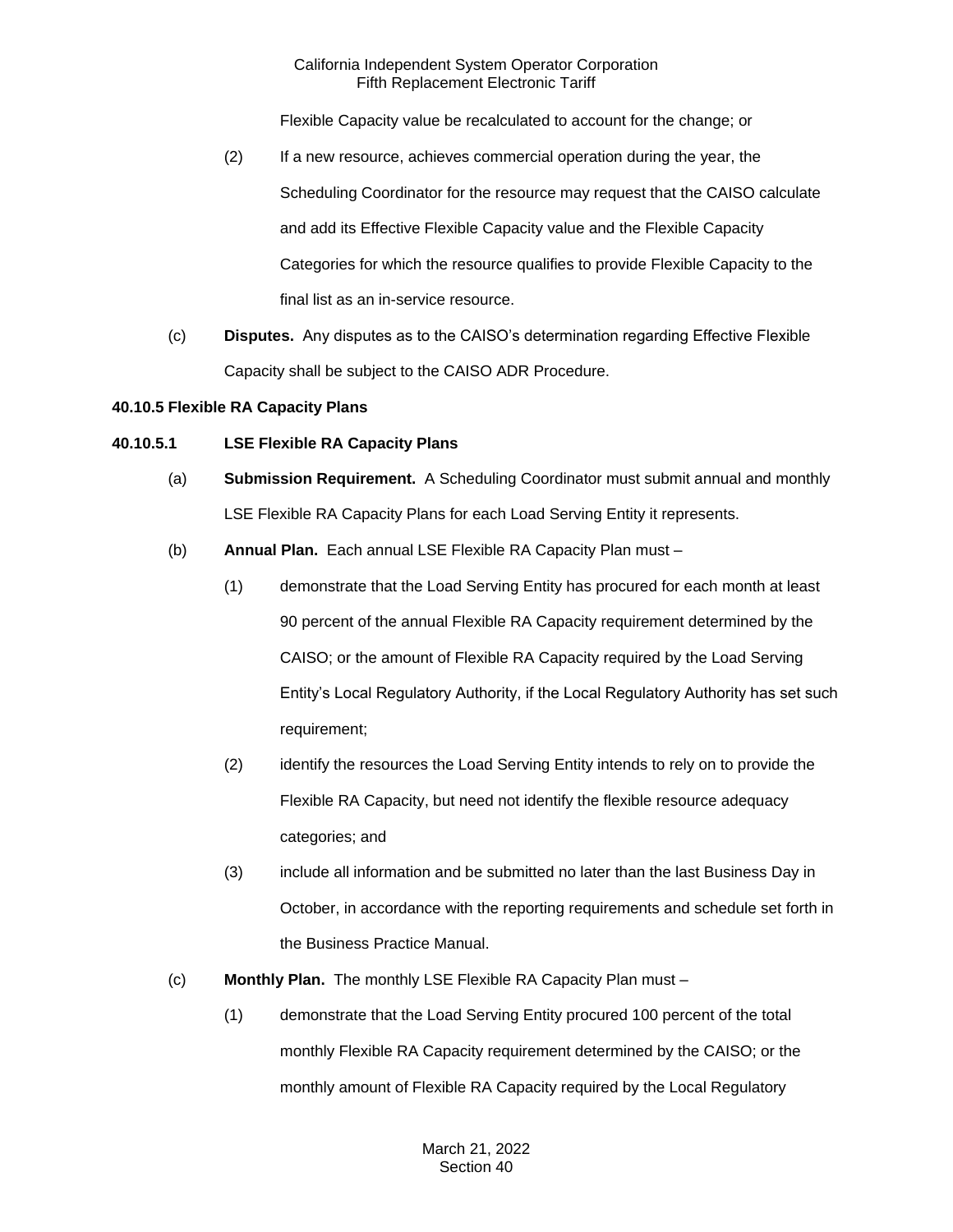Flexible Capacity value be recalculated to account for the change; or

- (2) If a new resource, achieves commercial operation during the year, the Scheduling Coordinator for the resource may request that the CAISO calculate and add its Effective Flexible Capacity value and the Flexible Capacity Categories for which the resource qualifies to provide Flexible Capacity to the final list as an in-service resource.
- (c) **Disputes.** Any disputes as to the CAISO's determination regarding Effective Flexible Capacity shall be subject to the CAISO ADR Procedure.

#### **40.10.5 Flexible RA Capacity Plans**

# **40.10.5.1 LSE Flexible RA Capacity Plans**

- (a) **Submission Requirement.** A Scheduling Coordinator must submit annual and monthly LSE Flexible RA Capacity Plans for each Load Serving Entity it represents.
- (b) **Annual Plan.** Each annual LSE Flexible RA Capacity Plan must
	- (1) demonstrate that the Load Serving Entity has procured for each month at least 90 percent of the annual Flexible RA Capacity requirement determined by the CAISO; or the amount of Flexible RA Capacity required by the Load Serving Entity's Local Regulatory Authority, if the Local Regulatory Authority has set such requirement;
	- (2) identify the resources the Load Serving Entity intends to rely on to provide the Flexible RA Capacity, but need not identify the flexible resource adequacy categories; and
	- (3) include all information and be submitted no later than the last Business Day in October, in accordance with the reporting requirements and schedule set forth in the Business Practice Manual.
- (c) **Monthly Plan.** The monthly LSE Flexible RA Capacity Plan must
	- (1) demonstrate that the Load Serving Entity procured 100 percent of the total monthly Flexible RA Capacity requirement determined by the CAISO; or the monthly amount of Flexible RA Capacity required by the Local Regulatory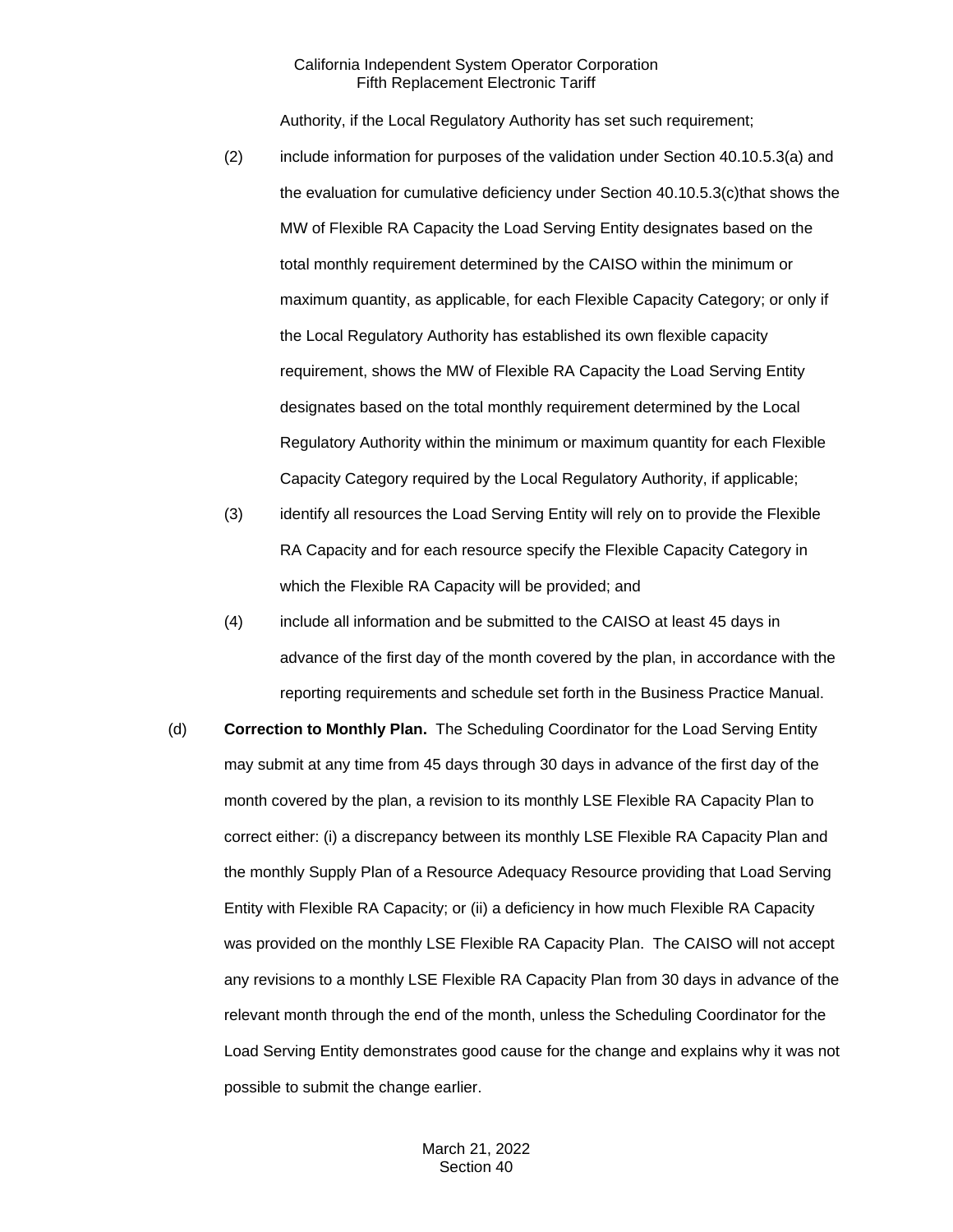Authority, if the Local Regulatory Authority has set such requirement;

- (2) include information for purposes of the validation under Section 40.10.5.3(a) and the evaluation for cumulative deficiency under Section 40.10.5.3(c)that shows the MW of Flexible RA Capacity the Load Serving Entity designates based on the total monthly requirement determined by the CAISO within the minimum or maximum quantity, as applicable, for each Flexible Capacity Category; or only if the Local Regulatory Authority has established its own flexible capacity requirement, shows the MW of Flexible RA Capacity the Load Serving Entity designates based on the total monthly requirement determined by the Local Regulatory Authority within the minimum or maximum quantity for each Flexible Capacity Category required by the Local Regulatory Authority, if applicable;
- (3) identify all resources the Load Serving Entity will rely on to provide the Flexible RA Capacity and for each resource specify the Flexible Capacity Category in which the Flexible RA Capacity will be provided; and
- (4) include all information and be submitted to the CAISO at least 45 days in advance of the first day of the month covered by the plan, in accordance with the reporting requirements and schedule set forth in the Business Practice Manual.
- (d) **Correction to Monthly Plan.** The Scheduling Coordinator for the Load Serving Entity may submit at any time from 45 days through 30 days in advance of the first day of the month covered by the plan, a revision to its monthly LSE Flexible RA Capacity Plan to correct either: (i) a discrepancy between its monthly LSE Flexible RA Capacity Plan and the monthly Supply Plan of a Resource Adequacy Resource providing that Load Serving Entity with Flexible RA Capacity; or (ii) a deficiency in how much Flexible RA Capacity was provided on the monthly LSE Flexible RA Capacity Plan. The CAISO will not accept any revisions to a monthly LSE Flexible RA Capacity Plan from 30 days in advance of the relevant month through the end of the month, unless the Scheduling Coordinator for the Load Serving Entity demonstrates good cause for the change and explains why it was not possible to submit the change earlier.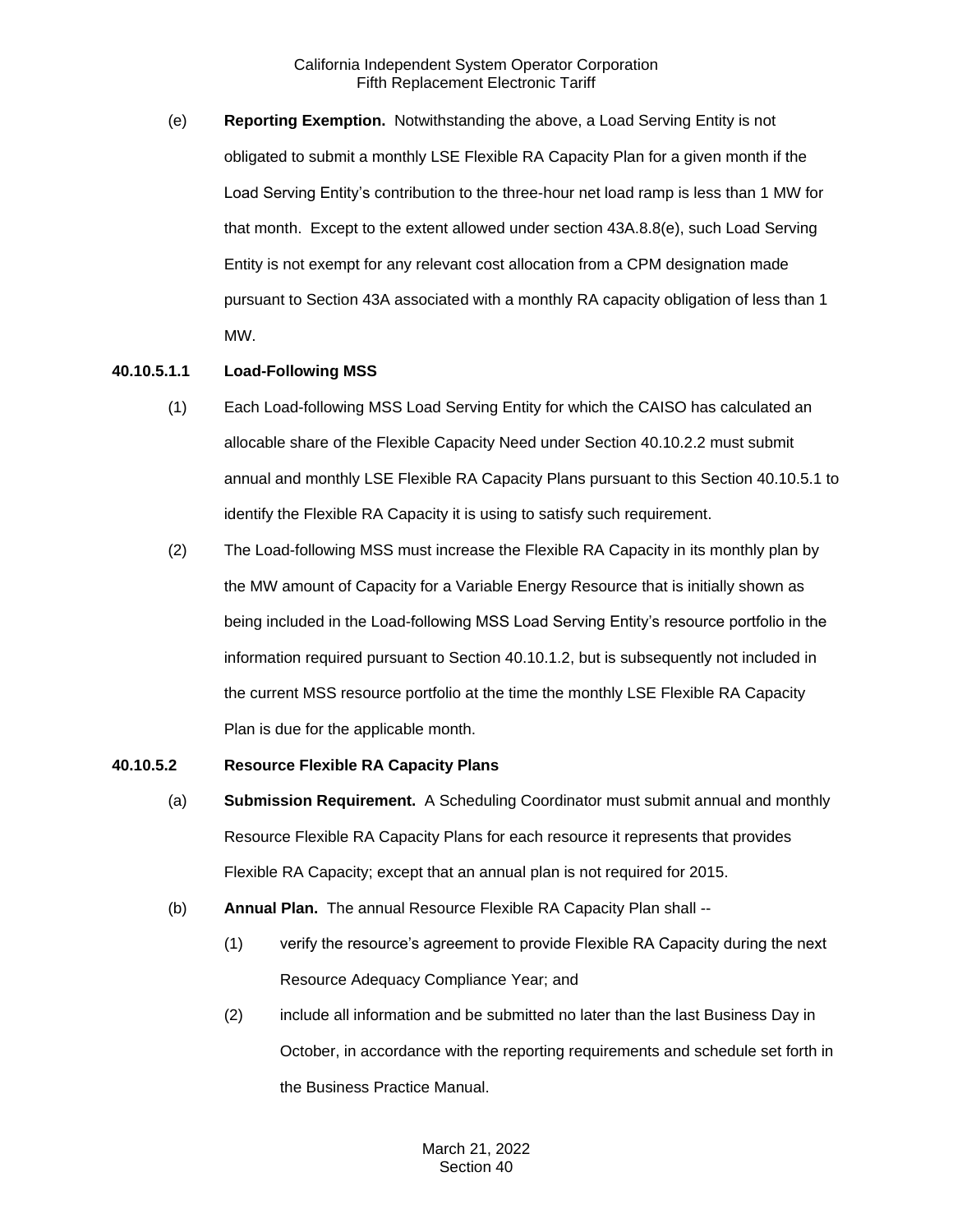(e) **Reporting Exemption.** Notwithstanding the above, a Load Serving Entity is not obligated to submit a monthly LSE Flexible RA Capacity Plan for a given month if the Load Serving Entity's contribution to the three-hour net load ramp is less than 1 MW for that month. Except to the extent allowed under section 43A.8.8(e), such Load Serving Entity is not exempt for any relevant cost allocation from a CPM designation made pursuant to Section 43A associated with a monthly RA capacity obligation of less than 1 MW.

# **40.10.5.1.1 Load-Following MSS**

- (1) Each Load-following MSS Load Serving Entity for which the CAISO has calculated an allocable share of the Flexible Capacity Need under Section 40.10.2.2 must submit annual and monthly LSE Flexible RA Capacity Plans pursuant to this Section 40.10.5.1 to identify the Flexible RA Capacity it is using to satisfy such requirement.
- (2) The Load-following MSS must increase the Flexible RA Capacity in its monthly plan by the MW amount of Capacity for a Variable Energy Resource that is initially shown as being included in the Load-following MSS Load Serving Entity's resource portfolio in the information required pursuant to Section 40.10.1.2, but is subsequently not included in the current MSS resource portfolio at the time the monthly LSE Flexible RA Capacity Plan is due for the applicable month.

#### **40.10.5.2 Resource Flexible RA Capacity Plans**

- (a) **Submission Requirement.** A Scheduling Coordinator must submit annual and monthly Resource Flexible RA Capacity Plans for each resource it represents that provides Flexible RA Capacity; except that an annual plan is not required for 2015.
- (b) **Annual Plan.** The annual Resource Flexible RA Capacity Plan shall --
	- (1) verify the resource's agreement to provide Flexible RA Capacity during the next Resource Adequacy Compliance Year; and
	- (2) include all information and be submitted no later than the last Business Day in October, in accordance with the reporting requirements and schedule set forth in the Business Practice Manual.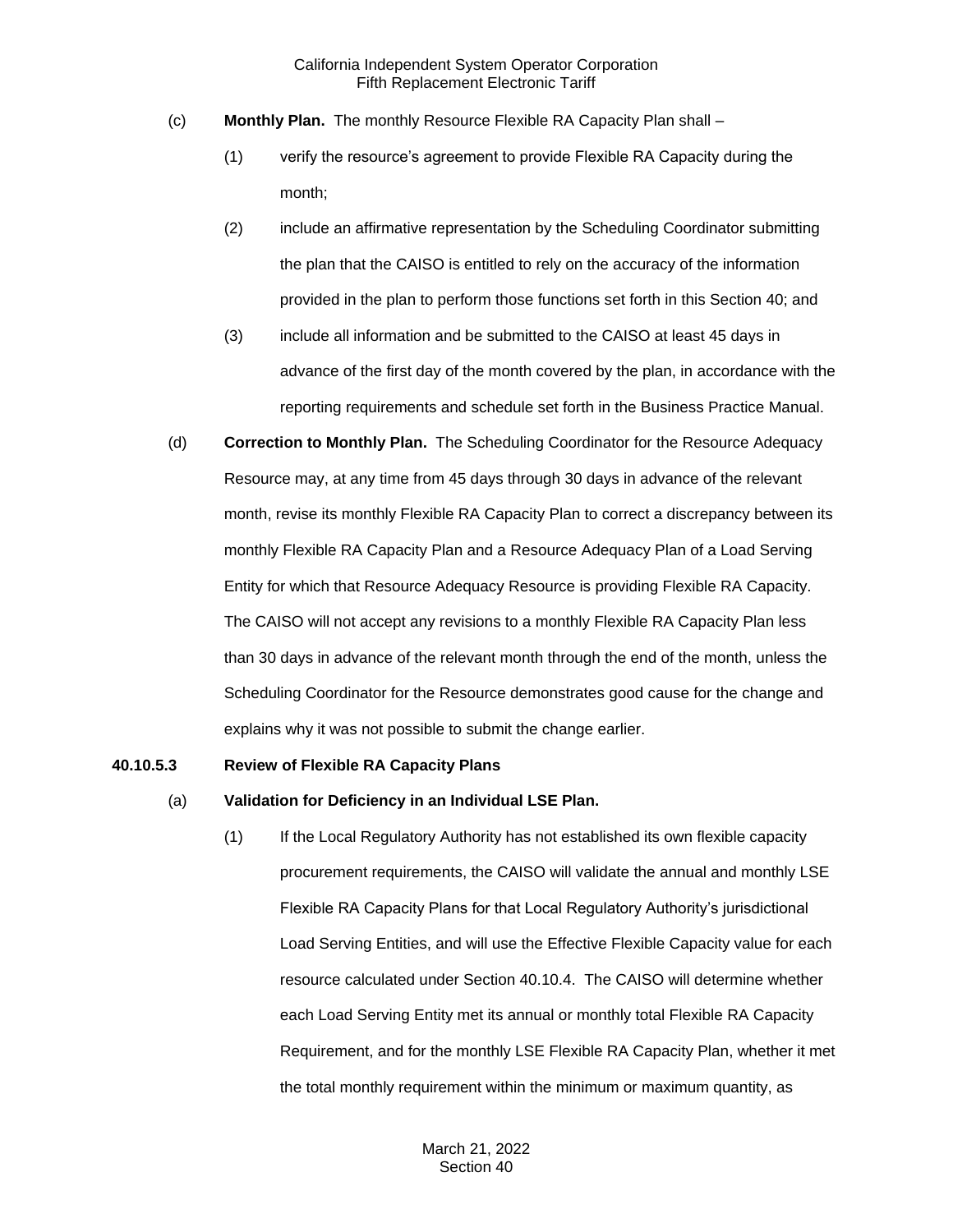- (c) **Monthly Plan.** The monthly Resource Flexible RA Capacity Plan shall
	- (1) verify the resource's agreement to provide Flexible RA Capacity during the month;
	- (2) include an affirmative representation by the Scheduling Coordinator submitting the plan that the CAISO is entitled to rely on the accuracy of the information provided in the plan to perform those functions set forth in this Section 40; and
	- (3) include all information and be submitted to the CAISO at least 45 days in advance of the first day of the month covered by the plan, in accordance with the reporting requirements and schedule set forth in the Business Practice Manual.
- (d) **Correction to Monthly Plan.** The Scheduling Coordinator for the Resource Adequacy Resource may, at any time from 45 days through 30 days in advance of the relevant month, revise its monthly Flexible RA Capacity Plan to correct a discrepancy between its monthly Flexible RA Capacity Plan and a Resource Adequacy Plan of a Load Serving Entity for which that Resource Adequacy Resource is providing Flexible RA Capacity. The CAISO will not accept any revisions to a monthly Flexible RA Capacity Plan less than 30 days in advance of the relevant month through the end of the month, unless the Scheduling Coordinator for the Resource demonstrates good cause for the change and explains why it was not possible to submit the change earlier.

#### **40.10.5.3 Review of Flexible RA Capacity Plans**

- (a) **Validation for Deficiency in an Individual LSE Plan.**
	- (1) If the Local Regulatory Authority has not established its own flexible capacity procurement requirements, the CAISO will validate the annual and monthly LSE Flexible RA Capacity Plans for that Local Regulatory Authority's jurisdictional Load Serving Entities, and will use the Effective Flexible Capacity value for each resource calculated under Section 40.10.4. The CAISO will determine whether each Load Serving Entity met its annual or monthly total Flexible RA Capacity Requirement, and for the monthly LSE Flexible RA Capacity Plan, whether it met the total monthly requirement within the minimum or maximum quantity, as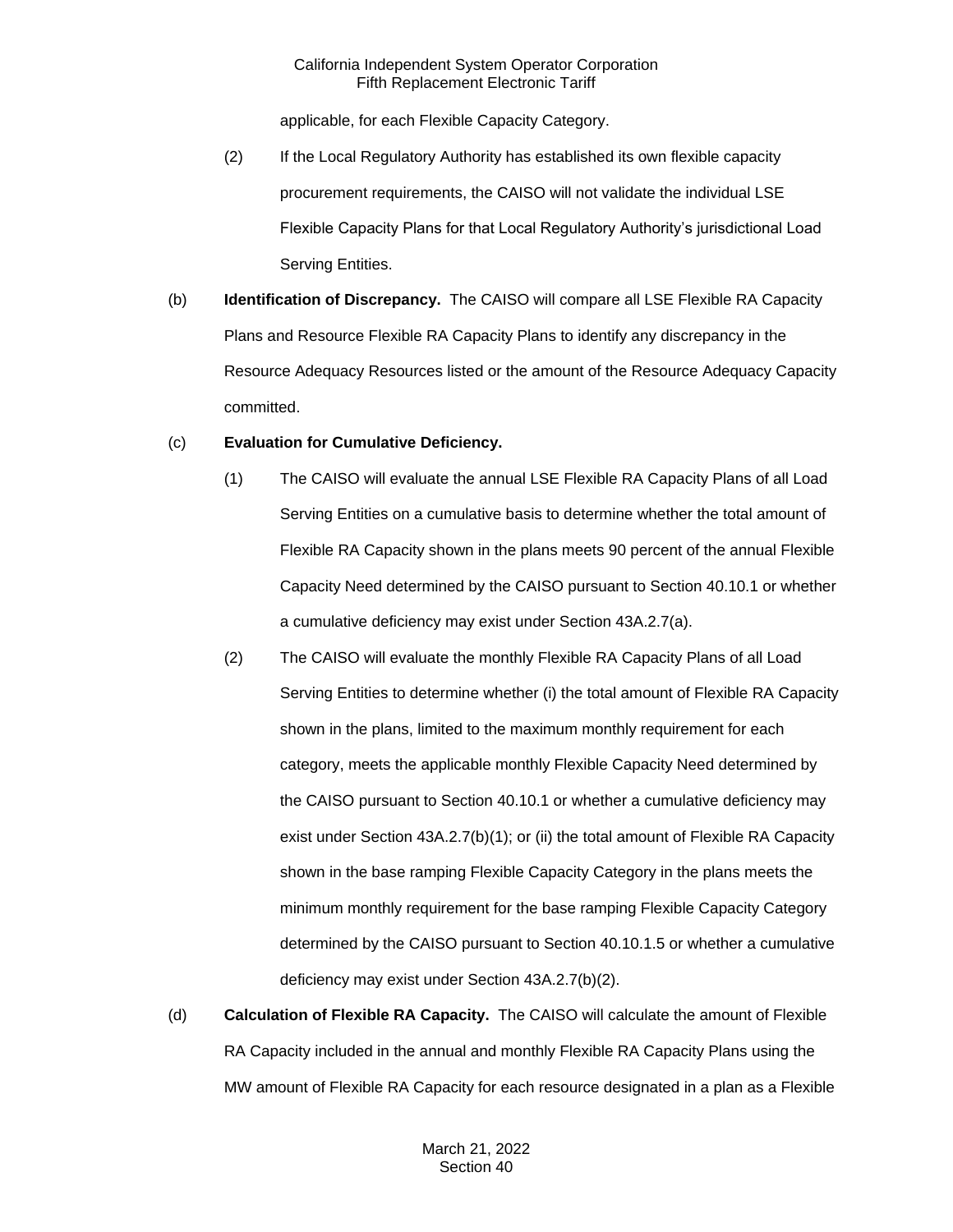applicable, for each Flexible Capacity Category.

- (2) If the Local Regulatory Authority has established its own flexible capacity procurement requirements, the CAISO will not validate the individual LSE Flexible Capacity Plans for that Local Regulatory Authority's jurisdictional Load Serving Entities.
- (b) **Identification of Discrepancy.** The CAISO will compare all LSE Flexible RA Capacity Plans and Resource Flexible RA Capacity Plans to identify any discrepancy in the Resource Adequacy Resources listed or the amount of the Resource Adequacy Capacity committed.

#### (c) **Evaluation for Cumulative Deficiency.**

- (1) The CAISO will evaluate the annual LSE Flexible RA Capacity Plans of all Load Serving Entities on a cumulative basis to determine whether the total amount of Flexible RA Capacity shown in the plans meets 90 percent of the annual Flexible Capacity Need determined by the CAISO pursuant to Section 40.10.1 or whether a cumulative deficiency may exist under Section 43A.2.7(a).
- (2) The CAISO will evaluate the monthly Flexible RA Capacity Plans of all Load Serving Entities to determine whether (i) the total amount of Flexible RA Capacity shown in the plans, limited to the maximum monthly requirement for each category, meets the applicable monthly Flexible Capacity Need determined by the CAISO pursuant to Section 40.10.1 or whether a cumulative deficiency may exist under Section 43A.2.7(b)(1); or (ii) the total amount of Flexible RA Capacity shown in the base ramping Flexible Capacity Category in the plans meets the minimum monthly requirement for the base ramping Flexible Capacity Category determined by the CAISO pursuant to Section 40.10.1.5 or whether a cumulative deficiency may exist under Section 43A.2.7(b)(2).
- (d) **Calculation of Flexible RA Capacity.** The CAISO will calculate the amount of Flexible RA Capacity included in the annual and monthly Flexible RA Capacity Plans using the MW amount of Flexible RA Capacity for each resource designated in a plan as a Flexible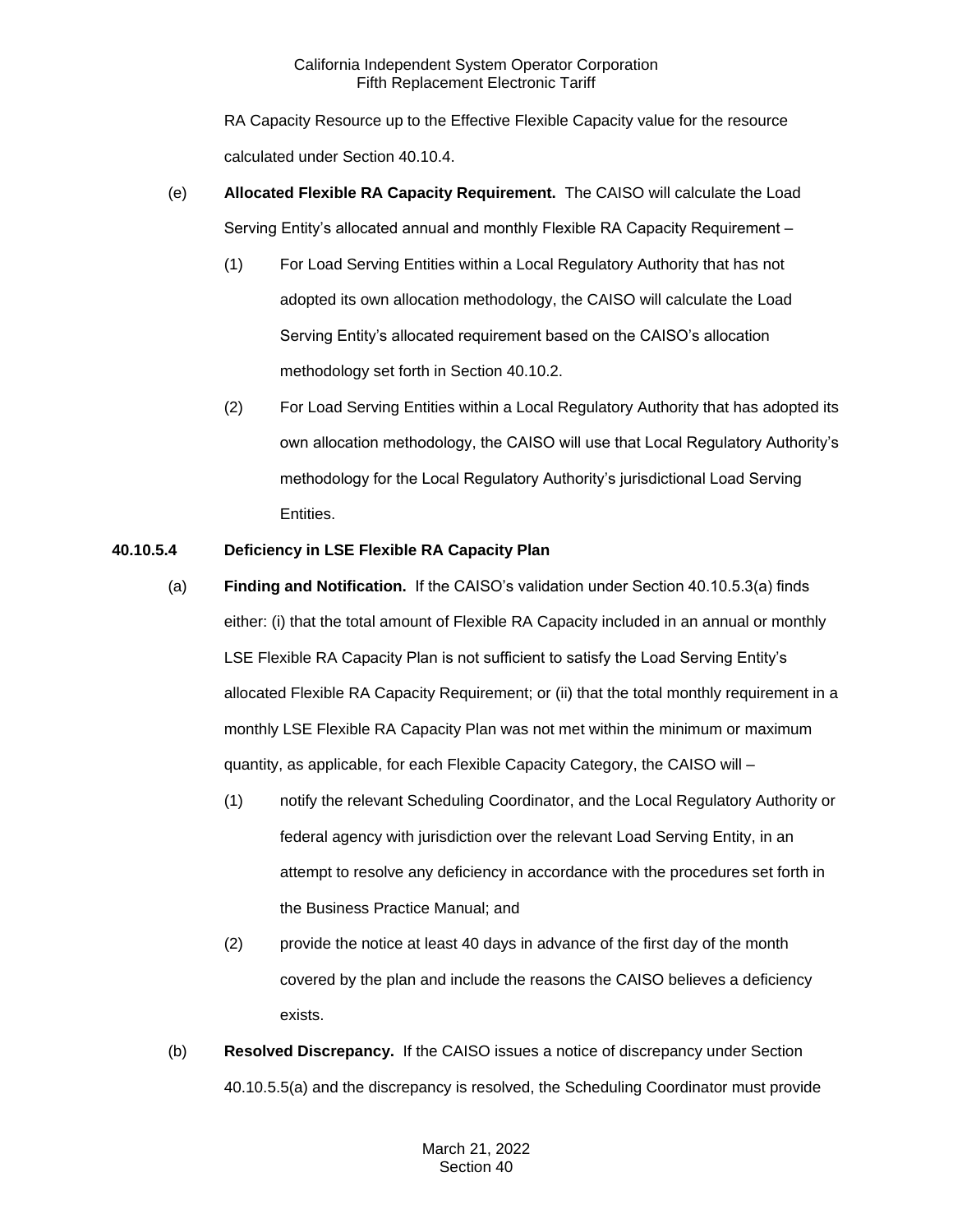RA Capacity Resource up to the Effective Flexible Capacity value for the resource calculated under Section 40.10.4.

- (e) **Allocated Flexible RA Capacity Requirement.** The CAISO will calculate the Load Serving Entity's allocated annual and monthly Flexible RA Capacity Requirement –
	- (1) For Load Serving Entities within a Local Regulatory Authority that has not adopted its own allocation methodology, the CAISO will calculate the Load Serving Entity's allocated requirement based on the CAISO's allocation methodology set forth in Section 40.10.2.
	- (2) For Load Serving Entities within a Local Regulatory Authority that has adopted its own allocation methodology, the CAISO will use that Local Regulatory Authority's methodology for the Local Regulatory Authority's jurisdictional Load Serving Entities.

# **40.10.5.4 Deficiency in LSE Flexible RA Capacity Plan**

- (a) **Finding and Notification.** If the CAISO's validation under Section 40.10.5.3(a) finds either: (i) that the total amount of Flexible RA Capacity included in an annual or monthly LSE Flexible RA Capacity Plan is not sufficient to satisfy the Load Serving Entity's allocated Flexible RA Capacity Requirement; or (ii) that the total monthly requirement in a monthly LSE Flexible RA Capacity Plan was not met within the minimum or maximum quantity, as applicable, for each Flexible Capacity Category, the CAISO will –
	- (1) notify the relevant Scheduling Coordinator, and the Local Regulatory Authority or federal agency with jurisdiction over the relevant Load Serving Entity, in an attempt to resolve any deficiency in accordance with the procedures set forth in the Business Practice Manual; and
	- (2) provide the notice at least 40 days in advance of the first day of the month covered by the plan and include the reasons the CAISO believes a deficiency exists.
- (b) **Resolved Discrepancy.** If the CAISO issues a notice of discrepancy under Section 40.10.5.5(a) and the discrepancy is resolved, the Scheduling Coordinator must provide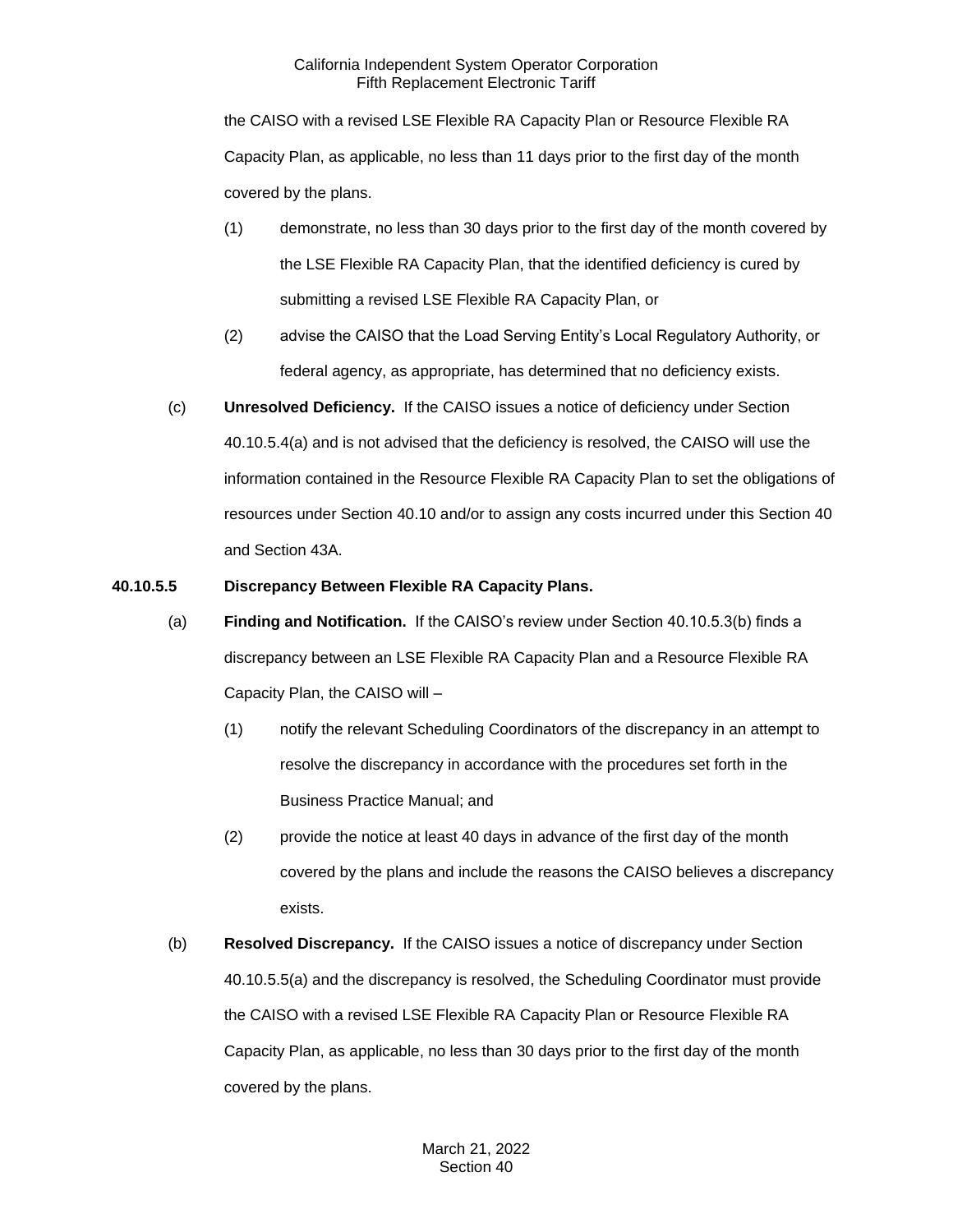the CAISO with a revised LSE Flexible RA Capacity Plan or Resource Flexible RA Capacity Plan, as applicable, no less than 11 days prior to the first day of the month covered by the plans.

- (1) demonstrate, no less than 30 days prior to the first day of the month covered by the LSE Flexible RA Capacity Plan, that the identified deficiency is cured by submitting a revised LSE Flexible RA Capacity Plan, or
- (2) advise the CAISO that the Load Serving Entity's Local Regulatory Authority, or federal agency, as appropriate, has determined that no deficiency exists.
- (c) **Unresolved Deficiency.** If the CAISO issues a notice of deficiency under Section 40.10.5.4(a) and is not advised that the deficiency is resolved, the CAISO will use the information contained in the Resource Flexible RA Capacity Plan to set the obligations of resources under Section 40.10 and/or to assign any costs incurred under this Section 40 and Section 43A.

# **40.10.5.5 Discrepancy Between Flexible RA Capacity Plans.**

- (a) **Finding and Notification.** If the CAISO's review under Section 40.10.5.3(b) finds a discrepancy between an LSE Flexible RA Capacity Plan and a Resource Flexible RA Capacity Plan, the CAISO will –
	- (1) notify the relevant Scheduling Coordinators of the discrepancy in an attempt to resolve the discrepancy in accordance with the procedures set forth in the Business Practice Manual; and
	- (2) provide the notice at least 40 days in advance of the first day of the month covered by the plans and include the reasons the CAISO believes a discrepancy exists.
- (b) **Resolved Discrepancy.** If the CAISO issues a notice of discrepancy under Section 40.10.5.5(a) and the discrepancy is resolved, the Scheduling Coordinator must provide the CAISO with a revised LSE Flexible RA Capacity Plan or Resource Flexible RA Capacity Plan, as applicable, no less than 30 days prior to the first day of the month covered by the plans.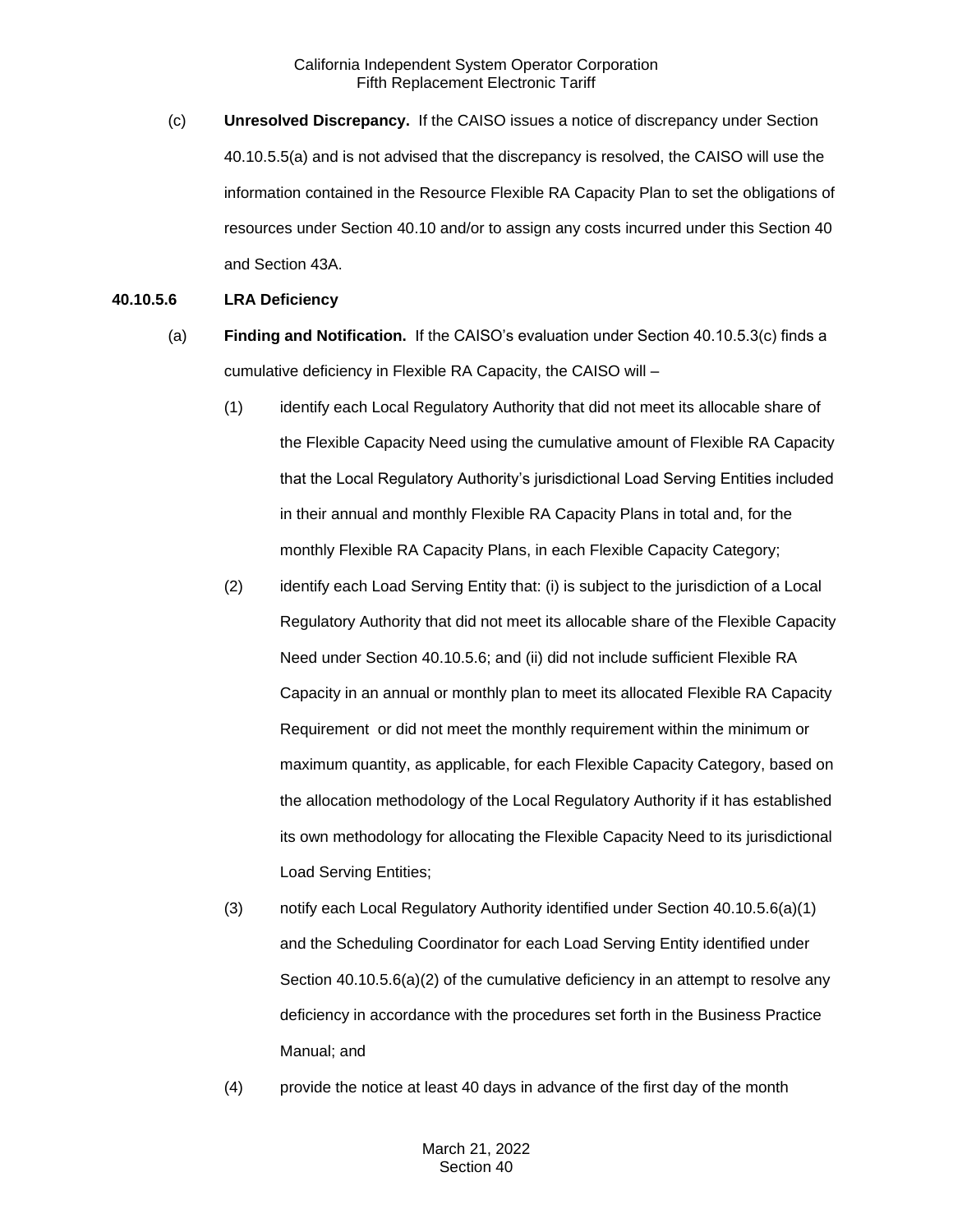(c) **Unresolved Discrepancy.** If the CAISO issues a notice of discrepancy under Section 40.10.5.5(a) and is not advised that the discrepancy is resolved, the CAISO will use the information contained in the Resource Flexible RA Capacity Plan to set the obligations of resources under Section 40.10 and/or to assign any costs incurred under this Section 40 and Section 43A.

### **40.10.5.6 LRA Deficiency**

- (a) **Finding and Notification.** If the CAISO's evaluation under Section 40.10.5.3(c) finds a cumulative deficiency in Flexible RA Capacity, the CAISO will –
	- (1) identify each Local Regulatory Authority that did not meet its allocable share of the Flexible Capacity Need using the cumulative amount of Flexible RA Capacity that the Local Regulatory Authority's jurisdictional Load Serving Entities included in their annual and monthly Flexible RA Capacity Plans in total and, for the monthly Flexible RA Capacity Plans, in each Flexible Capacity Category;
	- (2) identify each Load Serving Entity that: (i) is subject to the jurisdiction of a Local Regulatory Authority that did not meet its allocable share of the Flexible Capacity Need under Section 40.10.5.6; and (ii) did not include sufficient Flexible RA Capacity in an annual or monthly plan to meet its allocated Flexible RA Capacity Requirement or did not meet the monthly requirement within the minimum or maximum quantity, as applicable, for each Flexible Capacity Category, based on the allocation methodology of the Local Regulatory Authority if it has established its own methodology for allocating the Flexible Capacity Need to its jurisdictional Load Serving Entities;
	- (3) notify each Local Regulatory Authority identified under Section 40.10.5.6(a)(1) and the Scheduling Coordinator for each Load Serving Entity identified under Section 40.10.5.6(a)(2) of the cumulative deficiency in an attempt to resolve any deficiency in accordance with the procedures set forth in the Business Practice Manual; and
	- (4) provide the notice at least 40 days in advance of the first day of the month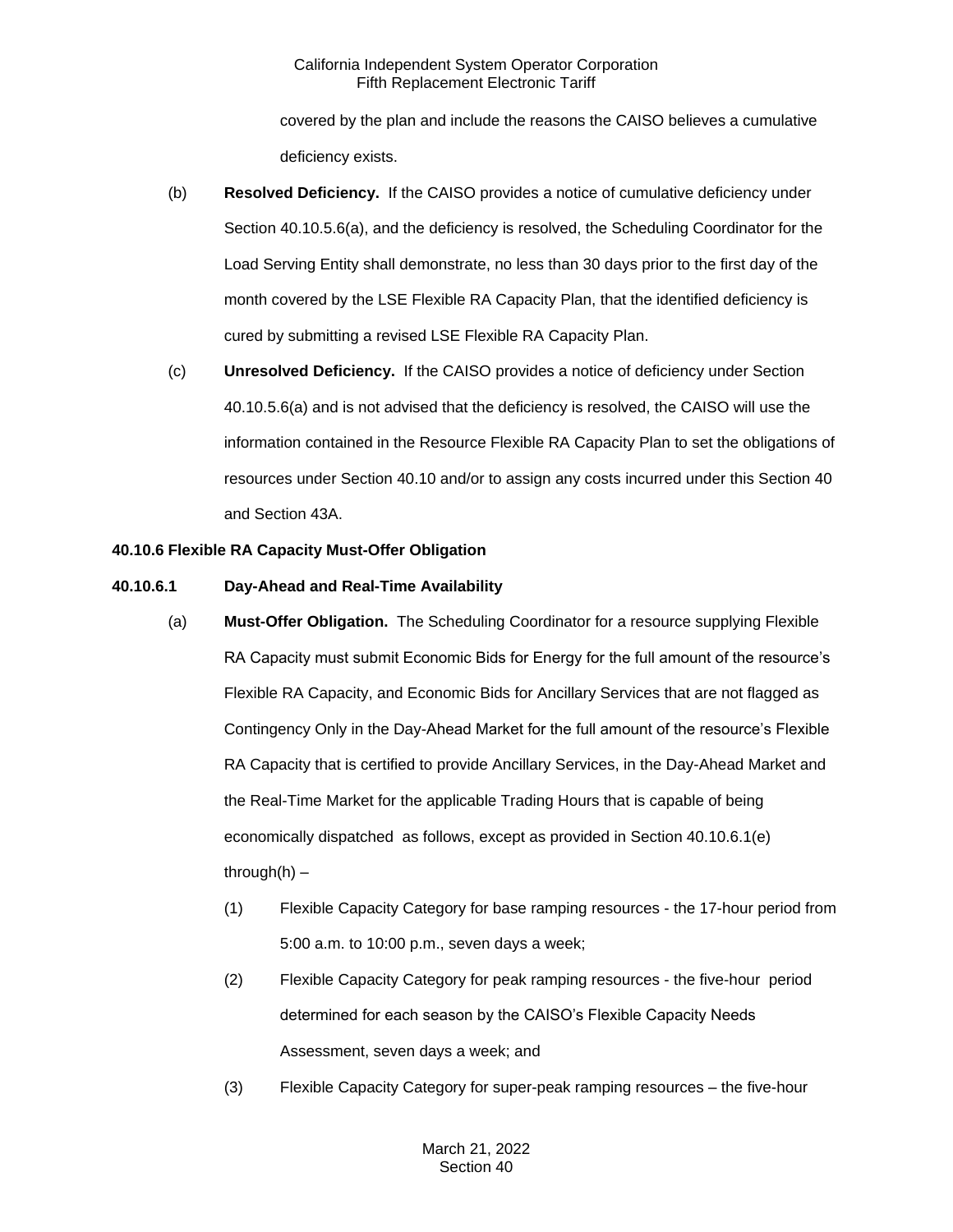covered by the plan and include the reasons the CAISO believes a cumulative deficiency exists.

- (b) **Resolved Deficiency.** If the CAISO provides a notice of cumulative deficiency under Section 40.10.5.6(a), and the deficiency is resolved, the Scheduling Coordinator for the Load Serving Entity shall demonstrate, no less than 30 days prior to the first day of the month covered by the LSE Flexible RA Capacity Plan, that the identified deficiency is cured by submitting a revised LSE Flexible RA Capacity Plan.
- (c) **Unresolved Deficiency.** If the CAISO provides a notice of deficiency under Section 40.10.5.6(a) and is not advised that the deficiency is resolved, the CAISO will use the information contained in the Resource Flexible RA Capacity Plan to set the obligations of resources under Section 40.10 and/or to assign any costs incurred under this Section 40 and Section 43A.

# **40.10.6 Flexible RA Capacity Must-Offer Obligation**

# **40.10.6.1 Day-Ahead and Real-Time Availability**

- (a) **Must-Offer Obligation.** The Scheduling Coordinator for a resource supplying Flexible RA Capacity must submit Economic Bids for Energy for the full amount of the resource's Flexible RA Capacity, and Economic Bids for Ancillary Services that are not flagged as Contingency Only in the Day-Ahead Market for the full amount of the resource's Flexible RA Capacity that is certified to provide Ancillary Services, in the Day-Ahead Market and the Real-Time Market for the applicable Trading Hours that is capable of being economically dispatched as follows, except as provided in Section 40.10.6.1(e) through $(h)$  –
	- (1) Flexible Capacity Category for base ramping resources the 17-hour period from 5:00 a.m. to 10:00 p.m., seven days a week;
	- (2) Flexible Capacity Category for peak ramping resources the five-hour period determined for each season by the CAISO's Flexible Capacity Needs Assessment, seven days a week; and
	- (3) Flexible Capacity Category for super-peak ramping resources the five-hour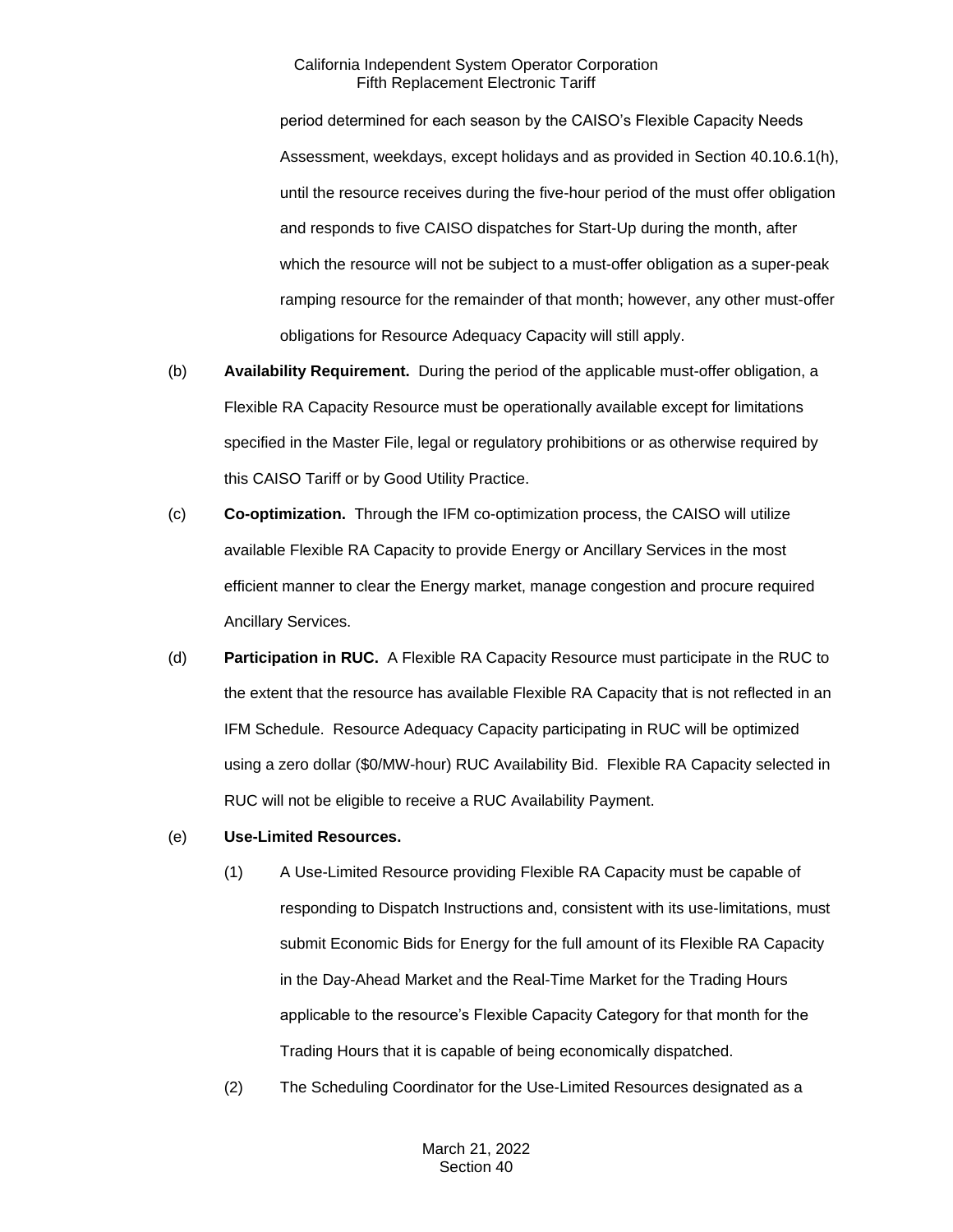period determined for each season by the CAISO's Flexible Capacity Needs Assessment, weekdays, except holidays and as provided in Section 40.10.6.1(h), until the resource receives during the five-hour period of the must offer obligation and responds to five CAISO dispatches for Start-Up during the month, after which the resource will not be subject to a must-offer obligation as a super-peak ramping resource for the remainder of that month; however, any other must-offer obligations for Resource Adequacy Capacity will still apply.

- (b) **Availability Requirement.** During the period of the applicable must-offer obligation, a Flexible RA Capacity Resource must be operationally available except for limitations specified in the Master File, legal or regulatory prohibitions or as otherwise required by this CAISO Tariff or by Good Utility Practice.
- (c) **Co-optimization.** Through the IFM co-optimization process, the CAISO will utilize available Flexible RA Capacity to provide Energy or Ancillary Services in the most efficient manner to clear the Energy market, manage congestion and procure required Ancillary Services.
- (d) **Participation in RUC.** A Flexible RA Capacity Resource must participate in the RUC to the extent that the resource has available Flexible RA Capacity that is not reflected in an IFM Schedule. Resource Adequacy Capacity participating in RUC will be optimized using a zero dollar (\$0/MW-hour) RUC Availability Bid. Flexible RA Capacity selected in RUC will not be eligible to receive a RUC Availability Payment.
- (e) **Use-Limited Resources.**
	- (1) A Use-Limited Resource providing Flexible RA Capacity must be capable of responding to Dispatch Instructions and, consistent with its use-limitations, must submit Economic Bids for Energy for the full amount of its Flexible RA Capacity in the Day-Ahead Market and the Real-Time Market for the Trading Hours applicable to the resource's Flexible Capacity Category for that month for the Trading Hours that it is capable of being economically dispatched.
	- (2) The Scheduling Coordinator for the Use-Limited Resources designated as a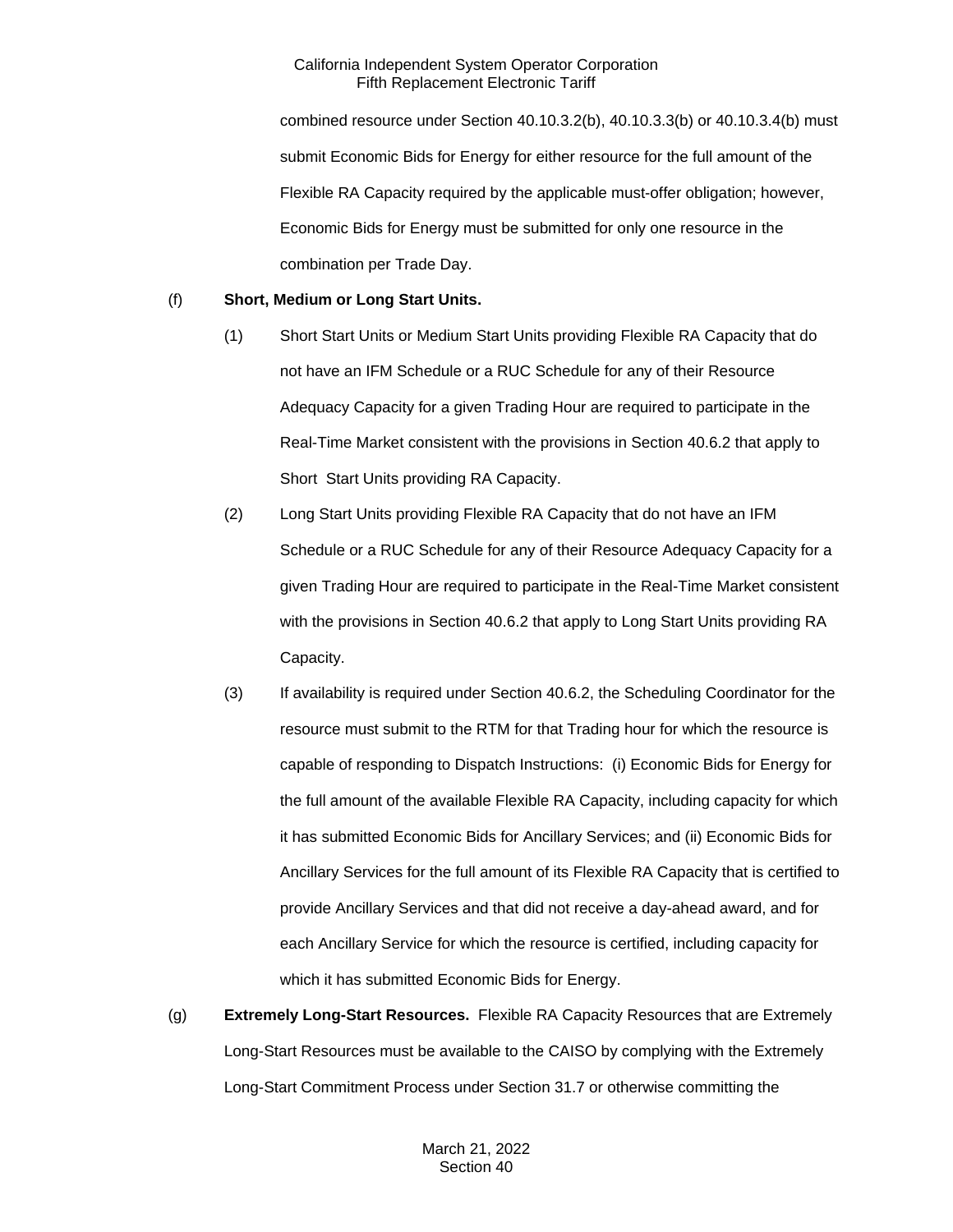combined resource under Section 40.10.3.2(b), 40.10.3.3(b) or 40.10.3.4(b) must submit Economic Bids for Energy for either resource for the full amount of the Flexible RA Capacity required by the applicable must-offer obligation; however, Economic Bids for Energy must be submitted for only one resource in the combination per Trade Day.

# (f) **Short, Medium or Long Start Units.**

- (1) Short Start Units or Medium Start Units providing Flexible RA Capacity that do not have an IFM Schedule or a RUC Schedule for any of their Resource Adequacy Capacity for a given Trading Hour are required to participate in the Real-Time Market consistent with the provisions in Section 40.6.2 that apply to Short Start Units providing RA Capacity.
- (2) Long Start Units providing Flexible RA Capacity that do not have an IFM Schedule or a RUC Schedule for any of their Resource Adequacy Capacity for a given Trading Hour are required to participate in the Real-Time Market consistent with the provisions in Section 40.6.2 that apply to Long Start Units providing RA Capacity.
- (3) If availability is required under Section 40.6.2, the Scheduling Coordinator for the resource must submit to the RTM for that Trading hour for which the resource is capable of responding to Dispatch Instructions: (i) Economic Bids for Energy for the full amount of the available Flexible RA Capacity, including capacity for which it has submitted Economic Bids for Ancillary Services; and (ii) Economic Bids for Ancillary Services for the full amount of its Flexible RA Capacity that is certified to provide Ancillary Services and that did not receive a day-ahead award, and for each Ancillary Service for which the resource is certified, including capacity for which it has submitted Economic Bids for Energy.
- (g) **Extremely Long-Start Resources.** Flexible RA Capacity Resources that are Extremely Long-Start Resources must be available to the CAISO by complying with the Extremely Long-Start Commitment Process under Section 31.7 or otherwise committing the